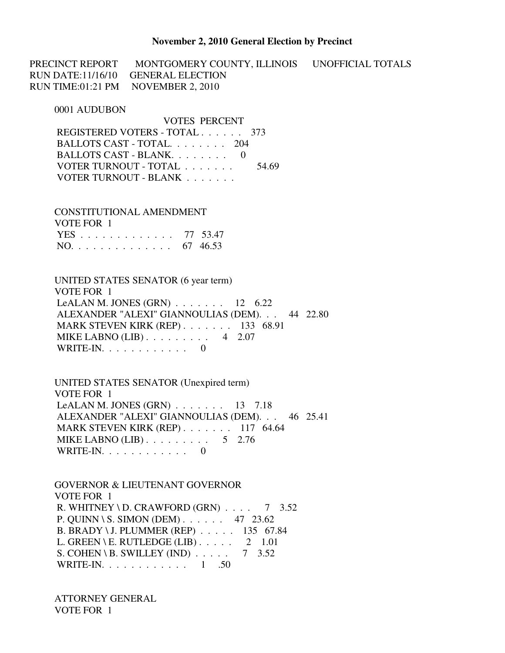#### **November 2, 2010 General Election by Precinct**

PRECINCT REPORT MONTGOMERY COUNTY, ILLINOIS UNOFFICIAL TOTALS RUN DATE:11/16/10 GENERAL ELECTION RUN TIME:01:21 PM NOVEMBER 2, 2010

0001 AUDUBON

 VOTES PERCENT REGISTERED VOTERS - TOTAL . . . . . . 373 BALLOTS CAST - TOTAL. . . . . . . . 204 BALLOTS CAST - BLANK. . . . . . . . 0 VOTER TURNOUT - TOTAL . . . . . . . 54.69 VOTER TURNOUT - BLANK . . . . . . .

 CONSTITUTIONAL AMENDMENT VOTE FOR 1 YES . . . . . . . . . . . . . 77 53.47 NO. . . . . . . . . . . . . . 67 46.53

 UNITED STATES SENATOR (6 year term) VOTE FOR 1 LeALAN M. JONES (GRN) . . . . . . . 12 6.22 ALEXANDER "ALEXI" GIANNOULIAS (DEM). . . 44 22.80 MARK STEVEN KIRK (REP) . . . . . . . 133 68.91 MIKE LABNO (LIB) . . . . . . . . . 4 2.07 WRITE-IN. . . . . . . . . . . . 0

 UNITED STATES SENATOR (Unexpired term) VOTE FOR 1 LeALAN M. JONES (GRN) . . . . . . . 13 7.18 ALEXANDER "ALEXI" GIANNOULIAS (DEM). . . 46 25.41 MARK STEVEN KIRK (REP) . . . . . . . 117 64.64 MIKE LABNO  $(LIB)$ ........ 5 2.76 WRITE-IN. . . . . . . . . . . . . . . 0

 GOVERNOR & LIEUTENANT GOVERNOR VOTE FOR 1 R. WHITNEY \ D. CRAWFORD (GRN)  $\ldots$  7 3.52 P. QUINN \ S. SIMON (DEM) . . . . . . 47 23.62 B. BRADY \ J. PLUMMER (REP) . . . . . 135 67.84 L. GREEN \ E. RUTLEDGE (LIB)  $\ldots$  . 2 1.01<br>S. COHEN \ B. SWILLEY (IND)  $\ldots$  . 7 3.52 S. COHEN \ B. SWILLEY (IND)  $\ldots$ . WRITE-IN. . . . . . . . . . . . 1 .50

 ATTORNEY GENERAL VOTE FOR 1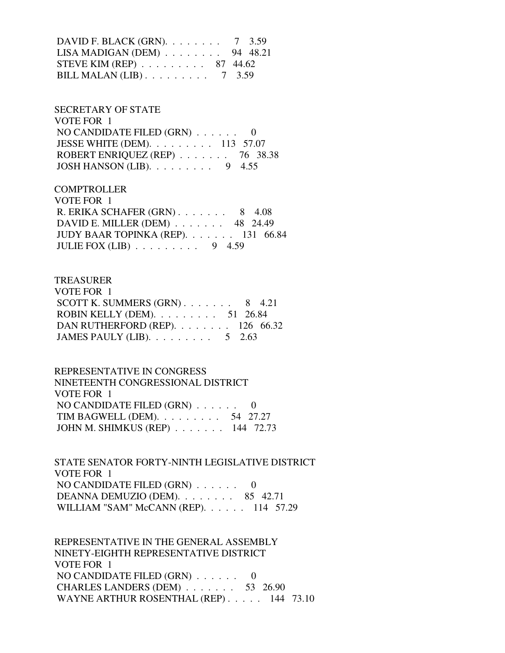DAVID F. BLACK (GRN). . . . . . . . 7 3.59 LISA MADIGAN (DEM) . . . . . . . . 94 48.21 STEVE KIM (REP) . . . . . . . . . 87 44.62 BILL MALAN (LIB) . . . . . . . . . 7 3.59

 SECRETARY OF STATE VOTE FOR 1 NO CANDIDATE FILED (GRN) . . . . . . 0 JESSE WHITE (DEM). . . . . . . . . 113 57.07 ROBERT ENRIQUEZ (REP) . . . . . . . 76 38.38 JOSH HANSON (LIB). . . . . . . . . 9 4.55

**COMPTROLLER**  VOTE FOR 1 R. ERIKA SCHAFER (GRN) . . . . . . . 8 4.08 DAVID E. MILLER (DEM) . . . . . . . 48 24.49 JUDY BAAR TOPINKA (REP). . . . . . . 131 66.84 JULIE FOX  $(LIB)$  . . . . . . . . 9 4.59

#### TREASURER

| VOTE FOR 1                                         |  |  |
|----------------------------------------------------|--|--|
| SCOTT K. SUMMERS $(GRN)$ 8 4.21                    |  |  |
| ROBIN KELLY (DEM). $\ldots \ldots \ldots 51$ 26.84 |  |  |
| DAN RUTHERFORD (REP). $\ldots$ 126 66.32           |  |  |
| JAMES PAULY (LIB). $\ldots \ldots \ldots 5$ 2.63   |  |  |

 REPRESENTATIVE IN CONGRESS NINETEENTH CONGRESSIONAL DISTRICT VOTE FOR 1 NO CANDIDATE FILED (GRN) . . . . . . 0 TIM BAGWELL (DEM). . . . . . . . . 54 27.27 JOHN M. SHIMKUS (REP) . . . . . . . 144 72.73

 STATE SENATOR FORTY-NINTH LEGISLATIVE DISTRICT VOTE FOR 1 NO CANDIDATE FILED (GRN) . . . . . . 0 DEANNA DEMUZIO (DEM). . . . . . . . 85 42.71 WILLIAM "SAM" McCANN (REP). . . . . . 114 57.29

 REPRESENTATIVE IN THE GENERAL ASSEMBLY NINETY-EIGHTH REPRESENTATIVE DISTRICT VOTE FOR 1 NO CANDIDATE FILED (GRN) . . . . . . 0 CHARLES LANDERS (DEM) . . . . . . . 53 26.90 WAYNE ARTHUR ROSENTHAL (REP) . . . . . 144 73.10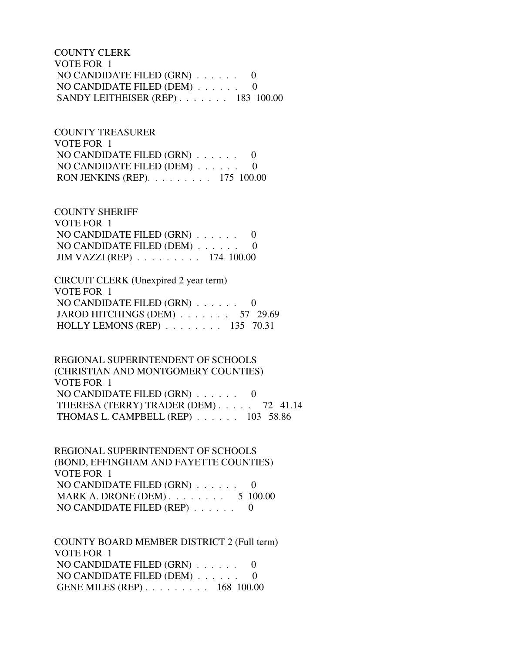COUNTY CLERK VOTE FOR 1 NO CANDIDATE FILED (GRN) . . . . . . 0 NO CANDIDATE FILED (DEM) . . . . . . 0 SANDY LEITHEISER (REP) . . . . . . . 183 100.00

 COUNTY TREASURER VOTE FOR 1 NO CANDIDATE FILED (GRN) . . . . . . 0 NO CANDIDATE FILED (DEM) . . . . . . 0 RON JENKINS (REP). . . . . . . . . 175 100.00

 COUNTY SHERIFF VOTE FOR 1 NO CANDIDATE FILED (GRN) . . . . . . 0 NO CANDIDATE FILED (DEM) . . . . . . 0 JIM VAZZI (REP) . . . . . . . . . 174 100.00

 CIRCUIT CLERK (Unexpired 2 year term) VOTE FOR 1 NO CANDIDATE FILED (GRN) . . . . . . 0 JAROD HITCHINGS (DEM) . . . . . . . 57 29.69 HOLLY LEMONS (REP) . . . . . . . . 135 70.31

 REGIONAL SUPERINTENDENT OF SCHOOLS (CHRISTIAN AND MONTGOMERY COUNTIES) VOTE FOR 1 NO CANDIDATE FILED (GRN) . . . . . . 0 THERESA (TERRY) TRADER (DEM) . . . . . 72 41.14 THOMAS L. CAMPBELL (REP) . . . . . . 103 58.86

 REGIONAL SUPERINTENDENT OF SCHOOLS (BOND, EFFINGHAM AND FAYETTE COUNTIES) VOTE FOR 1 NO CANDIDATE FILED (GRN) . . . . . . 0 MARK A. DRONE (DEM) . . . . . . . . . 5 100.00 NO CANDIDATE FILED (REP) . . . . . . 0

 COUNTY BOARD MEMBER DISTRICT 2 (Full term) VOTE FOR 1 NO CANDIDATE FILED (GRN) . . . . . . 0 NO CANDIDATE FILED (DEM) . . . . . . 0 GENE MILES (REP) . . . . . . . . . 168 100.00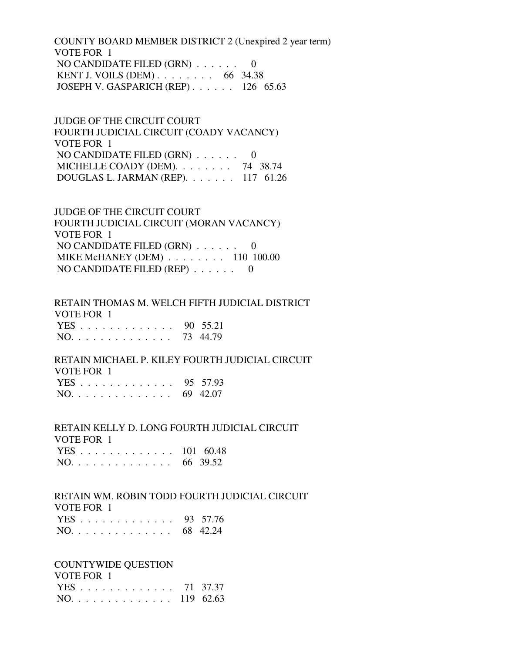COUNTY BOARD MEMBER DISTRICT 2 (Unexpired 2 year term) VOTE FOR 1 NO CANDIDATE FILED (GRN) . . . . . . 0 KENT J. VOILS (DEM) . . . . . . . . 66 34.38 JOSEPH V. GASPARICH (REP) . . . . . . 126 65.63

 JUDGE OF THE CIRCUIT COURT FOURTH JUDICIAL CIRCUIT (COADY VACANCY) VOTE FOR 1 NO CANDIDATE FILED (GRN) . . . . . . 0 MICHELLE COADY (DEM). . . . . . . . 74 38.74 DOUGLAS L. JARMAN (REP). . . . . . . 117 61.26

 JUDGE OF THE CIRCUIT COURT FOURTH JUDICIAL CIRCUIT (MORAN VACANCY) VOTE FOR 1 NO CANDIDATE FILED (GRN) . . . . . . 0 MIKE McHANEY (DEM) . . . . . . . . 110 100.00 NO CANDIDATE FILED (REP) . . . . . . 0

 RETAIN THOMAS M. WELCH FIFTH JUDICIAL DISTRICT VOTE FOR 1 YES . . . . . . . . . . . . . 90 55.21 NO. . . . . . . . . . . . . . 73 44.79

### RETAIN MICHAEL P. KILEY FOURTH JUDICIAL CIRCUIT VOTE FOR 1

|  |  |  |  |  |  |  | YES 95 57.93 |
|--|--|--|--|--|--|--|--------------|
|  |  |  |  |  |  |  | NO. 69 42.07 |

 RETAIN KELLY D. LONG FOURTH JUDICIAL CIRCUIT VOTE FOR 1 YES . . . . . . . . . . . . . 101 60.48

| $NO.$ |  |  |  |  |  |  |  | 66 39.52 |
|-------|--|--|--|--|--|--|--|----------|
|       |  |  |  |  |  |  |  |          |

# RETAIN WM. ROBIN TODD FOURTH JUDICIAL CIRCUIT VOTE FOR 1

|  |  |  |  |  |  |  | YES 93 57.76 |
|--|--|--|--|--|--|--|--------------|
|  |  |  |  |  |  |  | NO. 68 42.24 |

COUNTYWIDE QUESTION

| VOTE FOR 1    |  |
|---------------|--|
| YES 71 37.37  |  |
| NO. 119 62.63 |  |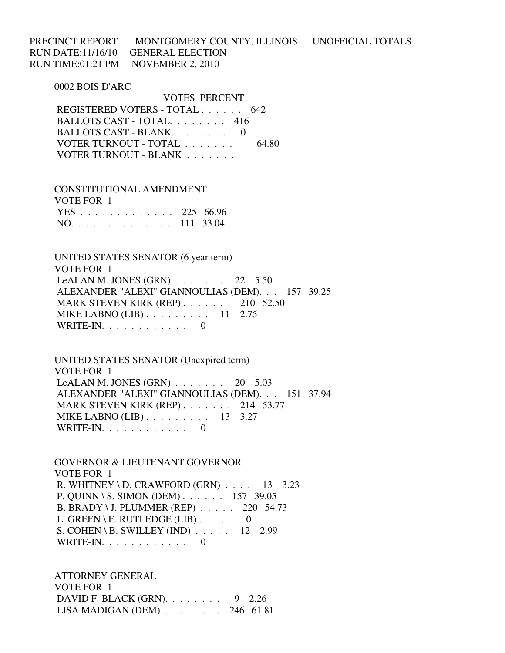PRECINCT REPORT MONTGOMERY COUNTY, ILLINOIS UNOFFICIAL TOTALS RUN DATE:11/16/10 GENERAL ELECTION RUN TIME:01:21 PM NOVEMBER 2, 2010

0002 BOIS D'ARC

 VOTES PERCENT REGISTERED VOTERS - TOTAL . . . . . . 642 BALLOTS CAST - TOTAL. . . . . . . . 416 BALLOTS CAST - BLANK. . . . . . . . 0 VOTER TURNOUT - TOTAL . . . . . . . 64.80 VOTER TURNOUT - BLANK . . . . . . .

 CONSTITUTIONAL AMENDMENT VOTE FOR 1 YES . . . . . . . . . . . . . 225 66.96 NO. . . . . . . . . . . . . . 111 33.04

 UNITED STATES SENATOR (6 year term) VOTE FOR 1 LeALAN M. JONES  $(GRN)$ ...... 22 5.50 ALEXANDER "ALEXI" GIANNOULIAS (DEM). . . 157 39.25 MARK STEVEN KIRK (REP) . . . . . . . 210 52.50 MIKE LABNO (LIB) . . . . . . . . . 11 2.75 WRITE-IN. . . . . . . . . . . . 0

 UNITED STATES SENATOR (Unexpired term) VOTE FOR 1 LeALAN M. JONES  $(GRN)$  . . . . . . . 20 5.03 ALEXANDER "ALEXI" GIANNOULIAS (DEM). . . 151 37.94 MARK STEVEN KIRK (REP) . . . . . . . 214 53.77 MIKE LABNO (LIB) . . . . . . . . . 13 3.27 WRITE-IN. . . . . . . . . . . . 0

 GOVERNOR & LIEUTENANT GOVERNOR VOTE FOR 1 R. WHITNEY \ D. CRAWFORD (GRN) . . . . 13 3.23 P. QUINN \ S. SIMON (DEM) . . . . . . 157 39.05 B. BRADY \ J. PLUMMER (REP) . . . . . 220 54.73 L. GREEN \ E. RUTLEDGE (LIB)  $\ldots$  . . . 0 S. COHEN \ B. SWILLEY (IND) . . . . . 12 2.99 WRITE-IN. . . . . . . . . . . . 0

 ATTORNEY GENERAL VOTE FOR 1 DAVID F. BLACK (GRN). . . . . . . . 9 2.26 LISA MADIGAN (DEM) . . . . . . . . 246 61.81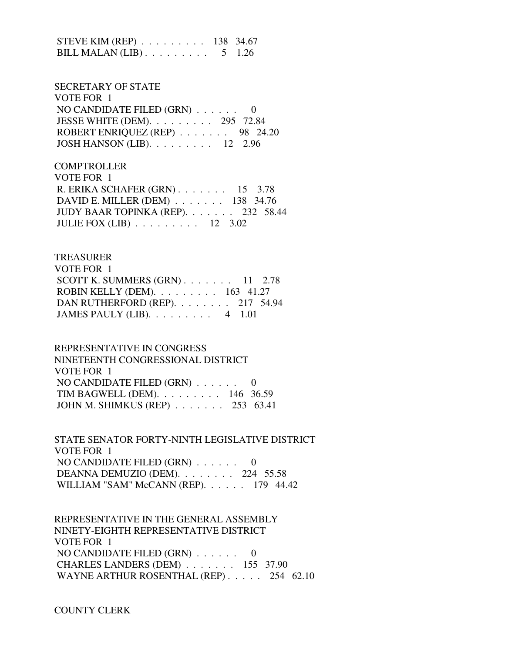STEVE KIM (REP) . . . . . . . . . 138 34.67 BILL MALAN  $(LIB)$ ........ 5 1.26

## SECRETARY OF STATE VOTE FOR 1 NO CANDIDATE FILED (GRN) . . . . . . 0 JESSE WHITE (DEM). . . . . . . . . 295 72.84 ROBERT ENRIQUEZ (REP) . . . . . . . 98 24.20 JOSH HANSON (LIB). . . . . . . . . 12 2.96

**COMPTROLLER**  VOTE FOR 1 R. ERIKA SCHAFER (GRN) . . . . . . . 15 3.78 DAVID E. MILLER (DEM) . . . . . . . 138 34.76 JUDY BAAR TOPINKA (REP). . . . . . . 232 58.44 JULIE FOX (LIB) . . . . . . . . . 12 3.02

#### TREASURER

| VOTE FOR 1                                          |  |  |
|-----------------------------------------------------|--|--|
| SCOTT K. SUMMERS $(GRN)$ 11 2.78                    |  |  |
| ROBIN KELLY (DEM). $\ldots \ldots \ldots 163$ 41.27 |  |  |
| DAN RUTHERFORD (REP). 217 54.94                     |  |  |
| JAMES PAULY (LIB). $\ldots \ldots \ldots$ 4 1.01    |  |  |

#### REPRESENTATIVE IN CONGRESS

| NINETEENTH CONGRESSIONAL DISTRICT     |  |
|---------------------------------------|--|
| VOTE FOR 1                            |  |
| NO CANDIDATE FILED $(GRN)$ 0          |  |
| TIM BAGWELL (DEM). $\ldots$ 146 36.59 |  |
| JOHN M. SHIMKUS (REP) 253 63.41       |  |

 STATE SENATOR FORTY-NINTH LEGISLATIVE DISTRICT VOTE FOR 1 NO CANDIDATE FILED (GRN) . . . . . . 0 DEANNA DEMUZIO (DEM). . . . . . . . 224 55.58 WILLIAM "SAM" McCANN (REP). . . . . . 179 44.42

 REPRESENTATIVE IN THE GENERAL ASSEMBLY NINETY-EIGHTH REPRESENTATIVE DISTRICT VOTE FOR 1 NO CANDIDATE FILED (GRN) . . . . . . 0 CHARLES LANDERS (DEM) . . . . . . . 155 37.90 WAYNE ARTHUR ROSENTHAL (REP) . . . . . 254 62.10

COUNTY CLERK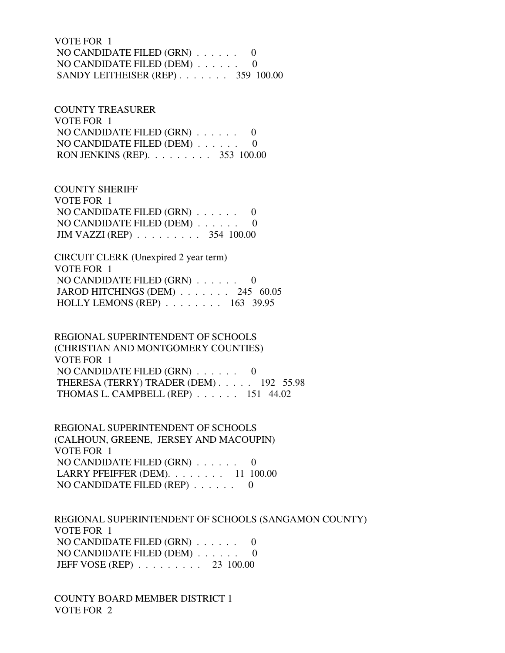VOTE FOR 1 NO CANDIDATE FILED (GRN) . . . . . . 0 NO CANDIDATE FILED (DEM) . . . . . . 0 SANDY LEITHEISER (REP) . . . . . . . 359 100.00

 COUNTY TREASURER VOTE FOR 1 NO CANDIDATE FILED (GRN) . . . . . . 0 NO CANDIDATE FILED (DEM) . . . . . . 0 RON JENKINS (REP). . . . . . . . . 353 100.00

 COUNTY SHERIFF VOTE FOR 1 NO CANDIDATE FILED (GRN) . . . . . . 0 NO CANDIDATE FILED (DEM) . . . . . . 0 JIM VAZZI (REP) . . . . . . . . . 354 100.00

 CIRCUIT CLERK (Unexpired 2 year term) VOTE FOR 1 NO CANDIDATE FILED (GRN) . . . . . . 0 JAROD HITCHINGS (DEM) . . . . . . . 245 60.05 HOLLY LEMONS (REP) . . . . . . . . 163 39.95

 REGIONAL SUPERINTENDENT OF SCHOOLS (CHRISTIAN AND MONTGOMERY COUNTIES) VOTE FOR 1 NO CANDIDATE FILED (GRN) . . . . . . 0 THERESA (TERRY) TRADER (DEM) . . . . . 192 55.98 THOMAS L. CAMPBELL (REP) . . . . . . 151 44.02

 REGIONAL SUPERINTENDENT OF SCHOOLS (CALHOUN, GREENE, JERSEY AND MACOUPIN) VOTE FOR 1 NO CANDIDATE FILED (GRN) . . . . . . 0 LARRY PFEIFFER (DEM). . . . . . . . 11 100.00 NO CANDIDATE FILED (REP) . . . . . . 0

 REGIONAL SUPERINTENDENT OF SCHOOLS (SANGAMON COUNTY) VOTE FOR 1 NO CANDIDATE FILED (GRN) . . . . . . 0 NO CANDIDATE FILED (DEM) . . . . . . 0 JEFF VOSE (REP) . . . . . . . . . 23 100.00

 COUNTY BOARD MEMBER DISTRICT 1 VOTE FOR 2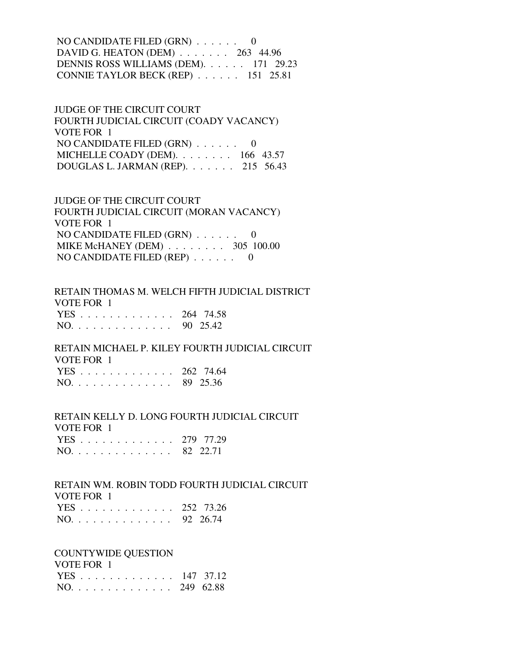NO CANDIDATE FILED (GRN) . . . . . . 0 DAVID G. HEATON (DEM) . . . . . . . 263 44.96 DENNIS ROSS WILLIAMS (DEM). . . . . . 171 29.23 CONNIE TAYLOR BECK (REP) . . . . . . 151 25.81

 JUDGE OF THE CIRCUIT COURT FOURTH JUDICIAL CIRCUIT (COADY VACANCY) VOTE FOR 1 NO CANDIDATE FILED (GRN) . . . . . . 0 MICHELLE COADY (DEM). . . . . . . . 166 43.57 DOUGLAS L. JARMAN (REP). . . . . . . 215 56.43

 JUDGE OF THE CIRCUIT COURT FOURTH JUDICIAL CIRCUIT (MORAN VACANCY) VOTE FOR 1 NO CANDIDATE FILED (GRN) . . . . . . 0 MIKE McHANEY (DEM) . . . . . . . . 305 100.00 NO CANDIDATE FILED (REP) . . . . . . 0

 RETAIN THOMAS M. WELCH FIFTH JUDICIAL DISTRICT VOTE FOR 1 YES . . . . . . . . . . . . . 264 74.58 NO. . . . . . . . . . . . . . 90 25.42

 RETAIN MICHAEL P. KILEY FOURTH JUDICIAL CIRCUIT VOTE FOR 1 YES . . . . . . . . . . . . . 262 74.64

 RETAIN KELLY D. LONG FOURTH JUDICIAL CIRCUIT VOTE FOR 1

|  |  |  |  |  |  |  | YES 279 77.29 |
|--|--|--|--|--|--|--|---------------|
|  |  |  |  |  |  |  | NO. 82 22.71  |

 RETAIN WM. ROBIN TODD FOURTH JUDICIAL CIRCUIT VOTE FOR 1

|                                   |  |  |  |  |  |  | YES 252 73.26 |
|-----------------------------------|--|--|--|--|--|--|---------------|
| $NO. \ldots \ldots \ldots \ldots$ |  |  |  |  |  |  | 92 26.74      |

COUNTYWIDE QUESTION

 VOTE FOR 1 YES . . . . . . . . . . . . . 147 37.12

|  |  |  |  |  |  |  | NO. 249 62.88 |
|--|--|--|--|--|--|--|---------------|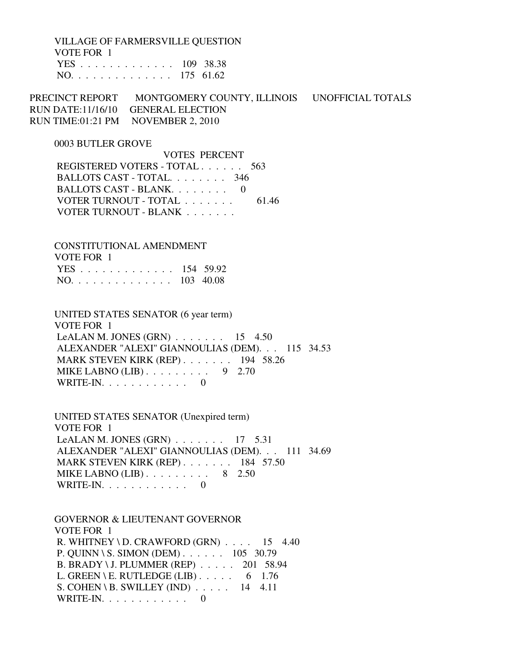VILLAGE OF FARMERSVILLE QUESTION VOTE FOR 1 YES . . . . . . . . . . . . . 109 38.38 NO. . . . . . . . . . . . . . 175 61.62

PRECINCT REPORT MONTGOMERY COUNTY, ILLINOIS UNOFFICIAL TOTALS RUN DATE:11/16/10 GENERAL ELECTION RUN TIME:01:21 PM NOVEMBER 2, 2010

#### 0003 BUTLER GROVE

 VOTES PERCENT REGISTERED VOTERS - TOTAL . . . . . . 563 BALLOTS CAST - TOTAL. . . . . . . . 346 BALLOTS CAST - BLANK. . . . . . . . 0 VOTER TURNOUT - TOTAL . . . . . . . . 61.46 VOTER TURNOUT - BLANK . . . . . . .

 CONSTITUTIONAL AMENDMENT VOTE FOR 1 YES . . . . . . . . . . . . . 154 59.92 NO. . . . . . . . . . . . . . 103 40.08

 UNITED STATES SENATOR (6 year term) VOTE FOR 1 LeALAN M. JONES (GRN) . . . . . . . 15 4.50 ALEXANDER "ALEXI" GIANNOULIAS (DEM). . . 115 34.53 MARK STEVEN KIRK (REP) . . . . . . . 194 58.26 MIKE LABNO (LIB) . . . . . . . . . 9 2.70 WRITE-IN.  $\ldots$  . . . . . . . . 0

 UNITED STATES SENATOR (Unexpired term) VOTE FOR 1 LeALAN M. JONES  $(GRN)$ ....... 17 5.31 ALEXANDER "ALEXI" GIANNOULIAS (DEM). . . 111 34.69 MARK STEVEN KIRK (REP) . . . . . . . 184 57.50 MIKE LABNO  $(LIB)$ ........ 8 2.50 WRITE-IN. . . . . . . . . . . . 0

 GOVERNOR & LIEUTENANT GOVERNOR VOTE FOR 1 R. WHITNEY \ D. CRAWFORD  $(GRN)$  . . . . 15 4.40 P. QUINN \ S. SIMON (DEM) . . . . . . 105 30.79 B. BRADY \ J. PLUMMER (REP) . . . . . 201 58.94 L. GREEN \ E. RUTLEDGE (LIB)  $\ldots$  . . . . 6 1.76 S. COHEN \ B. SWILLEY (IND)  $\ldots$  . . . 14 4.11 WRITE-IN. . . . . . . . . . . . 0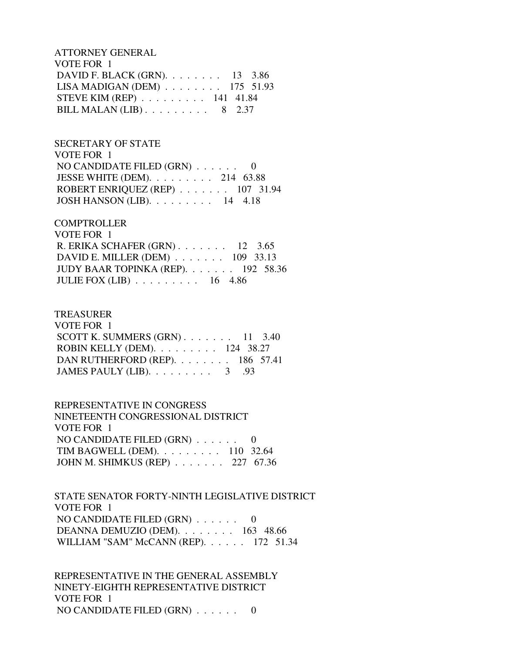ATTORNEY GENERAL VOTE FOR 1 DAVID F. BLACK (GRN). . . . . . . . 13 3.86 LISA MADIGAN (DEM) . . . . . . . . 175 51.93 STEVE KIM (REP) . . . . . . . . . 141 41.84 BILL MALAN (LIB)  $\ldots \ldots \ldots \ldots$  8 2.37

 SECRETARY OF STATE VOTE FOR 1 NO CANDIDATE FILED (GRN) . . . . . . 0 JESSE WHITE (DEM). . . . . . . . . 214 63.88 ROBERT ENRIQUEZ (REP) . . . . . . . 107 31.94 JOSH HANSON (LIB). . . . . . . . . 14 4.18

### **COMPTROLLER**

| VOTE FOR 1                                            |  |
|-------------------------------------------------------|--|
| R. ERIKA SCHAFER $(GRN)$ 12 3.65                      |  |
| DAVID E. MILLER (DEM) $\ldots$ 109 33.13              |  |
| JUDY BAAR TOPINKA (REP). $\ldots$ 192 58.36           |  |
| JULIE FOX (LIB) $\ldots \ldots \ldots \ldots 16$ 4.86 |  |

#### TREASURER

| VOTE FOR 1                                          |  |  |
|-----------------------------------------------------|--|--|
| SCOTT K. SUMMERS $(GRN)$ 11 3.40                    |  |  |
| ROBIN KELLY (DEM). $\ldots \ldots \ldots 124$ 38.27 |  |  |
| DAN RUTHERFORD (REP). 186 57.41                     |  |  |
| JAMES PAULY (LIB). $\ldots \ldots \ldots$ 3 .93     |  |  |

 REPRESENTATIVE IN CONGRESS NINETEENTH CONGRESSIONAL DISTRICT VOTE FOR 1 NO CANDIDATE FILED (GRN) . . . . . . 0 TIM BAGWELL (DEM). . . . . . . . . 110 32.64 JOHN M. SHIMKUS (REP) . . . . . . . 227 67.36

 STATE SENATOR FORTY-NINTH LEGISLATIVE DISTRICT VOTE FOR 1 NO CANDIDATE FILED (GRN) . . . . . . 0 DEANNA DEMUZIO (DEM). . . . . . . . 163 48.66 WILLIAM "SAM" McCANN (REP). . . . . . 172 51.34

 REPRESENTATIVE IN THE GENERAL ASSEMBLY NINETY-EIGHTH REPRESENTATIVE DISTRICT VOTE FOR 1 NO CANDIDATE FILED (GRN) . . . . . . 0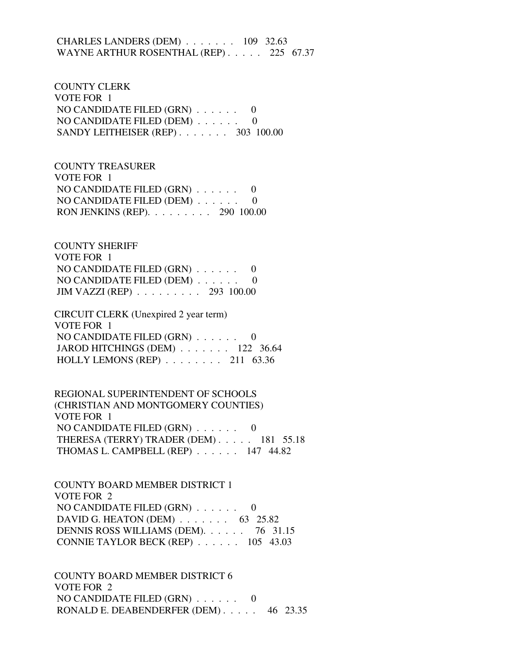### CHARLES LANDERS (DEM) . . . . . . . 109 32.63 WAYNE ARTHUR ROSENTHAL (REP) . . . . . 225 67.37

 COUNTY CLERK VOTE FOR 1 NO CANDIDATE FILED (GRN) . . . . . . 0 NO CANDIDATE FILED (DEM) . . . . . . 0 SANDY LEITHEISER (REP) . . . . . . . 303 100.00

 COUNTY TREASURER VOTE FOR 1 NO CANDIDATE FILED (GRN) . . . . . . 0 NO CANDIDATE FILED (DEM) . . . . . . 0 RON JENKINS (REP). . . . . . . . . 290 100.00

 COUNTY SHERIFF VOTE FOR 1 NO CANDIDATE FILED (GRN) . . . . . . 0 NO CANDIDATE FILED (DEM) . . . . . . 0 JIM VAZZI (REP) . . . . . . . . . 293 100.00

 CIRCUIT CLERK (Unexpired 2 year term) VOTE FOR 1 NO CANDIDATE FILED (GRN) . . . . . . 0 JAROD HITCHINGS (DEM) . . . . . . . 122 36.64 HOLLY LEMONS (REP) . . . . . . . . 211 63.36

 REGIONAL SUPERINTENDENT OF SCHOOLS (CHRISTIAN AND MONTGOMERY COUNTIES) VOTE FOR 1 NO CANDIDATE FILED (GRN) . . . . . . 0 THERESA (TERRY) TRADER (DEM) . . . . . 181 55.18 THOMAS L. CAMPBELL (REP) . . . . . . 147 44.82

 COUNTY BOARD MEMBER DISTRICT 1 VOTE FOR 2 NO CANDIDATE FILED (GRN) . . . . . . 0 DAVID G. HEATON (DEM) . . . . . . . 63 25.82 DENNIS ROSS WILLIAMS (DEM). . . . . . 76 31.15 CONNIE TAYLOR BECK (REP) . . . . . . 105 43.03

 COUNTY BOARD MEMBER DISTRICT 6 VOTE FOR 2 NO CANDIDATE FILED (GRN) . . . . . . 0 RONALD E. DEABENDERFER (DEM) . . . . . 46 23.35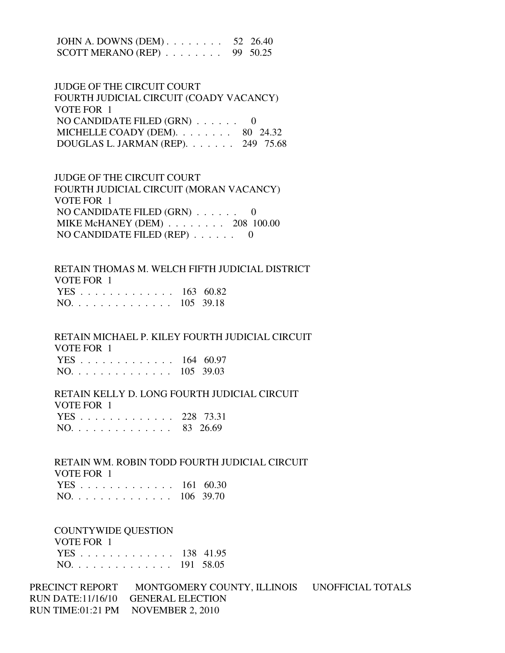JOHN A. DOWNS (DEM) . . . . . . . . 52 26.40 SCOTT MERANO (REP) . . . . . . . . 99 50.25

 JUDGE OF THE CIRCUIT COURT FOURTH JUDICIAL CIRCUIT (COADY VACANCY) VOTE FOR 1 NO CANDIDATE FILED (GRN) . . . . . . 0 MICHELLE COADY (DEM).  $\ldots$  . . . . . 80 24.32 DOUGLAS L. JARMAN (REP). . . . . . . 249 75.68

 JUDGE OF THE CIRCUIT COURT FOURTH JUDICIAL CIRCUIT (MORAN VACANCY) VOTE FOR 1 NO CANDIDATE FILED (GRN) . . . . . . 0 MIKE McHANEY (DEM) . . . . . . . . 208 100.00 NO CANDIDATE FILED (REP) . . . . . . 0

 RETAIN THOMAS M. WELCH FIFTH JUDICIAL DISTRICT VOTE FOR 1 YES . . . . . . . . . . . . . 163 60.82 NO. . . . . . . . . . . . . . 105 39.18

 RETAIN MICHAEL P. KILEY FOURTH JUDICIAL CIRCUIT VOTE FOR 1 YES . . . . . . . . . . . . . 164 60.97 NO. . . . . . . . . . . . . . 105 39.03

 RETAIN KELLY D. LONG FOURTH JUDICIAL CIRCUIT VOTE FOR 1 YES . . . . . . . . . . . . . 228 73.31

| NO. |  |  |  |  |  |  | 83 26.69 |
|-----|--|--|--|--|--|--|----------|
|     |  |  |  |  |  |  |          |

 RETAIN WM. ROBIN TODD FOURTH JUDICIAL CIRCUIT VOTE FOR 1 YES . . . . . . . . . . . . . 161 60.30 NO. . . . . . . . . . . . . . 106 39.70

#### COUNTYWIDE QUESTION

### VOTE FOR 1

|  |  |  |  |  |  |  | YES 138 41.95 |
|--|--|--|--|--|--|--|---------------|
|  |  |  |  |  |  |  | NO. 191 58.05 |

PRECINCT REPORT MONTGOMERY COUNTY, ILLINOIS UNOFFICIAL TOTALS RUN DATE:11/16/10 GENERAL ELECTION RUN TIME:01:21 PM NOVEMBER 2, 2010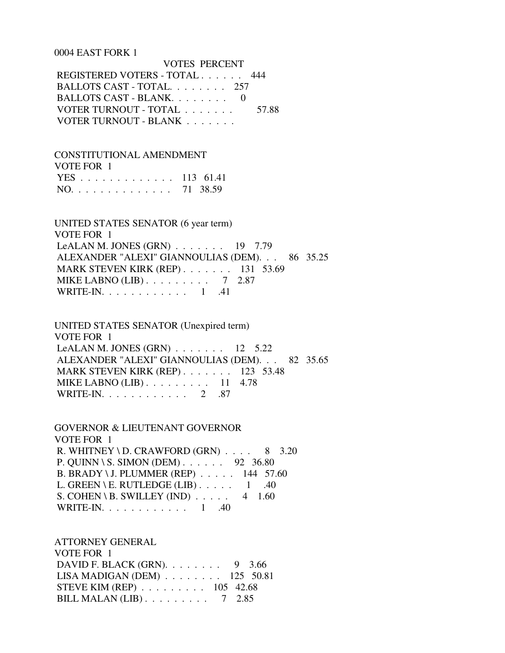#### 0004 EAST FORK 1

 VOTES PERCENT REGISTERED VOTERS - TOTAL . . . . . . 444 BALLOTS CAST - TOTAL. . . . . . . . 257 BALLOTS CAST - BLANK. . . . . . . . 0 VOTER TURNOUT - TOTAL . . . . . . . . 57.88 VOTER TURNOUT - BLANK . . . . . . .

 CONSTITUTIONAL AMENDMENT VOTE FOR 1 YES . . . . . . . . . . . . . 113 61.41 NO. . . . . . . . . . . . . . 71 38.59

 UNITED STATES SENATOR (6 year term) VOTE FOR 1 LeALAN M. JONES (GRN) . . . . . . . 19 7.79 ALEXANDER "ALEXI" GIANNOULIAS (DEM). . . 86 35.25 MARK STEVEN KIRK (REP) . . . . . . . 131 53.69 MIKE LABNO (LIB) . . . . . . . . . 7 2.87 WRITE-IN. . . . . . . . . . . . 1 .41

 UNITED STATES SENATOR (Unexpired term) VOTE FOR 1 LeALAN M. JONES  $(GRN)$  . . . . . . . 12 5.22 ALEXANDER "ALEXI" GIANNOULIAS (DEM). . . 82 35.65 MARK STEVEN KIRK (REP) . . . . . . . 123 53.48 MIKE LABNO (LIB) . . . . . . . . . 11 4.78 WRITE-IN. . . . . . . . . . . . 2 .87

 GOVERNOR & LIEUTENANT GOVERNOR VOTE FOR 1 R. WHITNEY \ D. CRAWFORD  $(GRN)$  . . . . 8 3.20 P. QUINN \ S. SIMON (DEM) . . . . . . 92 36.80 B. BRADY \ J. PLUMMER (REP) . . . . . 144 57.60 L. GREEN \ E. RUTLEDGE (LIB)  $\ldots$  .  $1 \ldots$  .40 S. COHEN \ B. SWILLEY (IND)  $\ldots$  . . . 4 1.60 WRITE-IN. . . . . . . . . . . . 1 .40

 ATTORNEY GENERAL VOTE FOR 1 DAVID F. BLACK (GRN). . . . . . . . 9 3.66 LISA MADIGAN (DEM) . . . . . . . . 125 50.81 STEVE KIM (REP) . . . . . . . . . 105 42.68 BILL MALAN (LIB) . . . . . . . . . 7 2.85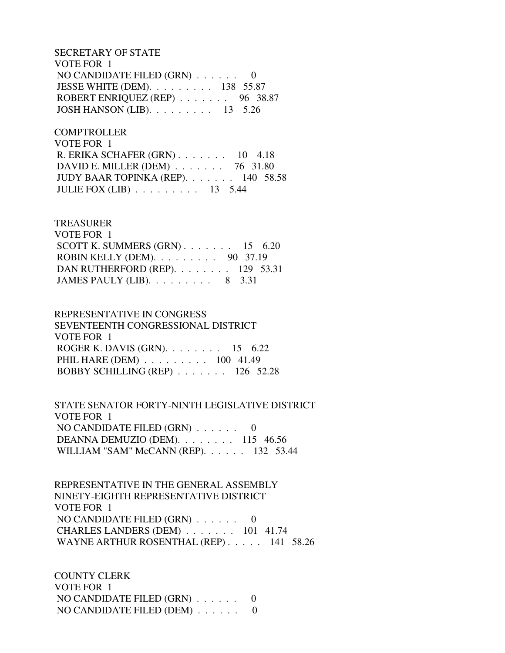SECRETARY OF STATE VOTE FOR 1 NO CANDIDATE FILED (GRN) . . . . . . 0 JESSE WHITE (DEM). . . . . . . . . 138 55.87 ROBERT ENRIQUEZ (REP) . . . . . . . 96 38.87 JOSH HANSON (LIB). . . . . . . . . 13 5.26

**COMPTROLLER**  VOTE FOR 1 R. ERIKA SCHAFER (GRN) . . . . . . . 10 4.18 DAVID E. MILLER (DEM) . . . . . . . 76 31.80 JUDY BAAR TOPINKA (REP). . . . . . . 140 58.58 JULIE FOX (LIB) . . . . . . . . . 13 5.44

### TREASURER

| VOTE FOR 1                                         |  |  |
|----------------------------------------------------|--|--|
| SCOTT K. SUMMERS $(GRN)$ 15 6.20                   |  |  |
| ROBIN KELLY (DEM). $\ldots \ldots \ldots$ 90 37.19 |  |  |
| DAN RUTHERFORD (REP). $\ldots$ 129 53.31           |  |  |
| JAMES PAULY (LIB). $\ldots \ldots \ldots$ 8 3.31   |  |  |
|                                                    |  |  |

### REPRESENTATIVE IN CONGRESS SEVENTEENTH CONGRESSIONAL DISTRICT VOTE FOR 1 ROGER K. DAVIS (GRN). . . . . . . . 15 6.22 PHIL HARE (DEM) . . . . . . . . . 100 41.49 BOBBY SCHILLING (REP) . . . . . . . 126 52.28

 STATE SENATOR FORTY-NINTH LEGISLATIVE DISTRICT VOTE FOR 1 NO CANDIDATE FILED  $(GRN)$ ...... 0 DEANNA DEMUZIO (DEM). . . . . . . . 115 46.56 WILLIAM "SAM" McCANN (REP). . . . . . 132 53.44

 REPRESENTATIVE IN THE GENERAL ASSEMBLY NINETY-EIGHTH REPRESENTATIVE DISTRICT VOTE FOR 1 NO CANDIDATE FILED (GRN) . . . . . . 0 CHARLES LANDERS (DEM) . . . . . . . 101 41.74 WAYNE ARTHUR ROSENTHAL (REP) . . . . . 141 58.26

 COUNTY CLERK VOTE FOR 1 NO CANDIDATE FILED (GRN) . . . . . . 0 NO CANDIDATE FILED (DEM) . . . . . . 0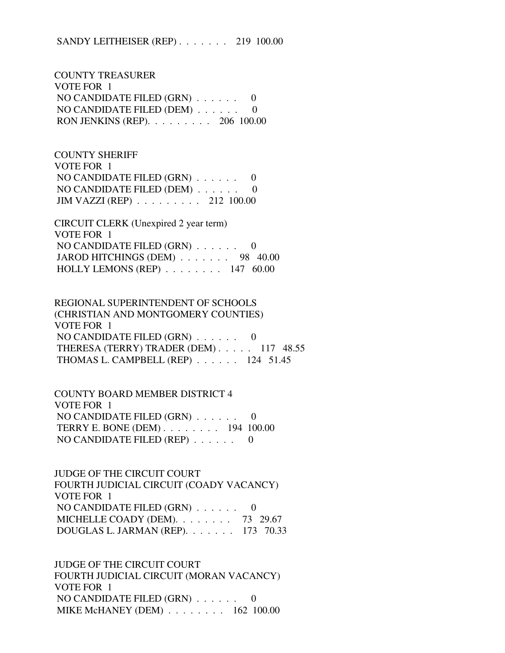COUNTY TREASURER VOTE FOR 1 NO CANDIDATE FILED (GRN) . . . . . . 0 NO CANDIDATE FILED (DEM) . . . . . . 0 RON JENKINS (REP). . . . . . . . . 206 100.00

 COUNTY SHERIFF VOTE FOR 1 NO CANDIDATE FILED (GRN) . . . . . . 0 NO CANDIDATE FILED (DEM) . . . . . . 0 JIM VAZZI (REP) . . . . . . . . . 212 100.00

 CIRCUIT CLERK (Unexpired 2 year term) VOTE FOR 1 NO CANDIDATE FILED (GRN) . . . . . . 0 JAROD HITCHINGS (DEM)  $\ldots$  . . . . . 98 40.00 HOLLY LEMONS (REP) . . . . . . . . 147 60.00

 REGIONAL SUPERINTENDENT OF SCHOOLS (CHRISTIAN AND MONTGOMERY COUNTIES) VOTE FOR 1 NO CANDIDATE FILED (GRN) . . . . . . 0 THERESA (TERRY) TRADER (DEM) . . . . . 117 48.55 THOMAS L. CAMPBELL (REP) . . . . . . 124 51.45

 COUNTY BOARD MEMBER DISTRICT 4 VOTE FOR 1 NO CANDIDATE FILED (GRN) . . . . . . 0 TERRY E. BONE (DEM) . . . . . . . . 194 100.00 NO CANDIDATE FILED (REP) . . . . . . 0

 JUDGE OF THE CIRCUIT COURT FOURTH JUDICIAL CIRCUIT (COADY VACANCY) VOTE FOR 1 NO CANDIDATE FILED (GRN) . . . . . . 0 MICHELLE COADY (DEM). . . . . . . . 73 29.67 DOUGLAS L. JARMAN (REP). . . . . . . 173 70.33

 JUDGE OF THE CIRCUIT COURT FOURTH JUDICIAL CIRCUIT (MORAN VACANCY) VOTE FOR 1 NO CANDIDATE FILED (GRN) . . . . . . 0 MIKE McHANEY (DEM) . . . . . . . . 162 100.00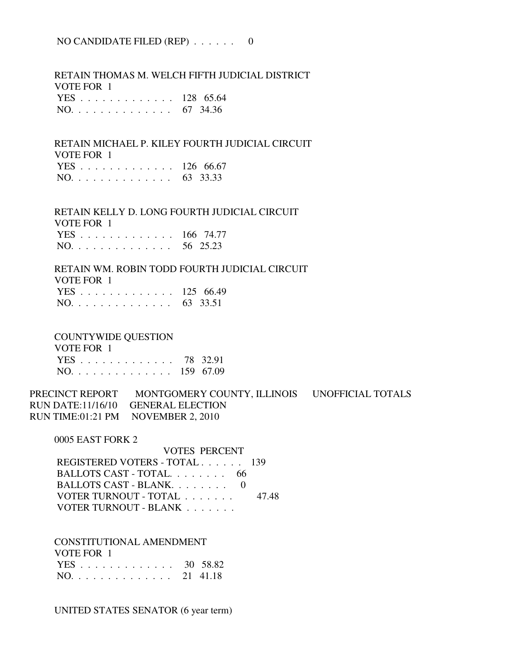### NO CANDIDATE FILED (REP) . . . . . . 0

 RETAIN THOMAS M. WELCH FIFTH JUDICIAL DISTRICT VOTE FOR 1 YES . . . . . . . . . . . . . 128 65.64 NO. . . . . . . . . . . . . . 67 34.36

 RETAIN MICHAEL P. KILEY FOURTH JUDICIAL CIRCUIT VOTE FOR 1

|  |  |  |  |  |  |  | YES 126 66.67 |  |
|--|--|--|--|--|--|--|---------------|--|
|  |  |  |  |  |  |  | NO. 63 33.33  |  |

 RETAIN KELLY D. LONG FOURTH JUDICIAL CIRCUIT VOTE FOR 1

| 1 VILI VILI   |  |
|---------------|--|
| YES 166 74.77 |  |
| NO. 56 25.23  |  |

 RETAIN WM. ROBIN TODD FOURTH JUDICIAL CIRCUIT VOTE FOR 1

| YES 125 66.49 |  |
|---------------|--|
| NO. 63 33.51  |  |

COUNTYWIDE QUESTION

| VOTE FOR 1    |  |
|---------------|--|
| YES 78 32.91  |  |
| NO. 159 67.09 |  |

PRECINCT REPORT MONTGOMERY COUNTY, ILLINOIS UNOFFICIAL TOTALS RUN DATE:11/16/10 GENERAL ELECTION RUN TIME:01:21 PM NOVEMBER 2, 2010

0005 EAST FORK 2

 VOTES PERCENT REGISTERED VOTERS - TOTAL . . . . . . 139 BALLOTS CAST - TOTAL. . . . . . . . 66 BALLOTS CAST - BLANK. . . . . . . . 0 VOTER TURNOUT - TOTAL . . . . . . . 47.48 VOTER TURNOUT - BLANK . . . . . . .

 CONSTITUTIONAL AMENDMENT VOTE FOR 1 YES . . . . . . . . . . . . . 30 58.82 NO. . . . . . . . . . . . . . 21 41.18

UNITED STATES SENATOR (6 year term)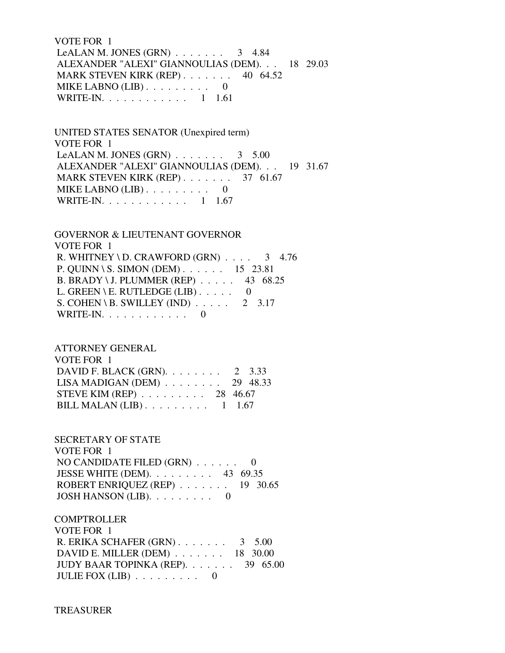VOTE FOR 1 LeALAN M. JONES (GRN)  $\ldots$  . . . . . . 3 4.84 ALEXANDER "ALEXI" GIANNOULIAS (DEM). . . 18 29.03 MARK STEVEN KIRK (REP) . . . . . . . 40 64.52 MIKE LABNO (LIB) . . . . . . . . . 0 WRITE-IN. . . . . . . . . . . . 1 1.61

 UNITED STATES SENATOR (Unexpired term) VOTE FOR 1 LeALAN M. JONES (GRN)  $\ldots$  . . . . . . 3 5.00 ALEXANDER "ALEXI" GIANNOULIAS (DEM). . . 19 31.67 MARK STEVEN KIRK (REP) . . . . . . . 37 61.67 MIKE LABNO (LIB) . . . . . . . . . 0 WRITE-IN. . . . . . . . . . . . 1 1.67

 GOVERNOR & LIEUTENANT GOVERNOR VOTE FOR 1 R. WHITNEY \ D. CRAWFORD  $(GRN)$  . . . . 3 4.76 P. QUINN \ S. SIMON (DEM) . . . . . . 15 23.81 B. BRADY \ J. PLUMMER (REP) . . . . . 43 68.25 L. GREEN \ E. RUTLEDGE (LIB)  $\ldots$  . . . 0 S. COHEN \ B. SWILLEY (IND)  $\ldots$  . . . . 2 3.17 WRITE-IN.  $\ldots$  . . . . . . . . 0

 ATTORNEY GENERAL VOTE FOR 1 DAVID F. BLACK (GRN). . . . . . . . 2 3.33 LISA MADIGAN (DEM) . . . . . . . . 29 48.33 STEVE KIM (REP) . . . . . . . . . 28 46.67 BILL MALAN  $(LIB)$ ........ 1 1.67

 SECRETARY OF STATE VOTE FOR 1 NO CANDIDATE FILED (GRN) . . . . . . 0 JESSE WHITE (DEM). . . . . . . . . 43 69.35 ROBERT ENRIQUEZ (REP) . . . . . . . 19 30.65 JOSH HANSON (LIB). . . . . . . . . 0

**COMPTROLLER**  VOTE FOR 1 R. ERIKA SCHAFER (GRN) . . . . . . . 3 5.00 DAVID E. MILLER (DEM) . . . . . . . 18 30.00 JUDY BAAR TOPINKA (REP). . . . . . . 39 65.00 JULIE FOX  $(LIB)$  . . . . . . . . 0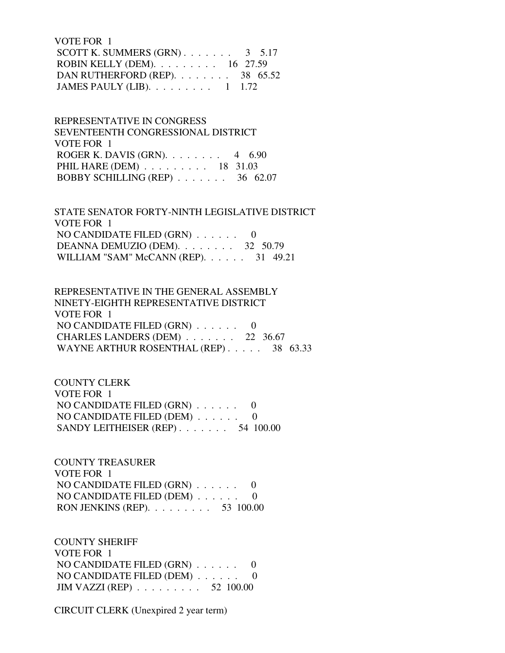VOTE FOR 1 SCOTT K. SUMMERS  $(GRN)$ . . . . . . . 3 5.17 ROBIN KELLY (DEM). . . . . . . . . 16 27.59 DAN RUTHERFORD (REP). . . . . . . . 38 65.52 JAMES PAULY (LIB). . . . . . . . . 1 1.72

 REPRESENTATIVE IN CONGRESS SEVENTEENTH CONGRESSIONAL DISTRICT VOTE FOR 1 ROGER K. DAVIS (GRN). . . . . . . . 4 6.90 PHIL HARE (DEM) . . . . . . . . . 18 31.03 BOBBY SCHILLING (REP) . . . . . . . 36 62.07

 STATE SENATOR FORTY-NINTH LEGISLATIVE DISTRICT VOTE FOR 1 NO CANDIDATE FILED (GRN) . . . . . . 0 DEANNA DEMUZIO (DEM). . . . . . . . 32 50.79 WILLIAM "SAM" McCANN (REP). . . . . . 31 49.21

 REPRESENTATIVE IN THE GENERAL ASSEMBLY NINETY-EIGHTH REPRESENTATIVE DISTRICT VOTE FOR 1 NO CANDIDATE FILED (GRN) . . . . . . 0 CHARLES LANDERS (DEM) . . . . . . . 22 36.67 WAYNE ARTHUR ROSENTHAL (REP) . . . . . 38 63.33

 COUNTY CLERK VOTE FOR 1 NO CANDIDATE FILED (GRN) . . . . . . 0 NO CANDIDATE FILED (DEM) . . . . . . 0 SANDY LEITHEISER (REP) . . . . . . . 54 100.00

 COUNTY TREASURER VOTE FOR 1 NO CANDIDATE FILED (GRN) . . . . . . 0 NO CANDIDATE FILED (DEM) . . . . . . 0 RON JENKINS (REP). . . . . . . . . 53 100.00

 COUNTY SHERIFF VOTE FOR 1 NO CANDIDATE FILED (GRN) . . . . . . 0 NO CANDIDATE FILED (DEM) . . . . . . 0 JIM VAZZI (REP) . . . . . . . . . 52 100.00

CIRCUIT CLERK (Unexpired 2 year term)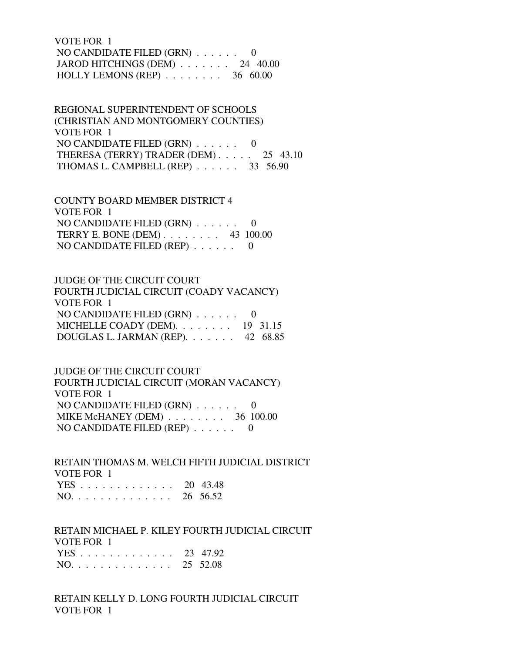VOTE FOR 1 NO CANDIDATE FILED (GRN) . . . . . . 0 JAROD HITCHINGS (DEM) . . . . . . . 24 40.00 HOLLY LEMONS (REP) . . . . . . . . 36 60.00

 REGIONAL SUPERINTENDENT OF SCHOOLS (CHRISTIAN AND MONTGOMERY COUNTIES) VOTE FOR 1 NO CANDIDATE FILED (GRN) . . . . . . 0 THERESA (TERRY) TRADER (DEM) . . . . . 25 43.10 THOMAS L. CAMPBELL (REP) . . . . . . 33 56.90

 COUNTY BOARD MEMBER DISTRICT 4 VOTE FOR 1 NO CANDIDATE FILED (GRN) . . . . . . 0 TERRY E. BONE (DEM) . . . . . . . . 43 100.00 NO CANDIDATE FILED (REP)  $\ldots$ , ... 0

 JUDGE OF THE CIRCUIT COURT FOURTH JUDICIAL CIRCUIT (COADY VACANCY) VOTE FOR 1 NO CANDIDATE FILED (GRN) . . . . . . 0 MICHELLE COADY (DEM). . . . . . . . 19 31.15 DOUGLAS L. JARMAN (REP). . . . . . . 42 68.85

 JUDGE OF THE CIRCUIT COURT FOURTH JUDICIAL CIRCUIT (MORAN VACANCY) VOTE FOR 1 NO CANDIDATE FILED (GRN) . . . . . . 0 MIKE McHANEY (DEM) . . . . . . . . 36 100.00 NO CANDIDATE FILED (REP) . . . . . . 0

 RETAIN THOMAS M. WELCH FIFTH JUDICIAL DISTRICT VOTE FOR 1 YES . . . . . . . . . . . . . 20 43.48 NO. . . . . . . . . . . . . . 26 56.52

 RETAIN MICHAEL P. KILEY FOURTH JUDICIAL CIRCUIT VOTE FOR 1

|  |  |  |  |  |  |  | YES 23 47.92 |
|--|--|--|--|--|--|--|--------------|
|  |  |  |  |  |  |  | NO. 25 52.08 |

 RETAIN KELLY D. LONG FOURTH JUDICIAL CIRCUIT VOTE FOR 1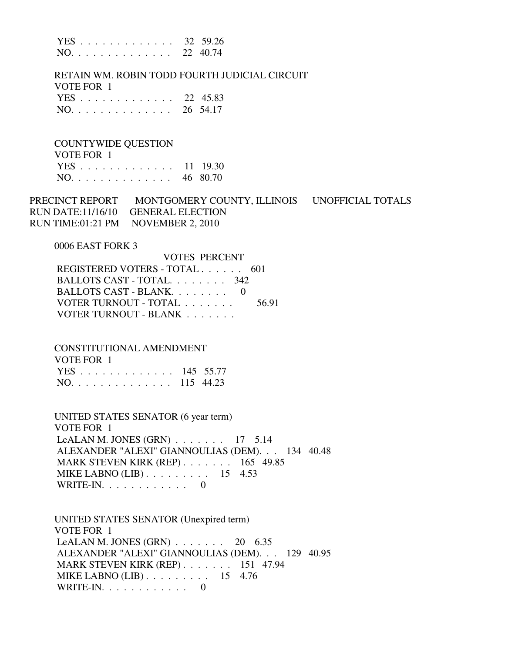|     |  |  |  |  |  |  |  | YES 32 59.26 |
|-----|--|--|--|--|--|--|--|--------------|
| NO. |  |  |  |  |  |  |  | 22 40.74     |

 RETAIN WM. ROBIN TODD FOURTH JUDICIAL CIRCUIT VOTE FOR 1 YES . . . . . . . . . . . . . 22 45.83 NO. . . . . . . . . . . . . . 26 54.17

 COUNTYWIDE QUESTION VOTE FOR 1  $11 \quad 10.30$ 

|     |  |  |  |  |  |  |  | 1 L. D. 11 1 <i>7 0</i> |
|-----|--|--|--|--|--|--|--|-------------------------|
| NO. |  |  |  |  |  |  |  | 46 80.70                |

PRECINCT REPORT MONTGOMERY COUNTY, ILLINOIS UNOFFICIAL TOTALS RUN DATE:11/16/10 GENERAL ELECTION RUN TIME:01:21 PM NOVEMBER 2, 2010

#### 0006 EAST FORK 3

| VOTES PERCENT                 |       |
|-------------------------------|-------|
| REGISTERED VOTERS - TOTAL 601 |       |
| BALLOTS CAST - TOTAL 342      |       |
| BALLOTS CAST - BLANK. 0       |       |
| VOTER TURNOUT - TOTAL         | 56.91 |
| VOTER TURNOUT - BLANK         |       |

CONSTITUTIONAL AMENDMENT

| VOTE FOR 1    |  |
|---------------|--|
| YES 145 55.77 |  |
| NO. 115 44.23 |  |

 UNITED STATES SENATOR (6 year term) VOTE FOR 1 LeALAN M. JONES  $(GRN)$  . . . . . . . 17 5.14 ALEXANDER "ALEXI" GIANNOULIAS (DEM). . . 134 40.48 MARK STEVEN KIRK (REP) . . . . . . . 165 49.85 MIKE LABNO (LIB) . . . . . . . . . 15 4.53 WRITE-IN.  $\ldots$  . . . . . . . . 0

 UNITED STATES SENATOR (Unexpired term) VOTE FOR 1 LeALAN M. JONES  $(GRN)$  . . . . . . . 20 6.35 ALEXANDER "ALEXI" GIANNOULIAS (DEM). . . 129 40.95 MARK STEVEN KIRK (REP) . . . . . . . 151 47.94 MIKE LABNO (LIB) . . . . . . . . . 15 4.76 WRITE-IN. . . . . . . . . . . . 0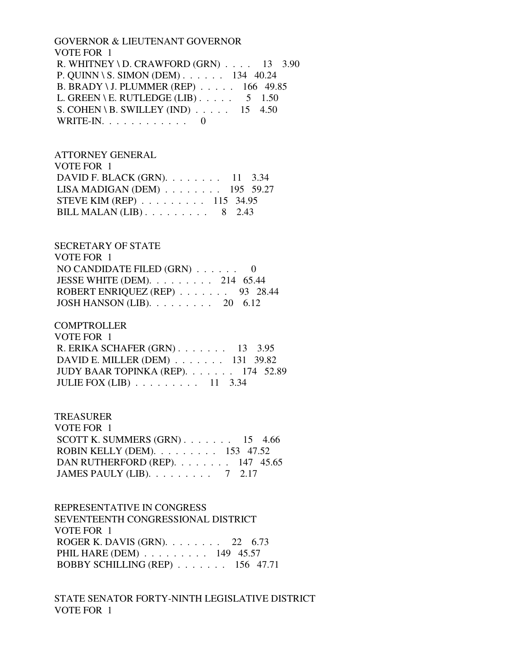### GOVERNOR & LIEUTENANT GOVERNOR VOTE FOR 1 R. WHITNEY \ D. CRAWFORD  $(GRN)$  . . . . 13 3.90 P. QUINN \ S. SIMON (DEM) . . . . . . 134 40.24 B. BRADY \ J. PLUMMER (REP) . . . . . 166 49.85 L. GREEN \ E. RUTLEDGE (LIB)  $\ldots$  . . . . 5 1.50 S. COHEN \ B. SWILLEY (IND)  $\ldots$  . . . . 15 4.50 WRITE-IN.  $\ldots$  . . . . . . . . . 0

#### ATTORNEY GENERAL  $V\Omega$ TE FOR 1

| VUILIUN I                                           |  |  |
|-----------------------------------------------------|--|--|
| DAVID F. BLACK (GRN). $\ldots$ 11 3.34              |  |  |
| LISA MADIGAN (DEM) $\ldots \ldots \ldots$ 195 59.27 |  |  |
| STEVE KIM (REP) $\ldots \ldots \ldots 115$ 34.95    |  |  |
| BILL MALAN $(LIB)$ 8 2.43                           |  |  |

### SECRETARY OF STATE

| VOTE FOR 1                                        |  |
|---------------------------------------------------|--|
| NO CANDIDATE FILED $(GRN)$ 0                      |  |
| JESSE WHITE (DEM). $\ldots$ 214 65.44             |  |
| ROBERT ENRIQUEZ (REP) 93 28.44                    |  |
| JOSH HANSON (LIB). $\ldots \ldots \ldots$ 20 6.12 |  |

### COMPTROLLER

| VOTE FOR 1                                         |  |
|----------------------------------------------------|--|
| R. ERIKA SCHAFER $(GRN)$ 13 3.95                   |  |
| DAVID E. MILLER (DEM) $\ldots$ 131 39.82           |  |
| JUDY BAAR TOPINKA (REP). 174 52.89                 |  |
| JULIE FOX (LIB) $\ldots$ $\ldots$ $\ldots$ 11 3.34 |  |

### TREASURER

| VOTE FOR 1                                                 |  |  |
|------------------------------------------------------------|--|--|
| SCOTT K. SUMMERS $(GRN)$ 15 4.66                           |  |  |
| ROBIN KELLY (DEM). $\ldots \ldots \ldots \ldots$ 153 47.52 |  |  |
| DAN RUTHERFORD (REP). $\ldots$ 147 45.65                   |  |  |
| JAMES PAULY (LIB). $\ldots \ldots \ldots$ 7 2.17           |  |  |

### REPRESENTATIVE IN CONGRESS

 SEVENTEENTH CONGRESSIONAL DISTRICT VOTE FOR 1 ROGER K. DAVIS (GRN). . . . . . . . 22 6.73 PHIL HARE (DEM) . . . . . . . . . 149 45.57 BOBBY SCHILLING (REP) . . . . . . . 156 47.71

## STATE SENATOR FORTY-NINTH LEGISLATIVE DISTRICT VOTE FOR 1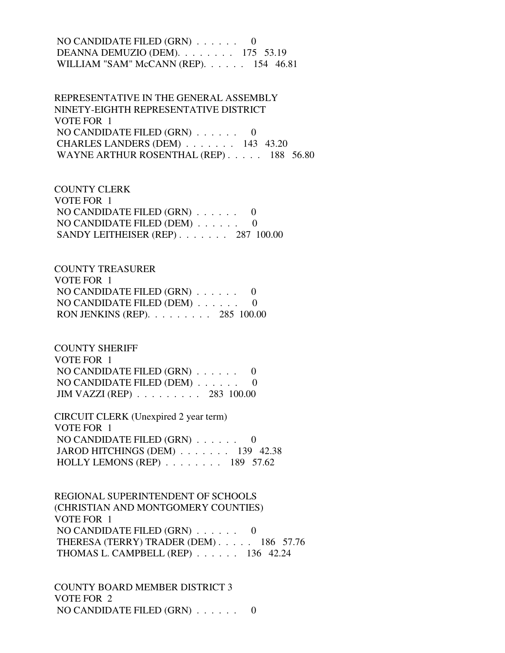### NO CANDIDATE FILED (GRN) . . . . . . 0 DEANNA DEMUZIO (DEM). . . . . . . . 175 53.19 WILLIAM "SAM" McCANN (REP). . . . . . 154 46.81

 REPRESENTATIVE IN THE GENERAL ASSEMBLY NINETY-EIGHTH REPRESENTATIVE DISTRICT VOTE FOR 1 NO CANDIDATE FILED (GRN) . . . . . . 0 CHARLES LANDERS (DEM) . . . . . . . 143 43.20 WAYNE ARTHUR ROSENTHAL (REP) . . . . . 188 56.80

 COUNTY CLERK VOTE FOR 1 NO CANDIDATE FILED (GRN) . . . . . . 0 NO CANDIDATE FILED (DEM) . . . . . . 0 SANDY LEITHEISER (REP) . . . . . . . 287 100.00

 COUNTY TREASURER VOTE FOR 1 NO CANDIDATE FILED (GRN) . . . . . . 0 NO CANDIDATE FILED (DEM) . . . . . . 0 RON JENKINS (REP). . . . . . . . . 285 100.00

 COUNTY SHERIFF VOTE FOR 1 NO CANDIDATE FILED (GRN) . . . . . . 0 NO CANDIDATE FILED (DEM) . . . . . . 0 JIM VAZZI (REP) . . . . . . . . . 283 100.00

 CIRCUIT CLERK (Unexpired 2 year term) VOTE FOR 1 NO CANDIDATE FILED (GRN) . . . . . . 0 JAROD HITCHINGS (DEM) . . . . . . . 139 42.38 HOLLY LEMONS (REP) . . . . . . . . 189 57.62

 REGIONAL SUPERINTENDENT OF SCHOOLS (CHRISTIAN AND MONTGOMERY COUNTIES) VOTE FOR 1 NO CANDIDATE FILED (GRN) . . . . . . 0 THERESA (TERRY) TRADER (DEM) . . . . . 186 57.76 THOMAS L. CAMPBELL (REP) . . . . . . 136 42.24

 COUNTY BOARD MEMBER DISTRICT 3 VOTE FOR 2 NO CANDIDATE FILED (GRN) . . . . . . 0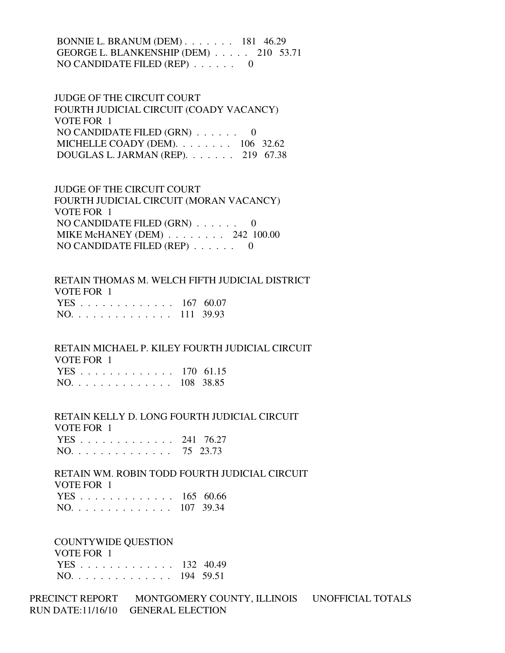BONNIE L. BRANUM (DEM) . . . . . . . 181 46.29 GEORGE L. BLANKENSHIP (DEM) . . . . . 210 53.71 NO CANDIDATE FILED (REP) . . . . . . 0

 JUDGE OF THE CIRCUIT COURT FOURTH JUDICIAL CIRCUIT (COADY VACANCY) VOTE FOR 1 NO CANDIDATE FILED (GRN) . . . . . . 0 MICHELLE COADY (DEM). . . . . . . . 106 32.62 DOUGLAS L. JARMAN (REP). . . . . . . 219 67.38

 JUDGE OF THE CIRCUIT COURT FOURTH JUDICIAL CIRCUIT (MORAN VACANCY) VOTE FOR 1 NO CANDIDATE FILED (GRN) . . . . . . 0 MIKE McHANEY (DEM) . . . . . . . . 242 100.00 NO CANDIDATE FILED (REP) . . . . . . 0

 RETAIN THOMAS M. WELCH FIFTH JUDICIAL DISTRICT VOTE FOR 1 YES . . . . . . . . . . . . . 167 60.07 NO. . . . . . . . . . . . . . 111 39.93

 RETAIN MICHAEL P. KILEY FOURTH JUDICIAL CIRCUIT VOTE FOR 1 YES . . . . . . . . . . . . . 170 61.15 NO. . . . . . . . . . . . . . 108 38.85

 RETAIN KELLY D. LONG FOURTH JUDICIAL CIRCUIT VOTE FOR 1  $241, 76.27$ 

|       |  |  |  |  |  |  |  | $1E5$ $241$ $10.21$ |
|-------|--|--|--|--|--|--|--|---------------------|
| NO. 7 |  |  |  |  |  |  |  | 75 23.73            |

 RETAIN WM. ROBIN TODD FOURTH JUDICIAL CIRCUIT VOTE FOR 1 YES . . . . . . . . . . . . . 165 60.66 NO. . . . . . . . . . . . . . 107 39.34

 COUNTYWIDE QUESTION VOTE FOR 1 YES . . . . . . . . . . . . . 132 40.49 NO. . . . . . . . . . . . . . 194 59.51

PRECINCT REPORT MONTGOMERY COUNTY, ILLINOIS UNOFFICIAL TOTALS RUN DATE:11/16/10 GENERAL ELECTION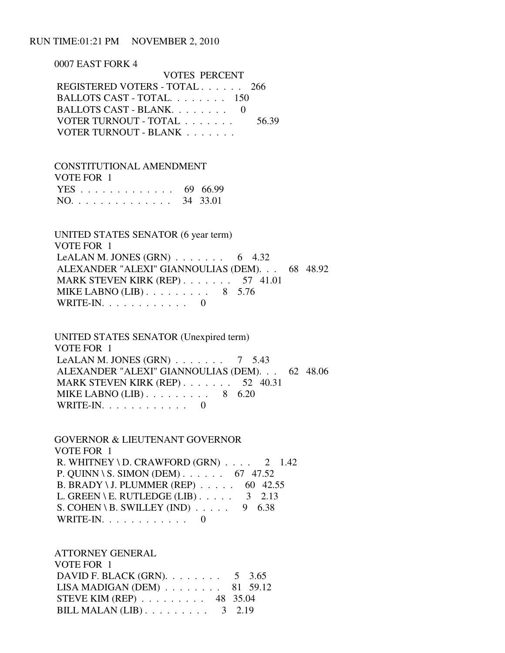#### RUN TIME:01:21 PM NOVEMBER 2, 2010

 0007 EAST FORK 4 VOTES PERCENT REGISTERED VOTERS - TOTAL . . . . . . 266 BALLOTS CAST - TOTAL. . . . . . . . 150 BALLOTS CAST - BLANK. . . . . . . . 0 VOTER TURNOUT - TOTAL . . . . . . . 56.39 VOTER TURNOUT - BLANK . . . . . . . .

 CONSTITUTIONAL AMENDMENT VOTE FOR 1 YES . . . . . . . . . . . . . 69 66.99 NO. . . . . . . . . . . . . . 34 33.01

 UNITED STATES SENATOR (6 year term) VOTE FOR 1 LeALAN M. JONES  $(GRN)$  . . . . . . . 6 4.32 ALEXANDER "ALEXI" GIANNOULIAS (DEM). . . 68 48.92 MARK STEVEN KIRK (REP) . . . . . . . 57 41.01 MIKE LABNO (LIB) . . . . . . . . . 8 5.76 WRITE-IN.  $\ldots$  . . . . . . . . 0

 UNITED STATES SENATOR (Unexpired term) VOTE FOR 1 LeALAN M. JONES (GRN)  $\ldots$  . . . . . 7 5.43 ALEXANDER "ALEXI" GIANNOULIAS (DEM). . . 62 48.06 MARK STEVEN KIRK (REP) . . . . . . . 52 40.31 MIKE LABNO  $(LIB)$ ........ 8 6.20 WRITE-IN. . . . . . . . . . . . 0

 GOVERNOR & LIEUTENANT GOVERNOR VOTE FOR 1 R. WHITNEY \ D. CRAWFORD  $(GRN)$  . . . . 2 1.42 P. QUINN \ S. SIMON (DEM) . . . . . . 67 47.52 B. BRADY \ J. PLUMMER (REP) . . . . . 60 42.55 L. GREEN \ E. RUTLEDGE (LIB)  $\ldots$  . . . . 3 2.13 S. COHEN \ B. SWILLEY (IND)  $\ldots$  . . . . 9 6.38 WRITE-IN.  $\ldots$  . . . . . . . . 0

 ATTORNEY GENERAL VOTE FOR 1 DAVID F. BLACK (GRN). . . . . . . . 5 3.65 LISA MADIGAN (DEM) . . . . . . . . 81 59.12 STEVE KIM (REP) . . . . . . . . . 48 35.04 BILL MALAN (LIB) . . . . . . . . . 3 2.19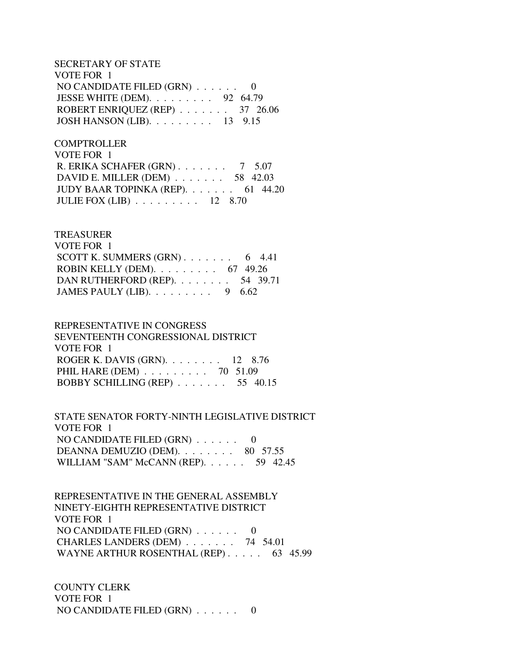SECRETARY OF STATE VOTE FOR 1 NO CANDIDATE FILED (GRN) . . . . . . 0 JESSE WHITE (DEM). . . . . . . . . 92 64.79 ROBERT ENRIQUEZ (REP) . . . . . . . 37 26.06 JOSH HANSON (LIB). . . . . . . . . 13 9.15

**COMPTROLLER**  VOTE FOR 1 R. ERIKA SCHAFER (GRN) . . . . . . . 7 5.07 DAVID E. MILLER (DEM) . . . . . . . 58 42.03 JUDY BAAR TOPINKA (REP). . . . . . . 61 44.20 JULIE FOX (LIB) . . . . . . . . . 12 8.70

## TREASURER VOTE FOR 1 SCOTT K. SUMMERS  $(GRN)$ . . . . . . . . 6 4.41 ROBIN KELLY (DEM). . . . . . . . . 67 49.26 DAN RUTHERFORD (REP). . . . . . . . 54 39.71 JAMES PAULY (LIB). . . . . . . . . 9 6.62

## REPRESENTATIVE IN CONGRESS SEVENTEENTH CONGRESSIONAL DISTRICT VOTE FOR 1 ROGER K. DAVIS (GRN). . . . . . . . 12 8.76 PHIL HARE (DEM) . . . . . . . . . 70 51.09 BOBBY SCHILLING (REP) . . . . . . . 55 40.15

 STATE SENATOR FORTY-NINTH LEGISLATIVE DISTRICT VOTE FOR 1 NO CANDIDATE FILED (GRN) . . . . . . 0 DEANNA DEMUZIO (DEM). . . . . . . . 80 57.55 WILLIAM "SAM" McCANN (REP). . . . . . 59 42.45

 REPRESENTATIVE IN THE GENERAL ASSEMBLY NINETY-EIGHTH REPRESENTATIVE DISTRICT VOTE FOR 1 NO CANDIDATE FILED (GRN) . . . . . . 0 CHARLES LANDERS (DEM) . . . . . . . 74 54.01 WAYNE ARTHUR ROSENTHAL (REP) . . . . . 63 45.99

 COUNTY CLERK VOTE FOR 1 NO CANDIDATE FILED (GRN) . . . . . . 0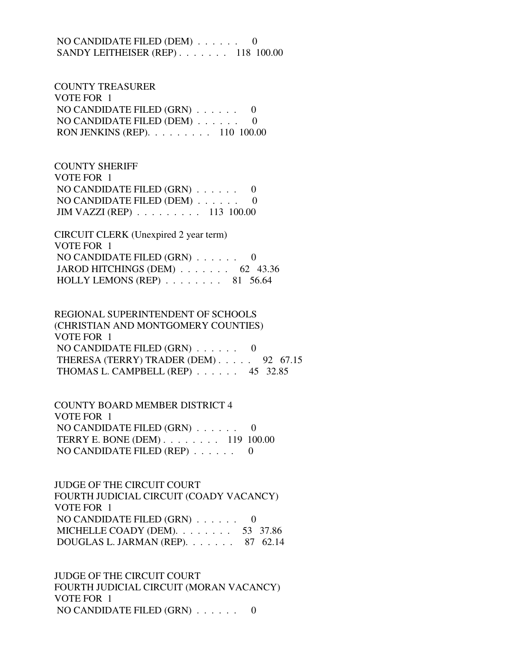NO CANDIDATE FILED (DEM) . . . . . . 0 SANDY LEITHEISER (REP) . . . . . . . 118 100.00

 COUNTY TREASURER VOTE FOR 1 NO CANDIDATE FILED (GRN) . . . . . . 0 NO CANDIDATE FILED (DEM) . . . . . . 0 RON JENKINS (REP). . . . . . . . . 110 100.00

 COUNTY SHERIFF VOTE FOR 1 NO CANDIDATE FILED (GRN) . . . . . . 0 NO CANDIDATE FILED (DEM) . . . . . . 0 JIM VAZZI (REP) . . . . . . . . . 113 100.00

 CIRCUIT CLERK (Unexpired 2 year term) VOTE FOR 1 NO CANDIDATE FILED (GRN) . . . . . . 0 JAROD HITCHINGS (DEM) . . . . . . . 62 43.36 HOLLY LEMONS (REP)  $\ldots$ , . . . . 81 56.64

 REGIONAL SUPERINTENDENT OF SCHOOLS (CHRISTIAN AND MONTGOMERY COUNTIES) VOTE FOR 1 NO CANDIDATE FILED (GRN) . . . . . . 0 THERESA (TERRY) TRADER (DEM) . . . . . 92 67.15 THOMAS L. CAMPBELL (REP) . . . . . . 45 32.85

 COUNTY BOARD MEMBER DISTRICT 4 VOTE FOR 1 NO CANDIDATE FILED (GRN) . . . . . . 0 TERRY E. BONE (DEM) . . . . . . . . 119 100.00 NO CANDIDATE FILED (REP) . . . . . . 0

 JUDGE OF THE CIRCUIT COURT FOURTH JUDICIAL CIRCUIT (COADY VACANCY) VOTE FOR 1 NO CANDIDATE FILED (GRN) . . . . . . 0 MICHELLE COADY (DEM). . . . . . . . 53 37.86 DOUGLAS L. JARMAN (REP). . . . . . . 87 62.14

 JUDGE OF THE CIRCUIT COURT FOURTH JUDICIAL CIRCUIT (MORAN VACANCY) VOTE FOR 1 NO CANDIDATE FILED (GRN) . . . . . . 0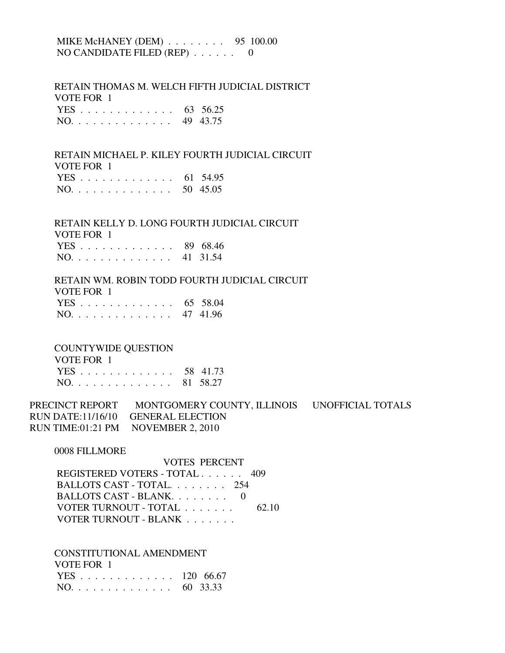## MIKE McHANEY (DEM) . . . . . . . . 95 100.00 NO CANDIDATE FILED (REP) . . . . . . 0

 RETAIN THOMAS M. WELCH FIFTH JUDICIAL DISTRICT VOTE FOR 1

|  |  |  |  |  |  |  | YES 63 56.25 |
|--|--|--|--|--|--|--|--------------|
|  |  |  |  |  |  |  | NO. 49 43.75 |

## RETAIN MICHAEL P. KILEY FOURTH JUDICIAL CIRCUIT VOTE FOR 1 YES . . . . . . . . . . . . . 61 54.95

| NO. 50 45.05 |
|--------------|
|--------------|

#### RETAIN KELLY D. LONG FOURTH JUDICIAL CIRCUIT  $V$ OTE FOR 1

| VOIE FOR T   |  |
|--------------|--|
| YES 89 68.46 |  |
| NO. 41 31.54 |  |

### RETAIN WM. ROBIN TODD FOURTH JUDICIAL CIRCUIT VOTE FOR 1 YES . . . . . . . . . . . . . 65 58.04 NO. . . . . . . . . . . . . . 47 41.96

#### COUNTYWIDE QUESTION

| VOTE FOR 1   |  |
|--------------|--|
| YES 58 41.73 |  |
| NO. 81 58.27 |  |

PRECINCT REPORT MONTGOMERY COUNTY, ILLINOIS UNOFFICIAL TOTALS RUN DATE:11/16/10 GENERAL ELECTION RUN TIME:01:21 PM NOVEMBER 2, 2010

0008 FILLMORE

 VOTES PERCENT REGISTERED VOTERS - TOTAL . . . . . . 409 BALLOTS CAST - TOTAL. . . . . . . . 254 BALLOTS CAST - BLANK. . . . . . . . . 0 VOTER TURNOUT - TOTAL . . . . . . . 62.10 VOTER TURNOUT - BLANK . . . . . . .

 CONSTITUTIONAL AMENDMENT VOTE FOR 1

| VVID PVINT    |  |
|---------------|--|
| YES 120 66.67 |  |
| NO. 60 33.33  |  |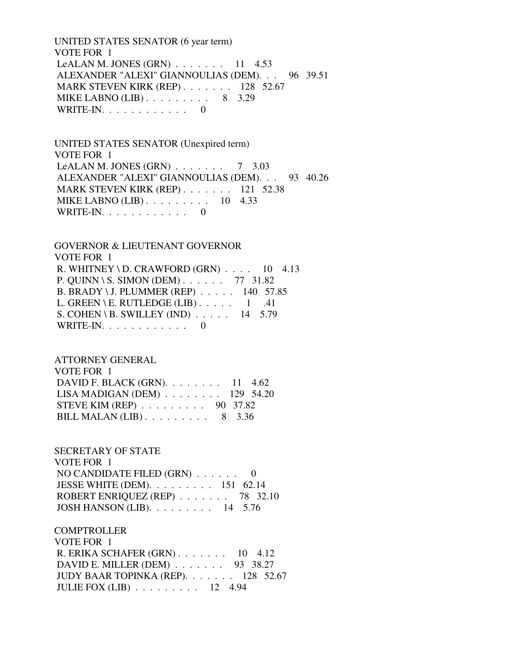UNITED STATES SENATOR (6 year term) VOTE FOR 1 LeALAN M. JONES  $(GRN)$  . . . . . . . 11 4.53 ALEXANDER "ALEXI" GIANNOULIAS (DEM). . . 96 39.51 MARK STEVEN KIRK (REP) . . . . . . . 128 52.67 MIKE LABNO (LIB) . . . . . . . . . 8 3.29 WRITE-IN. . . . . . . . . . . . 0

 UNITED STATES SENATOR (Unexpired term) VOTE FOR 1 LeALAN M. JONES  $(GRN)$  . . . . . . . 7 3.03 ALEXANDER "ALEXI" GIANNOULIAS (DEM). . . 93 40.26 MARK STEVEN KIRK (REP) . . . . . . . 121 52.38 MIKE LABNO (LIB) . . . . . . . . . 10 4.33 WRITE-IN. . . . . . . . . . . . 0

 GOVERNOR & LIEUTENANT GOVERNOR VOTE FOR 1 R. WHITNEY \ D. CRAWFORD  $(GRN)$  . . . . 10 4.13 P. QUINN \ S. SIMON (DEM) . . . . . . 77 31.82 B. BRADY \ J. PLUMMER (REP) . . . . . 140 57.85 L. GREEN \ E. RUTLEDGE (LIB)  $\ldots$  .  $1$  .41 S. COHEN \ B. SWILLEY (IND) . . . . . 14 5.79 WRITE-IN. . . . . . . . . . . . 0

 ATTORNEY GENERAL VOTE FOR 1 DAVID F. BLACK (GRN). . . . . . . . 11 4.62 LISA MADIGAN (DEM) . . . . . . . . 129 54.20 STEVE KIM (REP) . . . . . . . . . 90 37.82 BILL MALAN (LIB) . . . . . . . . . 8 3.36

 SECRETARY OF STATE VOTE FOR 1 NO CANDIDATE FILED (GRN) . . . . . . 0 JESSE WHITE (DEM). . . . . . . . . 151 62.14 ROBERT ENRIQUEZ (REP) . . . . . . . 78 32.10 JOSH HANSON (LIB). . . . . . . . . 14 5.76

**COMPTROLLER**  VOTE FOR 1 R. ERIKA SCHAFER (GRN) . . . . . . . 10 4.12 DAVID E. MILLER (DEM) . . . . . . . 93 38.27 JUDY BAAR TOPINKA (REP). . . . . . . 128 52.67 JULIE FOX (LIB) . . . . . . . . . 12 4.94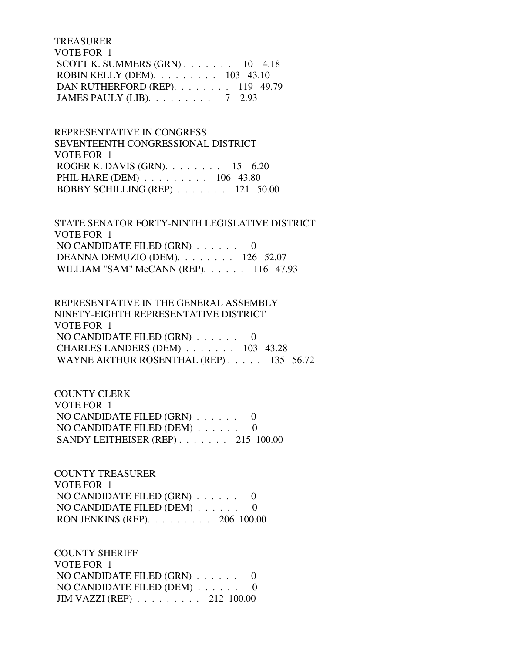TREASURER VOTE FOR 1 SCOTT K. SUMMERS  $(GRN)$ . . . . . . . 10 4.18 ROBIN KELLY (DEM). . . . . . . . . 103 43.10 DAN RUTHERFORD (REP). . . . . . . . 119 49.79 JAMES PAULY (LIB). . . . . . . . . 7 2.93

 REPRESENTATIVE IN CONGRESS SEVENTEENTH CONGRESSIONAL DISTRICT VOTE FOR 1 ROGER K. DAVIS (GRN). . . . . . . . 15 6.20 PHIL HARE (DEM) . . . . . . . . . 106 43.80 BOBBY SCHILLING (REP) . . . . . . . 121 50.00

 STATE SENATOR FORTY-NINTH LEGISLATIVE DISTRICT VOTE FOR 1 NO CANDIDATE FILED (GRN) . . . . . . 0 DEANNA DEMUZIO (DEM). . . . . . . . 126 52.07 WILLIAM "SAM" McCANN (REP). . . . . . 116 47.93

 REPRESENTATIVE IN THE GENERAL ASSEMBLY NINETY-EIGHTH REPRESENTATIVE DISTRICT VOTE FOR 1 NO CANDIDATE FILED (GRN) . . . . . . 0 CHARLES LANDERS (DEM) . . . . . . . 103 43.28 WAYNE ARTHUR ROSENTHAL (REP) . . . . . 135 56.72

 COUNTY CLERK VOTE FOR 1 NO CANDIDATE FILED (GRN) . . . . . . 0 NO CANDIDATE FILED (DEM) . . . . . . 0 SANDY LEITHEISER (REP) . . . . . . . 215 100.00

 COUNTY TREASURER VOTE FOR 1 NO CANDIDATE FILED (GRN) . . . . . . 0 NO CANDIDATE FILED (DEM) . . . . . . 0 RON JENKINS (REP). . . . . . . . . 206 100.00

 COUNTY SHERIFF VOTE FOR 1 NO CANDIDATE FILED (GRN) . . . . . . 0 NO CANDIDATE FILED (DEM) . . . . . . 0 JIM VAZZI (REP) . . . . . . . . . 212 100.00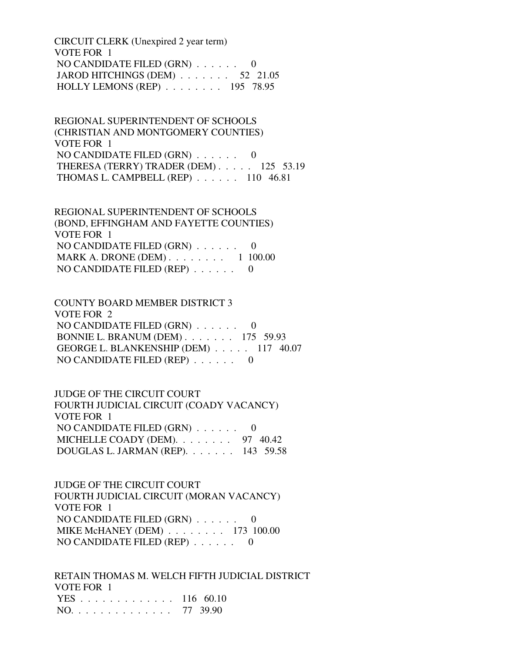CIRCUIT CLERK (Unexpired 2 year term) VOTE FOR 1 NO CANDIDATE FILED (GRN) . . . . . . 0 JAROD HITCHINGS (DEM) . . . . . . . 52 21.05 HOLLY LEMONS (REP) . . . . . . . . 195 78.95

 REGIONAL SUPERINTENDENT OF SCHOOLS (CHRISTIAN AND MONTGOMERY COUNTIES) VOTE FOR 1 NO CANDIDATE FILED  $(GRN)$ ...... 0 THERESA (TERRY) TRADER (DEM) . . . . . 125 53.19 THOMAS L. CAMPBELL (REP) . . . . . . 110 46.81

 REGIONAL SUPERINTENDENT OF SCHOOLS (BOND, EFFINGHAM AND FAYETTE COUNTIES) VOTE FOR 1 NO CANDIDATE FILED (GRN) . . . . . . 0 MARK A. DRONE (DEM) . . . . . . . . 1 100.00 NO CANDIDATE FILED (REP) . . . . . . 0

 COUNTY BOARD MEMBER DISTRICT 3 VOTE FOR 2 NO CANDIDATE FILED (GRN) . . . . . . 0 BONNIE L. BRANUM (DEM) . . . . . . . 175 59.93 GEORGE L. BLANKENSHIP (DEM) . . . . . 117 40.07 NO CANDIDATE FILED (REP) . . . . . . 0

 JUDGE OF THE CIRCUIT COURT FOURTH JUDICIAL CIRCUIT (COADY VACANCY) VOTE FOR 1 NO CANDIDATE FILED (GRN) . . . . . . 0 MICHELLE COADY (DEM). . . . . . . . 97 40.42 DOUGLAS L. JARMAN (REP). . . . . . . 143 59.58

 JUDGE OF THE CIRCUIT COURT FOURTH JUDICIAL CIRCUIT (MORAN VACANCY) VOTE FOR 1 NO CANDIDATE FILED (GRN) . . . . . . 0 MIKE McHANEY (DEM) . . . . . . . . 173 100.00 NO CANDIDATE FILED (REP) . . . . . . 0

 RETAIN THOMAS M. WELCH FIFTH JUDICIAL DISTRICT VOTE FOR 1 YES . . . . . . . . . . . . . 116 60.10 NO. . . . . . . . . . . . . . 77 39.90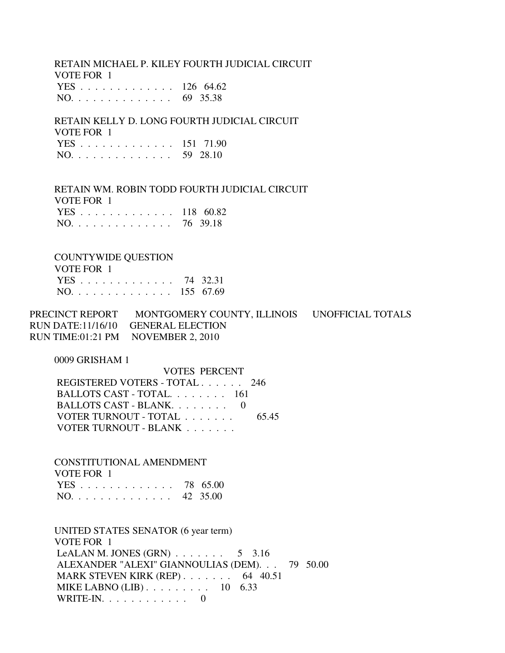RETAIN MICHAEL P. KILEY FOURTH JUDICIAL CIRCUIT VOTE FOR 1 YES . . . . . . . . . . . . . 126 64.62 NO. . . . . . . . . . . . . . 69 35.38

 RETAIN KELLY D. LONG FOURTH JUDICIAL CIRCUIT VOTE FOR 1 YES . . . . . . . . . . . . . 151 71.90 NO. . . . . . . . . . . . . . 59 28.10

 RETAIN WM. ROBIN TODD FOURTH JUDICIAL CIRCUIT VOTE FOR 1 YES . . . . . . . . . . . . . 118 60.82

NO. . . . . . . . . . . . . . 76 39.18

#### COUNTYWIDE QUESTION

| VOTE FOR 1    |  |
|---------------|--|
| YES 74 32.31  |  |
| NO. 155 67.69 |  |

PRECINCT REPORT MONTGOMERY COUNTY, ILLINOIS UNOFFICIAL TOTALS RUN DATE:11/16/10 GENERAL ELECTION RUN TIME:01:21 PM NOVEMBER 2, 2010

0009 GRISHAM 1

| <b>VOTES PERCENT</b>          |       |
|-------------------------------|-------|
| REGISTERED VOTERS - TOTAL 246 |       |
| BALLOTS CAST - TOTAL. 161     |       |
| BALLOTS CAST - BLANK. 0       |       |
| VOTER TURNOUT - TOTAL         | 65.45 |
| VOTER TURNOUT - BLANK         |       |

 CONSTITUTIONAL AMENDMENT VOTE FOR 1 YES . . . . . . . . . . . . . 78 65.00 NO. . . . . . . . . . . . . . 42 35.00

 UNITED STATES SENATOR (6 year term) VOTE FOR 1 LeALAN M. JONES  $(GRN)$  . . . . . . . . 5 3.16 ALEXANDER "ALEXI" GIANNOULIAS (DEM). . . 79 50.00 MARK STEVEN KIRK (REP) . . . . . . . . 64 40.51 MIKE LABNO (LIB) . . . . . . . . . . 10 6.33 WRITE-IN. . . . . . . . . . . . 0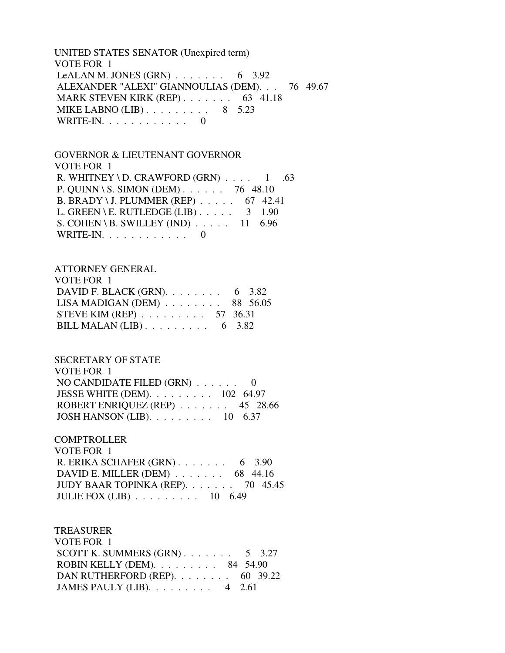UNITED STATES SENATOR (Unexpired term) VOTE FOR 1 LeALAN M. JONES  $(GRN)$  . . . . . . . 6 3.92 ALEXANDER "ALEXI" GIANNOULIAS (DEM). . . 76 49.67 MARK STEVEN KIRK (REP) . . . . . . . . 63 41.18 MIKE LABNO  $(LIB)$ . . . . . . . . . 8 5.23 WRITE-IN.  $\ldots$  . . . . . . . . . 0

#### GOVERNOR & LIEUTENANT GOVERNOR VOTE FOR 1

R. WHITNEY \ D. CRAWFORD  $(GRN)$  . . . . 1 .63 P. QUINN \ S. SIMON (DEM) . . . . . . 76 48.10 B. BRADY \ J. PLUMMER (REP) . . . . . 67 42.41 L. GREEN \ E. RUTLEDGE (LIB)  $\ldots$  . . . . 3 1.90 S. COHEN \ B. SWILLEY (IND)  $\ldots$  . . . 11 6.96 WRITE-IN. . . . . . . . . . . . 0

## ATTORNEY GENERAL

| VOTE FOR 1                                            |  |
|-------------------------------------------------------|--|
| DAVID F. BLACK (GRN). $\ldots \ldots \ldots$ 6 3.82   |  |
| LISA MADIGAN (DEM) $\ldots \ldots \ldots$ 88 56.05    |  |
| STEVE KIM (REP) $\ldots \ldots \ldots 57$ 36.31       |  |
| BILL MALAN (LIB) $\ldots \ldots \ldots \ldots$ 6 3.82 |  |

### SECRETARY OF STATE

| VOTE FOR 1                                          |  |
|-----------------------------------------------------|--|
| NO CANDIDATE FILED $(GRN)$ 0                        |  |
| JESSE WHITE (DEM). $\ldots \ldots \ldots 102$ 64.97 |  |
| ROBERT ENRIQUEZ (REP) $\ldots$ 45 28.66             |  |
| JOSH HANSON (LIB). $\ldots$ 10 6.37                 |  |

### **COMPTROLLER**

| VOTE FOR 1                                            |  |
|-------------------------------------------------------|--|
| R. ERIKA SCHAFER $(GRN)$ 6 3.90                       |  |
| DAVID E. MILLER (DEM) $\ldots$ 68 44.16               |  |
| JUDY BAAR TOPINKA (REP). 70 45.45                     |  |
| JULIE FOX (LIB) $\ldots \ldots \ldots \ldots$ 10 6.49 |  |

### TREASURER

| VOTE FOR 1                                            |  |
|-------------------------------------------------------|--|
| SCOTT K. SUMMERS $(GRN)$ 5 3.27                       |  |
| ROBIN KELLY (DEM). $\ldots \ldots \ldots$ 84 54.90    |  |
| DAN RUTHERFORD (REP). $\ldots \ldots \ldots$ 60 39.22 |  |
| JAMES PAULY (LIB). $\ldots \ldots \ldots$ 4 2.61      |  |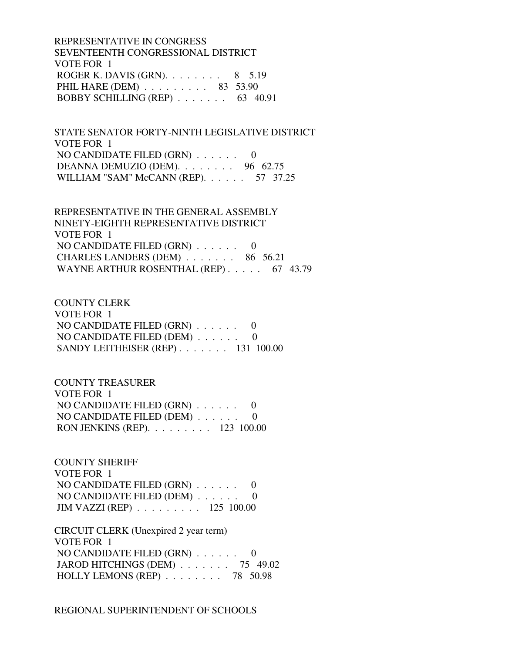REPRESENTATIVE IN CONGRESS SEVENTEENTH CONGRESSIONAL DISTRICT VOTE FOR 1 ROGER K. DAVIS (GRN). . . . . . . . 8 5.19 PHIL HARE (DEM) . . . . . . . . . 83 53.90 BOBBY SCHILLING (REP) . . . . . . . 63 40.91

 STATE SENATOR FORTY-NINTH LEGISLATIVE DISTRICT VOTE FOR 1 NO CANDIDATE FILED  $(GRN)$ ...... 0 DEANNA DEMUZIO (DEM). . . . . . . . 96 62.75 WILLIAM "SAM" McCANN (REP). . . . . . 57 37.25

 REPRESENTATIVE IN THE GENERAL ASSEMBLY NINETY-EIGHTH REPRESENTATIVE DISTRICT VOTE FOR 1 NO CANDIDATE FILED (GRN) . . . . . . 0 CHARLES LANDERS (DEM) . . . . . . . 86 56.21 WAYNE ARTHUR ROSENTHAL (REP) . . . . . 67 43.79

 COUNTY CLERK VOTE FOR 1 NO CANDIDATE FILED (GRN) . . . . . . 0 NO CANDIDATE FILED (DEM) . . . . . . 0 SANDY LEITHEISER (REP) . . . . . . . 131 100.00

 COUNTY TREASURER VOTE FOR 1 NO CANDIDATE FILED (GRN) . . . . . . 0 NO CANDIDATE FILED (DEM) . . . . . . 0 RON JENKINS (REP). . . . . . . . . 123 100.00

 COUNTY SHERIFF VOTE FOR 1 NO CANDIDATE FILED (GRN) . . . . . . 0 NO CANDIDATE FILED (DEM) . . . . . . 0 JIM VAZZI (REP) . . . . . . . . . 125 100.00

 CIRCUIT CLERK (Unexpired 2 year term) VOTE FOR 1 NO CANDIDATE FILED (GRN) . . . . . . 0 JAROD HITCHINGS (DEM) . . . . . . . 75 49.02 HOLLY LEMONS (REP) . . . . . . . . 78 50.98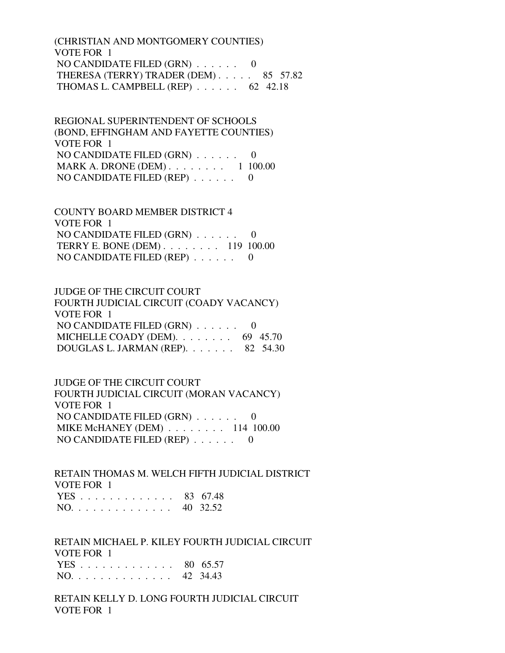(CHRISTIAN AND MONTGOMERY COUNTIES) VOTE FOR 1 NO CANDIDATE FILED (GRN) . . . . . . 0 THERESA (TERRY) TRADER (DEM) . . . . . 85 57.82 THOMAS L. CAMPBELL (REP) . . . . . . 62 42.18

 REGIONAL SUPERINTENDENT OF SCHOOLS (BOND, EFFINGHAM AND FAYETTE COUNTIES) VOTE FOR 1 NO CANDIDATE FILED (GRN) . . . . . . 0 MARK A. DRONE (DEM) . . . . . . . . 1 100.00 NO CANDIDATE FILED (REP)  $\ldots$ , ... 0

 COUNTY BOARD MEMBER DISTRICT 4 VOTE FOR 1 NO CANDIDATE FILED (GRN) . . . . . . 0 TERRY E. BONE (DEM) . . . . . . . . 119 100.00 NO CANDIDATE FILED (REP) . . . . . . 0

 JUDGE OF THE CIRCUIT COURT FOURTH JUDICIAL CIRCUIT (COADY VACANCY) VOTE FOR 1 NO CANDIDATE FILED (GRN) . . . . . . 0 MICHELLE COADY (DEM).  $\ldots$  . . . . . 69 45.70 DOUGLAS L. JARMAN (REP). . . . . . . 82 54.30

 JUDGE OF THE CIRCUIT COURT FOURTH JUDICIAL CIRCUIT (MORAN VACANCY) VOTE FOR 1 NO CANDIDATE FILED (GRN) . . . . . . 0 MIKE McHANEY (DEM) . . . . . . . . 114 100.00 NO CANDIDATE FILED (REP) . . . . . . 0

 RETAIN THOMAS M. WELCH FIFTH JUDICIAL DISTRICT VOTE FOR 1 YES . . . . . . . . . . . . . 83 67.48 NO. . . . . . . . . . . . . . 40 32.52

 RETAIN MICHAEL P. KILEY FOURTH JUDICIAL CIRCUIT VOTE FOR 1 YES . . . . . . . . . . . . . 80 65.57 NO. . . . . . . . . . . . . . 42 34.43

 RETAIN KELLY D. LONG FOURTH JUDICIAL CIRCUIT VOTE FOR 1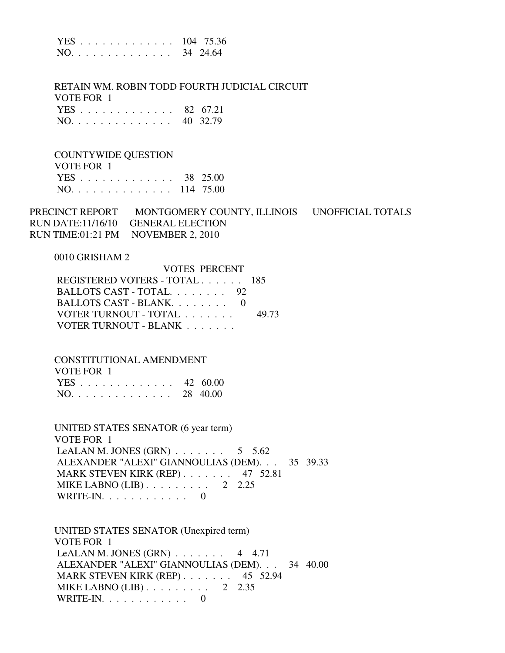|  |  |  |  |  |  |  |  | YES 104 75.36 |
|--|--|--|--|--|--|--|--|---------------|
|  |  |  |  |  |  |  |  | NO. 34 24.64  |

 RETAIN WM. ROBIN TODD FOURTH JUDICIAL CIRCUIT VOTE FOR 1 YES . . . . . . . . . . . . . 82 67.21 NO. . . . . . . . . . . . . . 40 32.79

#### COUNTYWIDE QUESTION

| VOTE FOR 1    |  |
|---------------|--|
| YES 38 25.00  |  |
| NO. 114 75.00 |  |

PRECINCT REPORT MONTGOMERY COUNTY, ILLINOIS UNOFFICIAL TOTALS RUN DATE:11/16/10 GENERAL ELECTION RUN TIME:01:21 PM NOVEMBER 2, 2010

VOTES PERCENT

#### 0010 GRISHAM 2

| VUIES PERUENI                 |       |
|-------------------------------|-------|
| REGISTERED VOTERS - TOTAL 185 |       |
| BALLOTS CAST - TOTAL 92       |       |
| BALLOTS CAST - BLANK. 0       |       |
| VOTER TURNOUT - TOTAL         | 49.73 |
| VOTER TURNOUT - BLANK         |       |

#### CONSTITUTIONAL AMENDMENT  $V$  $Q$ TE FOR 1

| VULE FUR T   |  |
|--------------|--|
| YES 42 60.00 |  |
| NO. 28 40.00 |  |

 UNITED STATES SENATOR (6 year term) VOTE FOR 1 LeALAN M. JONES (GRN)  $\ldots$  . . . . . . 5 5.62 ALEXANDER "ALEXI" GIANNOULIAS (DEM). . . 35 39.33 MARK STEVEN KIRK (REP) . . . . . . . 47 52.81 MIKE LABNO (LIB)  $\ldots$  . . . . . . . 2 2.25 WRITE-IN. . . . . . . . . . . . 0

 UNITED STATES SENATOR (Unexpired term) VOTE FOR 1 LeALAN M. JONES  $(GRN)$  . . . . . . . 4 4.71 ALEXANDER "ALEXI" GIANNOULIAS (DEM). . . 34 40.00 MARK STEVEN KIRK (REP) . . . . . . . 45 52.94 MIKE LABNO  $(LIB)$ ......... 2 2.35 WRITE-IN. . . . . . . . . . . . 0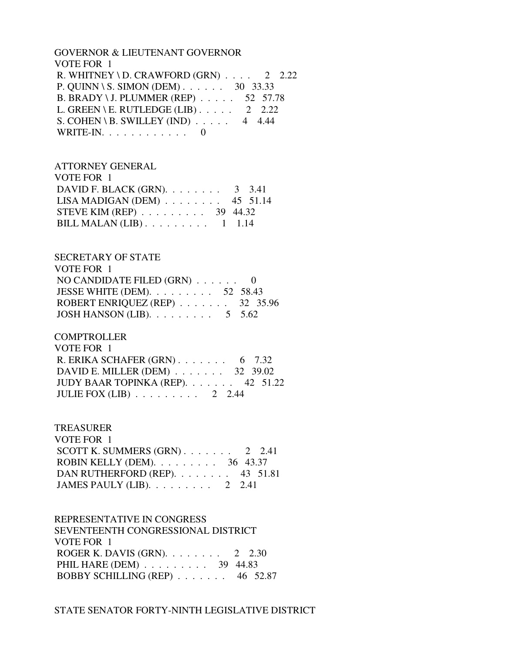### GOVERNOR & LIEUTENANT GOVERNOR VOTE FOR 1 R. WHITNEY \ D. CRAWFORD  $(GRN)$  . . . . 2 2.22 P. QUINN \ S. SIMON (DEM) . . . . . . 30 33.33 B. BRADY \ J. PLUMMER (REP) . . . . . 52 57.78 L. GREEN \ E. RUTLEDGE (LIB)  $\ldots$  . . . 2 2.22 S. COHEN \ B. SWILLEY (IND)  $\ldots$  . . . 4 4.44 WRITE-IN. . . . . . . . . . . . 0

### ATTORNEY GENERAL

| VOTE FOR 1                                      |  |
|-------------------------------------------------|--|
| DAVID F. BLACK (GRN). $\ldots$ 3 3.41           |  |
| LISA MADIGAN (DEM) $\ldots$ 45 51.14            |  |
| STEVE KIM (REP) $\ldots \ldots \ldots$ 39 44.32 |  |
| BILL MALAN (LIB) $\ldots \ldots \ldots 1$ 1.14  |  |

### SECRETARY OF STATE

| VOTE FOR 1                                            |  |
|-------------------------------------------------------|--|
| NO CANDIDATE FILED $(GRN)$ 0                          |  |
| JESSE WHITE (DEM). $\ldots$ 52 58.43                  |  |
| ROBERT ENRIQUEZ (REP) $\ldots \ldots \ldots$ 32 35.96 |  |
| JOSH HANSON (LIB). $\ldots \ldots \ldots 5$ 5.62      |  |

## **COMPTROLLER**

| VOTE FOR 1                                    |  |
|-----------------------------------------------|--|
| R. ERIKA SCHAFER $(GRN)$ 6 7.32               |  |
| DAVID E. MILLER (DEM) $\ldots$ 32 39.02       |  |
| JUDY BAAR TOPINKA (REP). 42 51.22             |  |
| JULIE FOX (LIB) $\ldots \ldots \ldots 2$ 2.44 |  |

### TREASURER

| VOTE FOR 1                                         |  |
|----------------------------------------------------|--|
| SCOTT K. SUMMERS $(GRN)$ 2 2.41                    |  |
| ROBIN KELLY (DEM). $\ldots \ldots \ldots$ 36 43.37 |  |
| DAN RUTHERFORD (REP). 43 51.81                     |  |
| JAMES PAULY (LIB). $\ldots \ldots \ldots$ 2 2.41   |  |

#### REPRESENTATIVE IN CONGRESS

 SEVENTEENTH CONGRESSIONAL DISTRICT VOTE FOR 1 ROGER K. DAVIS (GRN). . . . . . . . 2 2.30 PHIL HARE (DEM) . . . . . . . . . . 39 44.83 BOBBY SCHILLING (REP) . . . . . . . 46 52.87

### STATE SENATOR FORTY-NINTH LEGISLATIVE DISTRICT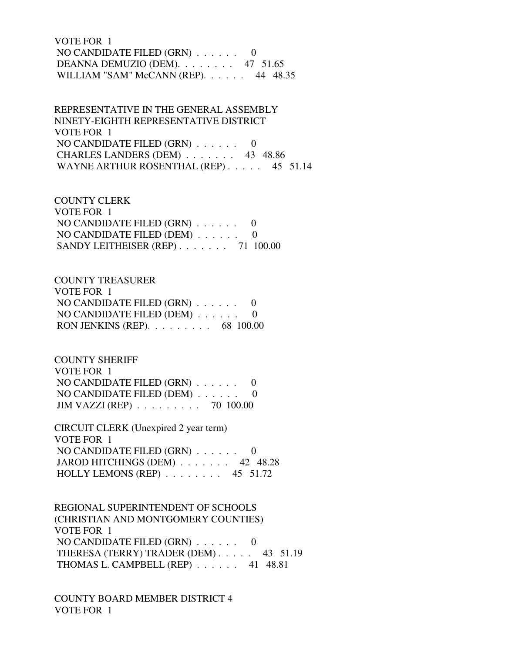# VOTE FOR 1 NO CANDIDATE FILED (GRN) . . . . . . 0 DEANNA DEMUZIO (DEM). . . . . . . . 47 51.65 WILLIAM "SAM" McCANN (REP). . . . . . 44 48.35

 REPRESENTATIVE IN THE GENERAL ASSEMBLY NINETY-EIGHTH REPRESENTATIVE DISTRICT VOTE FOR 1 NO CANDIDATE FILED  $(GRN)$  . . . . . . 0 CHARLES LANDERS (DEM) . . . . . . . 43 48.86 WAYNE ARTHUR ROSENTHAL (REP) . . . . . 45 51.14

 COUNTY CLERK VOTE FOR 1 NO CANDIDATE FILED (GRN) . . . . . . 0 NO CANDIDATE FILED (DEM) . . . . . . 0 SANDY LEITHEISER (REP) . . . . . . . 71 100.00

### COUNTY TREASURER

| VOTE FOR 1                                          |  |
|-----------------------------------------------------|--|
| NO CANDIDATE FILED $(GRN)$ 0                        |  |
| NO CANDIDATE FILED (DEM) $\ldots$ 0                 |  |
| RON JENKINS (REP). $\ldots \ldots \ldots$ 68 100.00 |  |

 COUNTY SHERIFF VOTE FOR 1 NO CANDIDATE FILED (GRN) . . . . . . 0 NO CANDIDATE FILED (DEM) . . . . . . 0 JIM VAZZI (REP) . . . . . . . . . 70 100.00

 CIRCUIT CLERK (Unexpired 2 year term) VOTE FOR 1 NO CANDIDATE FILED (GRN) . . . . . . 0 JAROD HITCHINGS (DEM) . . . . . . . 42 48.28 HOLLY LEMONS (REP) . . . . . . . . 45 51.72

 REGIONAL SUPERINTENDENT OF SCHOOLS (CHRISTIAN AND MONTGOMERY COUNTIES) VOTE FOR 1 NO CANDIDATE FILED (GRN) . . . . . . 0 THERESA (TERRY) TRADER (DEM) . . . . . 43 51.19 THOMAS L. CAMPBELL (REP) . . . . . . 41 48.81

 COUNTY BOARD MEMBER DISTRICT 4 VOTE FOR 1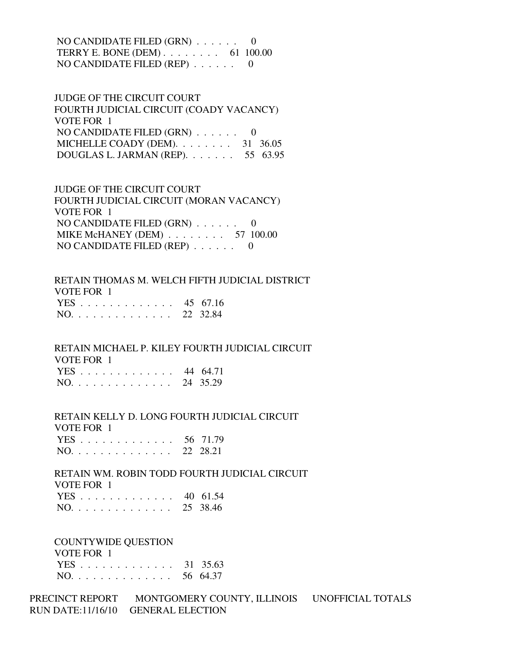NO CANDIDATE FILED (GRN) . . . . . . 0 TERRY E. BONE (DEM) . . . . . . . . 61 100.00 NO CANDIDATE FILED (REP) . . . . . . 0

 JUDGE OF THE CIRCUIT COURT FOURTH JUDICIAL CIRCUIT (COADY VACANCY) VOTE FOR 1 NO CANDIDATE FILED (GRN) . . . . . . 0 MICHELLE COADY (DEM). . . . . . . . 31 36.05 DOUGLAS L. JARMAN (REP). . . . . . . 55 63.95

 JUDGE OF THE CIRCUIT COURT FOURTH JUDICIAL CIRCUIT (MORAN VACANCY) VOTE FOR 1 NO CANDIDATE FILED (GRN) . . . . . . 0 MIKE McHANEY (DEM) . . . . . . . . 57 100.00 NO CANDIDATE FILED (REP) . . . . . . 0

 RETAIN THOMAS M. WELCH FIFTH JUDICIAL DISTRICT VOTE FOR 1 YES . . . . . . . . . . . . . 45 67.16 NO. . . . . . . . . . . . . . 22 32.84

 RETAIN MICHAEL P. KILEY FOURTH JUDICIAL CIRCUIT VOTE FOR 1 YES . . . . . . . . . . . . . 44 64.71 NO. . . . . . . . . . . . . . 24 35.29

 RETAIN KELLY D. LONG FOURTH JUDICIAL CIRCUIT VOTE FOR 1

|     |  |  |  |  |  |  |  | YES 56 71.79 |
|-----|--|--|--|--|--|--|--|--------------|
| NO. |  |  |  |  |  |  |  | 22 28.21     |

 RETAIN WM. ROBIN TODD FOURTH JUDICIAL CIRCUIT VOTE FOR 1 YES . . . . . . . . . . . . . 40 61.54

| $NO.$ | 25 38.46 |
|-------|----------|
|-------|----------|

COUNTYWIDE QUESTION

 VOTE FOR 1 YES . . . . . . . . . . . . . 31 35.63 NO. . . . . . . . . . . . . . 56 64.37

PRECINCT REPORT MONTGOMERY COUNTY, ILLINOIS UNOFFICIAL TOTALS RUN DATE:11/16/10 GENERAL ELECTION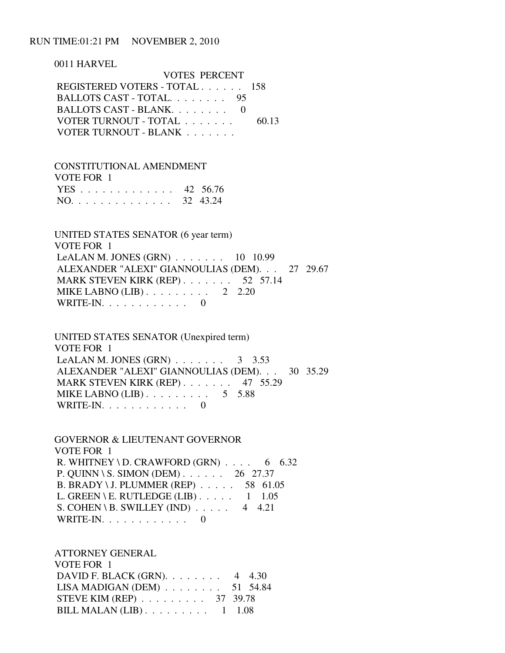# RUN TIME:01:21 PM NOVEMBER 2, 2010

 0011 HARVEL VOTES PERCENT REGISTERED VOTERS - TOTAL . . . . . . 158 BALLOTS CAST - TOTAL. . . . . . . . 95 BALLOTS CAST - BLANK. . . . . . . . 0 VOTER TURNOUT - TOTAL . . . . . . . . 60.13 VOTER TURNOUT - BLANK . . . . . . . .

 CONSTITUTIONAL AMENDMENT VOTE FOR 1 YES . . . . . . . . . . . . . 42 56.76 NO. . . . . . . . . . . . . . 32 43.24

 UNITED STATES SENATOR (6 year term) VOTE FOR 1 LeALAN M. JONES (GRN) . . . . . . . 10 10.99 ALEXANDER "ALEXI" GIANNOULIAS (DEM). . . 27 29.67 MARK STEVEN KIRK (REP) . . . . . . . 52 57.14 MIKE LABNO (LIB) . . . . . . . . . . 2 2.20 WRITE-IN.  $\ldots$  . . . . . . . . 0

 UNITED STATES SENATOR (Unexpired term) VOTE FOR 1 LeALAN M. JONES (GRN)  $\ldots$  . . . . . . 3 3.53 ALEXANDER "ALEXI" GIANNOULIAS (DEM). . . 30 35.29 MARK STEVEN KIRK (REP) . . . . . . . 47 55.29 MIKE LABNO  $(LIB)$ ........ 5 5.88 WRITE-IN. . . . . . . . . . . . 0

 GOVERNOR & LIEUTENANT GOVERNOR VOTE FOR 1 R. WHITNEY \ D. CRAWFORD (GRN)  $\ldots$  6 6.32 P. QUINN \ S. SIMON (DEM) . . . . . . 26 27.37 B. BRADY \ J. PLUMMER (REP) . . . . . 58 61.05 L. GREEN \ E. RUTLEDGE (LIB)  $\ldots$  . . . 1 1.05 S. COHEN \ B. SWILLEY (IND)  $\ldots$  . . . 4 4.21 WRITE-IN.  $\ldots$  . . . . . . . . 0

 ATTORNEY GENERAL VOTE FOR 1 DAVID F. BLACK (GRN). . . . . . . . 4 4.30 LISA MADIGAN (DEM) . . . . . . . . 51 54.84 STEVE KIM (REP) . . . . . . . . . 37 39.78 BILL MALAN  $(LIB)$ ........ 1 1.08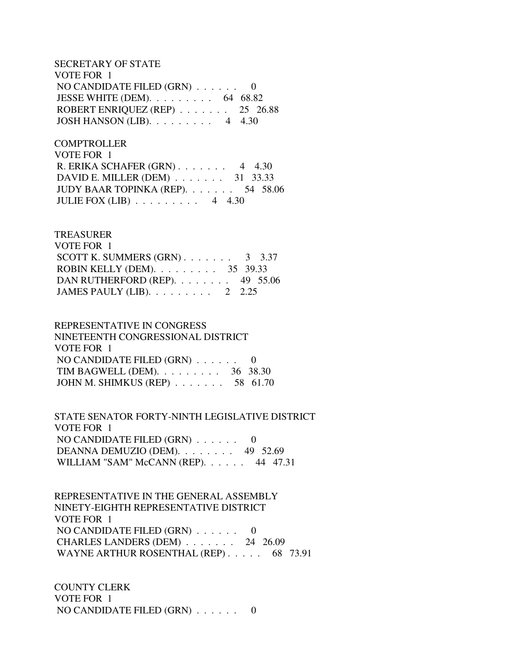SECRETARY OF STATE VOTE FOR 1 NO CANDIDATE FILED (GRN) . . . . . . 0 JESSE WHITE (DEM). . . . . . . . . 64 68.82 ROBERT ENRIQUEZ (REP) . . . . . . . 25 26.88 JOSH HANSON (LIB). . . . . . . . . 4 4.30

**COMPTROLLER**  VOTE FOR 1 R. ERIKA SCHAFER (GRN) . . . . . . . 4 4.30 DAVID E. MILLER (DEM) . . . . . . . 31 33.33 JUDY BAAR TOPINKA (REP). . . . . . . 54 58.06 JULIE FOX  $(LIB)$  . . . . . . . . 4 4.30

# TREASURER VOTE FOR 1 SCOTT K. SUMMERS  $(GRN)$ . . . . . . . . 3 3.37 ROBIN KELLY (DEM). . . . . . . . . 35 39.33 DAN RUTHERFORD (REP). . . . . . . . 49 55.06 JAMES PAULY (LIB). . . . . . . . . 2 2.25

# REPRESENTATIVE IN CONGRESS NINETEENTH CONGRESSIONAL DISTRICT VOTE FOR 1 NO CANDIDATE FILED (GRN) . . . . . . 0 TIM BAGWELL (DEM). . . . . . . . . 36 38.30 JOHN M. SHIMKUS (REP) . . . . . . . 58 61.70

 STATE SENATOR FORTY-NINTH LEGISLATIVE DISTRICT VOTE FOR 1 NO CANDIDATE FILED (GRN) . . . . . . 0 DEANNA DEMUZIO (DEM). . . . . . . . 49 52.69 WILLIAM "SAM" McCANN (REP). . . . . . 44 47.31

 REPRESENTATIVE IN THE GENERAL ASSEMBLY NINETY-EIGHTH REPRESENTATIVE DISTRICT VOTE FOR 1 NO CANDIDATE FILED (GRN) . . . . . . 0 CHARLES LANDERS (DEM) . . . . . . . 24 26.09 WAYNE ARTHUR ROSENTHAL (REP) . . . . . 68 73.91

 COUNTY CLERK VOTE FOR 1 NO CANDIDATE FILED (GRN) . . . . . . 0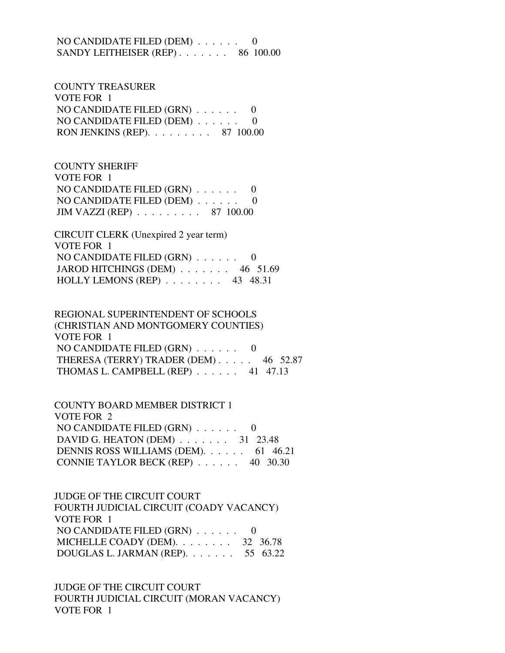NO CANDIDATE FILED  $(DEM)$ ...... SANDY LEITHEISER (REP) . . . . . . . 86 100.00

 COUNTY TREASURER VOTE FOR 1 NO CANDIDATE FILED (GRN) . . . . . . 0 NO CANDIDATE FILED (DEM) . . . . . . 0 RON JENKINS (REP). . . . . . . . . 87 100.00

 COUNTY SHERIFF VOTE FOR 1 NO CANDIDATE FILED (GRN) . . . . . . 0 NO CANDIDATE FILED (DEM) . . . . . . 0 JIM VAZZI (REP) . . . . . . . . . 87 100.00

 CIRCUIT CLERK (Unexpired 2 year term) VOTE FOR 1 NO CANDIDATE FILED (GRN) . . . . . . 0 JAROD HITCHINGS (DEM) . . . . . . . 46 51.69 HOLLY LEMONS (REP) . . . . . . . . 43 48.31

 REGIONAL SUPERINTENDENT OF SCHOOLS (CHRISTIAN AND MONTGOMERY COUNTIES) VOTE FOR 1 NO CANDIDATE FILED (GRN) . . . . . . 0 THERESA (TERRY) TRADER (DEM) . . . . . 46 52.87 THOMAS L. CAMPBELL (REP) . . . . . . 41 47.13

 COUNTY BOARD MEMBER DISTRICT 1 VOTE FOR 2 NO CANDIDATE FILED (GRN) . . . . . . 0 DAVID G. HEATON (DEM) . . . . . . . 31 23.48 DENNIS ROSS WILLIAMS (DEM). . . . . . 61 46.21 CONNIE TAYLOR BECK (REP) . . . . . . 40 30.30

 JUDGE OF THE CIRCUIT COURT FOURTH JUDICIAL CIRCUIT (COADY VACANCY) VOTE FOR 1 NO CANDIDATE FILED (GRN) . . . . . . 0 MICHELLE COADY (DEM). . . . . . . . 32 36.78 DOUGLAS L. JARMAN (REP). . . . . . . 55 63.22

 JUDGE OF THE CIRCUIT COURT FOURTH JUDICIAL CIRCUIT (MORAN VACANCY) VOTE FOR 1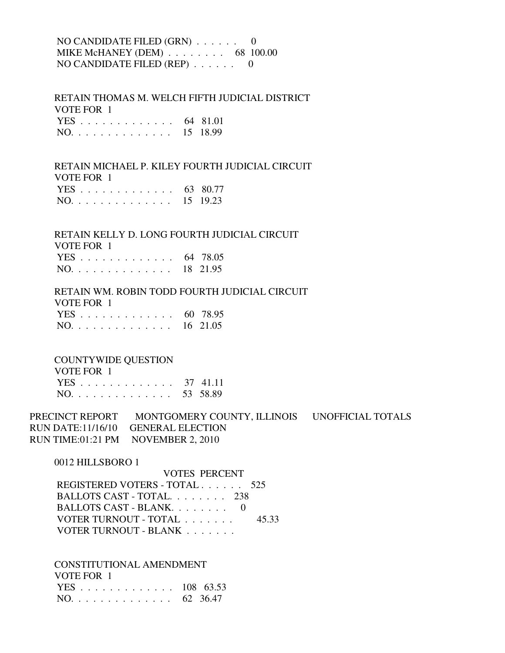# NO CANDIDATE FILED (GRN) . . . . . . 0 MIKE McHANEY (DEM) . . . . . . . . 68 100.00 NO CANDIDATE FILED (REP) . . . . . . 0

 RETAIN THOMAS M. WELCH FIFTH JUDICIAL DISTRICT VOTE FOR 1 YES . . . . . . . . . . . . . 64 81.01 NO. . . . . . . . . . . . . . 15 18.99

 RETAIN MICHAEL P. KILEY FOURTH JUDICIAL CIRCUIT VOTE FOR 1 YES . . . . . . . . . . . . . 63 80.77 NO. . . . . . . . . . . . . . 15 19.23

 RETAIN KELLY D. LONG FOURTH JUDICIAL CIRCUIT VOTE FOR 1 YES . . . . . . . . . . . . . 64 78.05 NO. . . . . . . . . . . . . . 18 21.95

 RETAIN WM. ROBIN TODD FOURTH JUDICIAL CIRCUIT VOTE FOR 1 YES . . . . . . . . . . . . . 60 78.95 NO. . . . . . . . . . . . . . 16 21.05

COUNTYWIDE QUESTION

| VOTE FOR 1   |  |
|--------------|--|
| YES 37 41.11 |  |
| NO. 53 58.89 |  |

PRECINCT REPORT MONTGOMERY COUNTY, ILLINOIS UNOFFICIAL TOTALS RUN DATE:11/16/10 GENERAL ELECTION RUN TIME:01:21 PM NOVEMBER 2, 2010

0012 HILLSBORO 1

 VOTES PERCENT REGISTERED VOTERS - TOTAL . . . . . . 525 BALLOTS CAST - TOTAL. . . . . . . . 238 BALLOTS CAST - BLANK. . . . . . . . 0 VOTER TURNOUT - TOTAL . . . . . . . 45.33 VOTER TURNOUT - BLANK . . . . . . .

CONSTITUTIONAL AMENDMENT

| VOTE FOR 1    |  |
|---------------|--|
| YES 108 63.53 |  |
| NO. 62 36.47  |  |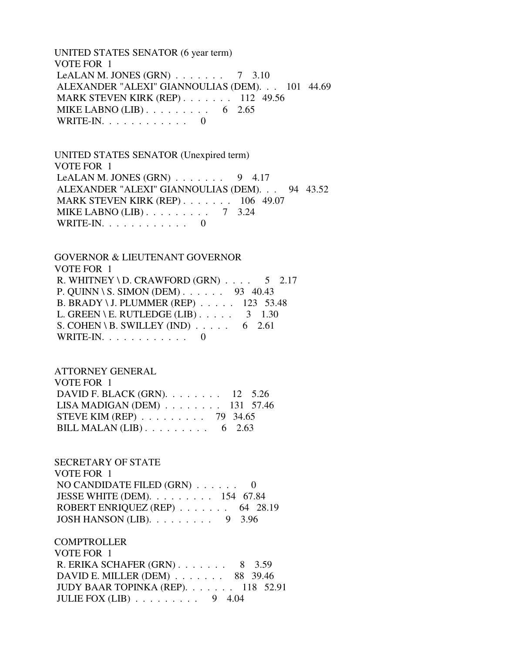UNITED STATES SENATOR (6 year term) VOTE FOR 1 LeALAN M. JONES  $(GRN)$  . . . . . . . 7 3.10 ALEXANDER "ALEXI" GIANNOULIAS (DEM). . . 101 44.69 MARK STEVEN KIRK (REP) . . . . . . . 112 49.56 MIKE LABNO (LIB) . . . . . . . . . . 6 2.65 WRITE-IN.  $\ldots$  . . . . . . . . . 0

 UNITED STATES SENATOR (Unexpired term) VOTE FOR 1 LeALAN M. JONES  $(GRN)$ ...... 9 4.17 ALEXANDER "ALEXI" GIANNOULIAS (DEM). . . 94 43.52 MARK STEVEN KIRK (REP) . . . . . . . 106 49.07 MIKE LABNO (LIB) . . . . . . . . . 7 3.24 WRITE-IN. . . . . . . . . . . . 0

 GOVERNOR & LIEUTENANT GOVERNOR VOTE FOR 1 R. WHITNEY \ D. CRAWFORD  $(GRN)$  . . . . 5 2.17 P. QUINN \ S. SIMON (DEM) . . . . . . 93 40.43 B. BRADY \ J. PLUMMER (REP) . . . . . 123 53.48 L. GREEN \ E. RUTLEDGE (LIB)  $\ldots$  . . . . 3 1.30 S. COHEN \ B. SWILLEY (IND)  $\ldots$  . . . . 6 2.61 WRITE-IN. . . . . . . . . . . . 0

 ATTORNEY GENERAL VOTE FOR 1 DAVID F. BLACK (GRN). . . . . . . . 12 5.26 LISA MADIGAN (DEM) . . . . . . . . 131 57.46 STEVE KIM (REP) . . . . . . . . . 79 34.65 BILL MALAN  $(LIB)$ ........ 6 2.63

 SECRETARY OF STATE VOTE FOR 1 NO CANDIDATE FILED (GRN) . . . . . . 0 JESSE WHITE (DEM). . . . . . . . . 154 67.84 ROBERT ENRIQUEZ (REP) . . . . . . . 64 28.19 JOSH HANSON (LIB). . . . . . . . . 9 3.96

 COMPTROLLER VOTE FOR 1 R. ERIKA SCHAFER (GRN) . . . . . . . 8 3.59 DAVID E. MILLER (DEM) . . . . . . . 88 39.46 JUDY BAAR TOPINKA (REP). . . . . . . 118 52.91 JULIE FOX (LIB) . . . . . . . . . 9 4.04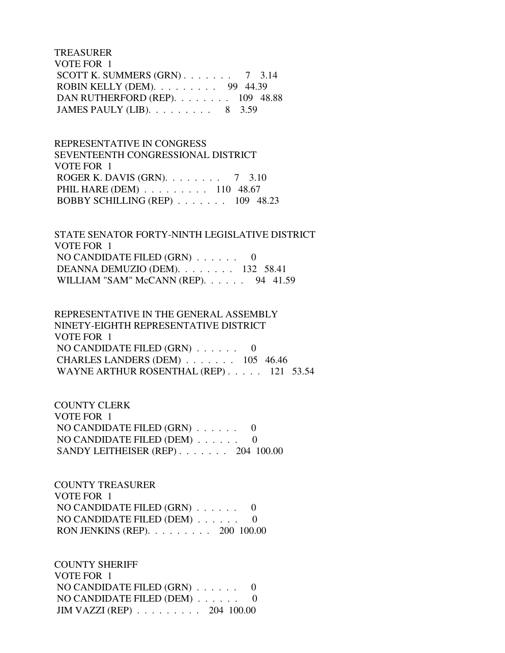TREASURER VOTE FOR 1 SCOTT K. SUMMERS  $(GRN)$ . . . . . . . 7 3.14 ROBIN KELLY (DEM). . . . . . . . . 99 44.39 DAN RUTHERFORD (REP). . . . . . . . 109 48.88 JAMES PAULY (LIB). . . . . . . . . 8 3.59

 REPRESENTATIVE IN CONGRESS SEVENTEENTH CONGRESSIONAL DISTRICT VOTE FOR 1 ROGER K. DAVIS (GRN). . . . . . . . 7 3.10 PHIL HARE (DEM) . . . . . . . . . 110 48.67 BOBBY SCHILLING (REP) . . . . . . . 109 48.23

 STATE SENATOR FORTY-NINTH LEGISLATIVE DISTRICT VOTE FOR 1 NO CANDIDATE FILED (GRN) . . . . . . 0 DEANNA DEMUZIO (DEM). . . . . . . . 132 58.41 WILLIAM "SAM" McCANN (REP). . . . . . 94 41.59

 REPRESENTATIVE IN THE GENERAL ASSEMBLY NINETY-EIGHTH REPRESENTATIVE DISTRICT VOTE FOR 1 NO CANDIDATE FILED (GRN) . . . . . . 0 CHARLES LANDERS (DEM) . . . . . . . 105 46.46 WAYNE ARTHUR ROSENTHAL (REP) . . . . . 121 53.54

 COUNTY CLERK VOTE FOR 1 NO CANDIDATE FILED (GRN) . . . . . . 0 NO CANDIDATE FILED (DEM) . . . . . . 0 SANDY LEITHEISER (REP) . . . . . . . 204 100.00

 COUNTY TREASURER VOTE FOR 1 NO CANDIDATE FILED (GRN) . . . . . . 0 NO CANDIDATE FILED (DEM) . . . . . . 0 RON JENKINS (REP). . . . . . . . . 200 100.00

 COUNTY SHERIFF VOTE FOR 1 NO CANDIDATE FILED (GRN) . . . . . . 0 NO CANDIDATE FILED (DEM) . . . . . . 0 JIM VAZZI (REP) . . . . . . . . . 204 100.00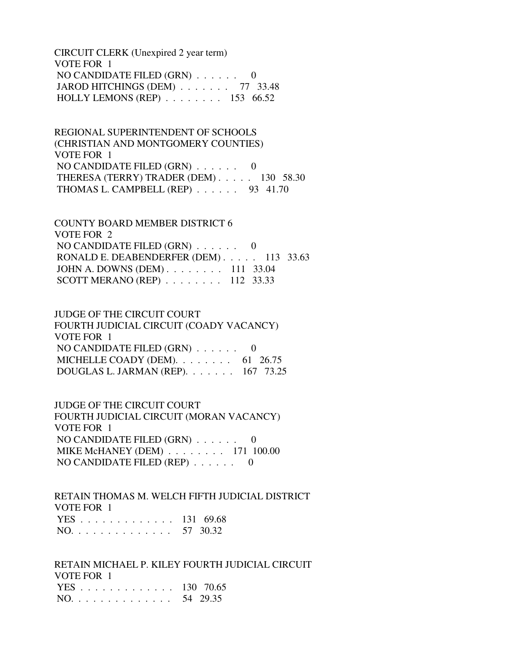CIRCUIT CLERK (Unexpired 2 year term) VOTE FOR 1 NO CANDIDATE FILED (GRN) . . . . . . 0 JAROD HITCHINGS (DEM) . . . . . . . 77 33.48 HOLLY LEMONS (REP) . . . . . . . . 153 66.52

 REGIONAL SUPERINTENDENT OF SCHOOLS (CHRISTIAN AND MONTGOMERY COUNTIES) VOTE FOR 1 NO CANDIDATE FILED (GRN) . . . . . . 0 THERESA (TERRY) TRADER (DEM) . . . . . 130 58.30 THOMAS L. CAMPBELL (REP) . . . . . . 93 41.70

 COUNTY BOARD MEMBER DISTRICT 6 VOTE FOR 2 NO CANDIDATE FILED (GRN) . . . . . . 0 RONALD E. DEABENDERFER (DEM) . . . . . 113 33.63 JOHN A. DOWNS (DEM) . . . . . . . . 111 33.04 SCOTT MERANO (REP) . . . . . . . . 112 33.33

 JUDGE OF THE CIRCUIT COURT FOURTH JUDICIAL CIRCUIT (COADY VACANCY) VOTE FOR 1 NO CANDIDATE FILED (GRN) . . . . . . 0 MICHELLE COADY (DEM).  $\ldots$  . . . . . . 61 26.75 DOUGLAS L. JARMAN (REP). . . . . . . 167 73.25

 JUDGE OF THE CIRCUIT COURT FOURTH JUDICIAL CIRCUIT (MORAN VACANCY) VOTE FOR 1 NO CANDIDATE FILED (GRN) . . . . . . 0 MIKE McHANEY (DEM) . . . . . . . . 171 100.00 NO CANDIDATE FILED (REP) . . . . . . 0

 RETAIN THOMAS M. WELCH FIFTH JUDICIAL DISTRICT VOTE FOR 1 YES . . . . . . . . . . . . . 131 69.68 NO. . . . . . . . . . . . . . 57 30.32

 RETAIN MICHAEL P. KILEY FOURTH JUDICIAL CIRCUIT VOTE FOR 1 YES . . . . . . . . . . . . . 130 70.65 NO. . . . . . . . . . . . . . 54 29.35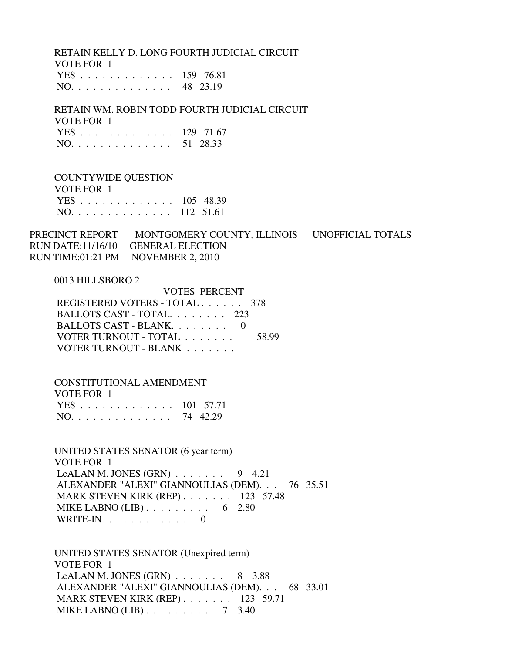RETAIN KELLY D. LONG FOURTH JUDICIAL CIRCUIT VOTE FOR 1

|  |  |  |  |  |  |  | YES 159 76.81 |
|--|--|--|--|--|--|--|---------------|
|  |  |  |  |  |  |  | NO. 48 23.19  |

 RETAIN WM. ROBIN TODD FOURTH JUDICIAL CIRCUIT VOTE FOR 1 YES . . . . . . . . . . . . . 129 71.67 NO. . . . . . . . . . . . . . 51 28.33

 COUNTYWIDE QUESTION VOTE FOR 1 YES . . . . . . . . . . . . . 105 48.39 NO. . . . . . . . . . . . . . 112 51.61

PRECINCT REPORT MONTGOMERY COUNTY, ILLINOIS UNOFFICIAL TOTALS RUN DATE:11/16/10 GENERAL ELECTION RUN TIME:01:21 PM NOVEMBER 2, 2010

#### 0013 HILLSBORO 2

| VOTES PERCENT                  |
|--------------------------------|
| REGISTERED VOTERS - TOTAL 378  |
| BALLOTS CAST - TOTAL 223       |
| BALLOTS CAST - BLANK $0$       |
| VOTER TURNOUT - TOTAL<br>58.99 |
| VOTER TURNOUT - BLANK          |
|                                |

#### CONSTITUTIONAL AMENDMENT

| VOTE FOR 1    |  |
|---------------|--|
| YES 101 57.71 |  |
| NO. 74 42.29  |  |

 UNITED STATES SENATOR (6 year term) VOTE FOR 1 LeALAN M. JONES (GRN)  $\ldots$  . . . . . 9 4.21 ALEXANDER "ALEXI" GIANNOULIAS (DEM). . . 76 35.51 MARK STEVEN KIRK (REP) . . . . . . . 123 57.48 MIKE LABNO  $(LIB)$ ........ 6 2.80 WRITE-IN.  $\ldots$  . . . . . . . . 0

 UNITED STATES SENATOR (Unexpired term) VOTE FOR 1 LeALAN M. JONES  $(GRN)$  . . . . . . . 8 3.88 ALEXANDER "ALEXI" GIANNOULIAS (DEM). . . 68 33.01 MARK STEVEN KIRK (REP) . . . . . . . 123 59.71 MIKE LABNO (LIB) . . . . . . . . . 7 3.40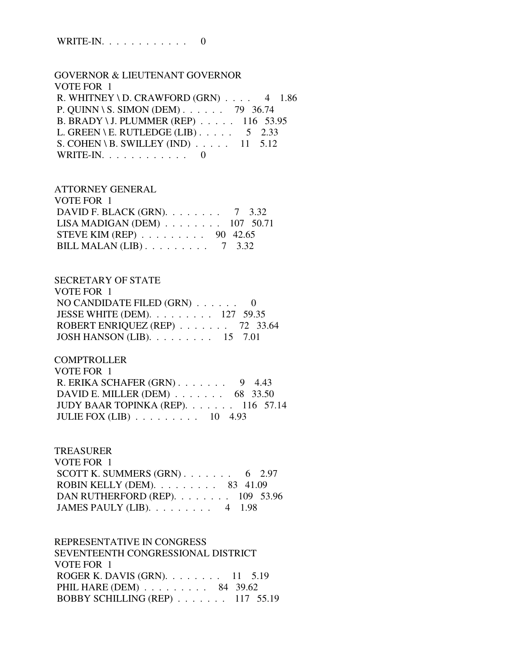WRITE-IN. . . . . . . . . . . . 0

 GOVERNOR & LIEUTENANT GOVERNOR VOTE FOR 1 R. WHITNEY \ D. CRAWFORD  $(GRN)$  . . . . 4 1.86 P. QUINN \ S. SIMON (DEM) . . . . . . 79 36.74 B. BRADY \ J. PLUMMER (REP) . . . . . 116 53.95 L. GREEN \ E. RUTLEDGE (LIB)  $\ldots$  . . . . 5 2.33 S. COHEN \ B. SWILLEY (IND)  $\ldots$  . . . . 11 5.12 WRITE-IN.  $\ldots$  . . . . . . . . . 0

#### ATTORNEY GENERAL  $V$  $OTE$   $E$  $OP$  1

| VULETUR I                                           |  |
|-----------------------------------------------------|--|
| DAVID F. BLACK (GRN). $\ldots$ 7 3.32               |  |
| LISA MADIGAN (DEM) $\ldots \ldots \ldots 107$ 50.71 |  |
| STEVE KIM (REP) $\ldots \ldots \ldots$ 90 42.65     |  |
| BILL MALAN (LIB) $\ldots \ldots \ldots$ 7 3.32      |  |

#### SECRETARY OF STATE

| VOTE FOR 1                                               |  |
|----------------------------------------------------------|--|
| NO CANDIDATE FILED $(GRN)$ 0                             |  |
| JESSE WHITE (DEM). $\ldots \ldots \ldots 127$ 59.35      |  |
| ROBERT ENRIQUEZ (REP) $\ldots$ 72 33.64                  |  |
| JOSH HANSON (LIB). $\ldots \ldots \ldots \ldots 15$ 7.01 |  |

### **COMPTROLLER**

| VOTE FOR 1                                         |  |
|----------------------------------------------------|--|
| R. ERIKA SCHAFER $(GRN)$ . 9 4.43                  |  |
| DAVID E. MILLER (DEM) $\ldots$ 68 33.50            |  |
| JUDY BAAR TOPINKA (REP). $\ldots$ 116 57.14        |  |
| JULIE FOX (LIB) $\ldots$ $\ldots$ $\ldots$ 10 4.93 |  |

### TREASURER

| VOTE FOR 1                                       |  |  |
|--------------------------------------------------|--|--|
| SCOTT K. SUMMERS $(GRN)$ 6 2.97                  |  |  |
| ROBIN KELLY (DEM). $\ldots$ 83 41.09             |  |  |
| DAN RUTHERFORD (REP). $\ldots$ 109 53.96         |  |  |
| JAMES PAULY (LIB). $\ldots \ldots \ldots$ 4 1.98 |  |  |

# REPRESENTATIVE IN CONGRESS SEVENTEENTH CONGRESSIONAL DISTRICT VOTE FOR 1 ROGER K. DAVIS (GRN). . . . . . . . 11 5.19 PHIL HARE (DEM) . . . . . . . . . 84 39.62 BOBBY SCHILLING (REP) . . . . . . . 117 55.19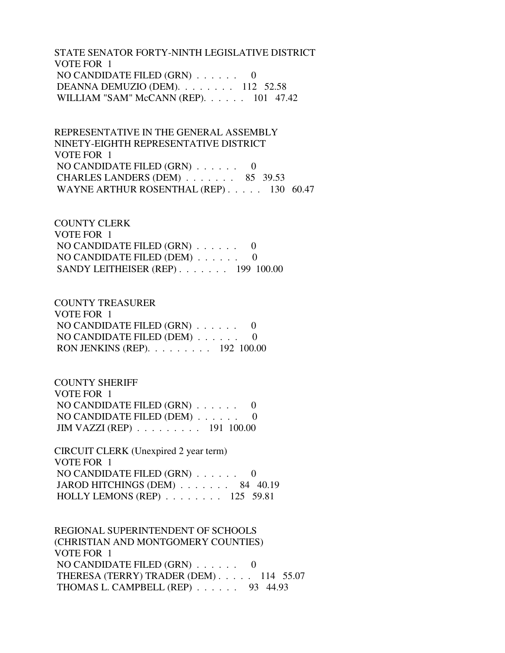STATE SENATOR FORTY-NINTH LEGISLATIVE DISTRICT VOTE FOR 1 NO CANDIDATE FILED (GRN) . . . . . . 0 DEANNA DEMUZIO (DEM). . . . . . . . 112 52.58 WILLIAM "SAM" McCANN (REP). . . . . . 101 47.42

 REPRESENTATIVE IN THE GENERAL ASSEMBLY NINETY-EIGHTH REPRESENTATIVE DISTRICT VOTE FOR 1 NO CANDIDATE FILED (GRN) . . . . . . 0 CHARLES LANDERS (DEM) . . . . . . . 85 39.53 WAYNE ARTHUR ROSENTHAL (REP) . . . . . 130 60.47

# COUNTY CLERK VOTE FOR 1 NO CANDIDATE FILED (GRN) . . . . . . 0 NO CANDIDATE FILED (DEM) . . . . . . 0 SANDY LEITHEISER (REP) . . . . . . . 199 100.00

COUNTY TREASURER

| VOTE FOR 1                                           |  |
|------------------------------------------------------|--|
| NO CANDIDATE FILED $(GRN)$ 0                         |  |
| NO CANDIDATE FILED (DEM) $\ldots \ldots$ 0           |  |
| RON JENKINS (REP). $\ldots \ldots \ldots 192$ 100.00 |  |

 COUNTY SHERIFF VOTE FOR 1 NO CANDIDATE FILED (GRN) . . . . . . 0 NO CANDIDATE FILED (DEM) . . . . . . 0 JIM VAZZI (REP) . . . . . . . . . 191 100.00

 CIRCUIT CLERK (Unexpired 2 year term) VOTE FOR 1 NO CANDIDATE FILED (GRN) . . . . . . 0 JAROD HITCHINGS (DEM) . . . . . . . 84 40.19 HOLLY LEMONS (REP) . . . . . . . . 125 59.81

 REGIONAL SUPERINTENDENT OF SCHOOLS (CHRISTIAN AND MONTGOMERY COUNTIES) VOTE FOR 1 NO CANDIDATE FILED (GRN) . . . . . . 0 THERESA (TERRY) TRADER (DEM) . . . . . 114 55.07 THOMAS L. CAMPBELL (REP) . . . . . . 93 44.93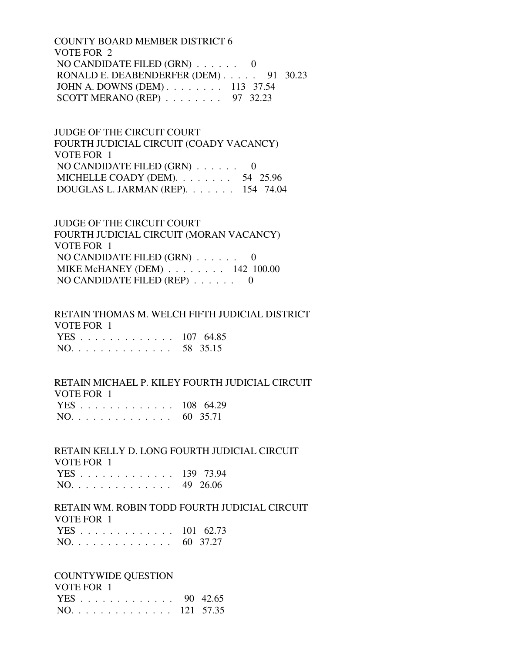COUNTY BOARD MEMBER DISTRICT 6 VOTE FOR 2 NO CANDIDATE FILED (GRN) . . . . . . 0 RONALD E. DEABENDERFER (DEM) . . . . . 91 30.23 JOHN A. DOWNS (DEM) . . . . . . . . 113 37.54 SCOTT MERANO (REP) . . . . . . . . 97 32.23

 JUDGE OF THE CIRCUIT COURT FOURTH JUDICIAL CIRCUIT (COADY VACANCY) VOTE FOR 1 NO CANDIDATE FILED (GRN) . . . . . . 0 MICHELLE COADY (DEM). . . . . . . . 54 25.96 DOUGLAS L. JARMAN (REP). . . . . . . 154 74.04

 JUDGE OF THE CIRCUIT COURT FOURTH JUDICIAL CIRCUIT (MORAN VACANCY) VOTE FOR 1 NO CANDIDATE FILED (GRN) . . . . . . 0 MIKE McHANEY (DEM) . . . . . . . . 142 100.00 NO CANDIDATE FILED (REP) . . . . . . 0

 RETAIN THOMAS M. WELCH FIFTH JUDICIAL DISTRICT VOTE FOR 1 YES . . . . . . . . . . . . . 107 64.85 NO. . . . . . . . . . . . . . 58 35.15

 RETAIN MICHAEL P. KILEY FOURTH JUDICIAL CIRCUIT VOTE FOR 1 YES . . . . . . . . . . . . . 108 64.29 NO. . . . . . . . . . . . . . 60 35.71

 RETAIN KELLY D. LONG FOURTH JUDICIAL CIRCUIT VOTE FOR 1 YES . . . . . . . . . . . . . 139 73.94 NO. . . . . . . . . . . . . . 49 26.06

 RETAIN WM. ROBIN TODD FOURTH JUDICIAL CIRCUIT VOTE FOR 1

|  |  |  |  |  |  |  | YES 101 62.73 |
|--|--|--|--|--|--|--|---------------|
|  |  |  |  |  |  |  | NO. 60 37.27  |

# COUNTYWIDE QUESTION VOTE FOR 1

|  |  |  |  |  |  |  | YES 90 42.65  |
|--|--|--|--|--|--|--|---------------|
|  |  |  |  |  |  |  | NO. 121 57.35 |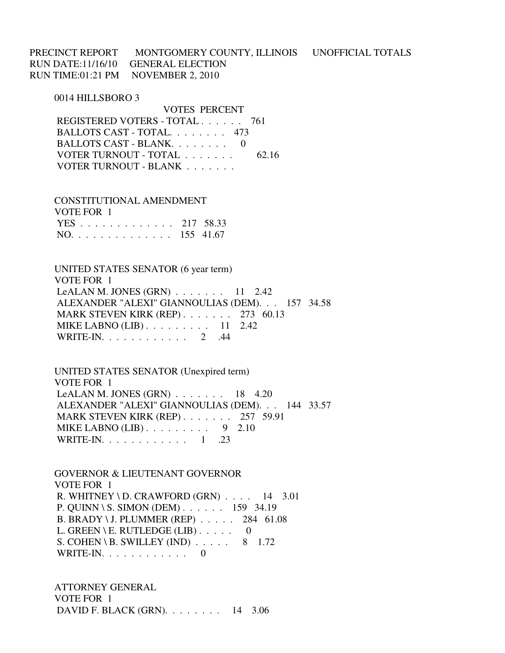PRECINCT REPORT MONTGOMERY COUNTY, ILLINOIS UNOFFICIAL TOTALS RUN DATE:11/16/10 GENERAL ELECTION RUN TIME:01:21 PM NOVEMBER 2, 2010

0014 HILLSBORO 3

 VOTES PERCENT REGISTERED VOTERS - TOTAL . . . . . . 761 BALLOTS CAST - TOTAL. . . . . . . . 473 BALLOTS CAST - BLANK. . . . . . . . . 0 VOTER TURNOUT - TOTAL . . . . . . . 62.16 VOTER TURNOUT - BLANK . . . . . . .

 CONSTITUTIONAL AMENDMENT VOTE FOR 1 YES . . . . . . . . . . . . . 217 58.33 NO. . . . . . . . . . . . . . 155 41.67

 UNITED STATES SENATOR (6 year term) VOTE FOR 1 LeALAN M. JONES  $(GRN)$  . . . . . . . 11 2.42 ALEXANDER "ALEXI" GIANNOULIAS (DEM). . . 157 34.58 MARK STEVEN KIRK (REP) . . . . . . . 273 60.13 MIKE LABNO (LIB) . . . . . . . . . . 11 2.42 WRITE-IN. . . . . . . . . . . . 2 .44

 UNITED STATES SENATOR (Unexpired term) VOTE FOR 1 LeALAN M. JONES  $(GRN)$ ...... 18 4.20 ALEXANDER "ALEXI" GIANNOULIAS (DEM). . . 144 33.57 MARK STEVEN KIRK (REP) . . . . . . . 257 59.91 MIKE LABNO  $(LIB)$ ........ 9 2.10 WRITE-IN. . . . . . . . . . . . . 1 .23

 GOVERNOR & LIEUTENANT GOVERNOR VOTE FOR 1 R. WHITNEY \ D. CRAWFORD  $(GRN)$  . . . . 14 3.01 P. QUINN \ S. SIMON (DEM) . . . . . . 159 34.19 B. BRADY \ J. PLUMMER (REP) . . . . . 284 61.08 L. GREEN \ E. RUTLEDGE (LIB)  $\ldots$  . . . 0 S. COHEN \ B. SWILLEY (IND)  $\ldots$  . . . . 8 1.72 WRITE-IN. . . . . . . . . . . . 0

 ATTORNEY GENERAL VOTE FOR 1 DAVID F. BLACK (GRN). . . . . . . . 14 3.06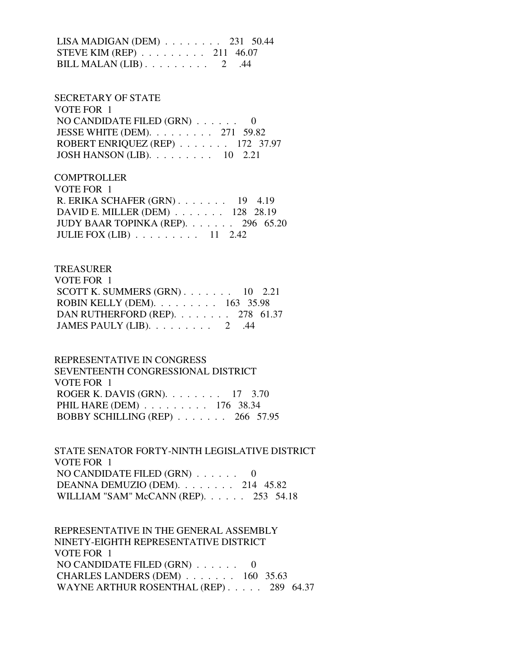LISA MADIGAN (DEM) . . . . . . . . 231 50.44 STEVE KIM (REP) . . . . . . . . . 211 46.07 BILL MALAN  $(LIB)$ ........ 2 .44

 SECRETARY OF STATE VOTE FOR 1 NO CANDIDATE FILED (GRN) . . . . . . 0 JESSE WHITE (DEM). . . . . . . . . 271 59.82 ROBERT ENRIQUEZ (REP) . . . . . . . 172 37.97 JOSH HANSON (LIB). . . . . . . . . 10 2.21

**COMPTROLLER**  VOTE FOR 1 R. ERIKA SCHAFER (GRN) . . . . . . . 19 4.19 DAVID E. MILLER (DEM) . . . . . . . 128 28.19 JUDY BAAR TOPINKA (REP). . . . . . . 296 65.20 JULIE FOX (LIB) . . . . . . . . . 11 2.42

### TREASURER

| VOTE FOR 1                                          |  |  |
|-----------------------------------------------------|--|--|
| SCOTT K. SUMMERS $(GRN)$ 10 2.21                    |  |  |
| ROBIN KELLY (DEM). $\ldots \ldots \ldots 163$ 35.98 |  |  |
| DAN RUTHERFORD (REP). $\ldots$ 278 61.37            |  |  |
| JAMES PAULY (LIB). $\ldots \ldots \ldots$ 2 .44     |  |  |

#### REPRESENTATIVE IN CONGRESS

 SEVENTEENTH CONGRESSIONAL DISTRICT VOTE FOR 1 ROGER K. DAVIS (GRN). . . . . . . . 17 3.70 PHIL HARE (DEM) . . . . . . . . . 176 38.34 BOBBY SCHILLING (REP) . . . . . . . 266 57.95

 STATE SENATOR FORTY-NINTH LEGISLATIVE DISTRICT VOTE FOR 1 NO CANDIDATE FILED (GRN) . . . . . . 0 DEANNA DEMUZIO (DEM). . . . . . . . 214 45.82 WILLIAM "SAM" McCANN (REP). . . . . . 253 54.18

 REPRESENTATIVE IN THE GENERAL ASSEMBLY NINETY-EIGHTH REPRESENTATIVE DISTRICT VOTE FOR 1 NO CANDIDATE FILED (GRN) . . . . . . 0 CHARLES LANDERS (DEM) . . . . . . . 160 35.63 WAYNE ARTHUR ROSENTHAL (REP) . . . . . 289 64.37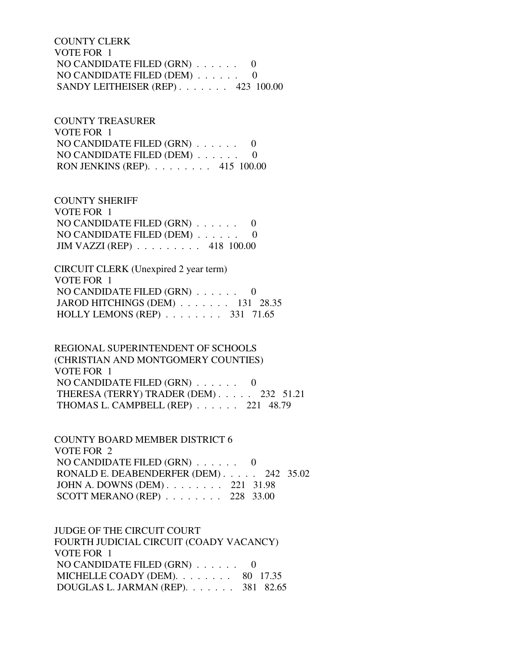COUNTY CLERK VOTE FOR 1 NO CANDIDATE FILED (GRN) . . . . . . 0 NO CANDIDATE FILED (DEM) . . . . . . 0 SANDY LEITHEISER (REP) . . . . . . . 423 100.00

 COUNTY TREASURER VOTE FOR 1 NO CANDIDATE FILED (GRN) . . . . . . 0 NO CANDIDATE FILED (DEM) . . . . . . 0 RON JENKINS (REP). . . . . . . . . 415 100.00

 COUNTY SHERIFF VOTE FOR 1 NO CANDIDATE FILED (GRN) . . . . . . 0 NO CANDIDATE FILED (DEM) . . . . . . 0 JIM VAZZI (REP) . . . . . . . . . 418 100.00

 CIRCUIT CLERK (Unexpired 2 year term) VOTE FOR 1 NO CANDIDATE FILED (GRN) . . . . . . 0 JAROD HITCHINGS (DEM) . . . . . . . 131 28.35 HOLLY LEMONS (REP) . . . . . . . . 331 71.65

 REGIONAL SUPERINTENDENT OF SCHOOLS (CHRISTIAN AND MONTGOMERY COUNTIES) VOTE FOR 1 NO CANDIDATE FILED  $(GRN)$  . . . . . . 0 THERESA (TERRY) TRADER (DEM) . . . . . 232 51.21 THOMAS L. CAMPBELL (REP) . . . . . . 221 48.79

 COUNTY BOARD MEMBER DISTRICT 6 VOTE FOR 2 NO CANDIDATE FILED (GRN) . . . . . . 0 RONALD E. DEABENDERFER (DEM) . . . . . 242 35.02 JOHN A. DOWNS (DEM) . . . . . . . . 221 31.98 SCOTT MERANO (REP) . . . . . . . . 228 33.00

 JUDGE OF THE CIRCUIT COURT FOURTH JUDICIAL CIRCUIT (COADY VACANCY) VOTE FOR 1 NO CANDIDATE FILED (GRN) . . . . . . 0 MICHELLE COADY (DEM). . . . . . . . 80 17.35 DOUGLAS L. JARMAN (REP). . . . . . . 381 82.65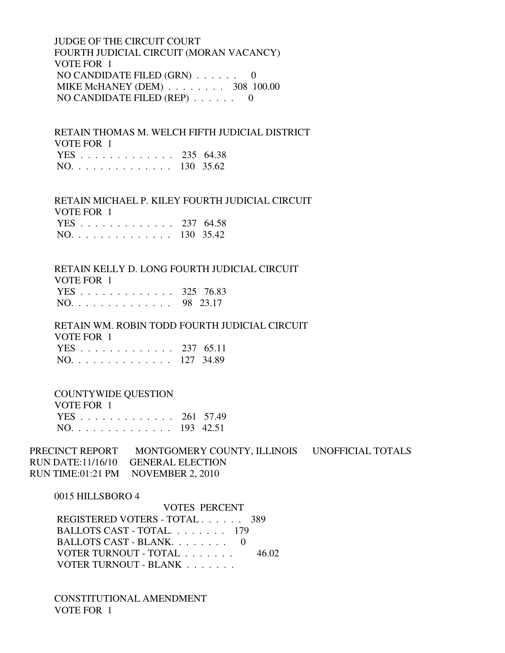JUDGE OF THE CIRCUIT COURT FOURTH JUDICIAL CIRCUIT (MORAN VACANCY) VOTE FOR 1 NO CANDIDATE FILED (GRN) . . . . . . 0 MIKE McHANEY (DEM) . . . . . . . . 308 100.00 NO CANDIDATE FILED (REP) . . . . . . 0

 RETAIN THOMAS M. WELCH FIFTH JUDICIAL DISTRICT VOTE FOR 1 YES . . . . . . . . . . . . . 235 64.38

|  |  |  |  |  |  |  |  |  |  |  |  |  |  |  |  | NO. 130 35.62 |
|--|--|--|--|--|--|--|--|--|--|--|--|--|--|--|--|---------------|
|--|--|--|--|--|--|--|--|--|--|--|--|--|--|--|--|---------------|

### RETAIN MICHAEL P. KILEY FOURTH JUDICIAL CIRCUIT VOTE FOR 1 YES . . . . . . . . . . . . . 237 64.58

|  |  |  |  |  |  |  |  | --------      |
|--|--|--|--|--|--|--|--|---------------|
|  |  |  |  |  |  |  |  | NO. 130 35.42 |

# RETAIN KELLY D. LONG FOURTH JUDICIAL CIRCUIT

VOTE FOR 1

|  |  |  |  |  |  |  |  | YES 325 76.83 |
|--|--|--|--|--|--|--|--|---------------|
|  |  |  |  |  |  |  |  | NO. 98 23.17  |

 RETAIN WM. ROBIN TODD FOURTH JUDICIAL CIRCUIT VOTE FOR 1 YES . . . . . . . . . . . . . 237 65.11 NO. . . . . . . . . . . . . . 127 34.89

# COUNTYWIDE QUESTION

| VOTE FOR 1    |  |
|---------------|--|
| YES 261 57.49 |  |
| NO. 193 42.51 |  |

# PRECINCT REPORT MONTGOMERY COUNTY, ILLINOIS UNOFFICIAL TOTALS RUN DATE:11/16/10 GENERAL ELECTION RUN TIME:01:21 PM NOVEMBER 2, 2010

### 0015 HILLSBORO 4

 VOTES PERCENT REGISTERED VOTERS - TOTAL . . . . . . 389 BALLOTS CAST - TOTAL. . . . . . . . 179 BALLOTS CAST - BLANK. . . . . . . . 0 VOTER TURNOUT - TOTAL . . . . . . . 46.02 VOTER TURNOUT - BLANK . . . . . . .

 CONSTITUTIONAL AMENDMENT VOTE FOR 1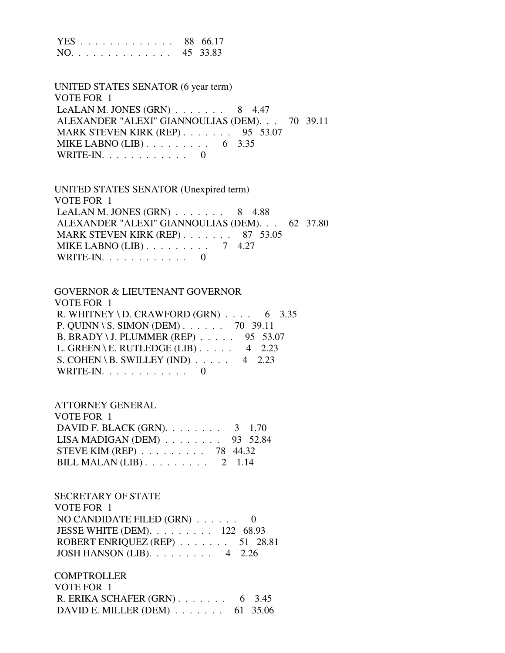|  |  |  |  |  |  |  | YES 88 66.17 |
|--|--|--|--|--|--|--|--------------|
|  |  |  |  |  |  |  | NO. 45 33.83 |

 UNITED STATES SENATOR (6 year term) VOTE FOR 1 LeALAN M. JONES  $(GRN)$ ...... 8 4.47 ALEXANDER "ALEXI" GIANNOULIAS (DEM). . . 70 39.11 MARK STEVEN KIRK (REP) . . . . . . . 95 53.07 MIKE LABNO (LIB) . . . . . . . . . . 6 3.35 WRITE-IN.  $\ldots$  . . . . . . . . 0

 UNITED STATES SENATOR (Unexpired term) VOTE FOR 1 LeALAN M. JONES  $(GRN)$ ...... 8 4.88 ALEXANDER "ALEXI" GIANNOULIAS (DEM). . . 62 37.80 MARK STEVEN KIRK (REP) . . . . . . . 87 53.05 MIKE LABNO (LIB) . . . . . . . . . 7 4.27 WRITE-IN.  $\ldots$  . . . . . . . . . 0

 GOVERNOR & LIEUTENANT GOVERNOR VOTE FOR 1 R. WHITNEY \ D. CRAWFORD (GRN)  $\ldots$  . 6 3.35 P. QUINN \ S. SIMON (DEM) . . . . . . 70 39.11 B. BRADY \ J. PLUMMER (REP) . . . . . 95 53.07 L. GREEN \ E. RUTLEDGE (LIB)  $\ldots$  4 2.23 S. COHEN \ B. SWILLEY (IND)  $\ldots$  . . . 4 2.23 WRITE-IN. . . . . . . . . . . . 0

 ATTORNEY GENERAL VOTE FOR 1 DAVID F. BLACK (GRN). . . . . . . . 3 1.70 LISA MADIGAN (DEM) . . . . . . . . 93 52.84 STEVE KIM (REP) . . . . . . . . . 78 44.32 BILL MALAN (LIB) . . . . . . . . . 2 1.14

 SECRETARY OF STATE VOTE FOR 1 NO CANDIDATE FILED (GRN) . . . . . . 0 JESSE WHITE (DEM). . . . . . . . . 122 68.93 ROBERT ENRIQUEZ (REP) . . . . . . . 51 28.81 JOSH HANSON (LIB). . . . . . . . . 4 2.26

**COMPTROLLER**  VOTE FOR 1 R. ERIKA SCHAFER (GRN) . . . . . . . 6 3.45 DAVID E. MILLER (DEM) . . . . . . . 61 35.06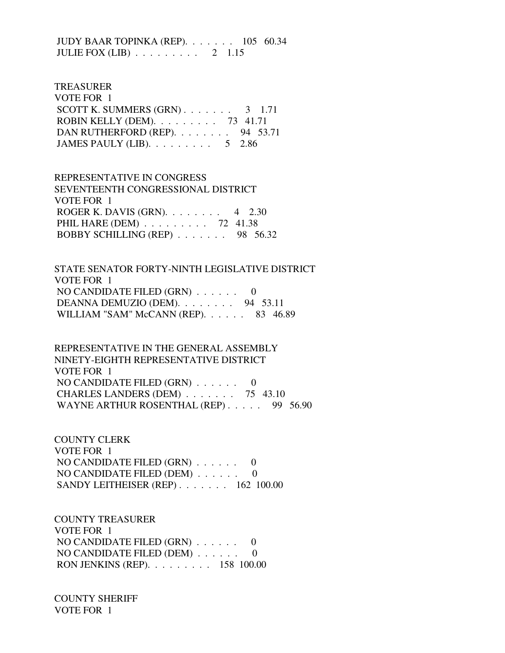JUDY BAAR TOPINKA (REP). . . . . . . 105 60.34 JULIE FOX (LIB) . . . . . . . . . 2 1.15

#### TREASURER

| VOTE FOR 1                                       |  |
|--------------------------------------------------|--|
| SCOTT K. SUMMERS $(GRN)$ 3 1.71                  |  |
| ROBIN KELLY (DEM). $\ldots$ 73 41.71             |  |
| DAN RUTHERFORD (REP). 94 53.71                   |  |
| JAMES PAULY (LIB). $\ldots \ldots \ldots 5$ 2.86 |  |

# REPRESENTATIVE IN CONGRESS SEVENTEENTH CONGRESSIONAL DISTRICT VOTE FOR 1 ROGER K. DAVIS (GRN). . . . . . . . 4 2.30 PHIL HARE (DEM) . . . . . . . . . 72 41.38 BOBBY SCHILLING (REP) . . . . . . . 98 56.32

 STATE SENATOR FORTY-NINTH LEGISLATIVE DISTRICT VOTE FOR 1 NO CANDIDATE FILED (GRN) . . . . . . 0 DEANNA DEMUZIO (DEM). . . . . . . . 94 53.11 WILLIAM "SAM" McCANN (REP). . . . . . 83 46.89

 REPRESENTATIVE IN THE GENERAL ASSEMBLY NINETY-EIGHTH REPRESENTATIVE DISTRICT VOTE FOR 1 NO CANDIDATE FILED (GRN) . . . . . . 0 CHARLES LANDERS (DEM) . . . . . . . 75 43.10 WAYNE ARTHUR ROSENTHAL (REP) . . . . . 99 56.90

 COUNTY CLERK VOTE FOR 1 NO CANDIDATE FILED (GRN) . . . . . . 0 NO CANDIDATE FILED (DEM) . . . . . . 0 SANDY LEITHEISER (REP) . . . . . . . 162 100.00

 COUNTY TREASURER VOTE FOR 1 NO CANDIDATE FILED (GRN) . . . . . . 0 NO CANDIDATE FILED (DEM) . . . . . . 0 RON JENKINS (REP). . . . . . . . . 158 100.00

 COUNTY SHERIFF VOTE FOR 1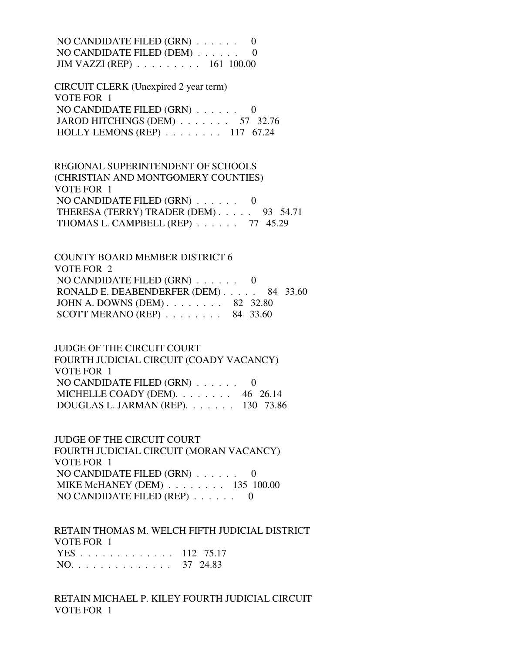NO CANDIDATE FILED (GRN) . . . . . . 0 NO CANDIDATE FILED (DEM) . . . . . . 0 JIM VAZZI (REP) . . . . . . . . . 161 100.00

 CIRCUIT CLERK (Unexpired 2 year term) VOTE FOR 1 NO CANDIDATE FILED (GRN) . . . . . . 0 JAROD HITCHINGS (DEM) . . . . . . . 57 32.76 HOLLY LEMONS (REP) . . . . . . . . 117 67.24

 REGIONAL SUPERINTENDENT OF SCHOOLS (CHRISTIAN AND MONTGOMERY COUNTIES) VOTE FOR 1 NO CANDIDATE FILED (GRN) . . . . . . 0 THERESA (TERRY) TRADER (DEM) . . . . . 93 54.71 THOMAS L. CAMPBELL (REP) . . . . . . 77 45.29

 COUNTY BOARD MEMBER DISTRICT 6 VOTE FOR 2 NO CANDIDATE FILED (GRN) . . . . . . 0 RONALD E. DEABENDERFER (DEM) . . . . . 84 33.60 JOHN A. DOWNS (DEM) . . . . . . . . 82 32.80 SCOTT MERANO (REP) . . . . . . . . 84 33.60

 JUDGE OF THE CIRCUIT COURT FOURTH JUDICIAL CIRCUIT (COADY VACANCY) VOTE FOR 1 NO CANDIDATE FILED (GRN) . . . . . . 0 MICHELLE COADY (DEM). . . . . . . 46 26.14 DOUGLAS L. JARMAN (REP). . . . . . . 130 73.86

 JUDGE OF THE CIRCUIT COURT FOURTH JUDICIAL CIRCUIT (MORAN VACANCY) VOTE FOR 1 NO CANDIDATE FILED (GRN) . . . . . . 0 MIKE McHANEY (DEM) . . . . . . . . 135 100.00 NO CANDIDATE FILED (REP) . . . . . . 0

 RETAIN THOMAS M. WELCH FIFTH JUDICIAL DISTRICT VOTE FOR 1 YES . . . . . . . . . . . . . 112 75.17 NO. . . . . . . . . . . . . . 37 24.83

 RETAIN MICHAEL P. KILEY FOURTH JUDICIAL CIRCUIT VOTE FOR 1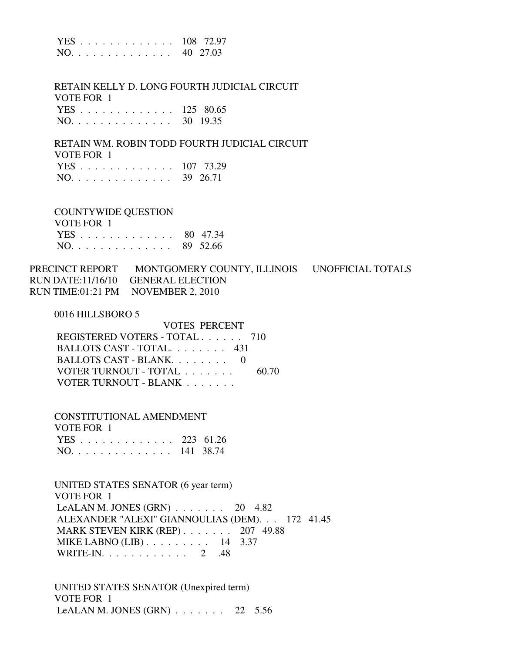|  |  |  |  |  |  |  |  | YES 108 72.97 |
|--|--|--|--|--|--|--|--|---------------|
|  |  |  |  |  |  |  |  | NO. 40 27.03  |

 RETAIN KELLY D. LONG FOURTH JUDICIAL CIRCUIT VOTE FOR 1 YES . . . . . . . . . . . . . 125 80.65

|     |  |  |  |  |  |  |  | 113 123 00.0 <i>0</i> |
|-----|--|--|--|--|--|--|--|-----------------------|
| NO. |  |  |  |  |  |  |  | 30 19.35              |

 RETAIN WM. ROBIN TODD FOURTH JUDICIAL CIRCUIT VOTE FOR 1 YES . . . . . . . . . . . . . 107 73.29

COUNTYWIDE QUESTION

 VOTE FOR 1 YES . . . . . . . . . . . . . 80 47.34 NO. . . . . . . . . . . . . . 89 52.66

PRECINCT REPORT MONTGOMERY COUNTY, ILLINOIS UNOFFICIAL TOTALS RUN DATE:11/16/10 GENERAL ELECTION RUN TIME:01:21 PM NOVEMBER 2, 2010

0016 HILLSBORO 5

 VOTES PERCENT REGISTERED VOTERS - TOTAL . . . . . . 710 BALLOTS CAST - TOTAL. . . . . . . . 431 BALLOTS CAST - BLANK. . . . . . . . 0 VOTER TURNOUT - TOTAL . . . . . . . 60.70 VOTER TURNOUT - BLANK . . . . . . .

 CONSTITUTIONAL AMENDMENT VOTE FOR 1 YES . . . . . . . . . . . . . 223 61.26 NO. . . . . . . . . . . . . . 141 38.74

 UNITED STATES SENATOR (6 year term) VOTE FOR 1 LeALAN M. JONES (GRN) . . . . . . . 20 4.82 ALEXANDER "ALEXI" GIANNOULIAS (DEM). . . 172 41.45 MARK STEVEN KIRK (REP) . . . . . . . 207 49.88 MIKE LABNO (LIB) . . . . . . . . . 14 3.37 WRITE-IN. . . . . . . . . . . . 2 .48

 UNITED STATES SENATOR (Unexpired term) VOTE FOR 1 LeALAN M. JONES  $(GRN)$  . . . . . . . 22 5.56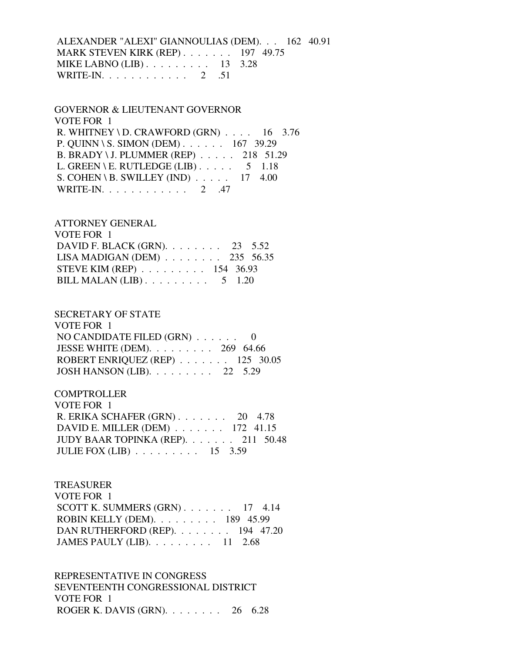ALEXANDER "ALEXI" GIANNOULIAS (DEM). . . 162 40.91 MARK STEVEN KIRK (REP) . . . . . . . 197 49.75 MIKE LABNO (LIB) . . . . . . . . . 13 3.28 WRITE-IN. . . . . . . . . . . . . 2 .51

 GOVERNOR & LIEUTENANT GOVERNOR VOTE FOR 1 R. WHITNEY \ D. CRAWFORD  $(GRN)$  . . . . 16 3.76 P. QUINN \ S. SIMON (DEM) . . . . . . 167 39.29 B. BRADY \ J. PLUMMER (REP) . . . . . 218 51.29 L. GREEN \ E. RUTLEDGE (LIB)  $\ldots$  . . . . 5 1.18 S. COHEN \ B. SWILLEY (IND)  $\ldots$  . . . 17 4.00 WRITE-IN. . . . . . . . . . . . 2 .47

### ATTORNEY GENERAL

| VOTE FOR 1                                              |  |  |
|---------------------------------------------------------|--|--|
| DAVID F. BLACK (GRN). $\ldots$ 23 5.52                  |  |  |
| LISA MADIGAN (DEM) $\ldots$ 235 56.35                   |  |  |
| STEVE KIM (REP) $\ldots \ldots \ldots \ldots$ 154 36.93 |  |  |
| BILL MALAN (LIB) $\ldots \ldots \ldots 5$ 1.20          |  |  |

### SECRETARY OF STATE

| VOTE FOR 1                                          |  |
|-----------------------------------------------------|--|
| NO CANDIDATE FILED $(GRN)$ 0                        |  |
| JESSE WHITE (DEM). $\ldots \ldots \ldots$ 269 64.66 |  |
| ROBERT ENRIQUEZ (REP) $\ldots$ 125 30.05            |  |
| JOSH HANSON (LIB). $\ldots$ 22 5.29                 |  |

#### **COMPTROLLER**

| VOTE FOR 1                                            |  |
|-------------------------------------------------------|--|
| R. ERIKA SCHAFER $(GRN)$ 20 4.78                      |  |
| DAVID E. MILLER (DEM) $\ldots$ 172 41.15              |  |
| JUDY BAAR TOPINKA (REP). 211 50.48                    |  |
| JULIE FOX (LIB) $\ldots \ldots \ldots \ldots 15$ 3.59 |  |

#### TREASURER

| VOTE FOR 1                                        |  |  |
|---------------------------------------------------|--|--|
| SCOTT K. SUMMERS $(GRN)$ 17 4.14                  |  |  |
| ROBIN KELLY (DEM). $\ldots$ 189 45.99             |  |  |
| DAN RUTHERFORD (REP). 194 47.20                   |  |  |
| JAMES PAULY (LIB). $\ldots \ldots \ldots 11$ 2.68 |  |  |

 REPRESENTATIVE IN CONGRESS SEVENTEENTH CONGRESSIONAL DISTRICT VOTE FOR 1 ROGER K. DAVIS (GRN). . . . . . . . 26 6.28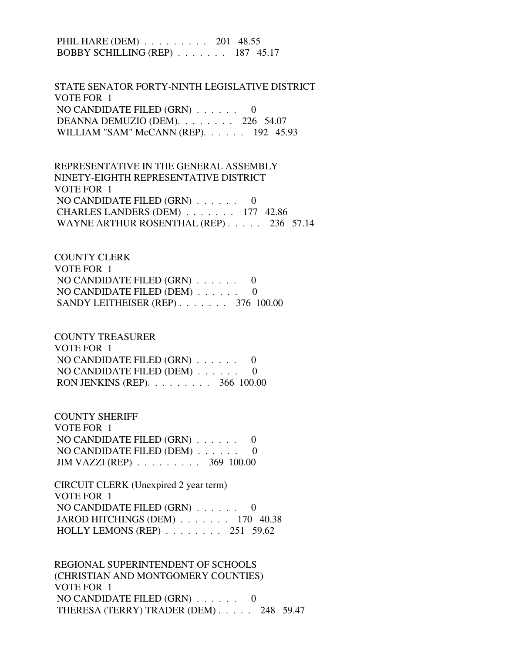PHIL HARE (DEM) . . . . . . . . . 201 48.55 BOBBY SCHILLING (REP) . . . . . . . 187 45.17

 STATE SENATOR FORTY-NINTH LEGISLATIVE DISTRICT VOTE FOR 1 NO CANDIDATE FILED (GRN) . . . . . . 0 DEANNA DEMUZIO (DEM). . . . . . . . 226 54.07 WILLIAM "SAM" McCANN (REP). . . . . . 192 45.93

 REPRESENTATIVE IN THE GENERAL ASSEMBLY NINETY-EIGHTH REPRESENTATIVE DISTRICT VOTE FOR 1 NO CANDIDATE FILED (GRN) . . . . . . 0 CHARLES LANDERS (DEM) . . . . . . . 177 42.86 WAYNE ARTHUR ROSENTHAL (REP) . . . . . 236 57.14

 COUNTY CLERK VOTE FOR 1 NO CANDIDATE FILED (GRN) . . . . . . 0 NO CANDIDATE FILED (DEM) . . . . . . 0 SANDY LEITHEISER (REP) . . . . . . . 376 100.00

 COUNTY TREASURER VOTE FOR 1 NO CANDIDATE FILED (GRN) . . . . . . 0 NO CANDIDATE FILED (DEM) . . . . . . 0 RON JENKINS (REP). . . . . . . . . 366 100.00

 COUNTY SHERIFF VOTE FOR 1 NO CANDIDATE FILED (GRN) . . . . . . 0 NO CANDIDATE FILED (DEM) . . . . . . 0 JIM VAZZI (REP) . . . . . . . . . 369 100.00

 CIRCUIT CLERK (Unexpired 2 year term) VOTE FOR 1 NO CANDIDATE FILED (GRN) . . . . . . 0 JAROD HITCHINGS (DEM) . . . . . . . 170 40.38 HOLLY LEMONS (REP) . . . . . . . . 251 59.62

 REGIONAL SUPERINTENDENT OF SCHOOLS (CHRISTIAN AND MONTGOMERY COUNTIES) VOTE FOR 1 NO CANDIDATE FILED (GRN) . . . . . . 0 THERESA (TERRY) TRADER (DEM) . . . . . 248 59.47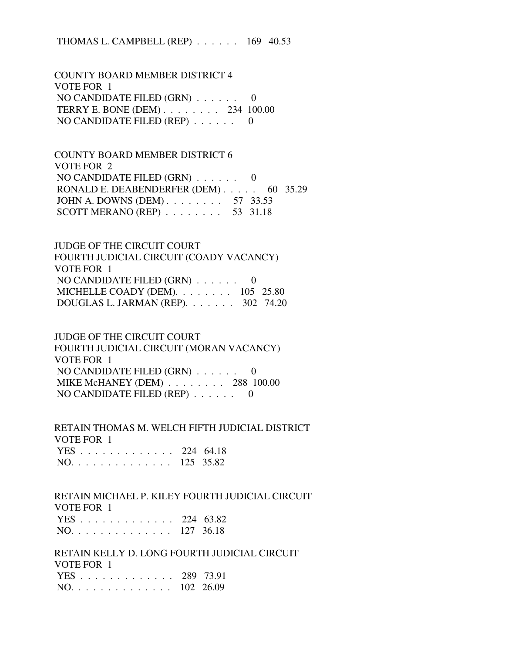THOMAS L. CAMPBELL (REP) . . . . . . 169 40.53

 COUNTY BOARD MEMBER DISTRICT 4 VOTE FOR 1 NO CANDIDATE FILED (GRN) . . . . . . 0 TERRY E. BONE (DEM) . . . . . . . . 234 100.00 NO CANDIDATE FILED (REP) . . . . . . 0

 COUNTY BOARD MEMBER DISTRICT 6 VOTE FOR 2 NO CANDIDATE FILED  $(GRN)$ ...... 0 RONALD E. DEABENDERFER (DEM) . . . . . 60 35.29 JOHN A. DOWNS (DEM) . . . . . . . . 57 33.53 SCOTT MERANO (REP) . . . . . . . . 53 31.18

 JUDGE OF THE CIRCUIT COURT FOURTH JUDICIAL CIRCUIT (COADY VACANCY) VOTE FOR 1 NO CANDIDATE FILED (GRN) . . . . . . 0 MICHELLE COADY (DEM). . . . . . . . 105 25.80 DOUGLAS L. JARMAN (REP). . . . . . . 302 74.20

 JUDGE OF THE CIRCUIT COURT FOURTH JUDICIAL CIRCUIT (MORAN VACANCY) VOTE FOR 1 NO CANDIDATE FILED (GRN) . . . . . . 0 MIKE McHANEY (DEM) . . . . . . . . 288 100.00 NO CANDIDATE FILED (REP) . . . . . . 0

 RETAIN THOMAS M. WELCH FIFTH JUDICIAL DISTRICT VOTE FOR 1 YES . . . . . . . . . . . . . 224 64.18 NO. . . . . . . . . . . . . . 125 35.82

 RETAIN MICHAEL P. KILEY FOURTH JUDICIAL CIRCUIT VOTE FOR 1 YES . . . . . . . . . . . . . 224 63.82 NO. . . . . . . . . . . . . . 127 36.18

 RETAIN KELLY D. LONG FOURTH JUDICIAL CIRCUIT VOTE FOR 1 YES . . . . . . . . . . . . . 289 73.91 NO. . . . . . . . . . . . . . 102 26.09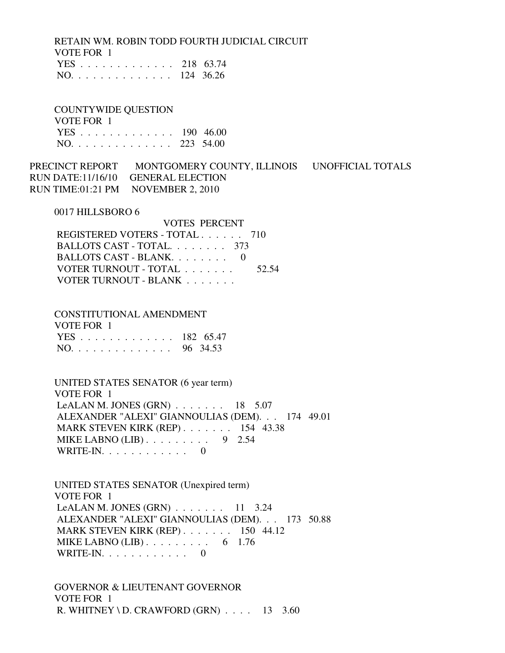RETAIN WM. ROBIN TODD FOURTH JUDICIAL CIRCUIT VOTE FOR 1 YES . . . . . . . . . . . . . 218 63.74 NO. . . . . . . . . . . . . . 124 36.26

 COUNTYWIDE QUESTION VOTE FOR 1 YES . . . . . . . . . . . . . 190 46.00 NO. . . . . . . . . . . . . . 223 54.00

PRECINCT REPORT MONTGOMERY COUNTY, ILLINOIS UNOFFICIAL TOTALS RUN DATE:11/16/10 GENERAL ELECTION RUN TIME:01:21 PM NOVEMBER 2, 2010

0017 HILLSBORO 6

| <b>VOTES PERCENT</b>          |       |
|-------------------------------|-------|
| REGISTERED VOTERS - TOTAL 710 |       |
| BALLOTS CAST - TOTAL 373      |       |
| BALLOTS CAST - BLANK. 0       |       |
| VOTER TURNOUT - TOTAL         | 52.54 |
| VOTER TURNOUT - BLANK         |       |

 CONSTITUTIONAL AMENDMENT VOTE FOR 1 YES . . . . . . . . . . . . . 182 65.47 NO. . . . . . . . . . . . . . 96 34.53

 UNITED STATES SENATOR (6 year term) VOTE FOR 1 LeALAN M. JONES  $(GRN)$ ...... 18 5.07 ALEXANDER "ALEXI" GIANNOULIAS (DEM). . . 174 49.01 MARK STEVEN KIRK (REP) . . . . . . . 154 43.38 MIKE LABNO  $(LIB)$ ........ 9 2.54 WRITE-IN. . . . . . . . . . . . . . . 0

 UNITED STATES SENATOR (Unexpired term) VOTE FOR 1 LeALAN M. JONES  $(GRN)$  . . . . . . . 11 3.24 ALEXANDER "ALEXI" GIANNOULIAS (DEM). . . 173 50.88 MARK STEVEN KIRK (REP) . . . . . . . 150 44.12 MIKE LABNO  $(LIB)$ ........ 6 1.76 WRITE-IN. . . . . . . . . . . . 0

 GOVERNOR & LIEUTENANT GOVERNOR VOTE FOR 1 R. WHITNEY \ D. CRAWFORD  $(GRN)$  . . . . 13 3.60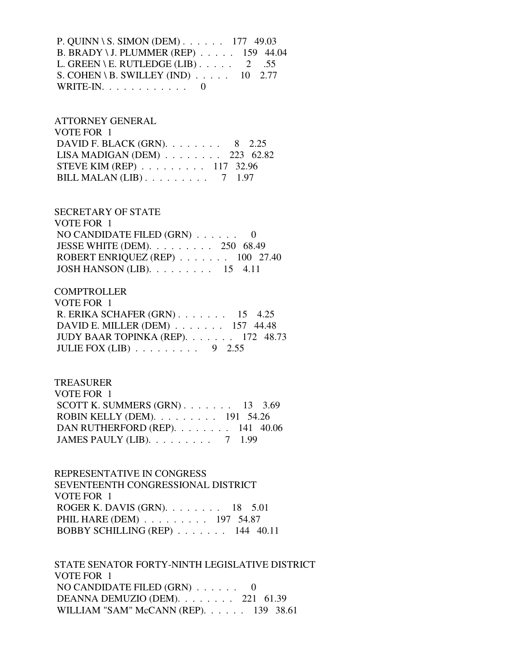P. QUINN \ S. SIMON (DEM) . . . . . . 177 49.03 B. BRADY \ J. PLUMMER (REP) . . . . . 159 44.04 L. GREEN \ E. RUTLEDGE (LIB)  $\ldots$  . . . . 2 .55 S. COHEN \ B. SWILLEY (IND) . . . . . 10 2.77 WRITE-IN.  $\ldots$  . . . . . . . . . 0

 ATTORNEY GENERAL VOTE FOR 1 DAVID F. BLACK (GRN). . . . . . . . 8 2.25 LISA MADIGAN (DEM) . . . . . . . . 223 62.82 STEVE KIM (REP) . . . . . . . . . 117 32.96 BILL MALAN  $(LIB)$ ........ 7 1.97

### SECRETARY OF STATE

 VOTE FOR 1 NO CANDIDATE FILED (GRN) . . . . . . 0 JESSE WHITE (DEM). . . . . . . . . 250 68.49 ROBERT ENRIQUEZ (REP) . . . . . . . 100 27.40 JOSH HANSON (LIB). . . . . . . . . 15 4.11

### **COMPTROLLER**

| VOTE FOR 1                                    |  |
|-----------------------------------------------|--|
| R. ERIKA SCHAFER $(GRN)$ 15 4.25              |  |
| DAVID E. MILLER (DEM) $\ldots$ 157 44.48      |  |
| JUDY BAAR TOPINKA (REP). $\ldots$ 172 48.73   |  |
| JULIE FOX (LIB) $\ldots \ldots \ldots$ 9 2.55 |  |

### TREASURER

| VOTE FOR 1                                       |  |  |
|--------------------------------------------------|--|--|
| SCOTT K. SUMMERS $(GRN)$ 13 3.69                 |  |  |
| ROBIN KELLY (DEM). $\ldots$ 191 54.26            |  |  |
| DAN RUTHERFORD (REP). 141 40.06                  |  |  |
| JAMES PAULY (LIB). $\ldots \ldots \ldots$ 7 1.99 |  |  |

# REPRESENTATIVE IN CONGRESS SEVENTEENTH CONGRESSIONAL DISTRICT VOTE FOR 1 ROGER K. DAVIS (GRN). . . . . . . . 18 5.01 PHIL HARE (DEM) . . . . . . . . . 197 54.87 BOBBY SCHILLING (REP) . . . . . . . 144 40.11

 STATE SENATOR FORTY-NINTH LEGISLATIVE DISTRICT VOTE FOR 1 NO CANDIDATE FILED (GRN) . . . . . . 0 DEANNA DEMUZIO (DEM). . . . . . . . 221 61.39 WILLIAM "SAM" McCANN (REP). . . . . . 139 38.61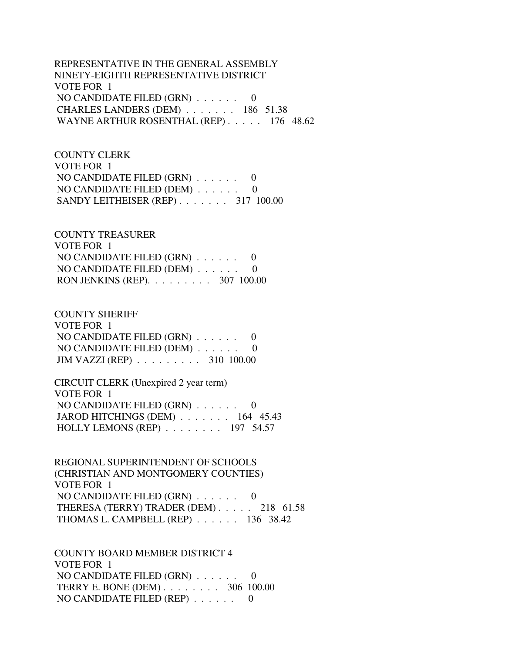REPRESENTATIVE IN THE GENERAL ASSEMBLY NINETY-EIGHTH REPRESENTATIVE DISTRICT VOTE FOR 1 NO CANDIDATE FILED (GRN) . . . . . . 0 CHARLES LANDERS (DEM) . . . . . . . 186 51.38 WAYNE ARTHUR ROSENTHAL (REP) . . . . . 176 48.62

 COUNTY CLERK VOTE FOR 1 NO CANDIDATE FILED (GRN) . . . . . . 0 NO CANDIDATE FILED (DEM) . . . . . . 0 SANDY LEITHEISER (REP) . . . . . . . 317 100.00

 COUNTY TREASURER VOTE FOR 1 NO CANDIDATE FILED (GRN) . . . . . . 0 NO CANDIDATE FILED (DEM) . . . . . . 0 RON JENKINS (REP). . . . . . . . . 307 100.00

 COUNTY SHERIFF VOTE FOR 1 NO CANDIDATE FILED (GRN) . . . . . . 0 NO CANDIDATE FILED (DEM) . . . . . . 0 JIM VAZZI (REP) . . . . . . . . . 310 100.00

 CIRCUIT CLERK (Unexpired 2 year term) VOTE FOR 1 NO CANDIDATE FILED (GRN) . . . . . . 0 JAROD HITCHINGS (DEM) . . . . . . . 164 45.43 HOLLY LEMONS (REP) . . . . . . . . 197 54.57

 REGIONAL SUPERINTENDENT OF SCHOOLS (CHRISTIAN AND MONTGOMERY COUNTIES) VOTE FOR 1 NO CANDIDATE FILED (GRN) . . . . . . 0 THERESA (TERRY) TRADER (DEM) . . . . . 218 61.58 THOMAS L. CAMPBELL (REP) . . . . . . 136 38.42

 COUNTY BOARD MEMBER DISTRICT 4 VOTE FOR 1 NO CANDIDATE FILED (GRN) . . . . . . 0 TERRY E. BONE (DEM) . . . . . . . . 306 100.00 NO CANDIDATE FILED (REP) . . . . . . 0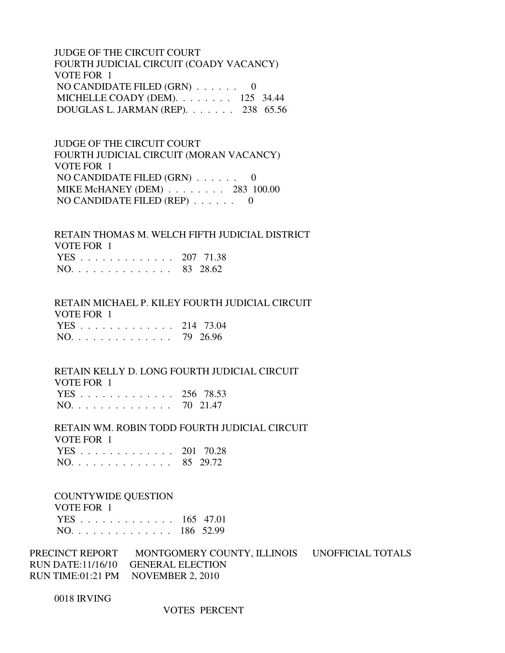JUDGE OF THE CIRCUIT COURT FOURTH JUDICIAL CIRCUIT (COADY VACANCY) VOTE FOR 1 NO CANDIDATE FILED  $(GRN)$  . . . . . . 0 MICHELLE COADY (DEM). . . . . . . . 125 34.44 DOUGLAS L. JARMAN (REP). . . . . . . 238 65.56

 JUDGE OF THE CIRCUIT COURT FOURTH JUDICIAL CIRCUIT (MORAN VACANCY) VOTE FOR 1 NO CANDIDATE FILED (GRN) . . . . . . 0 MIKE McHANEY (DEM) . . . . . . . . 283 100.00 NO CANDIDATE FILED (REP) . . . . . . 0

 RETAIN THOMAS M. WELCH FIFTH JUDICIAL DISTRICT VOTE FOR 1 YES . . . . . . . . . . . . . 207 71.38 NO. . . . . . . . . . . . . . 83 28.62

 RETAIN MICHAEL P. KILEY FOURTH JUDICIAL CIRCUIT VOTE FOR 1 YES . . . . . . . . . . . . . 214 73.04 NO. . . . . . . . . . . . . . 79 26.96

RETAIN KELLY D. LONG FOURTH JUDICIAL CIRCUIT

VOTE FOR 1

|     |  |  |  |  |  |  |  | YES 256 78.53 |
|-----|--|--|--|--|--|--|--|---------------|
| NO. |  |  |  |  |  |  |  | 70 21.47      |

 RETAIN WM. ROBIN TODD FOURTH JUDICIAL CIRCUIT VOTE FOR 1 YES . . . . . . . . . . . . . 201 70.28 NO. . . . . . . . . . . . . . 85 29.72

COUNTYWIDE QUESTION

| VOTE FOR 1    |  |
|---------------|--|
| YES 165 47.01 |  |
| NO. 186 52.99 |  |

PRECINCT REPORT MONTGOMERY COUNTY, ILLINOIS UNOFFICIAL TOTALS RUN DATE:11/16/10 GENERAL ELECTION RUN TIME:01:21 PM NOVEMBER 2, 2010

0018 IRVING

VOTES PERCENT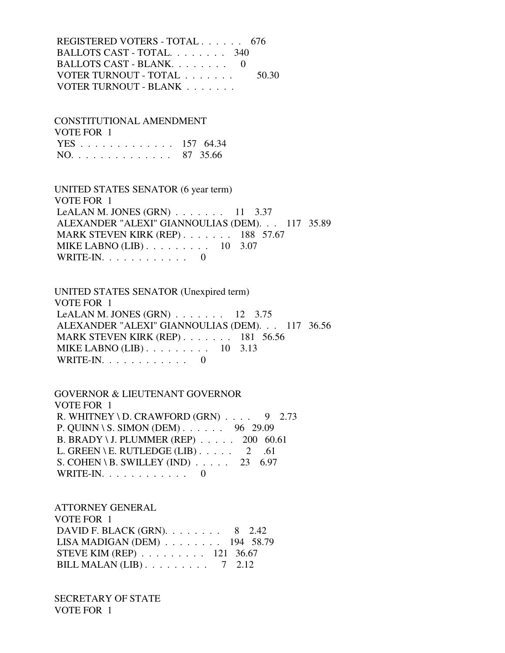REGISTERED VOTERS - TOTAL . . . . . . 676 BALLOTS CAST - TOTAL. . . . . . . . 340 BALLOTS CAST - BLANK. . . . . . . . 0 VOTER TURNOUT - TOTAL . . . . . . . 50.30 VOTER TURNOUT - BLANK . . . . . . .

 CONSTITUTIONAL AMENDMENT VOTE FOR 1 YES . . . . . . . . . . . . . 157 64.34 NO. . . . . . . . . . . . . . 87 35.66

 UNITED STATES SENATOR (6 year term) VOTE FOR 1 LeALAN M. JONES  $(GRN)$ ...... 11 3.37 ALEXANDER "ALEXI" GIANNOULIAS (DEM). . . 117 35.89 MARK STEVEN KIRK (REP) . . . . . . . 188 57.67 MIKE LABNO (LIB) . . . . . . . . . 10 3.07 WRITE-IN.  $\ldots$  . . . . . . . . . 0

 UNITED STATES SENATOR (Unexpired term) VOTE FOR 1 LeALAN M. JONES  $(GRN)$  . . . . . . . 12 3.75 ALEXANDER "ALEXI" GIANNOULIAS (DEM). . . 117 36.56 MARK STEVEN KIRK (REP) . . . . . . . 181 56.56 MIKE LABNO (LIB) . . . . . . . . . 10 3.13 WRITE-IN.  $\ldots$  . . . . . . . . 0

 GOVERNOR & LIEUTENANT GOVERNOR VOTE FOR 1 R. WHITNEY \ D. CRAWFORD (GRN)  $\ldots$  9 2.73 P. QUINN \ S. SIMON (DEM) . . . . . . 96 29.09 B. BRADY \ J. PLUMMER (REP) . . . . . 200 60.61 L. GREEN \ E. RUTLEDGE (LIB)  $\ldots$  . . . . 2 .61 S. COHEN \ B. SWILLEY (IND)  $\ldots$  . . . . 23 6.97 WRITE-IN.  $\ldots$  . . . . . . . . 0

 ATTORNEY GENERAL VOTE FOR 1 DAVID F. BLACK (GRN). . . . . . . . 8 2.42 LISA MADIGAN (DEM) . . . . . . . . 194 58.79 STEVE KIM (REP) . . . . . . . . . 121 36.67 BILL MALAN (LIB) . . . . . . . . . 7 2.12

 SECRETARY OF STATE VOTE FOR 1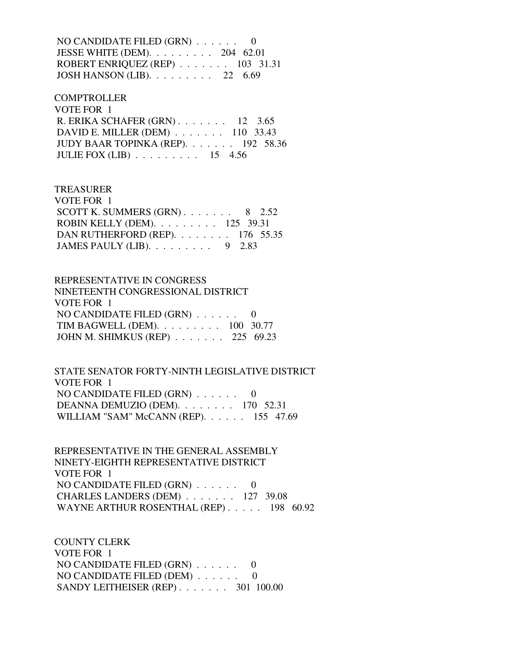NO CANDIDATE FILED (GRN) . . . . . . 0 JESSE WHITE (DEM). . . . . . . . . 204 62.01 ROBERT ENRIQUEZ (REP) . . . . . . . 103 31.31 JOSH HANSON (LIB). . . . . . . . . 22 6.69

 COMPTROLLER VOTE FOR 1 R. ERIKA SCHAFER (GRN) . . . . . . . 12 3.65 DAVID E. MILLER (DEM) . . . . . . . 110 33.43 JUDY BAAR TOPINKA (REP). . . . . . . 192 58.36 JULIE FOX (LIB) . . . . . . . . . 15 4.56

 TREASURER VOTE FOR 1 SCOTT K. SUMMERS  $(GRN)$ . . . . . . . 8 2.52 ROBIN KELLY (DEM). . . . . . . . . 125 39.31 DAN RUTHERFORD (REP). . . . . . . . 176 55.35 JAMES PAULY (LIB). . . . . . . . . 9 2.83

 REPRESENTATIVE IN CONGRESS NINETEENTH CONGRESSIONAL DISTRICT VOTE FOR 1 NO CANDIDATE FILED (GRN) . . . . . . 0 TIM BAGWELL (DEM). . . . . . . . . 100 30.77 JOHN M. SHIMKUS (REP) . . . . . . . 225 69.23

 STATE SENATOR FORTY-NINTH LEGISLATIVE DISTRICT VOTE FOR 1 NO CANDIDATE FILED (GRN) . . . . . . 0 DEANNA DEMUZIO (DEM). . . . . . . . 170 52.31 WILLIAM "SAM" McCANN (REP). . . . . . 155 47.69

 REPRESENTATIVE IN THE GENERAL ASSEMBLY NINETY-EIGHTH REPRESENTATIVE DISTRICT VOTE FOR 1 NO CANDIDATE FILED (GRN) . . . . . . 0 CHARLES LANDERS (DEM) . . . . . . . 127 39.08 WAYNE ARTHUR ROSENTHAL (REP) . . . . . 198 60.92

 COUNTY CLERK VOTE FOR 1 NO CANDIDATE FILED (GRN) . . . . . . 0 NO CANDIDATE FILED (DEM) . . . . . . 0 SANDY LEITHEISER (REP) . . . . . . . 301 100.00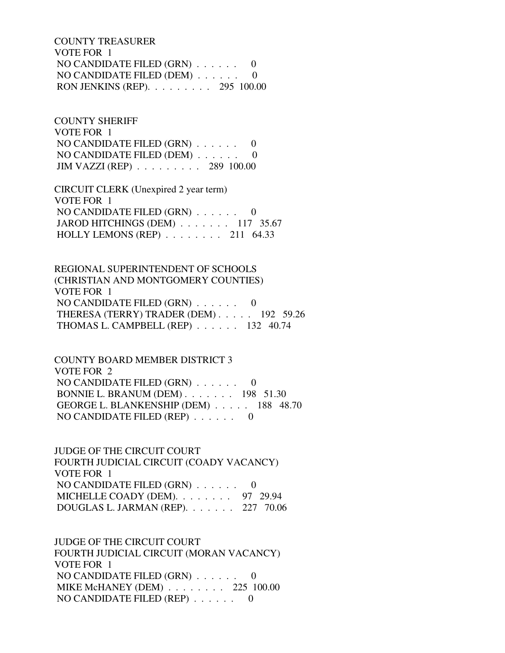COUNTY TREASURER VOTE FOR 1 NO CANDIDATE FILED (GRN) . . . . . . 0 NO CANDIDATE FILED (DEM) . . . . . . 0 RON JENKINS (REP). . . . . . . . . 295 100.00

 COUNTY SHERIFF VOTE FOR 1 NO CANDIDATE FILED (GRN) . . . . . . 0 NO CANDIDATE FILED (DEM) . . . . . . 0 JIM VAZZI (REP) . . . . . . . . . 289 100.00

 CIRCUIT CLERK (Unexpired 2 year term) VOTE FOR 1 NO CANDIDATE FILED (GRN) . . . . . . 0 JAROD HITCHINGS (DEM) . . . . . . . 117 35.67 HOLLY LEMONS (REP) . . . . . . . . 211 64.33

 REGIONAL SUPERINTENDENT OF SCHOOLS (CHRISTIAN AND MONTGOMERY COUNTIES) VOTE FOR 1 NO CANDIDATE FILED (GRN) . . . . . . 0 THERESA (TERRY) TRADER (DEM) . . . . . 192 59.26 THOMAS L. CAMPBELL (REP) . . . . . . 132 40.74

 COUNTY BOARD MEMBER DISTRICT 3 VOTE FOR 2 NO CANDIDATE FILED (GRN) . . . . . . 0 BONNIE L. BRANUM (DEM) . . . . . . . 198 51.30 GEORGE L. BLANKENSHIP (DEM) . . . . . 188 48.70 NO CANDIDATE FILED (REP) . . . . . . 0

 JUDGE OF THE CIRCUIT COURT FOURTH JUDICIAL CIRCUIT (COADY VACANCY) VOTE FOR 1 NO CANDIDATE FILED (GRN) . . . . . . 0 MICHELLE COADY (DEM). . . . . . . . 97 29.94 DOUGLAS L. JARMAN (REP). . . . . . . 227 70.06

 JUDGE OF THE CIRCUIT COURT FOURTH JUDICIAL CIRCUIT (MORAN VACANCY) VOTE FOR 1 NO CANDIDATE FILED (GRN) . . . . . . 0 MIKE McHANEY (DEM) . . . . . . . . 225 100.00 NO CANDIDATE FILED (REP) . . . . . . 0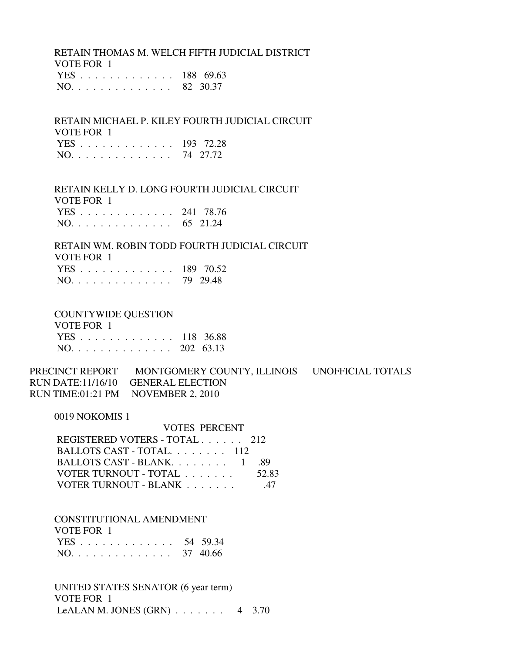RETAIN THOMAS M. WELCH FIFTH JUDICIAL DISTRICT VOTE FOR 1 YES . . . . . . . . . . . . . 188 69.63

NO. . . . . . . . . . . . . . 82 30.37

 RETAIN MICHAEL P. KILEY FOURTH JUDICIAL CIRCUIT VOTE FOR 1 YES . . . . . . . . . . . . . 193 72.28 NO. . . . . . . . . . . . . . 74 27.72

 RETAIN KELLY D. LONG FOURTH JUDICIAL CIRCUIT VOTE FOR 1 YES . . . . . . . . . . . . . 241 78.76 NO. . . . . . . . . . . . . . 65 21.24

 RETAIN WM. ROBIN TODD FOURTH JUDICIAL CIRCUIT VOTE FOR 1 YES . . . . . . . . . . . . . 189 70.52 NO. . . . . . . . . . . . . . 79 29.48

#### COUNTYWIDE QUESTION

| VOTE FOR 1    |  |
|---------------|--|
| YES 118 36.88 |  |
| NO. 202 63.13 |  |

PRECINCT REPORT MONTGOMERY COUNTY, ILLINOIS UNOFFICIAL TOTALS RUN DATE:11/16/10 GENERAL ELECTION RUN TIME:01:21 PM NOVEMBER 2, 2010

0019 NOKOMIS 1

|                               | <b>VOTES PERCENT</b> |  |  |  |  |
|-------------------------------|----------------------|--|--|--|--|
| REGISTERED VOTERS - TOTAL 212 |                      |  |  |  |  |
| BALLOTS CAST - TOTAL. 112     |                      |  |  |  |  |
| BALLOTS CAST - BLANK 1        | -89                  |  |  |  |  |
| VOTER TURNOUT - TOTAL         | 52.83                |  |  |  |  |
| VOTER TURNOUT - BLANK         | -47                  |  |  |  |  |

 CONSTITUTIONAL AMENDMENT VOTE FOR 1 YES . . . . . . . . . . . . . 54 59.34 NO. . . . . . . . . . . . . . 37 40.66

 UNITED STATES SENATOR (6 year term) VOTE FOR 1 LeALAN M. JONES  $(GRN)$  . . . . . . . 4 3.70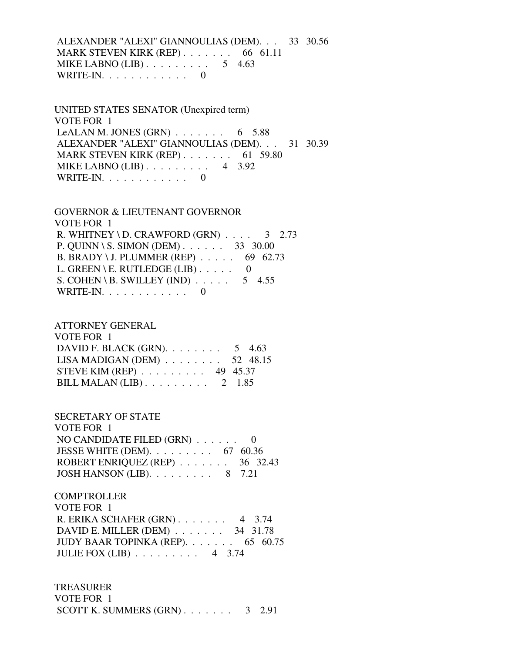ALEXANDER "ALEXI" GIANNOULIAS (DEM). . . 33 30.56 MARK STEVEN KIRK (REP) . . . . . . . . 66 61.11 MIKE LABNO  $(LIB)$ ........ 5 4.63 WRITE-IN.  $\ldots$  . . . . . . . . . 0

 UNITED STATES SENATOR (Unexpired term) VOTE FOR 1 LeALAN M. JONES  $(GRN)$  . . . . . . . 6 5.88 ALEXANDER "ALEXI" GIANNOULIAS (DEM). . . 31 30.39 MARK STEVEN KIRK (REP) . . . . . . . . 61 59.80 MIKE LABNO (LIB) . . . . . . . . . 4 3.92 WRITE-IN.  $\ldots$  . . . . . . . . 0

 GOVERNOR & LIEUTENANT GOVERNOR VOTE FOR 1 R. WHITNEY \ D. CRAWFORD  $(GRN)$  . . . . 3 2.73 P. QUINN \ S. SIMON (DEM) . . . . . . 33 30.00 B. BRADY \ J. PLUMMER (REP) . . . . . 69 62.73 L. GREEN \ E. RUTLEDGE (LIB)  $\ldots$  . . . 0 S. COHEN \ B. SWILLEY (IND)  $\ldots$  . . . . 5 4.55 WRITE-IN. . . . . . . . . . . . 0

#### ATTORNEY GENERAL

| VOTE FOR 1                                         |  |
|----------------------------------------------------|--|
| DAVID F. BLACK (GRN). $\ldots$ 5 4.63              |  |
| LISA MADIGAN (DEM) $\ldots \ldots \ldots$ 52 48.15 |  |
| STEVE KIM (REP) $\ldots \ldots \ldots$ 49 45.37    |  |
| BILL MALAN (LIB) $\ldots \ldots \ldots 2$ 1.85     |  |

#### SECRETARY OF STATE

| VOTE FOR 1                                         |  |
|----------------------------------------------------|--|
| NO CANDIDATE FILED $(GRN)$ 0                       |  |
| JESSE WHITE (DEM). $\ldots \ldots \ldots$ 67 60.36 |  |
| ROBERT ENRIQUEZ (REP) $\ldots$ 36 32.43            |  |
| JOSH HANSON (LIB). $\ldots \ldots \ldots$ 8 7.21   |  |

# **COMPTROLLER**

| VOTE FOR 1                                    |  |
|-----------------------------------------------|--|
| R. ERIKA SCHAFER $(GRN)$ . 4 3.74             |  |
| DAVID E. MILLER (DEM) $\ldots$ 34 31.78       |  |
| JUDY BAAR TOPINKA (REP). $\ldots$ 65 60.75    |  |
| JULIE FOX (LIB) $\ldots \ldots \ldots$ 4 3.74 |  |

#### TREASURER

| VOTE FOR 1                      |  |
|---------------------------------|--|
| SCOTT K. SUMMERS $(GRN)$ 3 2.91 |  |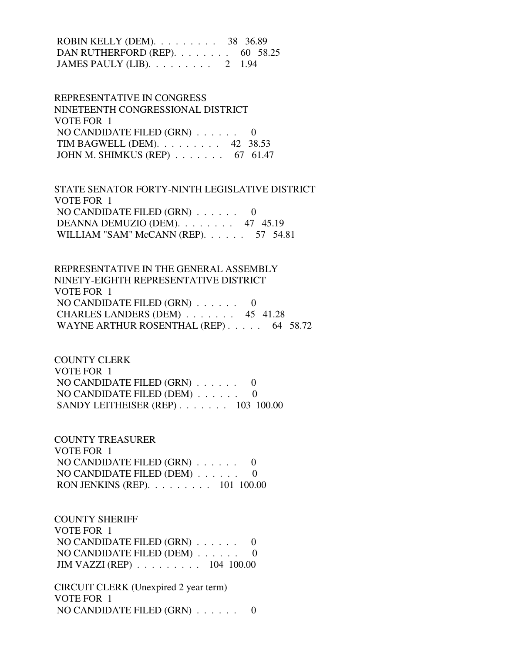ROBIN KELLY (DEM). . . . . . . . . 38 36.89 DAN RUTHERFORD (REP). . . . . . . . 60 58.25 JAMES PAULY (LIB). . . . . . . . . 2 1.94

 REPRESENTATIVE IN CONGRESS NINETEENTH CONGRESSIONAL DISTRICT VOTE FOR 1 NO CANDIDATE FILED (GRN) . . . . . . 0 TIM BAGWELL (DEM). . . . . . . . . 42 38.53 JOHN M. SHIMKUS (REP) . . . . . . . 67 61.47

 STATE SENATOR FORTY-NINTH LEGISLATIVE DISTRICT VOTE FOR 1 NO CANDIDATE FILED (GRN) . . . . . . 0 DEANNA DEMUZIO (DEM). . . . . . . . 47 45.19 WILLIAM "SAM" McCANN (REP). . . . . . 57 54.81

 REPRESENTATIVE IN THE GENERAL ASSEMBLY NINETY-EIGHTH REPRESENTATIVE DISTRICT VOTE FOR 1 NO CANDIDATE FILED (GRN) . . . . . . 0 CHARLES LANDERS (DEM) . . . . . . . 45 41.28 WAYNE ARTHUR ROSENTHAL (REP) . . . . . 64 58.72

 COUNTY CLERK VOTE FOR 1 NO CANDIDATE FILED (GRN) . . . . . . 0 NO CANDIDATE FILED (DEM) . . . . . . 0 SANDY LEITHEISER (REP) . . . . . . . 103 100.00

 COUNTY TREASURER VOTE FOR 1 NO CANDIDATE FILED (GRN) . . . . . . 0 NO CANDIDATE FILED (DEM) . . . . . . 0 RON JENKINS (REP). . . . . . . . . 101 100.00

 COUNTY SHERIFF VOTE FOR 1 NO CANDIDATE FILED (GRN) . . . . . . 0 NO CANDIDATE FILED (DEM) . . . . . . 0 JIM VAZZI (REP) . . . . . . . . . 104 100.00

 CIRCUIT CLERK (Unexpired 2 year term) VOTE FOR 1 NO CANDIDATE FILED (GRN) . . . . . . 0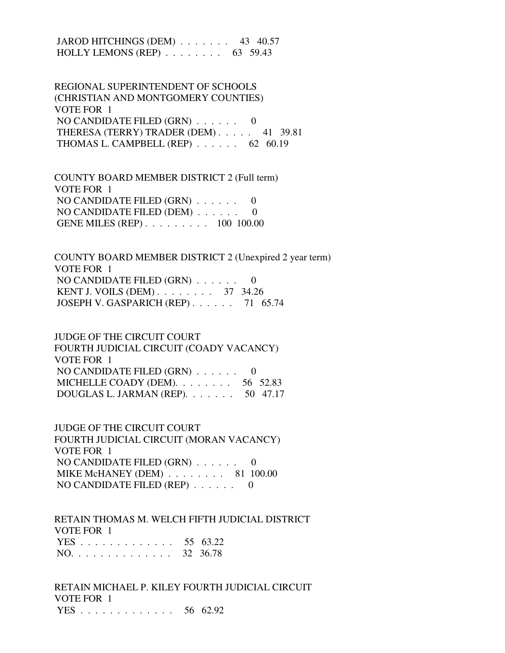JAROD HITCHINGS (DEM) . . . . . . . 43 40.57 HOLLY LEMONS (REP) . . . . . . . . 63 59.43

 REGIONAL SUPERINTENDENT OF SCHOOLS (CHRISTIAN AND MONTGOMERY COUNTIES) VOTE FOR 1 NO CANDIDATE FILED (GRN) . . . . . . 0 THERESA (TERRY) TRADER (DEM) . . . . . 41 39.81 THOMAS L. CAMPBELL (REP) . . . . . . 62 60.19

 COUNTY BOARD MEMBER DISTRICT 2 (Full term) VOTE FOR 1 NO CANDIDATE FILED (GRN) . . . . . . 0 NO CANDIDATE FILED (DEM) . . . . . . 0 GENE MILES (REP) . . . . . . . . . 100 100.00

 COUNTY BOARD MEMBER DISTRICT 2 (Unexpired 2 year term) VOTE FOR 1 NO CANDIDATE FILED (GRN) . . . . . . 0 KENT J. VOILS (DEM) . . . . . . . . 37 34.26 JOSEPH V. GASPARICH (REP) . . . . . . 71 65.74

 JUDGE OF THE CIRCUIT COURT FOURTH JUDICIAL CIRCUIT (COADY VACANCY) VOTE FOR 1 NO CANDIDATE FILED (GRN) . . . . . . 0 MICHELLE COADY (DEM). . . . . . . . 56 52.83 DOUGLAS L. JARMAN (REP). . . . . . . 50 47.17

 JUDGE OF THE CIRCUIT COURT FOURTH JUDICIAL CIRCUIT (MORAN VACANCY) VOTE FOR 1 NO CANDIDATE FILED (GRN) . . . . . . 0 MIKE McHANEY (DEM) . . . . . . . . 81 100.00 NO CANDIDATE FILED (REP) . . . . . . 0

 RETAIN THOMAS M. WELCH FIFTH JUDICIAL DISTRICT VOTE FOR 1 YES . . . . . . . . . . . . . 55 63.22 NO. . . . . . . . . . . . . . 32 36.78

 RETAIN MICHAEL P. KILEY FOURTH JUDICIAL CIRCUIT VOTE FOR 1 YES . . . . . . . . . . . . . 56 62.92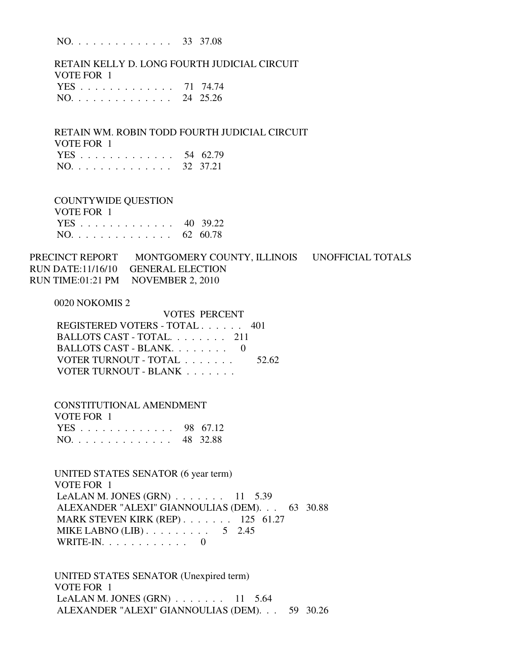NO. . . . . . . . . . . . . . 33 37.08

 RETAIN KELLY D. LONG FOURTH JUDICIAL CIRCUIT VOTE FOR 1 YES . . . . . . . . . . . . . 71 74.74 NO. . . . . . . . . . . . . . 24 25.26

 RETAIN WM. ROBIN TODD FOURTH JUDICIAL CIRCUIT VOTE FOR 1 YES . . . . . . . . . . . . . 54 62.79

| NO. 32 37.21 |  |  |  |  |  |  |  |  |  |  |  |  |  |  |  |
|--------------|--|--|--|--|--|--|--|--|--|--|--|--|--|--|--|
|--------------|--|--|--|--|--|--|--|--|--|--|--|--|--|--|--|

 COUNTYWIDE QUESTION VOTE FOR 1 YES . . . . . . . . . . . . . 40 39.22 NO. . . . . . . . . . . . . . 62 60.78

PRECINCT REPORT MONTGOMERY COUNTY, ILLINOIS UNOFFICIAL TOTALS RUN DATE:11/16/10 GENERAL ELECTION RUN TIME:01:21 PM NOVEMBER 2, 2010

0020 NOKOMIS 2

| VOTES PERCENT                 |       |
|-------------------------------|-------|
| REGISTERED VOTERS - TOTAL 401 |       |
| BALLOTS CAST - TOTAL 211      |       |
| BALLOTS CAST - BLANK. 0       |       |
| VOTER TURNOUT - TOTAL         | 52.62 |
| VOTER TURNOUT - BLANK         |       |
|                               |       |

 CONSTITUTIONAL AMENDMENT VOTE FOR 1 YES . . . . . . . . . . . . . 98 67.12 NO. . . . . . . . . . . . . . 48 32.88

 UNITED STATES SENATOR (6 year term) VOTE FOR 1 LeALAN M. JONES (GRN) . . . . . . . 11 5.39 ALEXANDER "ALEXI" GIANNOULIAS (DEM). . . 63 30.88 MARK STEVEN KIRK (REP) . . . . . . . 125 61.27 MIKE LABNO (LIB)  $\ldots$  . . . . . . . . 5 2.45 WRITE-IN.  $\ldots$  . . . . . . . . 0

 UNITED STATES SENATOR (Unexpired term) VOTE FOR 1 LeALAN M. JONES  $(GRN)$  . . . . . . . 11 5.64 ALEXANDER "ALEXI" GIANNOULIAS (DEM). . . 59 30.26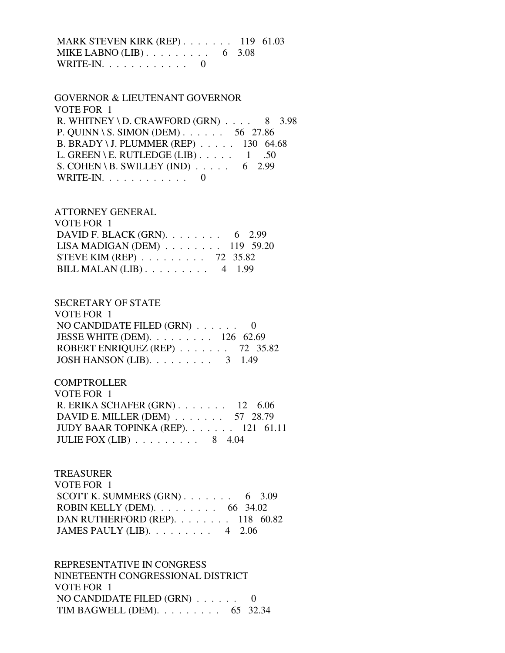MARK STEVEN KIRK (REP) . . . . . . . 119 61.03 MIKE LABNO (LIB) . . . . . . . . . . 6 3.08 WRITE-IN.  $\ldots$  . . . . . . . . . 0

## GOVERNOR & LIEUTENANT GOVERNOR VOTE FOR 1 R. WHITNEY \ D. CRAWFORD  $(GRN)$  . . . . 8 3.98 P. QUINN \ S. SIMON (DEM) . . . . . . 56 27.86 B. BRADY \ J. PLUMMER (REP) . . . . . 130 64.68 L. GREEN \ E. RUTLEDGE (LIB)  $\ldots$  . . . . 1 .50 S. COHEN \ B. SWILLEY (IND)  $\ldots$  . . . . 6 2.99 WRITE-IN.  $\ldots$  . . . . . . . . . 0

ATTORNEY GENERAL

| VOTE FOR 1                                      |  |
|-------------------------------------------------|--|
| DAVID F. BLACK (GRN). $\ldots$ 6 2.99           |  |
| LISA MADIGAN (DEM) $\ldots$ 119 59.20           |  |
| STEVE KIM (REP) $\ldots \ldots \ldots$ 72 35.82 |  |
| BILL MALAN $(LIB)$ 4 1.99                       |  |

#### SECRETARY OF STATE  $U$ OTE FOR 1

| VOTE FOR T                                          |  |
|-----------------------------------------------------|--|
| NO CANDIDATE FILED $(GRN)$ 0                        |  |
| JESSE WHITE (DEM). $\ldots \ldots \ldots 126$ 62.69 |  |
| ROBERT ENRIQUEZ (REP) $\ldots$ 72 35.82             |  |
| JOSH HANSON (LIB). $\ldots \ldots \ldots$ 3 1.49    |  |

## **COMPTROLLER**

| VOTE FOR 1                                    |  |
|-----------------------------------------------|--|
| R. ERIKA SCHAFER $(GRN)$ . 12 6.06            |  |
| DAVID E. MILLER (DEM) $\ldots$ 57 28.79       |  |
| JUDY BAAR TOPINKA (REP). $\ldots$ 121 61.11   |  |
| JULIE FOX (LIB) $\ldots \ldots \ldots 8$ 4.04 |  |

## TREASURER

| VOTE FOR 1                                         |  |  |
|----------------------------------------------------|--|--|
| SCOTT K. SUMMERS $(GRN)$ 6 3.09                    |  |  |
| ROBIN KELLY (DEM). $\ldots \ldots \ldots$ 66 34.02 |  |  |
| DAN RUTHERFORD (REP). $\ldots$ 118 60.82           |  |  |
| JAMES PAULY (LIB). $\ldots \ldots \ldots$ 4 2.06   |  |  |

 REPRESENTATIVE IN CONGRESS NINETEENTH CONGRESSIONAL DISTRICT VOTE FOR 1 NO CANDIDATE FILED  $(GRN)$  . . . . . . 0 TIM BAGWELL (DEM). . . . . . . . . 65 32.34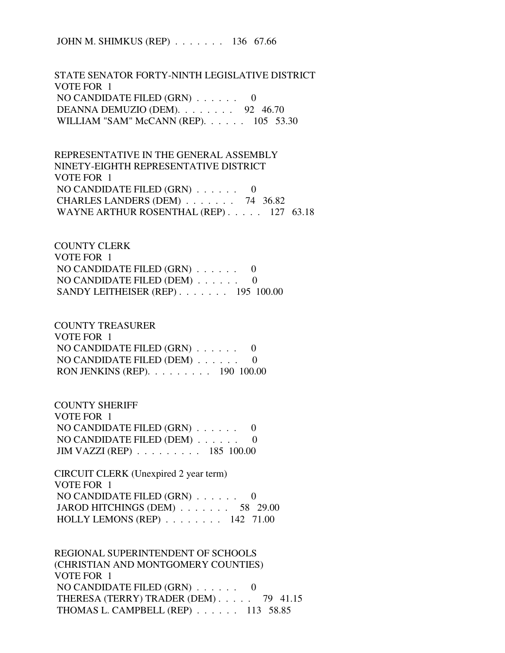JOHN M. SHIMKUS (REP) . . . . . . . 136 67.66

 STATE SENATOR FORTY-NINTH LEGISLATIVE DISTRICT VOTE FOR 1 NO CANDIDATE FILED (GRN) . . . . . . 0 DEANNA DEMUZIO (DEM). . . . . . . . 92 46.70 WILLIAM "SAM" McCANN (REP). . . . . . 105 53.30

 REPRESENTATIVE IN THE GENERAL ASSEMBLY NINETY-EIGHTH REPRESENTATIVE DISTRICT VOTE FOR 1 NO CANDIDATE FILED (GRN) . . . . . . 0 CHARLES LANDERS (DEM) . . . . . . . 74 36.82 WAYNE ARTHUR ROSENTHAL (REP) . . . . . 127 63.18

 COUNTY CLERK VOTE FOR 1 NO CANDIDATE FILED (GRN) . . . . . . 0 NO CANDIDATE FILED (DEM) . . . . . . 0 SANDY LEITHEISER (REP) . . . . . . . 195 100.00

 COUNTY TREASURER VOTE FOR 1 NO CANDIDATE FILED (GRN) . . . . . . 0 NO CANDIDATE FILED (DEM) . . . . . . 0 RON JENKINS (REP). . . . . . . . . 190 100.00

 COUNTY SHERIFF VOTE FOR 1 NO CANDIDATE FILED (GRN) . . . . . . 0 NO CANDIDATE FILED (DEM) . . . . . . 0 JIM VAZZI (REP) . . . . . . . . . 185 100.00

 CIRCUIT CLERK (Unexpired 2 year term) VOTE FOR 1 NO CANDIDATE FILED (GRN) . . . . . . 0 JAROD HITCHINGS (DEM) . . . . . . . 58 29.00 HOLLY LEMONS (REP) . . . . . . . . 142 71.00

 REGIONAL SUPERINTENDENT OF SCHOOLS (CHRISTIAN AND MONTGOMERY COUNTIES) VOTE FOR 1 NO CANDIDATE FILED (GRN) . . . . . . 0 THERESA (TERRY) TRADER (DEM) . . . . . 79 41.15 THOMAS L. CAMPBELL (REP) . . . . . . 113 58.85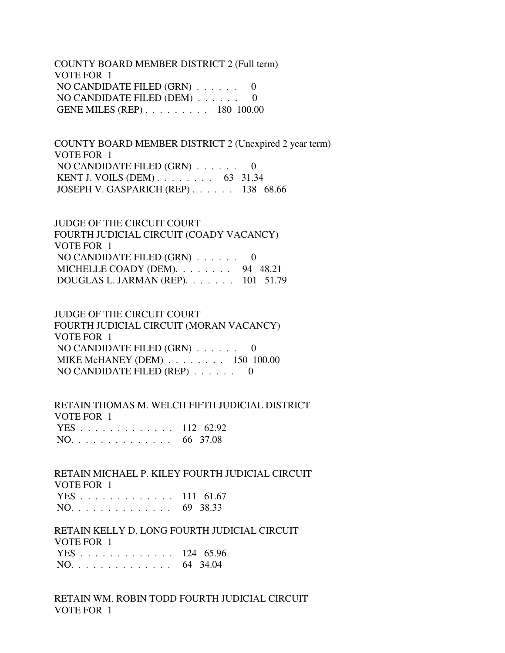COUNTY BOARD MEMBER DISTRICT 2 (Full term) VOTE FOR 1 NO CANDIDATE FILED (GRN) . . . . . . 0 NO CANDIDATE FILED (DEM)  $\ldots \ldots$  0 GENE MILES (REP) . . . . . . . . . 180 100.00

 COUNTY BOARD MEMBER DISTRICT 2 (Unexpired 2 year term) VOTE FOR 1 NO CANDIDATE FILED (GRN) . . . . . . 0 KENT J. VOILS (DEM) . . . . . . . . 63 31.34 JOSEPH V. GASPARICH (REP) . . . . . . 138 68.66

 JUDGE OF THE CIRCUIT COURT FOURTH JUDICIAL CIRCUIT (COADY VACANCY) VOTE FOR 1 NO CANDIDATE FILED (GRN) . . . . . . 0 MICHELLE COADY (DEM). . . . . . . . 94 48.21 DOUGLAS L. JARMAN (REP). . . . . . . 101 51.79

 JUDGE OF THE CIRCUIT COURT FOURTH JUDICIAL CIRCUIT (MORAN VACANCY) VOTE FOR 1 NO CANDIDATE FILED (GRN) . . . . . . 0 MIKE McHANEY (DEM) . . . . . . . . 150 100.00 NO CANDIDATE FILED (REP) . . . . . . 0

 RETAIN THOMAS M. WELCH FIFTH JUDICIAL DISTRICT VOTE FOR 1 YES . . . . . . . . . . . . . 112 62.92 NO. . . . . . . . . . . . . . 66 37.08

 RETAIN MICHAEL P. KILEY FOURTH JUDICIAL CIRCUIT VOTE FOR 1 YES . . . . . . . . . . . . . 111 61.67 NO. . . . . . . . . . . . . . 69 38.33

 RETAIN KELLY D. LONG FOURTH JUDICIAL CIRCUIT VOTE FOR 1 YES . . . . . . . . . . . . . 124 65.96 NO. . . . . . . . . . . . . . 64 34.04

 RETAIN WM. ROBIN TODD FOURTH JUDICIAL CIRCUIT VOTE FOR 1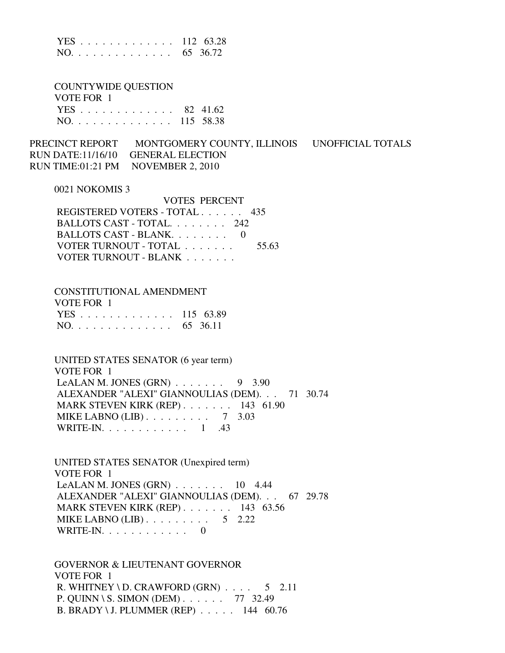|  |  |  |  |  |  |  |  | YES 112 63.28 |
|--|--|--|--|--|--|--|--|---------------|
|  |  |  |  |  |  |  |  | NO. 65 36.72  |

 COUNTYWIDE QUESTION VOTE FOR 1 YES . . . . . . . . . . . . . 82 41.62

NO. . . . . . . . . . . . . . 115 58.38

PRECINCT REPORT MONTGOMERY COUNTY, ILLINOIS UNOFFICIAL TOTALS RUN DATE:11/16/10 GENERAL ELECTION RUN TIME:01:21 PM NOVEMBER 2, 2010

#### 0021 NOKOMIS 3

| VOTES PERCENT                 |       |
|-------------------------------|-------|
| REGISTERED VOTERS - TOTAL 435 |       |
| BALLOTS CAST - TOTAL. 242     |       |
| BALLOTS CAST - BLANK          |       |
| VOTER TURNOUT - TOTAL         | 55.63 |
| VOTER TURNOUT - BLANK         |       |

#### CONSTITUTIONAL AMENDMENT

| VOTE FOR 1    |  |
|---------------|--|
| YES 115 63.89 |  |
| NO. 65 36.11  |  |

 UNITED STATES SENATOR (6 year term) VOTE FOR 1 LeALAN M. JONES  $(GRN)$  . . . . . . . 9 3.90 ALEXANDER "ALEXI" GIANNOULIAS (DEM). . . 71 30.74 MARK STEVEN KIRK (REP) . . . . . . . 143 61.90 MIKE LABNO (LIB) . . . . . . . . . 7 3.03 WRITE-IN. . . . . . . . . . . . 1 .43

 UNITED STATES SENATOR (Unexpired term) VOTE FOR 1 LeALAN M. JONES  $(GRN)$  . . . . . . . 10 4.44 ALEXANDER "ALEXI" GIANNOULIAS (DEM). . . 67 29.78 MARK STEVEN KIRK (REP) . . . . . . . 143 63.56 MIKE LABNO (LIB)  $\ldots$  . . . . . . . . 5 2.22 WRITE-IN. . . . . . . . . . . . 0

 GOVERNOR & LIEUTENANT GOVERNOR VOTE FOR 1 R. WHITNEY \ D. CRAWFORD  $(GRN)$  . . . . 5 2.11 P. QUINN \ S. SIMON (DEM) . . . . . . 77 32.49 B. BRADY \ J. PLUMMER (REP) . . . . . 144 60.76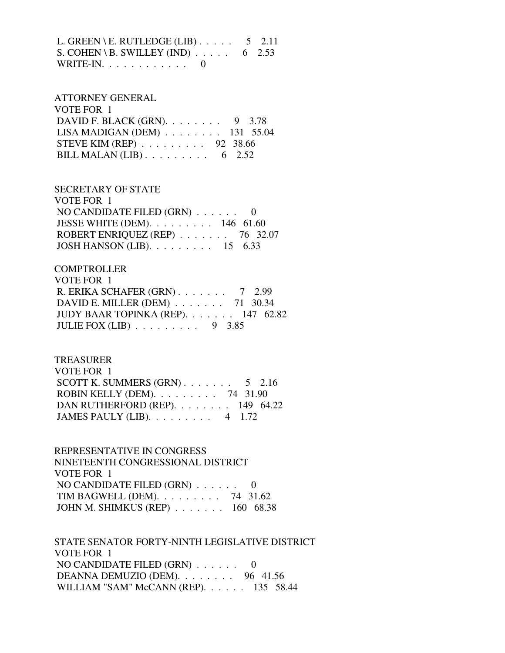L. GREEN \ E. RUTLEDGE (LIB)  $\ldots$  . . . . 5 2.11 S. COHEN \ B. SWILLEY (IND)  $\ldots$  . . . . 6 2.53 WRITE-IN.  $\ldots$  . . . . . . . . . 0

## ATTORNEY GENERAL VOTE FOR 1 DAVID F. BLACK (GRN). . . . . . . . 9 3.78 LISA MADIGAN (DEM) . . . . . . . . 131 55.04 STEVE KIM (REP) . . . . . . . . . 92 38.66 BILL MALAN (LIB)  $\ldots$  . . . . . . . . 6 2.52

 SECRETARY OF STATE VOTE FOR 1 NO CANDIDATE FILED (GRN) . . . . . . 0 JESSE WHITE (DEM). . . . . . . . . 146 61.60 ROBERT ENRIQUEZ (REP) . . . . . . . 76 32.07 JOSH HANSON (LIB). . . . . . . . . 15 6.33

## **COMPTROLLER**

| VOTE FOR 1                                    |  |  |
|-----------------------------------------------|--|--|
| R. ERIKA SCHAFER $(GRN)$ 7 2.99               |  |  |
| DAVID E. MILLER (DEM) $\ldots$ 71 30.34       |  |  |
| JUDY BAAR TOPINKA (REP). $\ldots$ 147 62.82   |  |  |
| JULIE FOX (LIB) $\ldots \ldots \ldots$ 9 3.85 |  |  |

#### TREASURER

| VOTE FOR 1                                         |  |
|----------------------------------------------------|--|
| SCOTT K. SUMMERS $(GRN)$ 5 2.16                    |  |
| ROBIN KELLY (DEM). $\ldots \ldots \ldots$ 74 31.90 |  |
| DAN RUTHERFORD (REP). $\ldots$ 149 64.22           |  |
| JAMES PAULY (LIB). $\ldots$ 4 1.72                 |  |

 REPRESENTATIVE IN CONGRESS NINETEENTH CONGRESSIONAL DISTRICT VOTE FOR 1 NO CANDIDATE FILED (GRN) . . . . . . 0 TIM BAGWELL (DEM). . . . . . . . . 74 31.62 JOHN M. SHIMKUS (REP) . . . . . . . 160 68.38

 STATE SENATOR FORTY-NINTH LEGISLATIVE DISTRICT VOTE FOR 1 NO CANDIDATE FILED (GRN) . . . . . . 0 DEANNA DEMUZIO (DEM). . . . . . . . 96 41.56 WILLIAM "SAM" McCANN (REP). . . . . . 135 58.44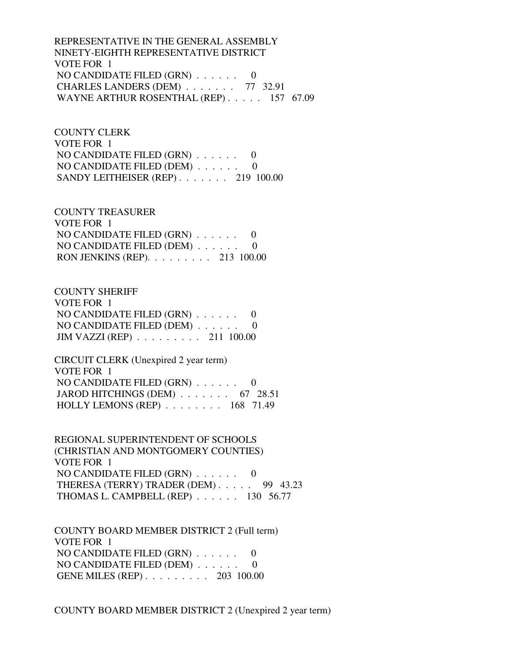REPRESENTATIVE IN THE GENERAL ASSEMBLY NINETY-EIGHTH REPRESENTATIVE DISTRICT VOTE FOR 1 NO CANDIDATE FILED (GRN) . . . . . . 0 CHARLES LANDERS (DEM) . . . . . . . 77 32.91 WAYNE ARTHUR ROSENTHAL (REP) . . . . . 157 67.09

 COUNTY CLERK VOTE FOR 1 NO CANDIDATE FILED (GRN) . . . . . . 0 NO CANDIDATE FILED (DEM) . . . . . . 0 SANDY LEITHEISER (REP) . . . . . . . 219 100.00

 COUNTY TREASURER VOTE FOR 1 NO CANDIDATE FILED (GRN) . . . . . . 0 NO CANDIDATE FILED (DEM) . . . . . . 0 RON JENKINS (REP). . . . . . . . . 213 100.00

 COUNTY SHERIFF VOTE FOR 1 NO CANDIDATE FILED (GRN) . . . . . . 0 NO CANDIDATE FILED (DEM) . . . . . . 0 JIM VAZZI (REP) . . . . . . . . . 211 100.00

 CIRCUIT CLERK (Unexpired 2 year term) VOTE FOR 1 NO CANDIDATE FILED (GRN) . . . . . . 0 JAROD HITCHINGS (DEM) . . . . . . . 67 28.51 HOLLY LEMONS (REP) . . . . . . . . 168 71.49

 REGIONAL SUPERINTENDENT OF SCHOOLS (CHRISTIAN AND MONTGOMERY COUNTIES) VOTE FOR 1 NO CANDIDATE FILED (GRN) . . . . . . 0 THERESA (TERRY) TRADER (DEM) . . . . . 99 43.23 THOMAS L. CAMPBELL (REP) . . . . . . 130 56.77

 COUNTY BOARD MEMBER DISTRICT 2 (Full term) VOTE FOR 1 NO CANDIDATE FILED (GRN) . . . . . . 0 NO CANDIDATE FILED (DEM) . . . . . . 0 GENE MILES (REP) . . . . . . . . . 203 100.00

COUNTY BOARD MEMBER DISTRICT 2 (Unexpired 2 year term)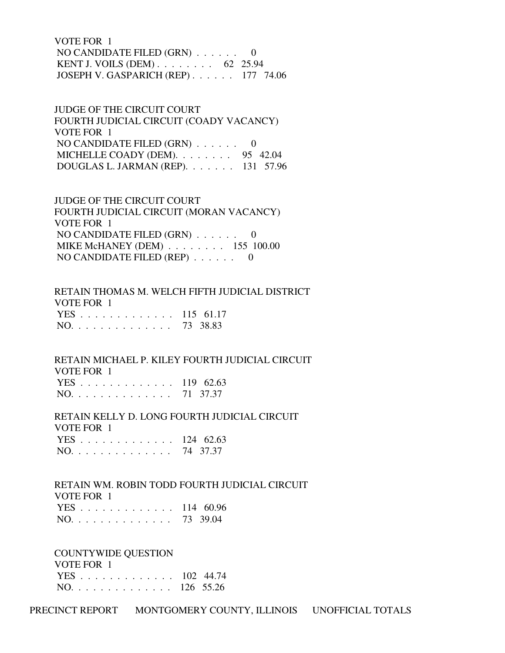VOTE FOR 1 NO CANDIDATE FILED (GRN) . . . . . . 0 KENT J. VOILS (DEM) . . . . . . . . 62 25.94 JOSEPH V. GASPARICH (REP) . . . . . . 177 74.06

 JUDGE OF THE CIRCUIT COURT FOURTH JUDICIAL CIRCUIT (COADY VACANCY) VOTE FOR 1 NO CANDIDATE FILED (GRN) . . . . . . 0 MICHELLE COADY (DEM). . . . . . . . 95 42.04 DOUGLAS L. JARMAN (REP). . . . . . . 131 57.96

 JUDGE OF THE CIRCUIT COURT FOURTH JUDICIAL CIRCUIT (MORAN VACANCY) VOTE FOR 1 NO CANDIDATE FILED (GRN) . . . . . . 0 MIKE McHANEY (DEM) . . . . . . . . 155 100.00 NO CANDIDATE FILED (REP) . . . . . . 0

 RETAIN THOMAS M. WELCH FIFTH JUDICIAL DISTRICT VOTE FOR 1 YES . . . . . . . . . . . . . 115 61.17 NO. . . . . . . . . . . . . . 73 38.83

 RETAIN MICHAEL P. KILEY FOURTH JUDICIAL CIRCUIT VOTE FOR 1 YES . . . . . . . . . . . . . 119 62.63 NO. . . . . . . . . . . . . . 71 37.37

 RETAIN KELLY D. LONG FOURTH JUDICIAL CIRCUIT VOTE FOR 1 YES . . . . . . . . . . . . . 124 62.63 NO. . . . . . . . . . . . . . 74 37.37

 RETAIN WM. ROBIN TODD FOURTH JUDICIAL CIRCUIT VOTE FOR 1 YES . . . . . . . . . . . . . 114 60.96 NO. . . . . . . . . . . . . . 73 39.04

 COUNTYWIDE QUESTION VOTE FOR 1 YES . . . . . . . . . . . . . 102 44.74 NO. . . . . . . . . . . . . . 126 55.26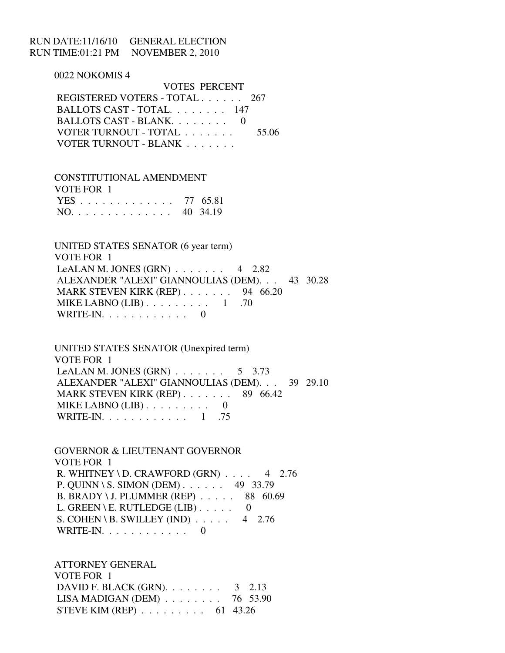## RUN DATE:11/16/10 GENERAL ELECTION RUN TIME:01:21 PM NOVEMBER 2, 2010

 0022 NOKOMIS 4 VOTES PERCENT REGISTERED VOTERS - TOTAL . . . . . . 267 BALLOTS CAST - TOTAL. . . . . . . . 147 BALLOTS CAST - BLANK. . . . . . . . 0 VOTER TURNOUT - TOTAL . . . . . . . 55.06 VOTER TURNOUT - BLANK . . . . . . .

 CONSTITUTIONAL AMENDMENT VOTE FOR 1 YES . . . . . . . . . . . . . 77 65.81 NO. . . . . . . . . . . . . . 40 34.19

 UNITED STATES SENATOR (6 year term) VOTE FOR 1 LeALAN M. JONES (GRN)  $\ldots$  . . . . . 4 2.82 ALEXANDER "ALEXI" GIANNOULIAS (DEM). . . 43 30.28 MARK STEVEN KIRK (REP) . . . . . . . 94 66.20 MIKE LABNO  $(LIB)$ ......... 1 .70 WRITE-IN.  $\ldots$  . . . . . . . . 0

 UNITED STATES SENATOR (Unexpired term) VOTE FOR 1 LeALAN M. JONES  $(GRN)$  . . . . . . . . 5 3.73 ALEXANDER "ALEXI" GIANNOULIAS (DEM). . . 39 29.10 MARK STEVEN KIRK (REP) . . . . . . . 89 66.42 MIKE LABNO  $(LIB)$ ......... 0 WRITE-IN. . . . . . . . . . . . 1 .75

 GOVERNOR & LIEUTENANT GOVERNOR VOTE FOR 1 R. WHITNEY \ D. CRAWFORD  $(GRN)$  . . . . 4 2.76 P. QUINN \ S. SIMON (DEM) . . . . . . 49 33.79 B. BRADY \ J. PLUMMER (REP) . . . . . 88 60.69 L. GREEN \ E. RUTLEDGE (LIB)  $\ldots$  . . . 0 S. COHEN \ B. SWILLEY (IND)  $\ldots$  . 4 2.76 WRITE-IN. . . . . . . . . . . . 0

 ATTORNEY GENERAL VOTE FOR 1 DAVID F. BLACK (GRN). . . . . . . . 3 2.13 LISA MADIGAN (DEM) . . . . . . . . 76 53.90 STEVE KIM (REP) . . . . . . . . . 61 43.26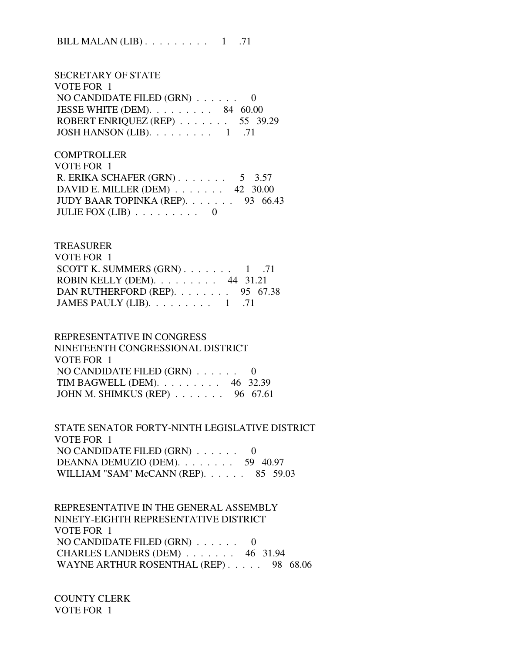BILL MALAN (LIB)  $\ldots \ldots \ldots 1$  .71

 SECRETARY OF STATE VOTE FOR 1 NO CANDIDATE FILED (GRN) . . . . . . 0 JESSE WHITE (DEM). . . . . . . . . 84 60.00 ROBERT ENRIQUEZ (REP) . . . . . . . 55 39.29 JOSH HANSON (LIB).  $\ldots \ldots \ldots 1$  .71

**COMPTROLLER**  VOTE FOR 1 R. ERIKA SCHAFER (GRN) . . . . . . . 5 3.57 DAVID E. MILLER (DEM) . . . . . . . 42 30.00 JUDY BAAR TOPINKA (REP). . . . . . . 93 66.43 JULIE FOX  $(LIB)$  . . . . . . . . 0

#### TREASURER

| VOTE FOR 1                                      |  |
|-------------------------------------------------|--|
| SCOTT K. SUMMERS $(GRN)$ 1 .71                  |  |
| ROBIN KELLY (DEM). $\ldots$ 44 31.21            |  |
| DAN RUTHERFORD (REP). 95 67.38                  |  |
| JAMES PAULY (LIB). $\ldots \ldots \ldots 1$ .71 |  |

### REPRESENTATIVE IN CONGRESS

| NINETEENTH CONGRESSIONAL DISTRICT              |
|------------------------------------------------|
| VOTE FOR 1                                     |
| NO CANDIDATE FILED $(GRN)$ 0                   |
| TIM BAGWELL (DEM). $\ldots$ 46 32.39           |
| JOHN M. SHIMKUS (REP) $\ldots \ldots$ 96 67.61 |

 STATE SENATOR FORTY-NINTH LEGISLATIVE DISTRICT VOTE FOR 1 NO CANDIDATE FILED (GRN) . . . . . . 0 DEANNA DEMUZIO (DEM). . . . . . . . 59 40.97 WILLIAM "SAM" McCANN (REP). . . . . . 85 59.03

 REPRESENTATIVE IN THE GENERAL ASSEMBLY NINETY-EIGHTH REPRESENTATIVE DISTRICT VOTE FOR 1 NO CANDIDATE FILED (GRN) . . . . . . 0 CHARLES LANDERS (DEM) . . . . . . . 46 31.94 WAYNE ARTHUR ROSENTHAL (REP) . . . . . 98 68.06

### COUNTY CLERK VOTE FOR 1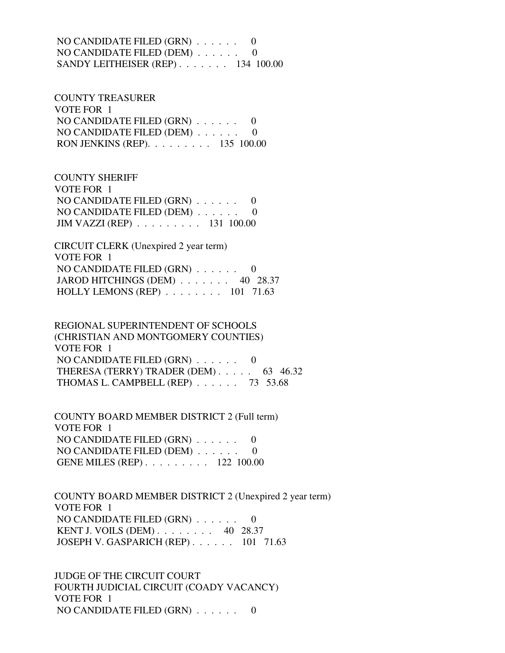NO CANDIDATE FILED (GRN) . . . . . . 0 NO CANDIDATE FILED (DEM) . . . . . . 0 SANDY LEITHEISER (REP) . . . . . . . 134 100.00

 COUNTY TREASURER VOTE FOR 1 NO CANDIDATE FILED (GRN) . . . . . . 0 NO CANDIDATE FILED (DEM) . . . . . . 0 RON JENKINS (REP). . . . . . . . . 135 100.00

 COUNTY SHERIFF VOTE FOR 1 NO CANDIDATE FILED (GRN) . . . . . . 0 NO CANDIDATE FILED (DEM) . . . . . . 0 JIM VAZZI (REP) . . . . . . . . . 131 100.00

 CIRCUIT CLERK (Unexpired 2 year term) VOTE FOR 1 NO CANDIDATE FILED (GRN) . . . . . . 0 JAROD HITCHINGS (DEM) . . . . . . . 40 28.37 HOLLY LEMONS (REP) . . . . . . . . 101 71.63

 REGIONAL SUPERINTENDENT OF SCHOOLS (CHRISTIAN AND MONTGOMERY COUNTIES) VOTE FOR 1 NO CANDIDATE FILED (GRN) . . . . . . 0 THERESA (TERRY) TRADER (DEM) . . . . . 63 46.32 THOMAS L. CAMPBELL (REP) . . . . . . 73 53.68

 COUNTY BOARD MEMBER DISTRICT 2 (Full term) VOTE FOR 1 NO CANDIDATE FILED (GRN) . . . . . . 0 NO CANDIDATE FILED (DEM) . . . . . . 0 GENE MILES (REP) . . . . . . . . . 122 100.00

 COUNTY BOARD MEMBER DISTRICT 2 (Unexpired 2 year term) VOTE FOR 1 NO CANDIDATE FILED (GRN) . . . . . . 0 KENT J. VOILS (DEM) . . . . . . . . 40 28.37 JOSEPH V. GASPARICH (REP) . . . . . . 101 71.63

 JUDGE OF THE CIRCUIT COURT FOURTH JUDICIAL CIRCUIT (COADY VACANCY) VOTE FOR 1 NO CANDIDATE FILED (GRN) . . . . . . 0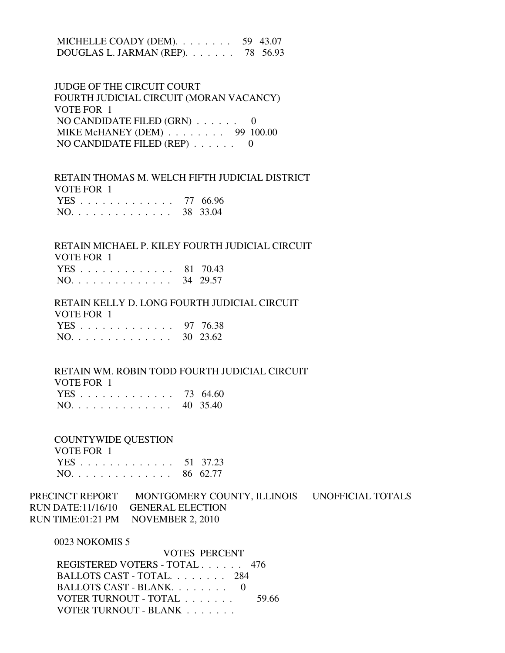MICHELLE COADY (DEM). . . . . . . . 59 43.07 DOUGLAS L. JARMAN (REP). . . . . . . 78 56.93

 JUDGE OF THE CIRCUIT COURT FOURTH JUDICIAL CIRCUIT (MORAN VACANCY) VOTE FOR 1 NO CANDIDATE FILED (GRN) . . . . . . 0 MIKE McHANEY (DEM) . . . . . . . . 99 100.00 NO CANDIDATE FILED (REP) . . . . . . 0

 RETAIN THOMAS M. WELCH FIFTH JUDICIAL DISTRICT VOTE FOR 1 YES . . . . . . . . . . . . . 77 66.96 NO. . . . . . . . . . . . . . 38 33.04

 RETAIN MICHAEL P. KILEY FOURTH JUDICIAL CIRCUIT VOTE FOR 1 YES . . . . . . . . . . . . . 81 70.43

NO. . . . . . . . . . . . . . 34 29.57

 RETAIN KELLY D. LONG FOURTH JUDICIAL CIRCUIT VOTE FOR 1

|                                   |  |  |  |  |  |  |  | YES 97 76.38 |
|-----------------------------------|--|--|--|--|--|--|--|--------------|
| $NO. \ldots \ldots \ldots \ldots$ |  |  |  |  |  |  |  | 30 23.62     |

 RETAIN WM. ROBIN TODD FOURTH JUDICIAL CIRCUIT VOTE FOR 1

| YES 73 64.60 |  |
|--------------|--|
| NO. 40 35.40 |  |

 COUNTYWIDE QUESTION VOTE FOR 1

 YES . . . . . . . . . . . . . 51 37.23 NO. . . . . . . . . . . . . . 86 62.77

PRECINCT REPORT MONTGOMERY COUNTY, ILLINOIS UNOFFICIAL TOTALS RUN DATE:11/16/10 GENERAL ELECTION RUN TIME:01:21 PM NOVEMBER 2, 2010

0023 NOKOMIS 5

| <b>VOTES PERCENT</b>          |       |
|-------------------------------|-------|
| REGISTERED VOTERS - TOTAL 476 |       |
| BALLOTS CAST - TOTAL 284      |       |
| BALLOTS CAST - BLANK. 0       |       |
| VOTER TURNOUT - TOTAL         | 59.66 |
| VOTER TURNOUT - BLANK         |       |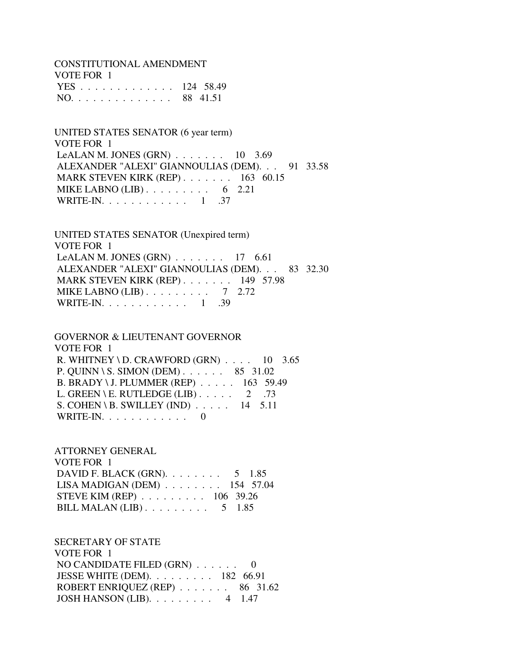CONSTITUTIONAL AMENDMENT

| VOTE FOR 1    |  |
|---------------|--|
| YES 124 58.49 |  |
| NO. 88 41.51  |  |

 UNITED STATES SENATOR (6 year term) VOTE FOR 1 LeALAN M. JONES (GRN) . . . . . . . 10 3.69 ALEXANDER "ALEXI" GIANNOULIAS (DEM). . . 91 33.58 MARK STEVEN KIRK (REP) . . . . . . . 163 60.15 MIKE LABNO  $(LIB)$ ........ 6 2.21 WRITE-IN. . . . . . . . . . . . 1 .37

 UNITED STATES SENATOR (Unexpired term) VOTE FOR 1 LeALAN M. JONES  $(GRN)$ ...... 17 6.61 ALEXANDER "ALEXI" GIANNOULIAS (DEM). . . 83 32.30 MARK STEVEN KIRK (REP) . . . . . . . 149 57.98 MIKE LABNO (LIB) . . . . . . . . . 7 2.72 WRITE-IN. . . . . . . . . . . . 1 .39

 GOVERNOR & LIEUTENANT GOVERNOR VOTE FOR 1 R. WHITNEY \ D. CRAWFORD  $(GRN)$  . . . . 10 3.65 P. QUINN \ S. SIMON (DEM) . . . . . . 85 31.02 B. BRADY \ J. PLUMMER (REP) . . . . . 163 59.49 L. GREEN \ E. RUTLEDGE (LIB)  $\ldots$  . . . . 2 .73 S. COHEN \ B. SWILLEY (IND)  $\ldots$  . . . 14 5.11 WRITE-IN.  $\ldots$  . . . . . . . . . 0

 ATTORNEY GENERAL VOTE FOR 1 DAVID F. BLACK (GRN). . . . . . . . . 5 1.85 LISA MADIGAN (DEM) . . . . . . . . 154 57.04 STEVE KIM (REP) . . . . . . . . . 106 39.26 BILL MALAN (LIB) . . . . . . . . . 5 1.85

 SECRETARY OF STATE VOTE FOR 1 NO CANDIDATE FILED (GRN) . . . . . . 0 JESSE WHITE (DEM). . . . . . . . . 182 66.91 ROBERT ENRIQUEZ (REP) . . . . . . . 86 31.62 JOSH HANSON (LIB). . . . . . . . . 4 1.47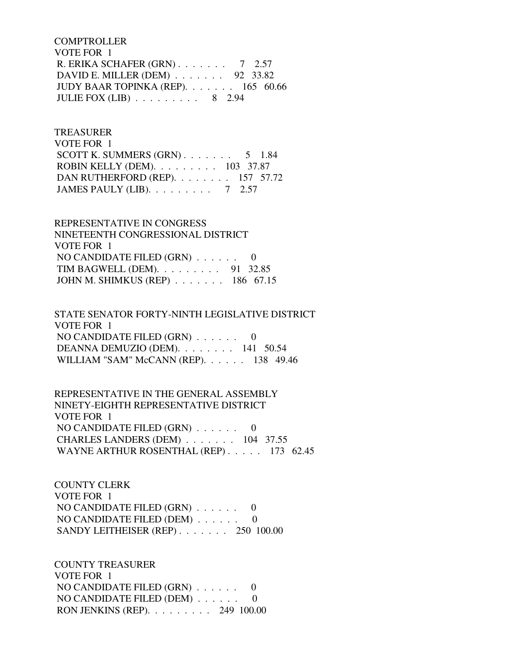**COMPTROLLER**  VOTE FOR 1 R. ERIKA SCHAFER (GRN) . . . . . . . 7 2.57 DAVID E. MILLER (DEM) . . . . . . . 92 33.82 JUDY BAAR TOPINKA (REP). . . . . . . 165 60.66 JULIE FOX (LIB) . . . . . . . . . 8 2.94

## TREASURER

 VOTE FOR 1 SCOTT K. SUMMERS  $(GRN)$ . . . . . . . 5 1.84 ROBIN KELLY (DEM). . . . . . . . . 103 37.87 DAN RUTHERFORD (REP). . . . . . . . 157 57.72 JAMES PAULY (LIB). . . . . . . . . 7 2.57

 REPRESENTATIVE IN CONGRESS NINETEENTH CONGRESSIONAL DISTRICT VOTE FOR 1 NO CANDIDATE FILED (GRN) . . . . . . 0 TIM BAGWELL (DEM). . . . . . . . . 91 32.85 JOHN M. SHIMKUS (REP) . . . . . . . 186 67.15

 STATE SENATOR FORTY-NINTH LEGISLATIVE DISTRICT VOTE FOR 1 NO CANDIDATE FILED (GRN) . . . . . . 0 DEANNA DEMUZIO (DEM). . . . . . . . 141 50.54 WILLIAM "SAM" McCANN (REP). . . . . . 138 49.46

 REPRESENTATIVE IN THE GENERAL ASSEMBLY NINETY-EIGHTH REPRESENTATIVE DISTRICT VOTE FOR 1 NO CANDIDATE FILED (GRN) . . . . . . 0 CHARLES LANDERS (DEM) . . . . . . . 104 37.55 WAYNE ARTHUR ROSENTHAL (REP) . . . . . 173 62.45

 COUNTY CLERK VOTE FOR 1 NO CANDIDATE FILED (GRN) . . . . . . 0 NO CANDIDATE FILED (DEM) . . . . . . 0 SANDY LEITHEISER (REP) . . . . . . . 250 100.00

 COUNTY TREASURER VOTE FOR 1 NO CANDIDATE FILED (GRN) . . . . . . 0 NO CANDIDATE FILED (DEM) . . . . . . 0 RON JENKINS (REP). . . . . . . . . 249 100.00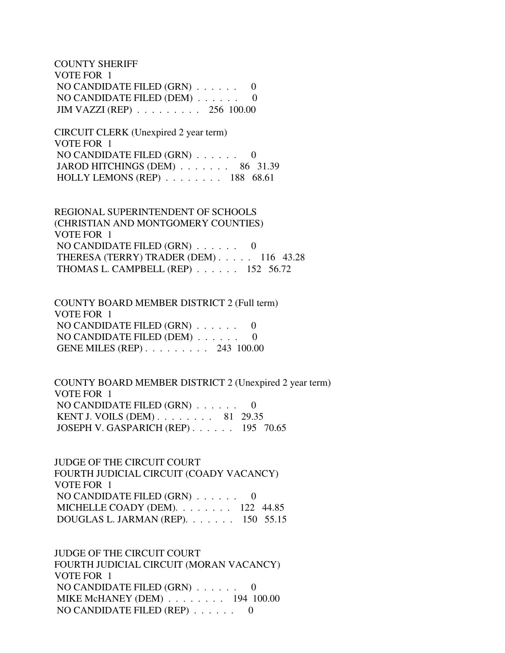COUNTY SHERIFF VOTE FOR 1 NO CANDIDATE FILED (GRN) . . . . . . 0 NO CANDIDATE FILED (DEM) . . . . . . 0 JIM VAZZI (REP) . . . . . . . . . 256 100.00

 CIRCUIT CLERK (Unexpired 2 year term) VOTE FOR 1 NO CANDIDATE FILED (GRN) . . . . . . 0 JAROD HITCHINGS (DEM) . . . . . . . 86 31.39 HOLLY LEMONS (REP) . . . . . . . . 188 68.61

 REGIONAL SUPERINTENDENT OF SCHOOLS (CHRISTIAN AND MONTGOMERY COUNTIES) VOTE FOR 1 NO CANDIDATE FILED (GRN) . . . . . . 0 THERESA (TERRY) TRADER (DEM) . . . . . 116 43.28 THOMAS L. CAMPBELL (REP) . . . . . . 152 56.72

 COUNTY BOARD MEMBER DISTRICT 2 (Full term) VOTE FOR 1 NO CANDIDATE FILED (GRN) . . . . . . 0 NO CANDIDATE FILED (DEM) . . . . . . 0 GENE MILES (REP) . . . . . . . . . 243 100.00

 COUNTY BOARD MEMBER DISTRICT 2 (Unexpired 2 year term) VOTE FOR 1 NO CANDIDATE FILED (GRN) . . . . . . 0 KENT J. VOILS (DEM) . . . . . . . . 81 29.35 JOSEPH V. GASPARICH (REP) . . . . . . 195 70.65

 JUDGE OF THE CIRCUIT COURT FOURTH JUDICIAL CIRCUIT (COADY VACANCY) VOTE FOR 1 NO CANDIDATE FILED (GRN) . . . . . . 0 MICHELLE COADY (DEM). . . . . . . . 122 44.85 DOUGLAS L. JARMAN (REP). . . . . . . 150 55.15

 JUDGE OF THE CIRCUIT COURT FOURTH JUDICIAL CIRCUIT (MORAN VACANCY) VOTE FOR 1 NO CANDIDATE FILED (GRN) . . . . . . 0 MIKE McHANEY (DEM) . . . . . . . . 194 100.00 NO CANDIDATE FILED (REP) . . . . . . 0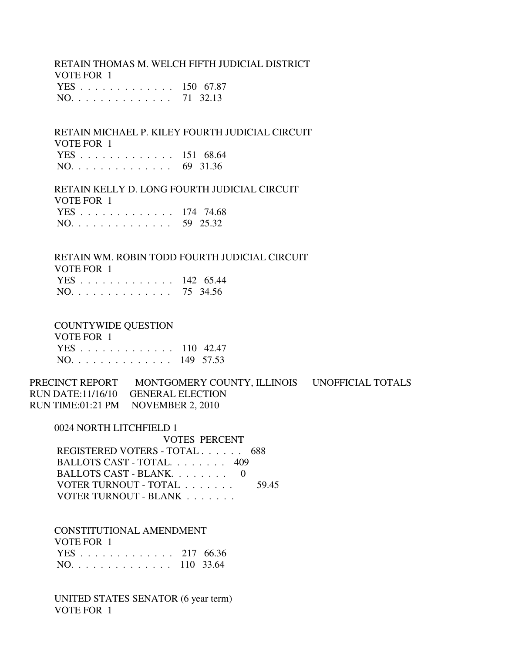RETAIN THOMAS M. WELCH FIFTH JUDICIAL DISTRICT VOTE FOR 1 YES . . . . . . . . . . . . . 150 67.87 NO. . . . . . . . . . . . . . 71 32.13

 RETAIN MICHAEL P. KILEY FOURTH JUDICIAL CIRCUIT VOTE FOR 1 YES . . . . . . . . . . . . . 151 68.64 NO. . . . . . . . . . . . . . 69 31.36

 RETAIN KELLY D. LONG FOURTH JUDICIAL CIRCUIT VOTE FOR 1 YES . . . . . . . . . . . . . 174 74.68 NO. . . . . . . . . . . . . . 59 25.32

 RETAIN WM. ROBIN TODD FOURTH JUDICIAL CIRCUIT VOTE FOR 1 YES . . . . . . . . . . . . . 142 65.44 NO. . . . . . . . . . . . . . 75 34.56

COUNTYWIDE QUESTION

 VOTE FOR 1 YES . . . . . . . . . . . . . 110 42.47 NO. . . . . . . . . . . . . . 149 57.53

PRECINCT REPORT MONTGOMERY COUNTY, ILLINOIS UNOFFICIAL TOTALS RUN DATE:11/16/10 GENERAL ELECTION RUN TIME:01:21 PM NOVEMBER 2, 2010

0024 NORTH LITCHFIELD 1

 VOTES PERCENT REGISTERED VOTERS - TOTAL . . . . . . 688 BALLOTS CAST - TOTAL. . . . . . . . 409 BALLOTS CAST - BLANK. . . . . . . . 0 VOTER TURNOUT - TOTAL . . . . . . . 59.45 VOTER TURNOUT - BLANK . . . . . . .

 CONSTITUTIONAL AMENDMENT VOTE FOR 1 YES . . . . . . . . . . . . . 217 66.36 NO. . . . . . . . . . . . . . 110 33.64

 UNITED STATES SENATOR (6 year term) VOTE FOR 1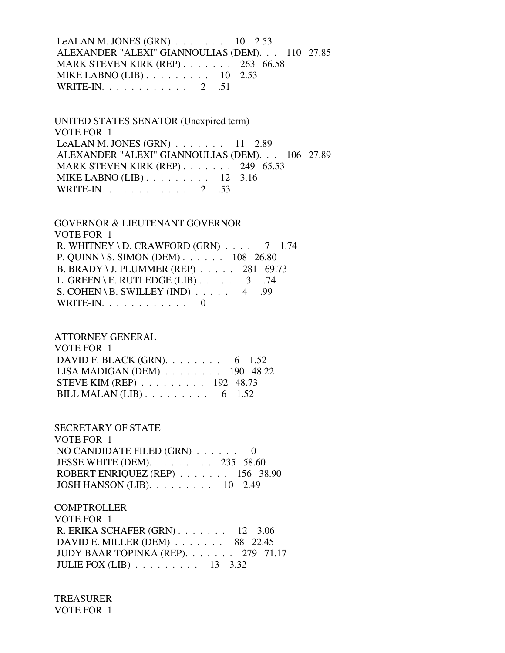LeALAN M. JONES (GRN) . . . . . . . 10 2.53 ALEXANDER "ALEXI" GIANNOULIAS (DEM). . . 110 27.85 MARK STEVEN KIRK (REP) . . . . . . . 263 66.58 MIKE LABNO (LIB) . . . . . . . . . 10 2.53 WRITE-IN. . . . . . . . . . . . 2 .51

 UNITED STATES SENATOR (Unexpired term) VOTE FOR 1 LeALAN M. JONES (GRN) . . . . . . . 11 2.89 ALEXANDER "ALEXI" GIANNOULIAS (DEM). . . 106 27.89 MARK STEVEN KIRK (REP) . . . . . . . 249 65.53 MIKE LABNO (LIB) . . . . . . . . . 12 3.16 WRITE-IN. . . . . . . . . . . . 2 .53

 GOVERNOR & LIEUTENANT GOVERNOR VOTE FOR 1 R. WHITNEY \ D. CRAWFORD  $(GRN)$  . . . . 7 1.74 P. QUINN \ S. SIMON (DEM) . . . . . . 108 26.80 B. BRADY \ J. PLUMMER (REP) . . . . . 281 69.73 L. GREEN \ E. RUTLEDGE (LIB)  $\ldots$  . . . 3 .74 S. COHEN \ B. SWILLEY (IND)  $\ldots$  . 4 .99 WRITE-IN. . . . . . . . . . . . 0

 ATTORNEY GENERAL VOTE FOR 1 DAVID F. BLACK (GRN). . . . . . . . . 6 1.52 LISA MADIGAN (DEM) . . . . . . . . 190 48.22 STEVE KIM (REP) . . . . . . . . . 192 48.73 BILL MALAN  $(LIB)$ ........ 6 1.52

 SECRETARY OF STATE VOTE FOR 1 NO CANDIDATE FILED (GRN) . . . . . . 0 JESSE WHITE (DEM). . . . . . . . . 235 58.60 ROBERT ENRIQUEZ (REP) . . . . . . . 156 38.90 JOSH HANSON (LIB). . . . . . . . . 10 2.49

**COMPTROLLER**  VOTE FOR 1 R. ERIKA SCHAFER (GRN) . . . . . . . 12 3.06 DAVID E. MILLER (DEM) . . . . . . . 88 22.45 JUDY BAAR TOPINKA (REP). . . . . . . 279 71.17 JULIE FOX (LIB) . . . . . . . . . 13 3.32

 TREASURER VOTE FOR 1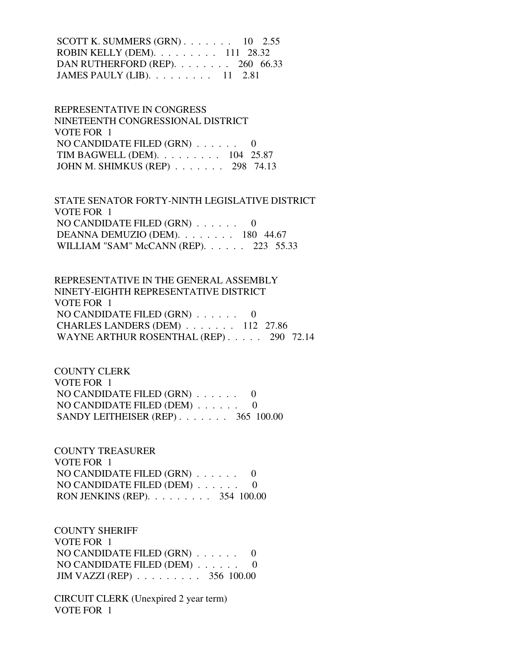SCOTT K. SUMMERS  $(GRN)$ . . . . . . . 10 2.55 ROBIN KELLY (DEM). . . . . . . . . 111 28.32 DAN RUTHERFORD (REP). . . . . . . . 260 66.33 JAMES PAULY (LIB). . . . . . . . . 11 2.81

 REPRESENTATIVE IN CONGRESS NINETEENTH CONGRESSIONAL DISTRICT VOTE FOR 1 NO CANDIDATE FILED (GRN) . . . . . . 0 TIM BAGWELL (DEM). . . . . . . . . 104 25.87 JOHN M. SHIMKUS (REP) . . . . . . . 298 74.13

 STATE SENATOR FORTY-NINTH LEGISLATIVE DISTRICT VOTE FOR 1 NO CANDIDATE FILED (GRN) . . . . . . 0 DEANNA DEMUZIO (DEM). . . . . . . . 180 44.67 WILLIAM "SAM" McCANN (REP). . . . . . 223 55.33

 REPRESENTATIVE IN THE GENERAL ASSEMBLY NINETY-EIGHTH REPRESENTATIVE DISTRICT VOTE FOR 1 NO CANDIDATE FILED  $(GRN)$  . . . . . . 0 CHARLES LANDERS (DEM) . . . . . . . 112 27.86 WAYNE ARTHUR ROSENTHAL (REP) . . . . . 290 72.14

 COUNTY CLERK VOTE FOR 1 NO CANDIDATE FILED (GRN) . . . . . . 0 NO CANDIDATE FILED (DEM) . . . . . . 0 SANDY LEITHEISER (REP) . . . . . . . 365 100.00

 COUNTY TREASURER VOTE FOR 1 NO CANDIDATE FILED (GRN) . . . . . . 0 NO CANDIDATE FILED (DEM) . . . . . . 0 RON JENKINS (REP). . . . . . . . . 354 100.00

 COUNTY SHERIFF VOTE FOR 1 NO CANDIDATE FILED (GRN) . . . . . . 0 NO CANDIDATE FILED (DEM) . . . . . . 0 JIM VAZZI (REP) . . . . . . . . . 356 100.00

 CIRCUIT CLERK (Unexpired 2 year term) VOTE FOR 1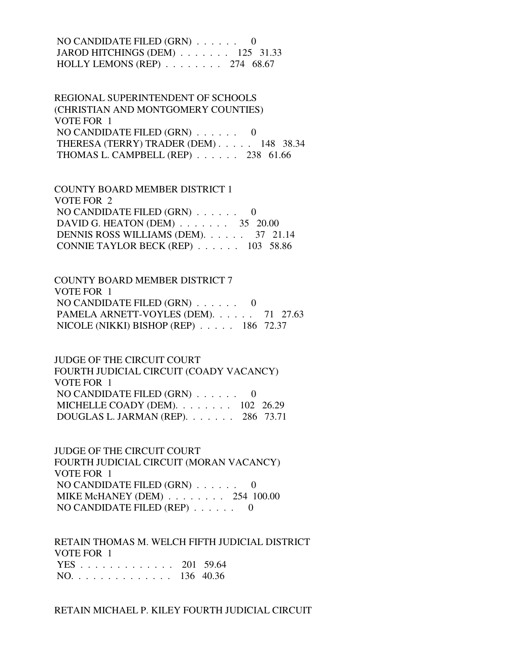NO CANDIDATE FILED (GRN) . . . . . . 0 JAROD HITCHINGS (DEM) . . . . . . . 125 31.33 HOLLY LEMONS (REP) . . . . . . . . 274 68.67

 REGIONAL SUPERINTENDENT OF SCHOOLS (CHRISTIAN AND MONTGOMERY COUNTIES) VOTE FOR 1 NO CANDIDATE FILED (GRN) . . . . . . 0 THERESA (TERRY) TRADER (DEM) . . . . . 148 38.34 THOMAS L. CAMPBELL (REP) . . . . . . 238 61.66

 COUNTY BOARD MEMBER DISTRICT 1 VOTE FOR 2 NO CANDIDATE FILED (GRN) . . . . . . 0 DAVID G. HEATON (DEM) . . . . . . . 35 20.00 DENNIS ROSS WILLIAMS (DEM). . . . . . 37 21.14 CONNIE TAYLOR BECK (REP) . . . . . . 103 58.86

 COUNTY BOARD MEMBER DISTRICT 7 VOTE FOR 1 NO CANDIDATE FILED (GRN) . . . . . . 0 PAMELA ARNETT-VOYLES (DEM). . . . . . 71 27.63 NICOLE (NIKKI) BISHOP (REP) . . . . . 186 72.37

 JUDGE OF THE CIRCUIT COURT FOURTH JUDICIAL CIRCUIT (COADY VACANCY) VOTE FOR 1 NO CANDIDATE FILED (GRN) . . . . . . 0 MICHELLE COADY (DEM). . . . . . . . 102 26.29 DOUGLAS L. JARMAN (REP). . . . . . . 286 73.71

 JUDGE OF THE CIRCUIT COURT FOURTH JUDICIAL CIRCUIT (MORAN VACANCY) VOTE FOR 1 NO CANDIDATE FILED (GRN) . . . . . . 0 MIKE McHANEY (DEM) . . . . . . . . 254 100.00 NO CANDIDATE FILED (REP) . . . . . . 0

 RETAIN THOMAS M. WELCH FIFTH JUDICIAL DISTRICT VOTE FOR 1 YES . . . . . . . . . . . . . 201 59.64 NO. . . . . . . . . . . . . . 136 40.36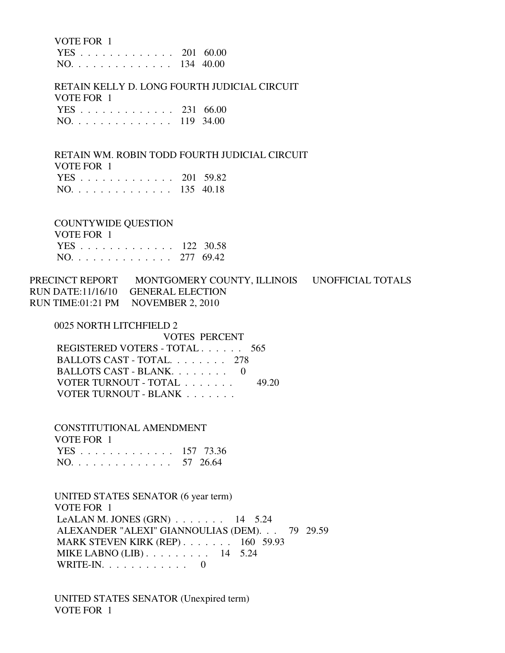VOTE FOR 1

 YES . . . . . . . . . . . . . 201 60.00 NO. . . . . . . . . . . . . . 134 40.00

 RETAIN KELLY D. LONG FOURTH JUDICIAL CIRCUIT VOTE FOR 1 YES . . . . . . . . . . . . . 231 66.00 NO. . . . . . . . . . . . . . 119 34.00

 RETAIN WM. ROBIN TODD FOURTH JUDICIAL CIRCUIT VOTE FOR 1 YES . . . . . . . . . . . . . 201 59.82 NO. . . . . . . . . . . . . . 135 40.18

COUNTYWIDE QUESTION

 VOTE FOR 1 YES . . . . . . . . . . . . . 122 30.58 NO. . . . . . . . . . . . . . 277 69.42

PRECINCT REPORT MONTGOMERY COUNTY, ILLINOIS UNOFFICIAL TOTALS RUN DATE:11/16/10 GENERAL ELECTION RUN TIME:01:21 PM NOVEMBER 2, 2010

0025 NORTH LITCHFIELD 2

 VOTES PERCENT REGISTERED VOTERS - TOTAL . . . . . . 565 BALLOTS CAST - TOTAL. . . . . . . . 278 BALLOTS CAST - BLANK. . . . . . . . 0 VOTER TURNOUT - TOTAL . . . . . . . 49.20 VOTER TURNOUT - BLANK . . . . . . . .

 CONSTITUTIONAL AMENDMENT VOTE FOR 1 YES . . . . . . . . . . . . . 157 73.36 NO. . . . . . . . . . . . . . 57 26.64

 UNITED STATES SENATOR (6 year term) VOTE FOR 1 LeALAN M. JONES  $(GRN)$  . . . . . . . 14 5.24 ALEXANDER "ALEXI" GIANNOULIAS (DEM). . . 79 29.59 MARK STEVEN KIRK (REP) . . . . . . . 160 59.93 MIKE LABNO (LIB) . . . . . . . . . 14 5.24 WRITE-IN. . . . . . . . . . . . 0

 UNITED STATES SENATOR (Unexpired term) VOTE FOR 1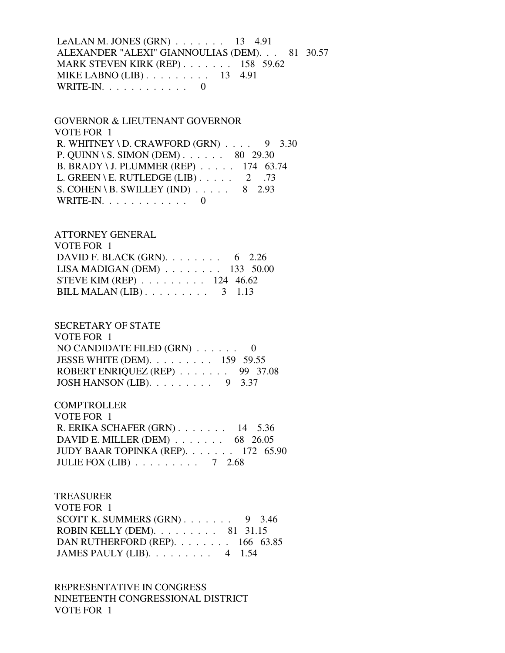LeALAN M. JONES (GRN) . . . . . . . 13 4.91 ALEXANDER "ALEXI" GIANNOULIAS (DEM). . . 81 30.57 MARK STEVEN KIRK (REP) . . . . . . . 158 59.62 MIKE LABNO (LIB) . . . . . . . . . 13 4.91 WRITE-IN. . . . . . . . . . . . 0

 GOVERNOR & LIEUTENANT GOVERNOR VOTE FOR 1 R. WHITNEY \ D. CRAWFORD  $(GRN)$  . . . . 9 3.30 P. QUINN \ S. SIMON (DEM) . . . . . . 80 29.30 B. BRADY \ J. PLUMMER (REP) . . . . . 174 63.74 L. GREEN \ E. RUTLEDGE (LIB)  $\ldots$  . . . 2 .73 S. COHEN \ B. SWILLEY (IND)  $\ldots$  . . . . 8 2.93 WRITE-IN. . . . . . . . . . . . 0

 ATTORNEY GENERAL VOTE FOR 1 DAVID F. BLACK (GRN). . . . . . . . . 6 2.26 LISA MADIGAN (DEM) . . . . . . . . 133 50.00 STEVE KIM (REP) . . . . . . . . . 124 46.62 BILL MALAN (LIB) . . . . . . . . . 3 1.13

 SECRETARY OF STATE VOTE FOR 1 NO CANDIDATE FILED (GRN) . . . . . . 0 JESSE WHITE (DEM). . . . . . . . . 159 59.55 ROBERT ENRIQUEZ (REP) . . . . . . . 99 37.08 JOSH HANSON (LIB). . . . . . . . . 9 3.37

**COMPTROLLER**  VOTE FOR 1 R. ERIKA SCHAFER (GRN) . . . . . . . 14 5.36 DAVID E. MILLER (DEM) . . . . . . . 68 26.05 JUDY BAAR TOPINKA (REP). . . . . . . 172 65.90 JULIE FOX (LIB) . . . . . . . . . 7 2.68

 TREASURER VOTE FOR 1 SCOTT K. SUMMERS  $(GRN)$ . . . . . . . 9 3.46 ROBIN KELLY (DEM). . . . . . . . . 81 31.15 DAN RUTHERFORD (REP). . . . . . . . 166 63.85 JAMES PAULY (LIB). . . . . . . . . 4 1.54

 REPRESENTATIVE IN CONGRESS NINETEENTH CONGRESSIONAL DISTRICT VOTE FOR 1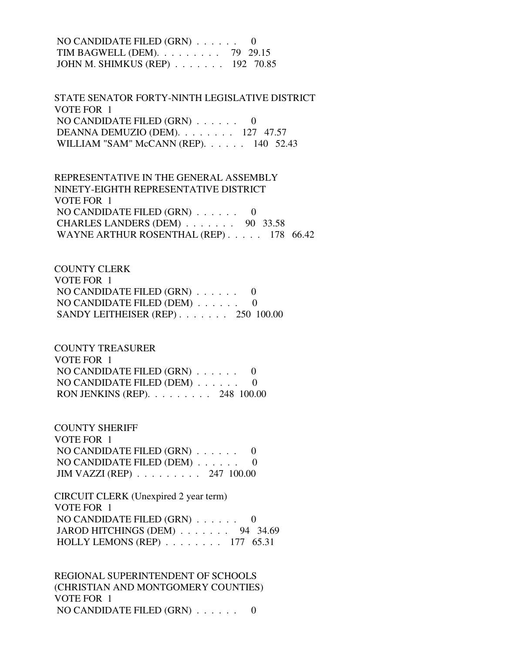NO CANDIDATE FILED (GRN) . . . . . . 0 TIM BAGWELL (DEM). . . . . . . . . 79 29.15 JOHN M. SHIMKUS (REP) . . . . . . . 192 70.85

 STATE SENATOR FORTY-NINTH LEGISLATIVE DISTRICT VOTE FOR 1 NO CANDIDATE FILED (GRN) . . . . . . 0 DEANNA DEMUZIO (DEM). . . . . . . . 127 47.57 WILLIAM "SAM" McCANN (REP). . . . . . 140 52.43

 REPRESENTATIVE IN THE GENERAL ASSEMBLY NINETY-EIGHTH REPRESENTATIVE DISTRICT VOTE FOR 1 NO CANDIDATE FILED (GRN) . . . . . . 0 CHARLES LANDERS (DEM) . . . . . . . 90 33.58 WAYNE ARTHUR ROSENTHAL (REP) . . . . . 178 66.42

 COUNTY CLERK VOTE FOR 1 NO CANDIDATE FILED (GRN) . . . . . . 0 NO CANDIDATE FILED (DEM) . . . . . . 0 SANDY LEITHEISER (REP) . . . . . . . 250 100.00

 COUNTY TREASURER VOTE FOR 1 NO CANDIDATE FILED (GRN) . . . . . . 0 NO CANDIDATE FILED (DEM) . . . . . . 0 RON JENKINS (REP). . . . . . . . . 248 100.00

 COUNTY SHERIFF VOTE FOR 1 NO CANDIDATE FILED (GRN) . . . . . . 0 NO CANDIDATE FILED (DEM) . . . . . . 0 JIM VAZZI (REP) . . . . . . . . . 247 100.00

 CIRCUIT CLERK (Unexpired 2 year term) VOTE FOR 1 NO CANDIDATE FILED (GRN) . . . . . . 0 JAROD HITCHINGS (DEM) . . . . . . . 94 34.69 HOLLY LEMONS (REP) . . . . . . . . 177 65.31

 REGIONAL SUPERINTENDENT OF SCHOOLS (CHRISTIAN AND MONTGOMERY COUNTIES) VOTE FOR 1 NO CANDIDATE FILED (GRN) . . . . . . 0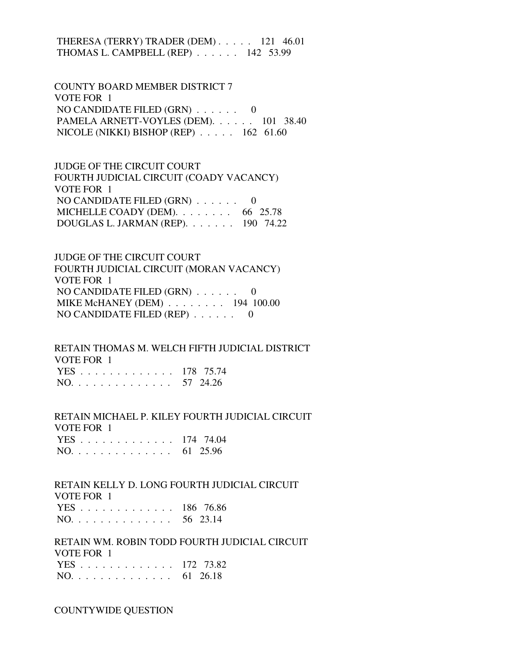THERESA (TERRY) TRADER (DEM) . . . . . 121 46.01 THOMAS L. CAMPBELL (REP) . . . . . . 142 53.99

 COUNTY BOARD MEMBER DISTRICT 7 VOTE FOR 1 NO CANDIDATE FILED (GRN) . . . . . . 0 PAMELA ARNETT-VOYLES (DEM). . . . . . 101 38.40 NICOLE (NIKKI) BISHOP (REP) . . . . . 162 61.60

 JUDGE OF THE CIRCUIT COURT FOURTH JUDICIAL CIRCUIT (COADY VACANCY) VOTE FOR 1 NO CANDIDATE FILED  $(GRN)$  . . . . . . 0 MICHELLE COADY (DEM). . . . . . . . 66 25.78 DOUGLAS L. JARMAN (REP). . . . . . . 190 74.22

 JUDGE OF THE CIRCUIT COURT FOURTH JUDICIAL CIRCUIT (MORAN VACANCY) VOTE FOR 1 NO CANDIDATE FILED (GRN) . . . . . . 0 MIKE McHANEY (DEM) . . . . . . . . 194 100.00 NO CANDIDATE FILED (REP) . . . . . . 0

 RETAIN THOMAS M. WELCH FIFTH JUDICIAL DISTRICT VOTE FOR 1 YES . . . . . . . . . . . . . 178 75.74 NO. . . . . . . . . . . . . . 57 24.26

 RETAIN MICHAEL P. KILEY FOURTH JUDICIAL CIRCUIT VOTE FOR 1  $174.74.04$ 

|  |  |  |  |  |  |  |  | $1E5$ $1/4$ /4.04 |
|--|--|--|--|--|--|--|--|-------------------|
|  |  |  |  |  |  |  |  | NO. 61 25.96      |

 RETAIN KELLY D. LONG FOURTH JUDICIAL CIRCUIT VOTE FOR 1

|     |  |  |  |  |  |  |  | YES 186 76.86 |
|-----|--|--|--|--|--|--|--|---------------|
| NO. |  |  |  |  |  |  |  | 56 23.14      |

 RETAIN WM. ROBIN TODD FOURTH JUDICIAL CIRCUIT VOTE FOR 1 YES . . . . . . . . . . . . . 172 73.82

|  | NO. |  |  |  |  |  |  |  |  |  |  |  |  |  |  | 61 26.18 |
|--|-----|--|--|--|--|--|--|--|--|--|--|--|--|--|--|----------|
|--|-----|--|--|--|--|--|--|--|--|--|--|--|--|--|--|----------|

COUNTYWIDE QUESTION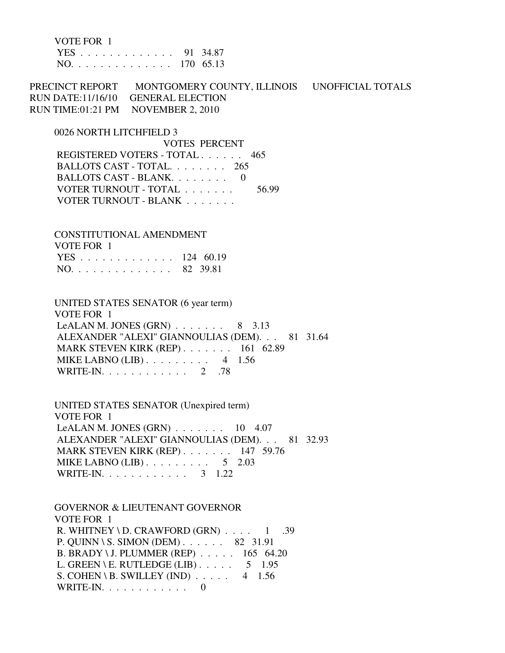VOTE FOR 1 YES . . . . . . . . . . . . . 91 34.87 NO. . . . . . . . . . . . . . 170 65.13

PRECINCT REPORT MONTGOMERY COUNTY, ILLINOIS UNOFFICIAL TOTALS RUN DATE:11/16/10 GENERAL ELECTION RUN TIME:01:21 PM NOVEMBER 2, 2010

0026 NORTH LITCHFIELD 3

 VOTES PERCENT REGISTERED VOTERS - TOTAL . . . . . . 465 BALLOTS CAST - TOTAL. . . . . . . . 265 BALLOTS CAST - BLANK. . . . . . . . 0 VOTER TURNOUT - TOTAL . . . . . . . 56.99 VOTER TURNOUT - BLANK . . . . . . .

 CONSTITUTIONAL AMENDMENT VOTE FOR 1 YES . . . . . . . . . . . . . 124 60.19 NO. . . . . . . . . . . . . . 82 39.81

 UNITED STATES SENATOR (6 year term) VOTE FOR 1 LeALAN M. JONES  $(GRN)$  . . . . . . . 8 3.13 ALEXANDER "ALEXI" GIANNOULIAS (DEM). . . 81 31.64 MARK STEVEN KIRK (REP) . . . . . . . 161 62.89 MIKE LABNO (LIB) . . . . . . . . . 4 1.56 WRITE-IN. . . . . . . . . . . . 2 .78

 UNITED STATES SENATOR (Unexpired term) VOTE FOR 1 LeALAN M. JONES  $(GRN)$ ...... 10 4.07 ALEXANDER "ALEXI" GIANNOULIAS (DEM). . . 81 32.93 MARK STEVEN KIRK (REP) . . . . . . . 147 59.76 MIKE LABNO (LIB)  $\ldots$  . . . . . . . . 5 2.03 WRITE-IN. . . . . . . . . . . . . 3 1.22

 GOVERNOR & LIEUTENANT GOVERNOR VOTE FOR 1 R. WHITNEY \ D. CRAWFORD  $(GRN)$  . . . . 1 .39 P. QUINN \ S. SIMON (DEM) . . . . . . 82 31.91 B. BRADY \ J. PLUMMER (REP) . . . . . 165 64.20 L. GREEN \ E. RUTLEDGE (LIB)  $\ldots$  . . . 5 1.95 S. COHEN \ B. SWILLEY (IND)  $\ldots$  . 4 1.56 WRITE-IN.  $\ldots$  . . . . . . . . 0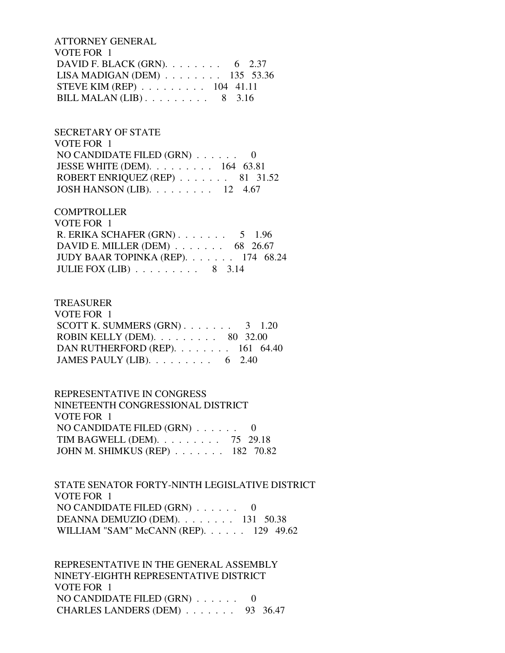ATTORNEY GENERAL VOTE FOR 1 DAVID F. BLACK (GRN). . . . . . . . . 6 2.37 LISA MADIGAN (DEM) . . . . . . . . 135 53.36 STEVE KIM (REP) . . . . . . . . . 104 41.11 BILL MALAN (LIB) . . . . . . . . . 8 3.16

### SECRETARY OF STATE

 VOTE FOR 1 NO CANDIDATE FILED (GRN) . . . . . . 0 JESSE WHITE (DEM). . . . . . . . . 164 63.81 ROBERT ENRIQUEZ (REP) . . . . . . . 81 31.52 JOSH HANSON (LIB). . . . . . . . . 12 4.67

### **COMPTROLLER**

| VOTE FOR 1                                            |  |
|-------------------------------------------------------|--|
| R. ERIKA SCHAFER $(GRN)$ 5 1.96                       |  |
| DAVID E. MILLER (DEM) $\ldots \ldots \ldots$ 68 26.67 |  |
| JUDY BAAR TOPINKA (REP). 174 68.24                    |  |
| JULIE FOX (LIB) $\ldots \ldots \ldots \ldots$ 8 3.14  |  |

#### TREASURER

| VOTE FOR 1                                         |  |
|----------------------------------------------------|--|
| SCOTT K. SUMMERS $(GRN)$ 3 1.20                    |  |
| ROBIN KELLY (DEM). $\ldots \ldots \ldots$ 80 32.00 |  |
| DAN RUTHERFORD (REP). $\ldots$ 161 64.40           |  |
| JAMES PAULY (LIB). $\ldots \ldots \ldots$ 6 2.40   |  |

#### REPRESENTATIVE IN CONGRESS

| NINETEENTH CONGRESSIONAL DISTRICT    |  |
|--------------------------------------|--|
| VOTE FOR 1                           |  |
| NO CANDIDATE FILED $(GRN)$ 0         |  |
| TIM BAGWELL (DEM). $\ldots$ 75 29.18 |  |
| JOHN M. SHIMKUS (REP) 182 70.82      |  |

## STATE SENATOR FORTY-NINTH LEGISLATIVE DISTRICT VOTE FOR 1 NO CANDIDATE FILED (GRN) . . . . . . 0 DEANNA DEMUZIO (DEM). . . . . . . . 131 50.38 WILLIAM "SAM" McCANN (REP). . . . . . 129 49.62

 REPRESENTATIVE IN THE GENERAL ASSEMBLY NINETY-EIGHTH REPRESENTATIVE DISTRICT VOTE FOR 1 NO CANDIDATE FILED (GRN) . . . . . . 0 CHARLES LANDERS (DEM) . . . . . . . 93 36.47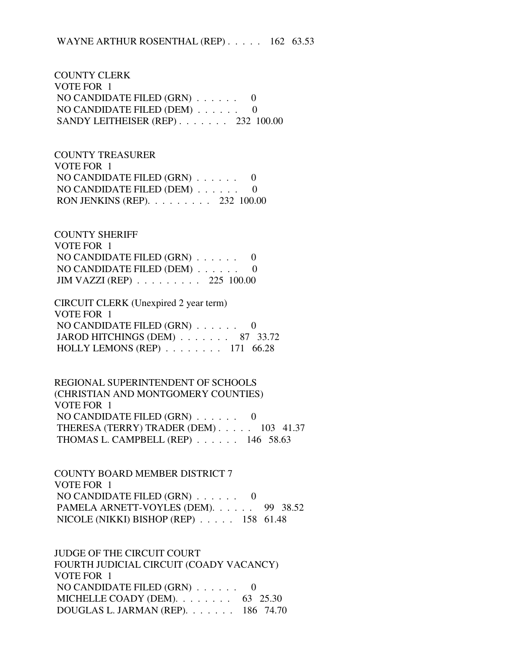COUNTY CLERK VOTE FOR 1 NO CANDIDATE FILED (GRN) . . . . . . 0 NO CANDIDATE FILED (DEM) . . . . . . 0 SANDY LEITHEISER (REP) . . . . . . . 232 100.00

 COUNTY TREASURER VOTE FOR 1 NO CANDIDATE FILED (GRN) . . . . . . 0 NO CANDIDATE FILED (DEM) . . . . . . 0 RON JENKINS (REP). . . . . . . . . 232 100.00

 COUNTY SHERIFF VOTE FOR 1 NO CANDIDATE FILED (GRN) . . . . . . 0 NO CANDIDATE FILED (DEM) . . . . . . 0 JIM VAZZI (REP) . . . . . . . . . 225 100.00

 CIRCUIT CLERK (Unexpired 2 year term) VOTE FOR 1 NO CANDIDATE FILED (GRN) . . . . . . 0 JAROD HITCHINGS (DEM) . . . . . . . 87 33.72 HOLLY LEMONS (REP) . . . . . . . . 171 66.28

 REGIONAL SUPERINTENDENT OF SCHOOLS (CHRISTIAN AND MONTGOMERY COUNTIES) VOTE FOR 1 NO CANDIDATE FILED (GRN) . . . . . . 0 THERESA (TERRY) TRADER (DEM) . . . . . 103 41.37 THOMAS L. CAMPBELL (REP) . . . . . . 146 58.63

 COUNTY BOARD MEMBER DISTRICT 7 VOTE FOR 1 NO CANDIDATE FILED (GRN) . . . . . . 0 PAMELA ARNETT-VOYLES (DEM). . . . . . 99 38.52 NICOLE (NIKKI) BISHOP (REP) . . . . . 158 61.48

 JUDGE OF THE CIRCUIT COURT FOURTH JUDICIAL CIRCUIT (COADY VACANCY) VOTE FOR 1 NO CANDIDATE FILED (GRN) . . . . . . 0 MICHELLE COADY (DEM). . . . . . . . . 63 25.30 DOUGLAS L. JARMAN (REP). . . . . . . 186 74.70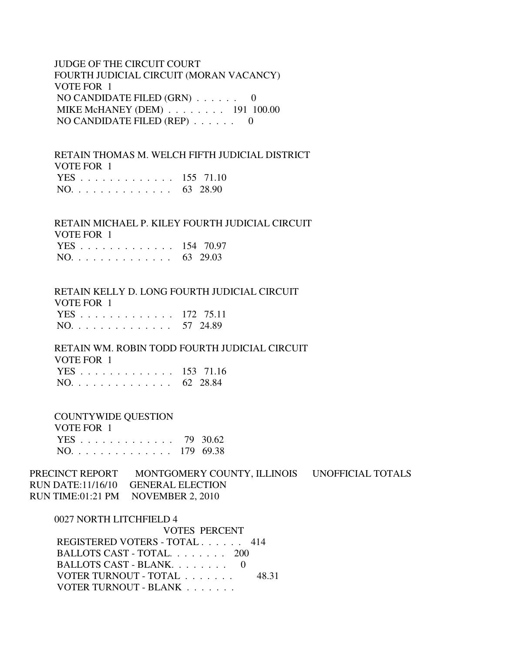## JUDGE OF THE CIRCUIT COURT FOURTH JUDICIAL CIRCUIT (MORAN VACANCY) VOTE FOR 1 NO CANDIDATE FILED (GRN) . . . . . . 0 MIKE McHANEY (DEM) . . . . . . . . 191 100.00 NO CANDIDATE FILED (REP) . . . . . . 0

 RETAIN THOMAS M. WELCH FIFTH JUDICIAL DISTRICT VOTE FOR 1 YES . . . . . . . . . . . . . 155 71.10 NO. . . . . . . . . . . . . . 63 28.90

 RETAIN MICHAEL P. KILEY FOURTH JUDICIAL CIRCUIT VOTE FOR 1 YES . . . . . . . . . . . . . 154 70.97 NO. . . . . . . . . . . . . . 63 29.03

 RETAIN KELLY D. LONG FOURTH JUDICIAL CIRCUIT VOTE FOR 1 YES . . . . . . . . . . . . . 172 75.11 NO. . . . . . . . . . . . . . 57 24.89

 RETAIN WM. ROBIN TODD FOURTH JUDICIAL CIRCUIT VOTE FOR 1 YES . . . . . . . . . . . . . 153 71.16 NO. . . . . . . . . . . . . . 62 28.84

 COUNTYWIDE QUESTION VOTE FOR 1

| VULLIUR I     |  |
|---------------|--|
| YES 79 30.62  |  |
| NO. 179 69.38 |  |

PRECINCT REPORT MONTGOMERY COUNTY, ILLINOIS UNOFFICIAL TOTALS RUN DATE:11/16/10 GENERAL ELECTION RUN TIME:01:21 PM NOVEMBER 2, 2010

 0027 NORTH LITCHFIELD 4 VOTES PERCENT REGISTERED VOTERS - TOTAL . . . . . . 414 BALLOTS CAST - TOTAL. . . . . . . . 200 BALLOTS CAST - BLANK. . . . . . . . 0 VOTER TURNOUT - TOTAL . . . . . . . 48.31 VOTER TURNOUT - BLANK . . . . . . .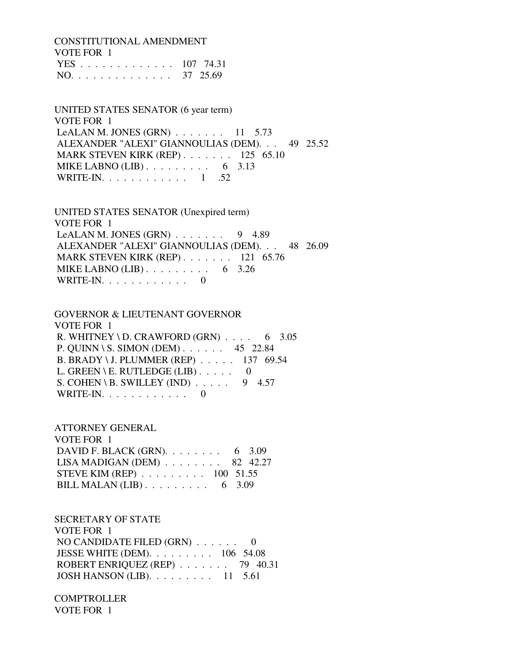CONSTITUTIONAL AMENDMENT VOTE FOR 1 YES . . . . . . . . . . . . . 107 74.31

NO. . . . . . . . . . . . . . 37 25.69

 UNITED STATES SENATOR (6 year term) VOTE FOR 1 LeALAN M. JONES (GRN)  $\ldots$  . . . . . 11 5.73 ALEXANDER "ALEXI" GIANNOULIAS (DEM). . . 49 25.52 MARK STEVEN KIRK (REP) . . . . . . . 125 65.10 MIKE LABNO  $(LIB)$ ........ 6 3.13 WRITE-IN.  $\ldots$  . . . . . . . . . 1 .52

 UNITED STATES SENATOR (Unexpired term) VOTE FOR 1 LeALAN M. JONES  $(GRN)$  . . . . . . . 9 4.89 ALEXANDER "ALEXI" GIANNOULIAS (DEM). . . 48 26.09 MARK STEVEN KIRK (REP) . . . . . . . 121 65.76 MIKE LABNO (LIB)  $\ldots$  . . . . . . . . 6 3.26 WRITE-IN. . . . . . . . . . . . 0

 GOVERNOR & LIEUTENANT GOVERNOR VOTE FOR 1 R. WHITNEY \ D. CRAWFORD  $(GRN)$  . . . . 6 3.05 P. QUINN \ S. SIMON (DEM) . . . . . . 45 22.84 B. BRADY \ J. PLUMMER (REP) . . . . . 137 69.54 L. GREEN \ E. RUTLEDGE (LIB)  $\ldots$  . . . . 0 S. COHEN \ B. SWILLEY (IND)  $\ldots$  . . . 9 4.57 WRITE-IN.  $\ldots$  . . . . . . . . 0

 ATTORNEY GENERAL VOTE FOR 1 DAVID F. BLACK (GRN). . . . . . . . . 6 3.09 LISA MADIGAN (DEM) . . . . . . . . 82 42.27 STEVE KIM (REP) . . . . . . . . . 100 51.55 BILL MALAN (LIB) . . . . . . . . . 6 3.09

 SECRETARY OF STATE VOTE FOR 1 NO CANDIDATE FILED (GRN) . . . . . . 0 JESSE WHITE (DEM). . . . . . . . . 106 54.08 ROBERT ENRIQUEZ (REP) . . . . . . . 79 40.31 JOSH HANSON (LIB). . . . . . . . . 11 5.61

 COMPTROLLER VOTE FOR 1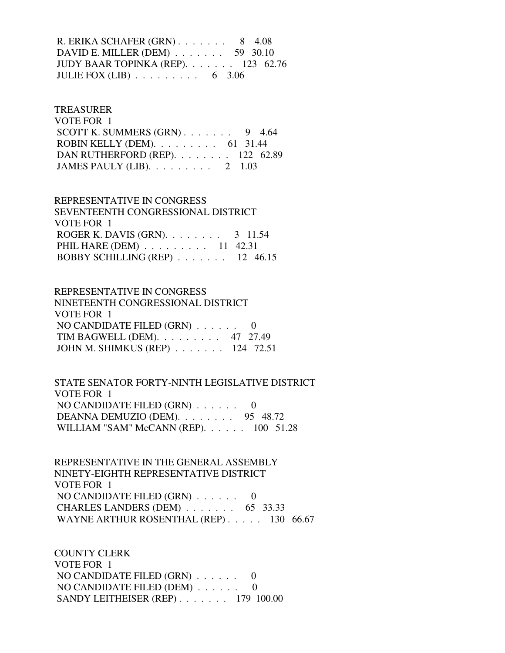R. ERIKA SCHAFER (GRN) . . . . . . . 8 4.08 DAVID E. MILLER (DEM) . . . . . . . 59 30.10 JUDY BAAR TOPINKA (REP). . . . . . . 123 62.76 JULIE FOX  $(LIB)$  . . . . . . . . . 6 3.06

#### TREASURER

| VOTE FOR 1                                       |  |
|--------------------------------------------------|--|
| SCOTT K. SUMMERS $(GRN)$ 9 4.64                  |  |
| ROBIN KELLY (DEM). $\ldots$ 61 31.44             |  |
| DAN RUTHERFORD (REP). 122 62.89                  |  |
| JAMES PAULY (LIB). $\ldots \ldots \ldots 2$ 1.03 |  |

# REPRESENTATIVE IN CONGRESS SEVENTEENTH CONGRESSIONAL DISTRICT VOTE FOR 1 ROGER K. DAVIS (GRN). . . . . . . . 3 11.54 PHIL HARE (DEM) . . . . . . . . . 11 42.31

| BOBBY SCHILLING (REP) $\ldots$ 12 46.15 |  |
|-----------------------------------------|--|
|                                         |  |

| REPRESENTATIVE IN CONGRESS        |
|-----------------------------------|
| NINETEENTH CONGRESSIONAL DISTRICT |
| VOTE FOR 1                        |
| NO CANDIDATE FILED $(GRN)$ 0      |
| TIM BAGWELL (DEM). 47 27.49       |
| JOHN M. SHIMKUS (REP) 124 72.51   |
|                                   |

 STATE SENATOR FORTY-NINTH LEGISLATIVE DISTRICT VOTE FOR 1 NO CANDIDATE FILED (GRN) . . . . . . 0 DEANNA DEMUZIO (DEM). . . . . . . . 95 48.72 WILLIAM "SAM" McCANN (REP). . . . . . 100 51.28

 REPRESENTATIVE IN THE GENERAL ASSEMBLY NINETY-EIGHTH REPRESENTATIVE DISTRICT VOTE FOR 1 NO CANDIDATE FILED  $(GRN)$  . . . . . . 0 CHARLES LANDERS (DEM) . . . . . . . 65 33.33 WAYNE ARTHUR ROSENTHAL (REP) . . . . . 130 66.67

 COUNTY CLERK VOTE FOR 1 NO CANDIDATE FILED (GRN) . . . . . . 0 NO CANDIDATE FILED (DEM) . . . . . . 0 SANDY LEITHEISER (REP) . . . . . . . 179 100.00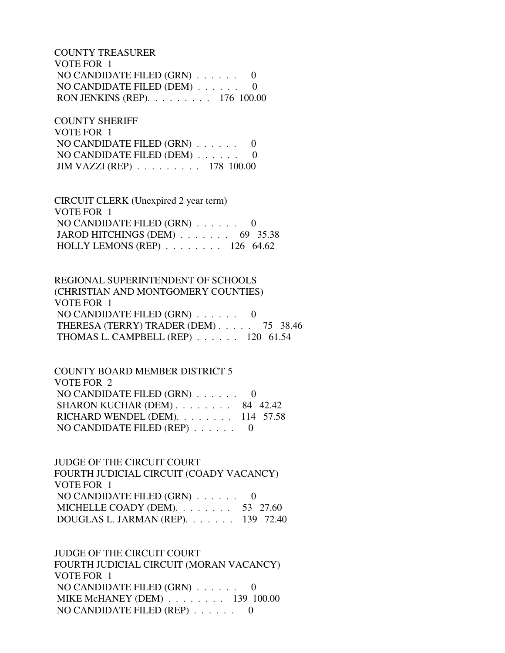COUNTY TREASURER VOTE FOR 1 NO CANDIDATE FILED (GRN) . . . . . . 0 NO CANDIDATE FILED (DEM) . . . . . . 0 RON JENKINS (REP). . . . . . . . . 176 100.00

 COUNTY SHERIFF VOTE FOR 1 NO CANDIDATE FILED (GRN) . . . . . . 0 NO CANDIDATE FILED (DEM) . . . . . . 0 JIM VAZZI (REP) . . . . . . . . . 178 100.00

 CIRCUIT CLERK (Unexpired 2 year term) VOTE FOR 1 NO CANDIDATE FILED (GRN) . . . . . . 0 JAROD HITCHINGS (DEM) . . . . . . . 69 35.38 HOLLY LEMONS (REP) . . . . . . . . 126 64.62

 REGIONAL SUPERINTENDENT OF SCHOOLS (CHRISTIAN AND MONTGOMERY COUNTIES) VOTE FOR 1 NO CANDIDATE FILED (GRN) . . . . . . 0 THERESA (TERRY) TRADER (DEM) . . . . . 75 38.46 THOMAS L. CAMPBELL (REP) . . . . . . 120 61.54

 COUNTY BOARD MEMBER DISTRICT 5 VOTE FOR 2 NO CANDIDATE FILED (GRN) . . . . . . 0 SHARON KUCHAR (DEM) . . . . . . . . 84 42.42 RICHARD WENDEL (DEM). . . . . . . . 114 57.58 NO CANDIDATE FILED (REP) . . . . . . 0

 JUDGE OF THE CIRCUIT COURT FOURTH JUDICIAL CIRCUIT (COADY VACANCY) VOTE FOR 1 NO CANDIDATE FILED (GRN) . . . . . . 0 MICHELLE COADY (DEM). . . . . . . . 53 27.60 DOUGLAS L. JARMAN (REP). . . . . . . 139 72.40

 JUDGE OF THE CIRCUIT COURT FOURTH JUDICIAL CIRCUIT (MORAN VACANCY) VOTE FOR 1 NO CANDIDATE FILED (GRN) . . . . . . 0 MIKE McHANEY (DEM) . . . . . . . . 139 100.00 NO CANDIDATE FILED (REP) . . . . . . 0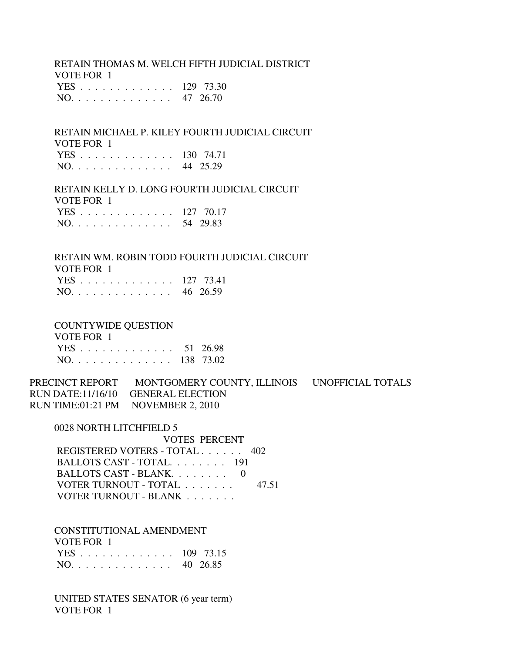RETAIN THOMAS M. WELCH FIFTH JUDICIAL DISTRICT VOTE FOR 1 YES . . . . . . . . . . . . . 129 73.30 NO. . . . . . . . . . . . . . 47 26.70

 RETAIN MICHAEL P. KILEY FOURTH JUDICIAL CIRCUIT VOTE FOR 1 YES . . . . . . . . . . . . . 130 74.71 NO. . . . . . . . . . . . . . 44 25.29

 RETAIN KELLY D. LONG FOURTH JUDICIAL CIRCUIT VOTE FOR 1 YES . . . . . . . . . . . . . 127 70.17 NO. . . . . . . . . . . . . . 54 29.83

 RETAIN WM. ROBIN TODD FOURTH JUDICIAL CIRCUIT VOTE FOR 1 YES . . . . . . . . . . . . . 127 73.41 NO. . . . . . . . . . . . . . 46 26.59

COUNTYWIDE QUESTION

 VOTE FOR 1 YES . . . . . . . . . . . . . 51 26.98 NO. . . . . . . . . . . . . . 138 73.02

PRECINCT REPORT MONTGOMERY COUNTY, ILLINOIS UNOFFICIAL TOTALS RUN DATE:11/16/10 GENERAL ELECTION RUN TIME:01:21 PM NOVEMBER 2, 2010

0028 NORTH LITCHFIELD 5

 VOTES PERCENT REGISTERED VOTERS - TOTAL . . . . . . 402 BALLOTS CAST - TOTAL. . . . . . . . 191 BALLOTS CAST - BLANK. . . . . . . . 0 VOTER TURNOUT - TOTAL . . . . . . . 47.51 VOTER TURNOUT - BLANK . . . . . . .

 CONSTITUTIONAL AMENDMENT VOTE FOR 1 YES . . . . . . . . . . . . . 109 73.15 NO. . . . . . . . . . . . . . 40 26.85

 UNITED STATES SENATOR (6 year term) VOTE FOR 1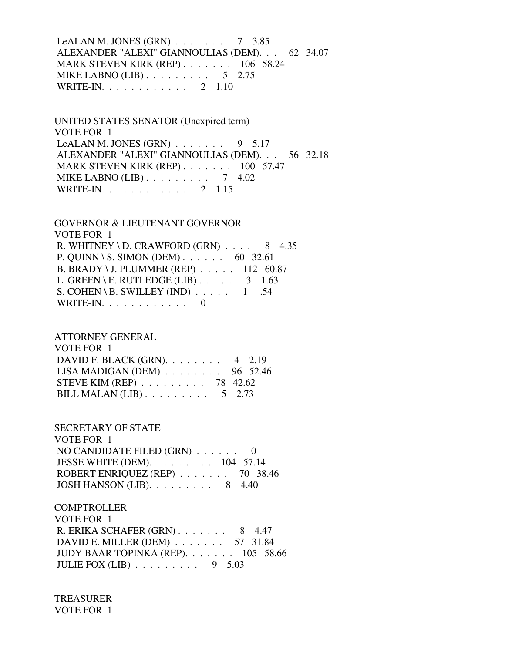LeALAN M. JONES (GRN)  $\ldots$  . . . . . 7 3.85 ALEXANDER "ALEXI" GIANNOULIAS (DEM). . . 62 34.07 MARK STEVEN KIRK (REP) . . . . . . . 106 58.24 MIKE LABNO  $(LIB)$ ........ 5 2.75 WRITE-IN. . . . . . . . . . . . 2 1.10

 UNITED STATES SENATOR (Unexpired term) VOTE FOR 1 LeALAN M. JONES  $(GRN)$  . . . . . . . 9 5.17 ALEXANDER "ALEXI" GIANNOULIAS (DEM). . . 56 32.18 MARK STEVEN KIRK (REP) . . . . . . . 100 57.47 MIKE LABNO (LIB) . . . . . . . . . 7 4.02 WRITE-IN. . . . . . . . . . . . 2 1.15

 GOVERNOR & LIEUTENANT GOVERNOR VOTE FOR 1 R. WHITNEY \ D. CRAWFORD  $(GRN)$  . . . . 8 4.35 P. QUINN \ S. SIMON (DEM) . . . . . . 60 32.61 B. BRADY \ J. PLUMMER (REP) . . . . . 112 60.87 L. GREEN \ E. RUTLEDGE (LIB)  $\ldots$  . . . 3 1.63 S. COHEN \ B. SWILLEY (IND)  $\ldots$  . . . . 1 .54 WRITE-IN. . . . . . . . . . . . 0

 ATTORNEY GENERAL VOTE FOR 1 DAVID F. BLACK (GRN). . . . . . . . 4 2.19 LISA MADIGAN (DEM) . . . . . . . . 96 52.46 STEVE KIM (REP) . . . . . . . . . 78 42.62 BILL MALAN  $(LIB)$ ........ 5 2.73

 SECRETARY OF STATE VOTE FOR 1 NO CANDIDATE FILED (GRN) . . . . . . 0 JESSE WHITE (DEM). . . . . . . . . 104 57.14 ROBERT ENRIQUEZ (REP) . . . . . . . 70 38.46 JOSH HANSON (LIB). . . . . . . . . 8 4.40

**COMPTROLLER**  VOTE FOR 1 R. ERIKA SCHAFER (GRN) . . . . . . . 8 4.47 DAVID E. MILLER (DEM) . . . . . . . 57 31.84 JUDY BAAR TOPINKA (REP). . . . . . . 105 58.66 JULIE FOX  $(LIB)$  . . . . . . . . 9 5.03

 TREASURER VOTE FOR 1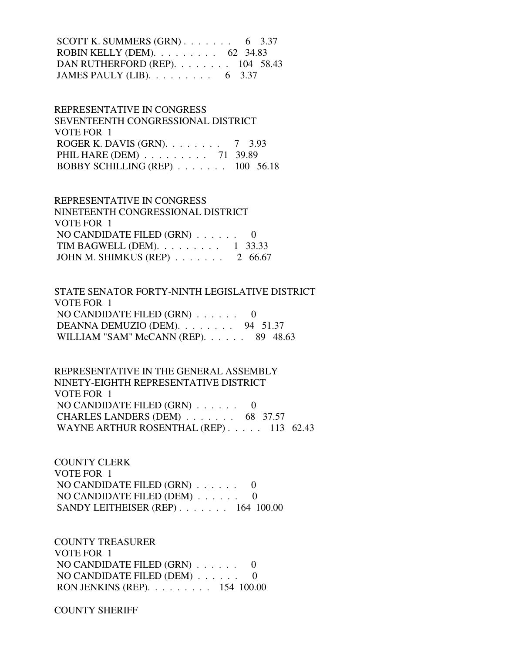SCOTT K. SUMMERS  $(GRN)$ . . . . . . . . 6 3.37 ROBIN KELLY (DEM). . . . . . . . . 62 34.83 DAN RUTHERFORD (REP). . . . . . . . 104 58.43 JAMES PAULY (LIB). . . . . . . . . 6 3.37

 REPRESENTATIVE IN CONGRESS SEVENTEENTH CONGRESSIONAL DISTRICT VOTE FOR 1 ROGER K. DAVIS (GRN). . . . . . . . 7 3.93 PHIL HARE (DEM) . . . . . . . . . 71 39.89 BOBBY SCHILLING (REP) . . . . . . . 100 56.18

 REPRESENTATIVE IN CONGRESS NINETEENTH CONGRESSIONAL DISTRICT VOTE FOR 1 NO CANDIDATE FILED (GRN) . . . . . . 0 TIM BAGWELL (DEM). . . . . . . . . 1 33.33 JOHN M. SHIMKUS (REP) . . . . . . . 2 66.67

 STATE SENATOR FORTY-NINTH LEGISLATIVE DISTRICT VOTE FOR 1 NO CANDIDATE FILED (GRN) . . . . . . 0 DEANNA DEMUZIO (DEM). . . . . . . . 94 51.37 WILLIAM "SAM" McCANN (REP). . . . . . 89 48.63

 REPRESENTATIVE IN THE GENERAL ASSEMBLY NINETY-EIGHTH REPRESENTATIVE DISTRICT VOTE FOR 1 NO CANDIDATE FILED (GRN) . . . . . . 0 CHARLES LANDERS (DEM) . . . . . . . 68 37.57 WAYNE ARTHUR ROSENTHAL (REP) . . . . . 113 62.43

 COUNTY CLERK VOTE FOR 1 NO CANDIDATE FILED (GRN) . . . . . . 0 NO CANDIDATE FILED (DEM) . . . . . . 0 SANDY LEITHEISER (REP) . . . . . . . 164 100.00

 COUNTY TREASURER VOTE FOR 1 NO CANDIDATE FILED (GRN) . . . . . . 0 NO CANDIDATE FILED (DEM) . . . . . . 0 RON JENKINS (REP). . . . . . . . . 154 100.00

COUNTY SHERIFF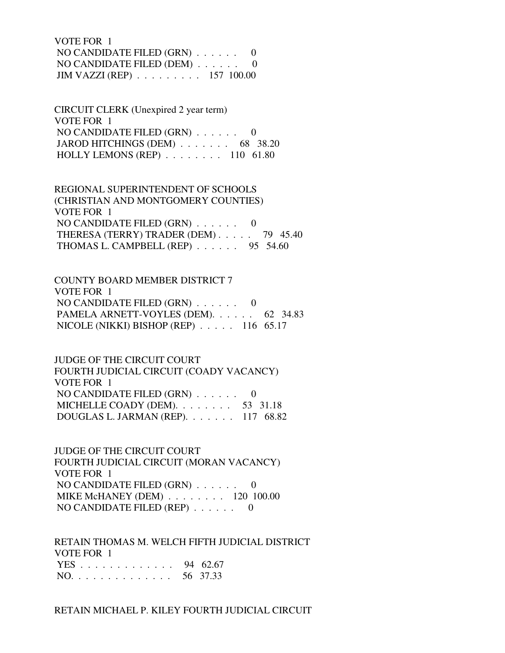VOTE FOR 1 NO CANDIDATE FILED (GRN) . . . . . . 0 NO CANDIDATE FILED (DEM) . . . . . . 0 JIM VAZZI (REP) . . . . . . . . . 157 100.00

 CIRCUIT CLERK (Unexpired 2 year term) VOTE FOR 1 NO CANDIDATE FILED (GRN) . . . . . . 0 JAROD HITCHINGS (DEM) . . . . . . . 68 38.20 HOLLY LEMONS (REP) . . . . . . . . 110 61.80

 REGIONAL SUPERINTENDENT OF SCHOOLS (CHRISTIAN AND MONTGOMERY COUNTIES) VOTE FOR 1 NO CANDIDATE FILED (GRN) . . . . . . 0 THERESA (TERRY) TRADER (DEM) . . . . . 79 45.40 THOMAS L. CAMPBELL (REP) . . . . . . 95 54.60

 COUNTY BOARD MEMBER DISTRICT 7 VOTE FOR 1 NO CANDIDATE FILED (GRN) . . . . . . 0 PAMELA ARNETT-VOYLES (DEM). . . . . . 62 34.83 NICOLE (NIKKI) BISHOP (REP) . . . . . 116 65.17

 JUDGE OF THE CIRCUIT COURT FOURTH JUDICIAL CIRCUIT (COADY VACANCY) VOTE FOR 1 NO CANDIDATE FILED (GRN) . . . . . . 0 MICHELLE COADY (DEM). . . . . . . . 53 31.18 DOUGLAS L. JARMAN (REP). . . . . . . 117 68.82

 JUDGE OF THE CIRCUIT COURT FOURTH JUDICIAL CIRCUIT (MORAN VACANCY) VOTE FOR 1 NO CANDIDATE FILED (GRN) . . . . . . 0 MIKE McHANEY (DEM) . . . . . . . . 120 100.00 NO CANDIDATE FILED (REP) . . . . . . 0

 RETAIN THOMAS M. WELCH FIFTH JUDICIAL DISTRICT VOTE FOR 1 YES . . . . . . . . . . . . . 94 62.67 NO. . . . . . . . . . . . . . 56 37.33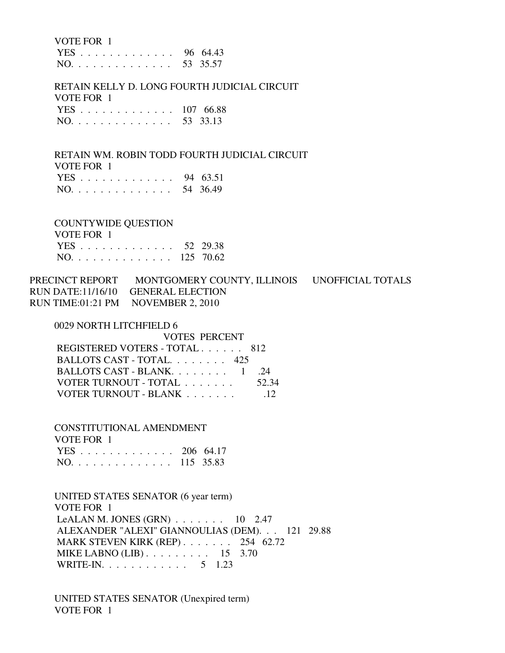VOTE FOR 1

 YES . . . . . . . . . . . . . 96 64.43 NO. . . . . . . . . . . . . . 53 35.57

 RETAIN KELLY D. LONG FOURTH JUDICIAL CIRCUIT VOTE FOR 1 YES . . . . . . . . . . . . . 107 66.88 NO. . . . . . . . . . . . . . 53 33.13

 RETAIN WM. ROBIN TODD FOURTH JUDICIAL CIRCUIT VOTE FOR 1 YES . . . . . . . . . . . . . 94 63.51

|  |  |  |  |  |  |  |  | NO. 54 36.49 |
|--|--|--|--|--|--|--|--|--------------|
|  |  |  |  |  |  |  |  |              |

COUNTYWIDE QUESTION

| VOTE FOR 1    |  |
|---------------|--|
| YES 52 29.38  |  |
| NO. 125 70.62 |  |

PRECINCT REPORT MONTGOMERY COUNTY, ILLINOIS UNOFFICIAL TOTALS RUN DATE:11/16/10 GENERAL ELECTION RUN TIME:01:21 PM NOVEMBER 2, 2010

0029 NORTH LITCHFIELD 6

| <b>VOTES PERCENT</b>          |                 |
|-------------------------------|-----------------|
| REGISTERED VOTERS - TOTAL 812 |                 |
| BALLOTS CAST - TOTAL $425$    |                 |
| BALLOTS CAST - BLANK $1$      | -24             |
| VOTER TURNOUT - TOTAL         | 52.34           |
| VOTER TURNOUT - BLANK         | $\overline{12}$ |
|                               |                 |

 CONSTITUTIONAL AMENDMENT VOTE FOR 1 YES . . . . . . . . . . . . . 206 64.17 NO. . . . . . . . . . . . . . 115 35.83

 UNITED STATES SENATOR (6 year term) VOTE FOR 1 LeALAN M. JONES  $(GRN)$  . . . . . . . 10 2.47 ALEXANDER "ALEXI" GIANNOULIAS (DEM). . . 121 29.88 MARK STEVEN KIRK (REP) . . . . . . . 254 62.72 MIKE LABNO (LIB) . . . . . . . . . . 15 3.70 WRITE-IN. . . . . . . . . . . . 5 1.23

 UNITED STATES SENATOR (Unexpired term) VOTE FOR 1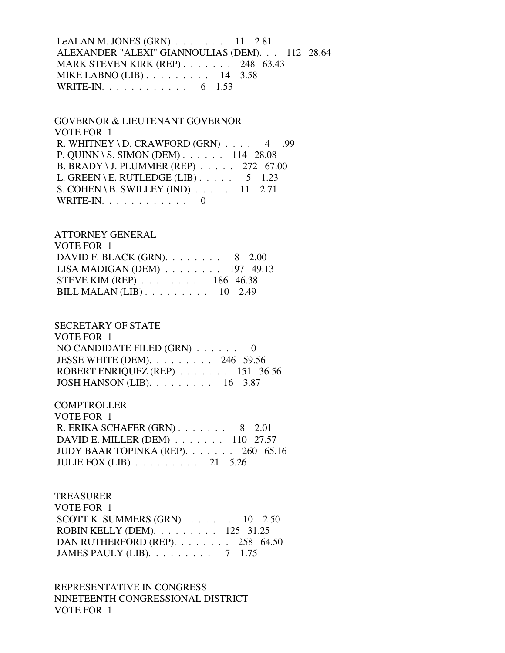LeALAN M. JONES (GRN) . . . . . . . 11 2.81 ALEXANDER "ALEXI" GIANNOULIAS (DEM). . . 112 28.64 MARK STEVEN KIRK (REP) . . . . . . . 248 63.43 MIKE LABNO (LIB) . . . . . . . . . 14 3.58 WRITE-IN. . . . . . . . . . . . . 6 1.53

 GOVERNOR & LIEUTENANT GOVERNOR VOTE FOR 1 R. WHITNEY \ D. CRAWFORD  $(GRN)$ .... 4 .99 P. QUINN \ S. SIMON (DEM) . . . . . . 114 28.08 B. BRADY \ J. PLUMMER (REP) . . . . . 272 67.00 L. GREEN \ E. RUTLEDGE (LIB)  $\ldots$  . . . 5 1.23 S. COHEN \ B. SWILLEY (IND) . . . . . 11 2.71 WRITE-IN. . . . . . . . . . . . 0

 ATTORNEY GENERAL VOTE FOR 1 DAVID F. BLACK (GRN). . . . . . . . 8 2.00 LISA MADIGAN (DEM) . . . . . . . . 197 49.13 STEVE KIM (REP) . . . . . . . . . 186 46.38

BILL MALAN (LIB) . . . . . . . . . 10 2.49

 SECRETARY OF STATE VOTE FOR 1 NO CANDIDATE FILED (GRN) . . . . . . 0 JESSE WHITE (DEM). . . . . . . . . 246 59.56 ROBERT ENRIQUEZ (REP) . . . . . . . 151 36.56 JOSH HANSON (LIB). . . . . . . . . 16 3.87

**COMPTROLLER**  VOTE FOR 1 R. ERIKA SCHAFER (GRN) . . . . . . . 8 2.01 DAVID E. MILLER (DEM) . . . . . . . 110 27.57 JUDY BAAR TOPINKA (REP). . . . . . . 260 65.16 JULIE FOX (LIB) . . . . . . . . . 21 5.26

 TREASURER VOTE FOR 1 SCOTT K. SUMMERS  $(GRN)$ . . . . . . . 10 2.50 ROBIN KELLY (DEM). . . . . . . . . 125 31.25 DAN RUTHERFORD (REP). . . . . . . . 258 64.50 JAMES PAULY (LIB). . . . . . . . . 7 1.75

 REPRESENTATIVE IN CONGRESS NINETEENTH CONGRESSIONAL DISTRICT VOTE FOR 1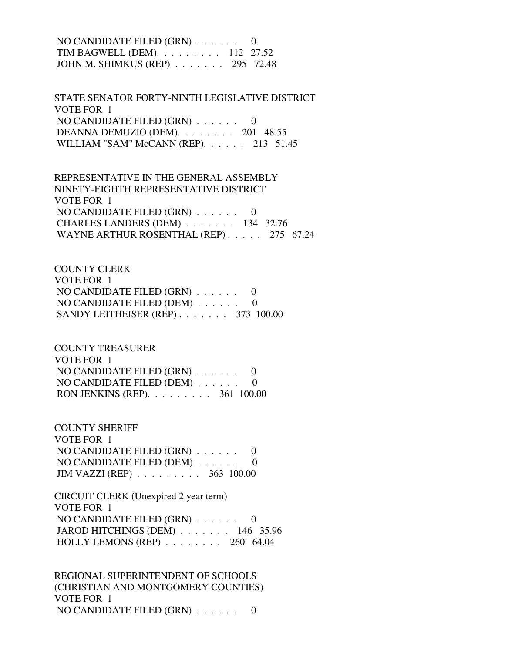NO CANDIDATE FILED (GRN) . . . . . . 0 TIM BAGWELL (DEM). . . . . . . . . 112 27.52 JOHN M. SHIMKUS (REP) . . . . . . . 295 72.48

 STATE SENATOR FORTY-NINTH LEGISLATIVE DISTRICT VOTE FOR 1 NO CANDIDATE FILED (GRN) . . . . . . 0 DEANNA DEMUZIO (DEM). . . . . . . . 201 48.55 WILLIAM "SAM" McCANN (REP). . . . . . 213 51.45

 REPRESENTATIVE IN THE GENERAL ASSEMBLY NINETY-EIGHTH REPRESENTATIVE DISTRICT VOTE FOR 1 NO CANDIDATE FILED (GRN) . . . . . . 0 CHARLES LANDERS (DEM) . . . . . . . 134 32.76 WAYNE ARTHUR ROSENTHAL (REP) . . . . . 275 67.24

 COUNTY CLERK VOTE FOR 1 NO CANDIDATE FILED (GRN) . . . . . . 0 NO CANDIDATE FILED (DEM) . . . . . . 0 SANDY LEITHEISER (REP) . . . . . . . 373 100.00

 COUNTY TREASURER VOTE FOR 1 NO CANDIDATE FILED (GRN) . . . . . . 0 NO CANDIDATE FILED (DEM) . . . . . . 0 RON JENKINS (REP). . . . . . . . . 361 100.00

 COUNTY SHERIFF VOTE FOR 1 NO CANDIDATE FILED (GRN) . . . . . . 0 NO CANDIDATE FILED (DEM) . . . . . . 0 JIM VAZZI (REP) . . . . . . . . . 363 100.00

 CIRCUIT CLERK (Unexpired 2 year term) VOTE FOR 1 NO CANDIDATE FILED (GRN) . . . . . . 0 JAROD HITCHINGS (DEM) . . . . . . . 146 35.96 HOLLY LEMONS (REP) . . . . . . . . 260 64.04

 REGIONAL SUPERINTENDENT OF SCHOOLS (CHRISTIAN AND MONTGOMERY COUNTIES) VOTE FOR 1 NO CANDIDATE FILED (GRN) . . . . . . 0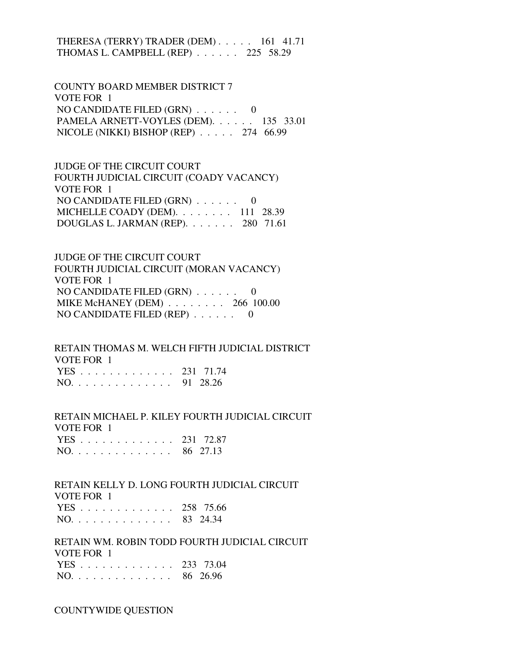THERESA (TERRY) TRADER (DEM) . . . . . 161 41.71 THOMAS L. CAMPBELL (REP) . . . . . . 225 58.29

 COUNTY BOARD MEMBER DISTRICT 7 VOTE FOR 1 NO CANDIDATE FILED (GRN) . . . . . . 0 PAMELA ARNETT-VOYLES (DEM). . . . . . 135 33.01 NICOLE (NIKKI) BISHOP (REP) . . . . . 274 66.99

 JUDGE OF THE CIRCUIT COURT FOURTH JUDICIAL CIRCUIT (COADY VACANCY) VOTE FOR 1 NO CANDIDATE FILED  $(GRN)$  . . . . . . 0 MICHELLE COADY (DEM). . . . . . . . 111 28.39 DOUGLAS L. JARMAN (REP). . . . . . . 280 71.61

 JUDGE OF THE CIRCUIT COURT FOURTH JUDICIAL CIRCUIT (MORAN VACANCY) VOTE FOR 1 NO CANDIDATE FILED (GRN) . . . . . . 0 MIKE McHANEY (DEM) . . . . . . . . 266 100.00 NO CANDIDATE FILED (REP) . . . . . . 0

 RETAIN THOMAS M. WELCH FIFTH JUDICIAL DISTRICT VOTE FOR 1 YES . . . . . . . . . . . . . 231 71.74 NO. . . . . . . . . . . . . . 91 28.26

 RETAIN MICHAEL P. KILEY FOURTH JUDICIAL CIRCUIT VOTE FOR 1 YES . . . . . . . . . . . . . 231 72.87

|  |  |  |  |  |  |  |  | 1 LO 201 12.01 |
|--|--|--|--|--|--|--|--|----------------|
|  |  |  |  |  |  |  |  | NO. 86 27.13   |

 RETAIN KELLY D. LONG FOURTH JUDICIAL CIRCUIT VOTE FOR 1

|  |  |  |  |  |  |  | YES 258 75.66 |
|--|--|--|--|--|--|--|---------------|
|  |  |  |  |  |  |  | NO. 83 24.34  |

 RETAIN WM. ROBIN TODD FOURTH JUDICIAL CIRCUIT VOTE FOR 1 YES . . . . . . . . . . . . . 233 73.04

| $NO.$ |  |  |  |  |  |  |  | 86 26.96 |
|-------|--|--|--|--|--|--|--|----------|
|       |  |  |  |  |  |  |  |          |

COUNTYWIDE QUESTION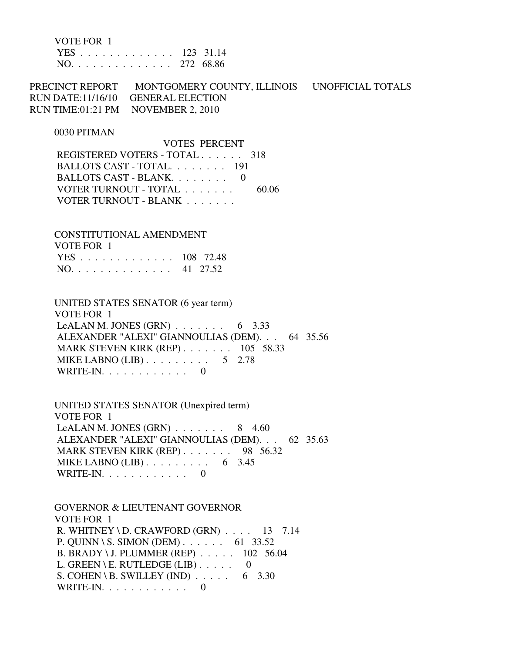VOTE FOR 1

|  |  |  |  |  |  |  | YES 123 31.14 |
|--|--|--|--|--|--|--|---------------|
|  |  |  |  |  |  |  | NO. 272 68.86 |

PRECINCT REPORT MONTGOMERY COUNTY, ILLINOIS UNOFFICIAL TOTALS RUN DATE:11/16/10 GENERAL ELECTION RUN TIME:01:21 PM NOVEMBER 2, 2010

### 0030 PITMAN

 VOTES PERCENT REGISTERED VOTERS - TOTAL . . . . . . 318 BALLOTS CAST - TOTAL. . . . . . . . 191 BALLOTS CAST - BLANK. . . . . . . . 0 VOTER TURNOUT - TOTAL . . . . . . . 60.06 VOTER TURNOUT - BLANK . . . . . . .

 CONSTITUTIONAL AMENDMENT VOTE FOR 1 YES . . . . . . . . . . . . . 108 72.48 NO. . . . . . . . . . . . . . 41 27.52

 UNITED STATES SENATOR (6 year term) VOTE FOR 1 LeALAN M. JONES  $(GRN)$  . . . . . . . 6 3.33 ALEXANDER "ALEXI" GIANNOULIAS (DEM). . . 64 35.56 MARK STEVEN KIRK (REP) . . . . . . . 105 58.33 MIKE LABNO  $(LIB)$ ........ 5 2.78 WRITE-IN. . . . . . . . . . . . 0

 UNITED STATES SENATOR (Unexpired term) VOTE FOR 1 LeALAN M. JONES  $(GRN)$  . . . . . . . 8 4.60 ALEXANDER "ALEXI" GIANNOULIAS (DEM). . . 62 35.63 MARK STEVEN KIRK (REP) . . . . . . . 98 56.32 MIKE LABNO (LIB) . . . . . . . . . . 6 3.45 WRITE-IN. . . . . . . . . . . . 0

 GOVERNOR & LIEUTENANT GOVERNOR VOTE FOR 1 R. WHITNEY \ D. CRAWFORD  $(GRN)$  . . . . 13 7.14 P. QUINN \ S. SIMON (DEM) . . . . . . 61 33.52 B. BRADY \ J. PLUMMER (REP) . . . . . 102 56.04 L. GREEN \ E. RUTLEDGE (LIB)  $\ldots$  . . . 0 S. COHEN \ B. SWILLEY (IND)  $\ldots$  . . . . 6 3.30 WRITE-IN.  $\ldots$  . . . . . . . . 0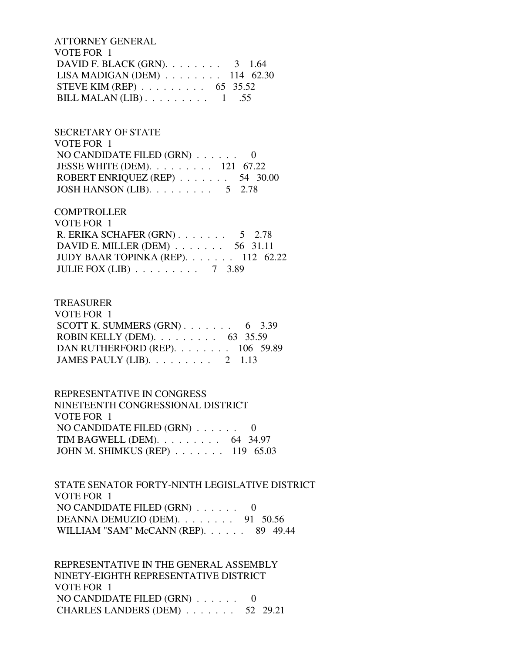ATTORNEY GENERAL VOTE FOR 1 DAVID F. BLACK (GRN). . . . . . . . . 3 1.64 LISA MADIGAN (DEM) . . . . . . . . 114 62.30 STEVE KIM (REP) . . . . . . . . . 65 35.52 BILL MALAN  $(LIB)$ ........ 1 .55

# SECRETARY OF STATE

 VOTE FOR 1 NO CANDIDATE FILED (GRN) . . . . . . 0 JESSE WHITE (DEM). . . . . . . . . 121 67.22 ROBERT ENRIQUEZ (REP) . . . . . . . 54 30.00 JOSH HANSON (LIB).  $\ldots$  . . . . . . . 5 2.78

## **COMPTROLLER**

| VOTE FOR 1                                    |  |  |
|-----------------------------------------------|--|--|
| R. ERIKA SCHAFER $(GRN)$ 5 2.78               |  |  |
| DAVID E. MILLER (DEM) $\ldots$ 56 31.11       |  |  |
| JUDY BAAR TOPINKA (REP). 112 62.22            |  |  |
| JULIE FOX (LIB) $\ldots \ldots \ldots 7$ 3.89 |  |  |

## TREASURER

| VOTE FOR 1                                       |  |
|--------------------------------------------------|--|
| SCOTT K. SUMMERS $(GRN)$ 6 3.39                  |  |
| ROBIN KELLY (DEM). $\ldots$ 63 35.59             |  |
| DAN RUTHERFORD (REP). $\ldots$ 106 59.89         |  |
| JAMES PAULY (LIB). $\ldots \ldots \ldots 2$ 1.13 |  |

# REPRESENTATIVE IN CONGRESS

| NINETEENTH CONGRESSIONAL DISTRICT    |  |
|--------------------------------------|--|
| VOTE FOR 1                           |  |
| NO CANDIDATE FILED $(GRN)$ 0         |  |
| TIM BAGWELL (DEM). $\ldots$ 64 34.97 |  |
| JOHN M. SHIMKUS (REP) 119 65.03      |  |

# STATE SENATOR FORTY-NINTH LEGISLATIVE DISTRICT VOTE FOR 1 NO CANDIDATE FILED (GRN) . . . . . . 0 DEANNA DEMUZIO (DEM). . . . . . . . 91 50.56 WILLIAM "SAM" McCANN (REP). . . . . . 89 49.44

 REPRESENTATIVE IN THE GENERAL ASSEMBLY NINETY-EIGHTH REPRESENTATIVE DISTRICT VOTE FOR 1 NO CANDIDATE FILED  $(GRN)$  . . . . . . 0 CHARLES LANDERS (DEM) . . . . . . . 52 29.21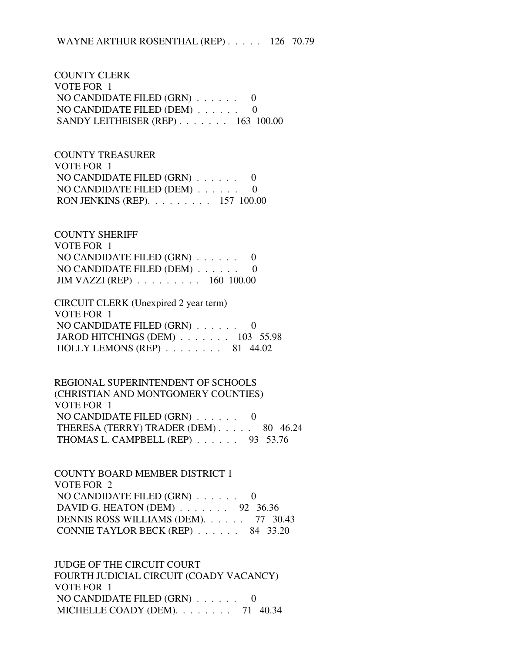COUNTY CLERK VOTE FOR 1 NO CANDIDATE FILED (GRN) . . . . . . 0 NO CANDIDATE FILED (DEM) . . . . . . 0 SANDY LEITHEISER (REP) . . . . . . . 163 100.00

 COUNTY TREASURER VOTE FOR 1 NO CANDIDATE FILED (GRN) . . . . . . 0 NO CANDIDATE FILED (DEM) . . . . . . 0 RON JENKINS (REP). . . . . . . . . 157 100.00

 COUNTY SHERIFF VOTE FOR 1 NO CANDIDATE FILED (GRN) . . . . . . 0 NO CANDIDATE FILED (DEM) . . . . . . 0 JIM VAZZI (REP) . . . . . . . . . 160 100.00

 CIRCUIT CLERK (Unexpired 2 year term) VOTE FOR 1 NO CANDIDATE FILED (GRN) . . . . . . 0 JAROD HITCHINGS (DEM) . . . . . . . 103 55.98 HOLLY LEMONS (REP) . . . . . . . . 81 44.02

 REGIONAL SUPERINTENDENT OF SCHOOLS (CHRISTIAN AND MONTGOMERY COUNTIES) VOTE FOR 1 NO CANDIDATE FILED (GRN) . . . . . . 0 THERESA (TERRY) TRADER (DEM) . . . . . 80 46.24 THOMAS L. CAMPBELL (REP) . . . . . . 93 53.76

 COUNTY BOARD MEMBER DISTRICT 1 VOTE FOR 2 NO CANDIDATE FILED (GRN) . . . . . . 0 DAVID G. HEATON (DEM) . . . . . . . 92 36.36 DENNIS ROSS WILLIAMS (DEM). . . . . . 77 30.43 CONNIE TAYLOR BECK (REP) . . . . . . 84 33.20

 JUDGE OF THE CIRCUIT COURT FOURTH JUDICIAL CIRCUIT (COADY VACANCY) VOTE FOR 1 NO CANDIDATE FILED (GRN) . . . . . . 0 MICHELLE COADY (DEM). . . . . . . . 71 40.34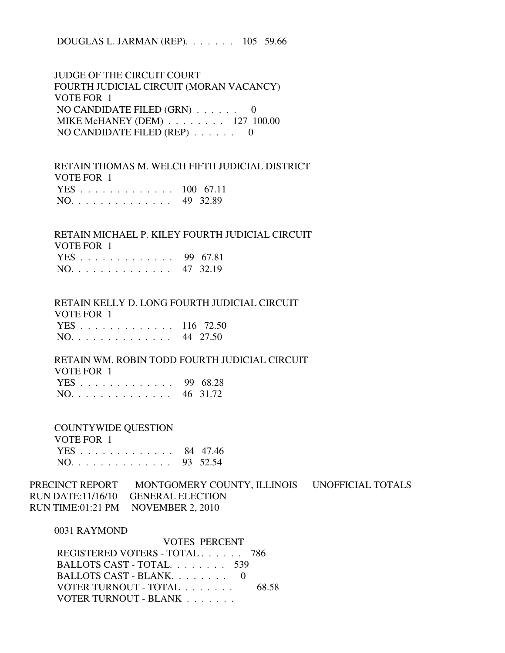DOUGLAS L. JARMAN (REP). . . . . . . 105 59.66

 JUDGE OF THE CIRCUIT COURT FOURTH JUDICIAL CIRCUIT (MORAN VACANCY) VOTE FOR 1 NO CANDIDATE FILED (GRN) . . . . . . 0 MIKE McHANEY (DEM) . . . . . . . . 127 100.00 NO CANDIDATE FILED (REP) . . . . . . 0

 RETAIN THOMAS M. WELCH FIFTH JUDICIAL DISTRICT VOTE FOR 1 YES . . . . . . . . . . . . . 100 67.11 NO. . . . . . . . . . . . . . 49 32.89

 RETAIN MICHAEL P. KILEY FOURTH JUDICIAL CIRCUIT VOTE FOR 1 YES . . . . . . . . . . . . . 99 67.81 NO. . . . . . . . . . . . . . 47 32.19

 RETAIN KELLY D. LONG FOURTH JUDICIAL CIRCUIT VOTE FOR 1 YES . . . . . . . . . . . . . 116 72.50

NO. . . . . . . . . . . . . . 44 27.50

 RETAIN WM. ROBIN TODD FOURTH JUDICIAL CIRCUIT VOTE FOR 1

|  |  |  |  |  |  |  | YES 99 68.28 |
|--|--|--|--|--|--|--|--------------|
|  |  |  |  |  |  |  | NO. 46 31.72 |

COUNTYWIDE QUESTION

 VOTE FOR 1 YES . . . . . . . . . . . . . 84 47.46 NO. . . . . . . . . . . . . . 93 52.54

PRECINCT REPORT MONTGOMERY COUNTY, ILLINOIS UNOFFICIAL TOTALS RUN DATE:11/16/10 GENERAL ELECTION RUN TIME:01:21 PM NOVEMBER 2, 2010

0031 RAYMOND

 VOTES PERCENT REGISTERED VOTERS - TOTAL . . . . . . 786 BALLOTS CAST - TOTAL. . . . . . . . 539 BALLOTS CAST - BLANK. . . . . . . . 0 VOTER TURNOUT - TOTAL . . . . . . . . 68.58 VOTER TURNOUT - BLANK . . . . . . .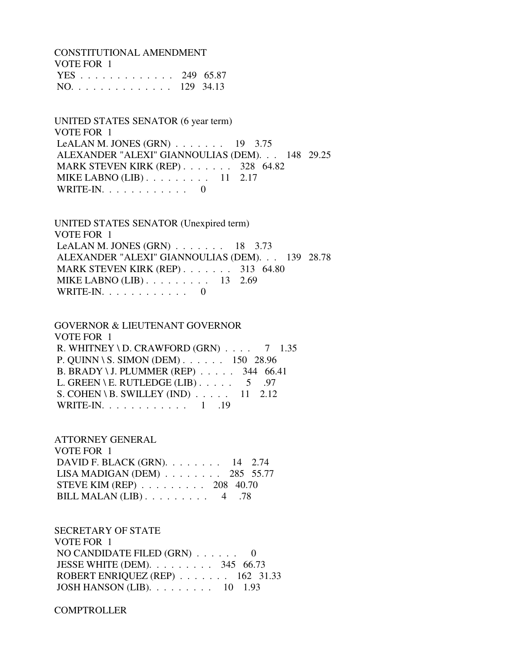CONSTITUTIONAL AMENDMENT VOTE FOR 1 YES . . . . . . . . . . . . . 249 65.87 NO. . . . . . . . . . . . . . 129 34.13

 UNITED STATES SENATOR (6 year term) VOTE FOR 1 LeALAN M. JONES  $(GRN)$  . . . . . . . 19 3.75 ALEXANDER "ALEXI" GIANNOULIAS (DEM). . . 148 29.25 MARK STEVEN KIRK (REP) . . . . . . . 328 64.82 MIKE LABNO (LIB) . . . . . . . . . 11 2.17 WRITE-IN.  $\ldots$  . . . . . . . . 0

 UNITED STATES SENATOR (Unexpired term) VOTE FOR 1 LeALAN M. JONES (GRN) . . . . . . . 18 3.73 ALEXANDER "ALEXI" GIANNOULIAS (DEM). . . 139 28.78 MARK STEVEN KIRK (REP) . . . . . . . 313 64.80 MIKE LABNO (LIB) . . . . . . . . . 13 2.69 WRITE-IN.  $\ldots$  . . . . . . . . 0

 GOVERNOR & LIEUTENANT GOVERNOR VOTE FOR 1 R. WHITNEY \ D. CRAWFORD  $(GRN)$  . . . . 7 1.35 P. QUINN \ S. SIMON (DEM) . . . . . . 150 28.96 B. BRADY \ J. PLUMMER (REP) . . . . . 344 66.41 L. GREEN \ E. RUTLEDGE (LIB)  $\ldots$  . . . . 5 .97 S. COHEN \ B. SWILLEY (IND)  $\ldots$  . . . 11 2.12 WRITE-IN. . . . . . . . . . . . 1 .19

 ATTORNEY GENERAL VOTE FOR 1 DAVID F. BLACK (GRN). . . . . . . . 14 2.74 LISA MADIGAN (DEM) . . . . . . . . 285 55.77 STEVE KIM (REP) . . . . . . . . . 208 40.70 BILL MALAN (LIB) . . . . . . . . . 4 .78

 SECRETARY OF STATE VOTE FOR 1 NO CANDIDATE FILED (GRN) . . . . . . 0 JESSE WHITE (DEM). . . . . . . . . 345 66.73 ROBERT ENRIQUEZ (REP) . . . . . . . 162 31.33 JOSH HANSON (LIB). . . . . . . . . 10 1.93

**COMPTROLLER**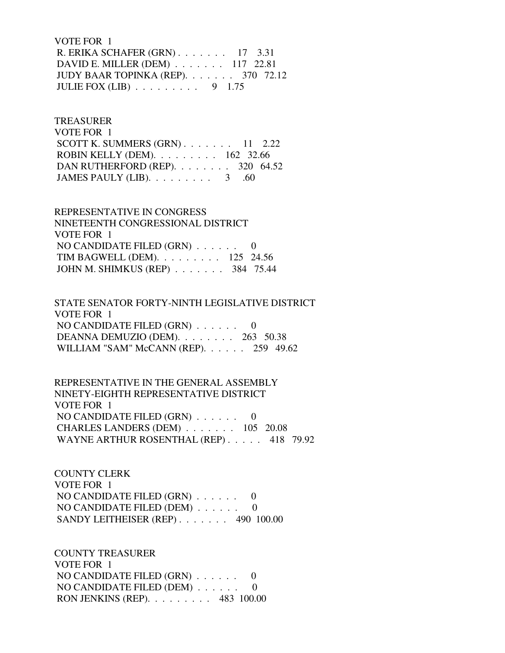VOTE FOR 1 R. ERIKA SCHAFER (GRN) . . . . . . . 17 3.31 DAVID E. MILLER (DEM) . . . . . . . 117 22.81 JUDY BAAR TOPINKA (REP). . . . . . . 370 72.12 JULIE FOX (LIB) . . . . . . . . . 9 1.75

 TREASURER VOTE FOR 1 SCOTT K. SUMMERS  $(GRN)$ . . . . . . . 11 2.22 ROBIN KELLY (DEM). . . . . . . . . 162 32.66 DAN RUTHERFORD (REP). . . . . . . . 320 64.52 JAMES PAULY (LIB).  $\ldots \ldots \ldots$  3 .60

 REPRESENTATIVE IN CONGRESS NINETEENTH CONGRESSIONAL DISTRICT VOTE FOR 1 NO CANDIDATE FILED  $(GRN)$  . . . . . . TIM BAGWELL (DEM). . . . . . . . . 125 24.56 JOHN M. SHIMKUS (REP) . . . . . . . 384 75.44

 STATE SENATOR FORTY-NINTH LEGISLATIVE DISTRICT VOTE FOR 1 NO CANDIDATE FILED (GRN) . . . . . . 0 DEANNA DEMUZIO (DEM). . . . . . . . 263 50.38 WILLIAM "SAM" McCANN (REP). . . . . . 259 49.62

 REPRESENTATIVE IN THE GENERAL ASSEMBLY NINETY-EIGHTH REPRESENTATIVE DISTRICT VOTE FOR 1 NO CANDIDATE FILED (GRN) . . . . . . 0 CHARLES LANDERS (DEM) . . . . . . . 105 20.08 WAYNE ARTHUR ROSENTHAL (REP) . . . . . 418 79.92

 COUNTY CLERK VOTE FOR 1 NO CANDIDATE FILED (GRN) . . . . . . 0 NO CANDIDATE FILED (DEM) . . . . . . 0 SANDY LEITHEISER (REP) . . . . . . . 490 100.00

 COUNTY TREASURER VOTE FOR 1 NO CANDIDATE FILED (GRN) . . . . . . 0 NO CANDIDATE FILED (DEM) . . . . . . 0 RON JENKINS (REP). . . . . . . . . 483 100.00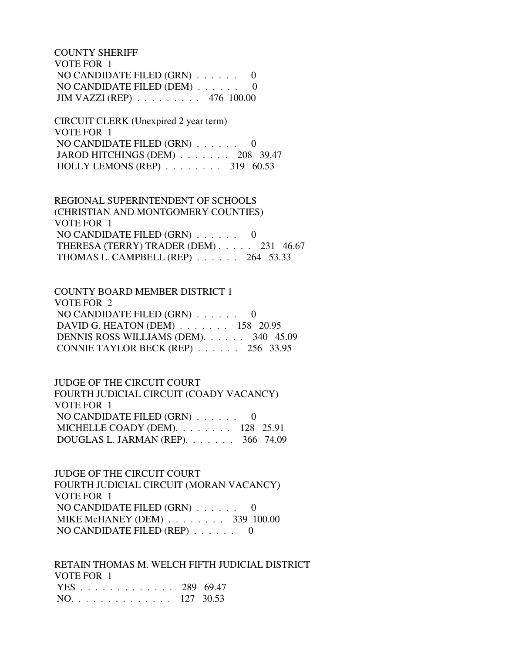COUNTY SHERIFF VOTE FOR 1 NO CANDIDATE FILED (GRN) . . . . . . 0 NO CANDIDATE FILED (DEM) . . . . . . 0 JIM VAZZI (REP) . . . . . . . . . 476 100.00

 CIRCUIT CLERK (Unexpired 2 year term) VOTE FOR 1 NO CANDIDATE FILED (GRN) . . . . . . 0 JAROD HITCHINGS (DEM) . . . . . . . 208 39.47 HOLLY LEMONS (REP) . . . . . . . . 319 60.53

 REGIONAL SUPERINTENDENT OF SCHOOLS (CHRISTIAN AND MONTGOMERY COUNTIES) VOTE FOR 1 NO CANDIDATE FILED (GRN) . . . . . . 0 THERESA (TERRY) TRADER (DEM) . . . . . 231 46.67 THOMAS L. CAMPBELL (REP) . . . . . . 264 53.33

 COUNTY BOARD MEMBER DISTRICT 1 VOTE FOR 2 NO CANDIDATE FILED (GRN) . . . . . . 0 DAVID G. HEATON (DEM) . . . . . . . 158 20.95 DENNIS ROSS WILLIAMS (DEM). . . . . . 340 45.09 CONNIE TAYLOR BECK (REP) . . . . . . 256 33.95

 JUDGE OF THE CIRCUIT COURT FOURTH JUDICIAL CIRCUIT (COADY VACANCY) VOTE FOR 1 NO CANDIDATE FILED (GRN) . . . . . . 0 MICHELLE COADY (DEM). . . . . . . . 128 25.91 DOUGLAS L. JARMAN (REP). . . . . . . 366 74.09

 JUDGE OF THE CIRCUIT COURT FOURTH JUDICIAL CIRCUIT (MORAN VACANCY) VOTE FOR 1 NO CANDIDATE FILED (GRN) . . . . . . 0 MIKE McHANEY (DEM) . . . . . . . . 339 100.00 NO CANDIDATE FILED (REP) . . . . . . 0

 RETAIN THOMAS M. WELCH FIFTH JUDICIAL DISTRICT VOTE FOR 1 YES . . . . . . . . . . . . . 289 69.47 NO. . . . . . . . . . . . . . 127 30.53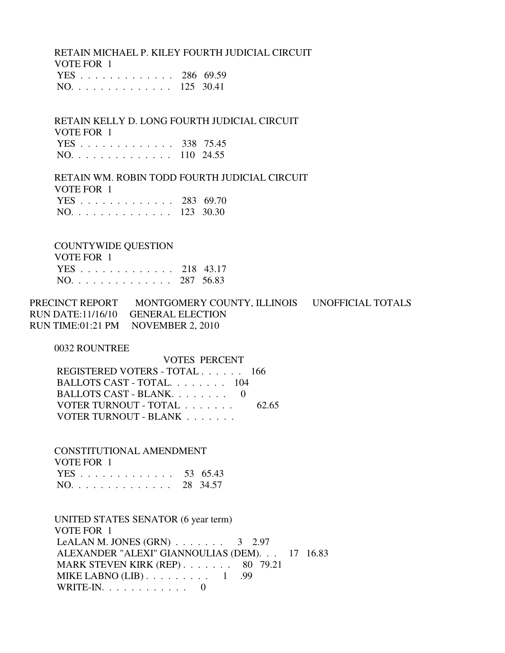RETAIN MICHAEL P. KILEY FOURTH JUDICIAL CIRCUIT VOTE FOR 1 YES . . . . . . . . . . . . . 286 69.59

NO. . . . . . . . . . . . . . 125 30.41

 RETAIN KELLY D. LONG FOURTH JUDICIAL CIRCUIT VOTE FOR 1 YES . . . . . . . . . . . . . 338 75.45 NO. . . . . . . . . . . . . . 110 24.55

 RETAIN WM. ROBIN TODD FOURTH JUDICIAL CIRCUIT VOTE FOR 1 YES . . . . . . . . . . . . . 283 69.70 NO. . . . . . . . . . . . . . 123 30.30

 COUNTYWIDE QUESTION VOTE FOR 1 YES . . . . . . . . . . . . . 218 43.17 NO. . . . . . . . . . . . . . 287 56.83

PRECINCT REPORT MONTGOMERY COUNTY, ILLINOIS UNOFFICIAL TOTALS RUN DATE:11/16/10 GENERAL ELECTION RUN TIME:01:21 PM NOVEMBER 2, 2010

0032 ROUNTREE

 VOTES PERCENT REGISTERED VOTERS - TOTAL . . . . . . 166 BALLOTS CAST - TOTAL. . . . . . . . 104 BALLOTS CAST - BLANK. . . . . . . . 0 VOTER TURNOUT - TOTAL . . . . . . . . 62.65 VOTER TURNOUT - BLANK . . . . . . .

 CONSTITUTIONAL AMENDMENT VOTE FOR 1 YES . . . . . . . . . . . . . 53 65.43 NO. . . . . . . . . . . . . . 28 34.57

 UNITED STATES SENATOR (6 year term) VOTE FOR 1 LeALAN M. JONES  $(GRN)$  . . . . . . . 3 2.97 ALEXANDER "ALEXI" GIANNOULIAS (DEM). . . 17 16.83 MARK STEVEN KIRK (REP) . . . . . . . 80 79.21 MIKE LABNO  $(LIB)$ ........ 1 .99 WRITE-IN.  $\ldots$  . . . . . . . . 0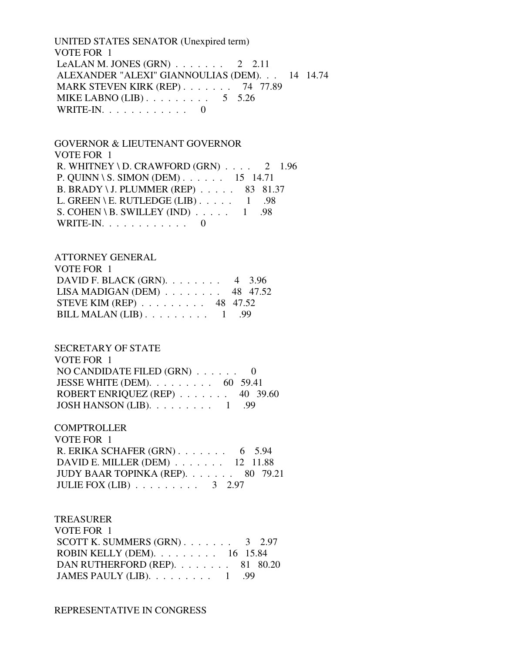UNITED STATES SENATOR (Unexpired term) VOTE FOR 1 LeALAN M. JONES  $(GRN)$  . . . . . . . 2 2.11 ALEXANDER "ALEXI" GIANNOULIAS (DEM). . . 14 14.74 MARK STEVEN KIRK (REP) . . . . . . . 74 77.89 MIKE LABNO (LIB)  $\ldots$  . . . . . . . . 5 5.26 WRITE-IN. . . . . . . . . . . . 0

 GOVERNOR & LIEUTENANT GOVERNOR VOTE FOR 1 R. WHITNEY \ D. CRAWFORD  $(GRN)$  . . . . 2 1.96 P. QUINN \ S. SIMON (DEM) . . . . . . 15 14.71 B. BRADY \ J. PLUMMER (REP) . . . . . 83 81.37 L. GREEN \ E. RUTLEDGE (LIB)  $\ldots$  . . . . 1 .98 S. COHEN \ B. SWILLEY (IND)  $\ldots$  . . . 1 .98 WRITE-IN. . . . . . . . . . . . 0

# ATTORNEY GENERAL VOTE FOR 1 DAVID F. BLACK (GRN). . . . . . . . 4 3.96 LISA MADIGAN (DEM) . . . . . . . . 48 47.52 STEVE KIM (REP) . . . . . . . . . 48 47.52 BILL MALAN  $(LIB)$ ........ 1 .99

#### SECRETARY OF STATE

 VOTE FOR 1 NO CANDIDATE FILED (GRN) . . . . . . 0 JESSE WHITE (DEM). . . . . . . . . 60 59.41 ROBERT ENRIQUEZ (REP) . . . . . . . 40 39.60 JOSH HANSON (LIB). . . . . . . . . 1 .99

## **COMPTROLLER**

| VOTE FOR 1                                    |  |
|-----------------------------------------------|--|
| R. ERIKA SCHAFER $(GRN)$ 6 5.94               |  |
| DAVID E. MILLER (DEM) $\ldots$ 12 11.88       |  |
| JUDY BAAR TOPINKA (REP). 80 79.21             |  |
| JULIE FOX (LIB) $\ldots \ldots \ldots 3$ 2.97 |  |

## TREASURER

| VOTE FOR 1                                         |  |
|----------------------------------------------------|--|
| SCOTT K. SUMMERS $(GRN)$ 3 2.97                    |  |
| ROBIN KELLY (DEM). $\ldots \ldots \ldots 16$ 15.84 |  |
| DAN RUTHERFORD (REP). $\ldots$ 81 80.20            |  |
| JAMES PAULY (LIB). $\ldots \ldots \ldots 1$ .99    |  |

## REPRESENTATIVE IN CONGRESS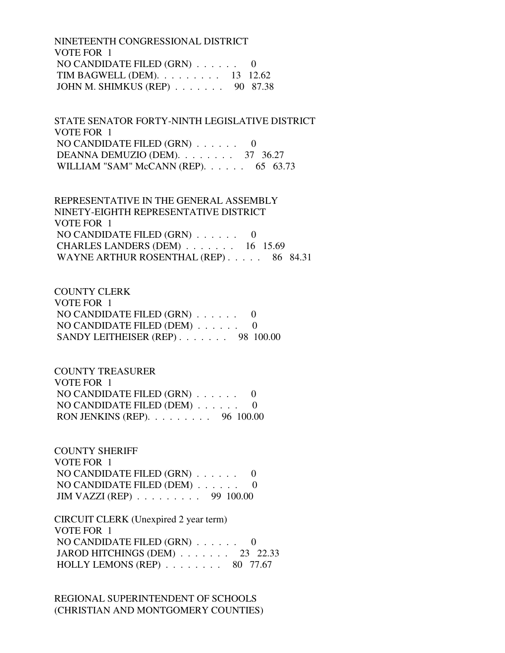NINETEENTH CONGRESSIONAL DISTRICT VOTE FOR 1 NO CANDIDATE FILED (GRN) . . . . . . 0 TIM BAGWELL (DEM). . . . . . . . . 13 12.62 JOHN M. SHIMKUS (REP) . . . . . . . 90 87.38

 STATE SENATOR FORTY-NINTH LEGISLATIVE DISTRICT VOTE FOR 1 NO CANDIDATE FILED (GRN) . . . . . . 0 DEANNA DEMUZIO (DEM). . . . . . . . 37 36.27 WILLIAM "SAM" McCANN (REP). . . . . . 65 63.73

 REPRESENTATIVE IN THE GENERAL ASSEMBLY NINETY-EIGHTH REPRESENTATIVE DISTRICT VOTE FOR 1 NO CANDIDATE FILED (GRN) . . . . . . 0 CHARLES LANDERS (DEM) . . . . . . . 16 15.69 WAYNE ARTHUR ROSENTHAL (REP) . . . . . 86 84.31

 COUNTY CLERK VOTE FOR 1 NO CANDIDATE FILED (GRN) . . . . . . 0 NO CANDIDATE FILED (DEM) . . . . . . 0 SANDY LEITHEISER (REP) . . . . . . . 98 100.00

 COUNTY TREASURER VOTE FOR 1 NO CANDIDATE FILED (GRN) . . . . . . 0 NO CANDIDATE FILED (DEM) . . . . . . 0 RON JENKINS (REP). . . . . . . . . 96 100.00

 COUNTY SHERIFF VOTE FOR 1 NO CANDIDATE FILED (GRN) . . . . . . 0 NO CANDIDATE FILED (DEM) . . . . . . 0 JIM VAZZI (REP) . . . . . . . . . 99 100.00

 CIRCUIT CLERK (Unexpired 2 year term) VOTE FOR 1 NO CANDIDATE FILED (GRN) . . . . . . 0 JAROD HITCHINGS (DEM) . . . . . . . 23 22.33 HOLLY LEMONS (REP)  $\ldots$  . . . . . . 80 77.67

 REGIONAL SUPERINTENDENT OF SCHOOLS (CHRISTIAN AND MONTGOMERY COUNTIES)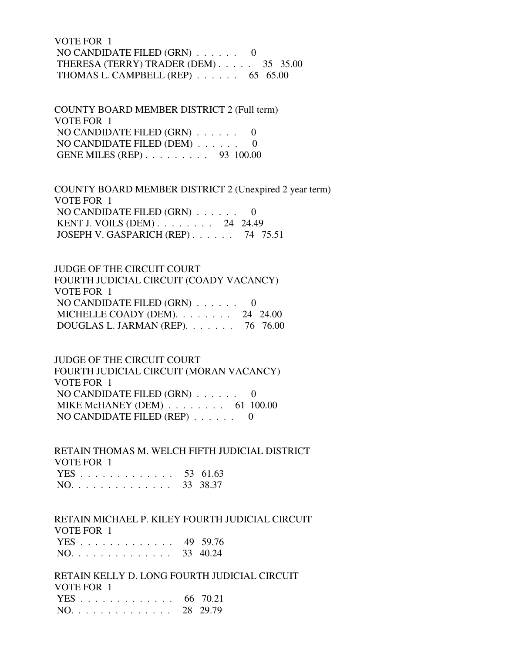VOTE FOR 1 NO CANDIDATE FILED  $(GRN)$ ...... 0 THERESA (TERRY) TRADER (DEM) . . . . . 35 35.00 THOMAS L. CAMPBELL (REP) . . . . . . 65 65.00

 COUNTY BOARD MEMBER DISTRICT 2 (Full term) VOTE FOR 1 NO CANDIDATE FILED (GRN) . . . . . . 0 NO CANDIDATE FILED (DEM) . . . . . . 0 GENE MILES (REP) . . . . . . . . . 93 100.00

 COUNTY BOARD MEMBER DISTRICT 2 (Unexpired 2 year term) VOTE FOR 1 NO CANDIDATE FILED (GRN) . . . . . . 0 KENT J. VOILS (DEM) . . . . . . . . 24 24.49 JOSEPH V. GASPARICH (REP) . . . . . . 74 75.51

 JUDGE OF THE CIRCUIT COURT FOURTH JUDICIAL CIRCUIT (COADY VACANCY) VOTE FOR 1 NO CANDIDATE FILED (GRN) . . . . . . 0 MICHELLE COADY (DEM). . . . . . . 24 24.00 DOUGLAS L. JARMAN (REP). . . . . . . 76 76.00

 JUDGE OF THE CIRCUIT COURT FOURTH JUDICIAL CIRCUIT (MORAN VACANCY) VOTE FOR 1 NO CANDIDATE FILED (GRN) . . . . . . 0 MIKE McHANEY (DEM) . . . . . . . . . 61 100.00 NO CANDIDATE FILED (REP) . . . . . . 0

 RETAIN THOMAS M. WELCH FIFTH JUDICIAL DISTRICT VOTE FOR 1 YES . . . . . . . . . . . . . 53 61.63 NO. . . . . . . . . . . . . . 33 38.37

 RETAIN MICHAEL P. KILEY FOURTH JUDICIAL CIRCUIT VOTE FOR 1 YES . . . . . . . . . . . . . 49 59.76

NO. . . . . . . . . . . . . . 33 40.24

 RETAIN KELLY D. LONG FOURTH JUDICIAL CIRCUIT VOTE FOR 1 YES . . . . . . . . . . . . . 66 70.21 NO. . . . . . . . . . . . . . 28 29.79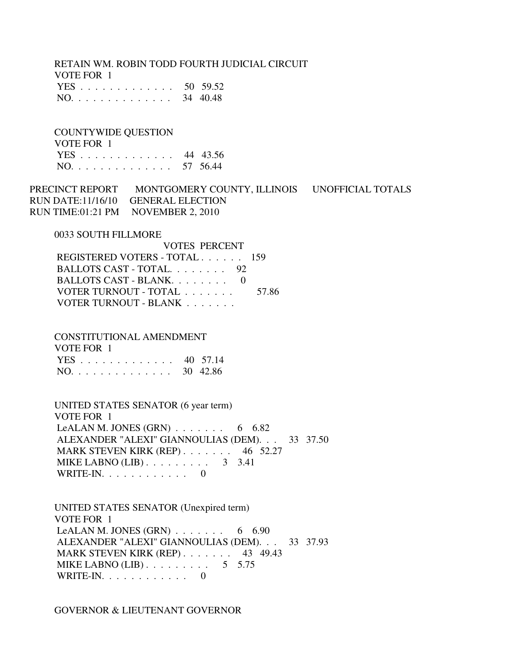RETAIN WM. ROBIN TODD FOURTH JUDICIAL CIRCUIT VOTE FOR 1 YES . . . . . . . . . . . . . 50 59.52 NO. . . . . . . . . . . . . . 34 40.48

 COUNTYWIDE QUESTION VOTE FOR 1 YES . . . . . . . . . . . . . 44 43.56 NO. . . . . . . . . . . . . . 57 56.44

PRECINCT REPORT MONTGOMERY COUNTY, ILLINOIS UNOFFICIAL TOTALS RUN DATE:11/16/10 GENERAL ELECTION RUN TIME:01:21 PM NOVEMBER 2, 2010

0033 SOUTH FILLMORE

| <b>VOTES PERCENT</b>          |       |
|-------------------------------|-------|
| REGISTERED VOTERS - TOTAL 159 |       |
| BALLOTS CAST - TOTAL 92       |       |
| BALLOTS CAST - BLANK. 0       |       |
| VOTER TURNOUT - TOTAL         | 57.86 |
| VOTER TURNOUT - BLANK         |       |

CONSTITUTIONAL AMENDMENT

| VOTE FOR 1   |  |
|--------------|--|
| YES 40 57.14 |  |
| NO. 30 42.86 |  |

 UNITED STATES SENATOR (6 year term) VOTE FOR 1 LeALAN M. JONES  $(GRN)$  . . . . . . . 6 6.82 ALEXANDER "ALEXI" GIANNOULIAS (DEM). . . 33 37.50 MARK STEVEN KIRK (REP) . . . . . . . 46 52.27 MIKE LABNO  $(LIB)$ ........ 3 3.41 WRITE-IN. . . . . . . . . . . . 0

 UNITED STATES SENATOR (Unexpired term) VOTE FOR 1 LeALAN M. JONES (GRN)  $\ldots$  . . . . . . 6 6.90 ALEXANDER "ALEXI" GIANNOULIAS (DEM). . . 33 37.93 MARK STEVEN KIRK (REP) . . . . . . . 43 49.43 MIKE LABNO  $(LIB)$ ........ 5 5.75 WRITE-IN. . . . . . . . . . . . 0

GOVERNOR & LIEUTENANT GOVERNOR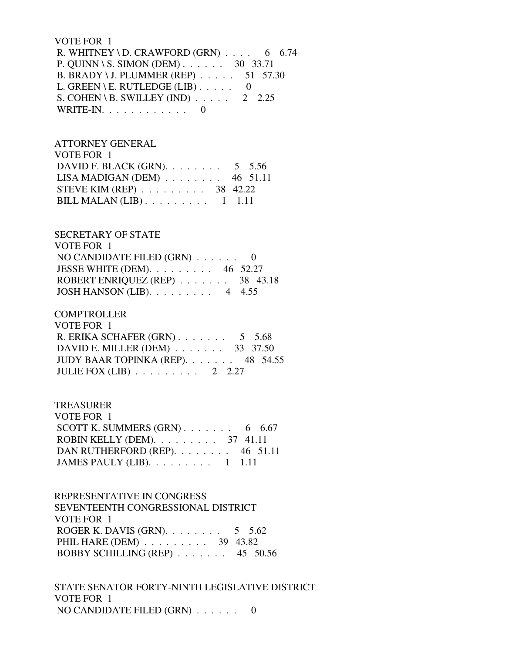### VOTE FOR 1

R. WHITNEY \ D. CRAWFORD (GRN)  $\ldots$  . 6 6.74 P. QUINN \ S. SIMON (DEM) . . . . . . 30 33.71 B. BRADY \ J. PLUMMER (REP) . . . . . 51 57.30 L. GREEN \ E. RUTLEDGE (LIB)  $\ldots$  . . . 0 S. COHEN \ B. SWILLEY (IND)  $\ldots$  . . . . 2 2.25 WRITE-IN.  $\ldots$  . . . . . . . . . 0

# ATTORNEY GENERAL VOTE FOR 1 DAVID F. BLACK (GRN). . . . . . . . 5 5.56 LISA MADIGAN (DEM) . . . . . . . . 46 51.11 STEVE KIM (REP) . . . . . . . . . 38 42.22 BILL MALAN  $(LIB)$ ........ 1 1.11

# SECRETARY OF STATE

| VOTE FOR 1                              |  |
|-----------------------------------------|--|
| NO CANDIDATE FILED $(GRN)$ 0            |  |
| JESSE WHITE (DEM). $\ldots$ 46 52.27    |  |
| ROBERT ENRIQUEZ (REP) $\ldots$ 38 43.18 |  |
| JOSH HANSON (LIB). $\ldots$ 4 4.55      |  |

# **COMPTROLLER**

| VOTE FOR 1                                    |  |
|-----------------------------------------------|--|
| R. ERIKA SCHAFER $(GRN)$ 5 5.68               |  |
| DAVID E. MILLER (DEM) $\ldots$ 33 37.50       |  |
| JUDY BAAR TOPINKA (REP). $\ldots$ 48 54.55    |  |
| JULIE FOX (LIB) $\ldots \ldots \ldots 2$ 2.27 |  |

# TREASURER

| VOTE FOR 1                                         |  |  |
|----------------------------------------------------|--|--|
| SCOTT K. SUMMERS $(GRN)$ 6 6.67                    |  |  |
| ROBIN KELLY (DEM). $\ldots \ldots \ldots$ 37 41.11 |  |  |
| DAN RUTHERFORD (REP). 46 51.11                     |  |  |
| JAMES PAULY (LIB). $\ldots \ldots \ldots 1$ 1.11   |  |  |

# REPRESENTATIVE IN CONGRESS SEVENTEENTH CONGRESSIONAL DISTRICT VOTE FOR 1 ROGER K. DAVIS (GRN).  $\ldots$  . . . . . . 5 5.62 PHIL HARE (DEM) . . . . . . . . . 39 43.82 BOBBY SCHILLING (REP) . . . . . . . 45 50.56

 STATE SENATOR FORTY-NINTH LEGISLATIVE DISTRICT VOTE FOR 1 NO CANDIDATE FILED (GRN) . . . . . . 0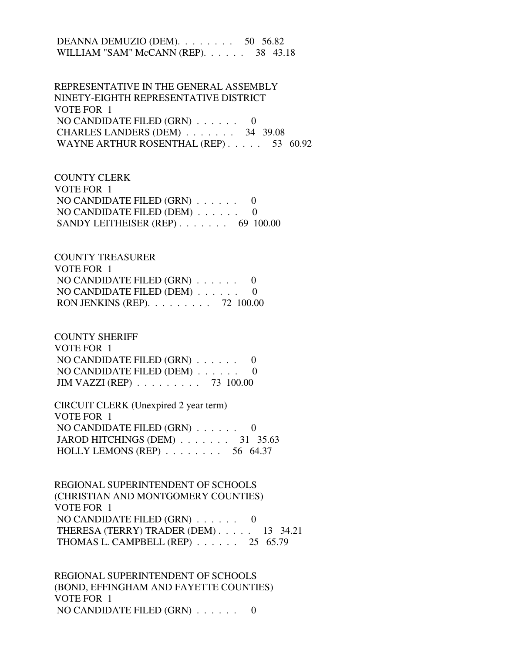DEANNA DEMUZIO (DEM). . . . . . . . 50 56.82 WILLIAM "SAM" McCANN (REP). . . . . . 38 43.18

 REPRESENTATIVE IN THE GENERAL ASSEMBLY NINETY-EIGHTH REPRESENTATIVE DISTRICT VOTE FOR 1 NO CANDIDATE FILED (GRN) . . . . . . 0 CHARLES LANDERS (DEM) . . . . . . . 34 39.08 WAYNE ARTHUR ROSENTHAL (REP)  $\ldots$  . . . . 53 60.92

 COUNTY CLERK VOTE FOR 1 NO CANDIDATE FILED (GRN) . . . . . . 0 NO CANDIDATE FILED (DEM) . . . . . . 0 SANDY LEITHEISER (REP) . . . . . . . 69 100.00

 COUNTY TREASURER VOTE FOR 1 NO CANDIDATE FILED (GRN) . . . . . . 0 NO CANDIDATE FILED (DEM) . . . . . . 0 RON JENKINS (REP). . . . . . . . . 72 100.00

 COUNTY SHERIFF VOTE FOR 1 NO CANDIDATE FILED (GRN) . . . . . . 0 NO CANDIDATE FILED (DEM) . . . . . . 0 JIM VAZZI (REP) . . . . . . . . . 73 100.00

 CIRCUIT CLERK (Unexpired 2 year term) VOTE FOR 1 NO CANDIDATE FILED (GRN) . . . . . . 0 JAROD HITCHINGS (DEM) . . . . . . . 31 35.63 HOLLY LEMONS (REP) . . . . . . . . 56 64.37

 REGIONAL SUPERINTENDENT OF SCHOOLS (CHRISTIAN AND MONTGOMERY COUNTIES) VOTE FOR 1 NO CANDIDATE FILED (GRN) . . . . . . 0 THERESA (TERRY) TRADER (DEM) . . . . . 13 34.21 THOMAS L. CAMPBELL (REP) . . . . . . 25 65.79

 REGIONAL SUPERINTENDENT OF SCHOOLS (BOND, EFFINGHAM AND FAYETTE COUNTIES) VOTE FOR 1 NO CANDIDATE FILED (GRN) . . . . . . 0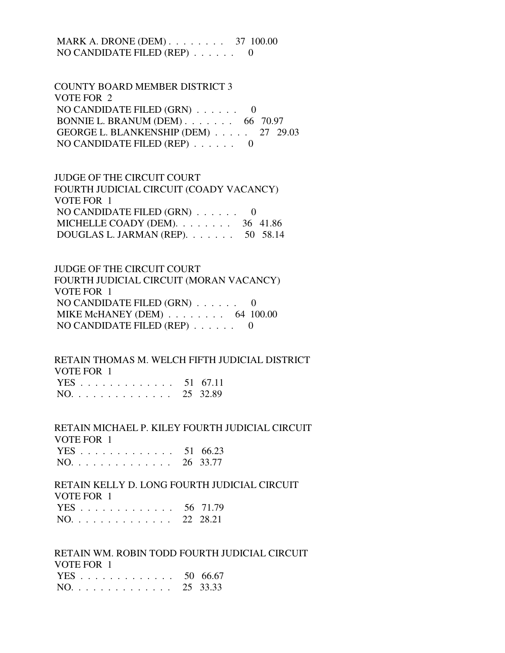MARK A. DRONE (DEM) . . . . . . . . . 37 100.00 NO CANDIDATE FILED (REP) . . . . . . 0

 COUNTY BOARD MEMBER DISTRICT 3 VOTE FOR 2 NO CANDIDATE FILED (GRN) . . . . . . 0 BONNIE L. BRANUM (DEM) . . . . . . . 66 70.97 GEORGE L. BLANKENSHIP (DEM) . . . . . 27 29.03 NO CANDIDATE FILED (REP) . . . . . . 0

 JUDGE OF THE CIRCUIT COURT FOURTH JUDICIAL CIRCUIT (COADY VACANCY) VOTE FOR 1 NO CANDIDATE FILED (GRN) . . . . . . 0 MICHELLE COADY (DEM). . . . . . . . 36 41.86 DOUGLAS L. JARMAN (REP). . . . . . . 50 58.14

# JUDGE OF THE CIRCUIT COURT FOURTH JUDICIAL CIRCUIT (MORAN VACANCY) VOTE FOR 1 NO CANDIDATE FILED (GRN) . . . . . . 0 MIKE McHANEY (DEM) . . . . . . . . . 64 100.00 NO CANDIDATE FILED (REP) . . . . . . 0

# RETAIN THOMAS M. WELCH FIFTH JUDICIAL DISTRICT VOTE FOR 1

|  |  |  |  |  |  |  | YES 51 67.11 |
|--|--|--|--|--|--|--|--------------|
|  |  |  |  |  |  |  | NO. 25 32.89 |

 RETAIN MICHAEL P. KILEY FOURTH JUDICIAL CIRCUIT VOTE FOR 1 YES . . . . . . . . . . . . . 51 66.23

|  |  |  |  |  |  |  | NO. 26 33.77 |
|--|--|--|--|--|--|--|--------------|
|  |  |  |  |  |  |  |              |

 RETAIN KELLY D. LONG FOURTH JUDICIAL CIRCUIT VOTE FOR 1 56 71.79

|  |  |  |  |  |  |  |  | NO. 22 28.21 |
|--|--|--|--|--|--|--|--|--------------|

 RETAIN WM. ROBIN TODD FOURTH JUDICIAL CIRCUIT VOTE FOR 1

|  |  |  |  |  |  |  | YES 50 66.67 |
|--|--|--|--|--|--|--|--------------|
|  |  |  |  |  |  |  | NO. 25 33.33 |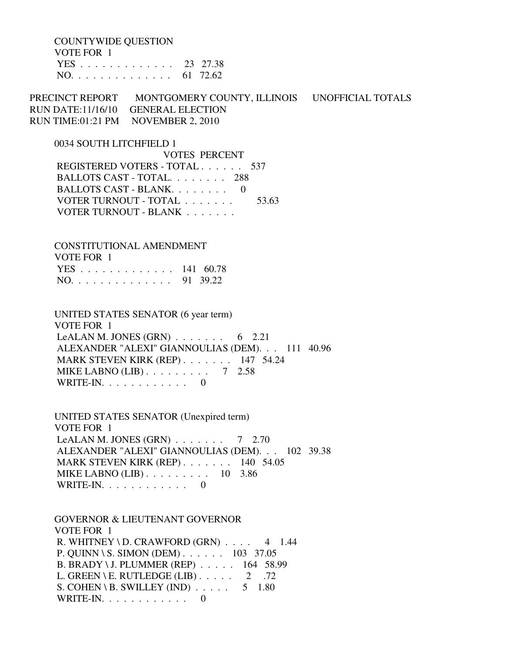COUNTYWIDE QUESTION VOTE FOR 1 YES . . . . . . . . . . . . . 23 27.38

NO. . . . . . . . . . . . . . 61 72.62

PRECINCT REPORT MONTGOMERY COUNTY, ILLINOIS UNOFFICIAL TOTALS RUN DATE:11/16/10 GENERAL ELECTION RUN TIME:01:21 PM NOVEMBER 2, 2010

0034 SOUTH LITCHFIELD 1

 VOTES PERCENT REGISTERED VOTERS - TOTAL . . . . . . 537 BALLOTS CAST - TOTAL. . . . . . . . 288 BALLOTS CAST - BLANK. . . . . . . . 0 VOTER TURNOUT - TOTAL . . . . . . . . 53.63 VOTER TURNOUT - BLANK . . . . . . .

 CONSTITUTIONAL AMENDMENT VOTE FOR 1 YES . . . . . . . . . . . . . 141 60.78 NO. . . . . . . . . . . . . . 91 39.22

 UNITED STATES SENATOR (6 year term) VOTE FOR 1 LeALAN M. JONES (GRN)  $\ldots$  . . . . . . 6 2.21 ALEXANDER "ALEXI" GIANNOULIAS (DEM). . . 111 40.96 MARK STEVEN KIRK (REP) . . . . . . . 147 54.24 MIKE LABNO (LIB) . . . . . . . . . 7 2.58 WRITE-IN.  $\ldots$  . . . . . . . . 0

 UNITED STATES SENATOR (Unexpired term) VOTE FOR 1 LeALAN M. JONES (GRN)  $\ldots$  . . . . . 7 2.70 ALEXANDER "ALEXI" GIANNOULIAS (DEM). . . 102 39.38 MARK STEVEN KIRK (REP) . . . . . . . 140 54.05 MIKE LABNO (LIB) . . . . . . . . . 10 3.86 WRITE-IN.  $\ldots$  . . . . . . . . 0

 GOVERNOR & LIEUTENANT GOVERNOR VOTE FOR 1 R. WHITNEY \ D. CRAWFORD  $(GRN)$  . . . . 4 1.44 P. QUINN \ S. SIMON (DEM) . . . . . . 103 37.05 B. BRADY \ J. PLUMMER (REP) . . . . . 164 58.99 L. GREEN \ E. RUTLEDGE (LIB)  $\ldots$  . . . . 2 .72 S. COHEN \ B. SWILLEY (IND)  $\ldots$  . . . . 5 1.80 WRITE-IN.  $\ldots$  . . . . . . . . . 0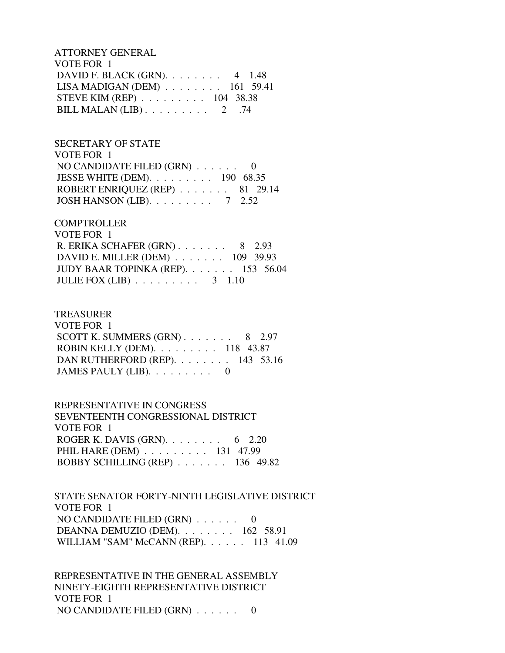ATTORNEY GENERAL VOTE FOR 1 DAVID F. BLACK (GRN). . . . . . . . 4 1.48 LISA MADIGAN (DEM) . . . . . . . . 161 59.41 STEVE KIM (REP) . . . . . . . . . 104 38.38 BILL MALAN (LIB)  $\ldots$  . . . . . . . 2 .74

 SECRETARY OF STATE VOTE FOR 1 NO CANDIDATE FILED  $(GRN)$  . . . . . . 0 JESSE WHITE (DEM). . . . . . . . . 190 68.35 ROBERT ENRIQUEZ (REP) . . . . . . . 81 29.14 JOSH HANSON (LIB). . . . . . . . . 7 2.52

## **COMPTROLLER**

| VOTE FOR 1                                    |  |
|-----------------------------------------------|--|
| R. ERIKA SCHAFER $(GRN)$ 8 2.93               |  |
| DAVID E. MILLER (DEM) $\ldots$ 109 39.93      |  |
| JUDY BAAR TOPINKA (REP). 153 56.04            |  |
| JULIE FOX (LIB) $\ldots \ldots \ldots 3$ 1.10 |  |

### TREASURER

| VOTE FOR 1                                          |  |  |
|-----------------------------------------------------|--|--|
| SCOTT K. SUMMERS $(GRN)$ 8 2.97                     |  |  |
| ROBIN KELLY (DEM). $\ldots \ldots \ldots 118$ 43.87 |  |  |
| DAN RUTHERFORD (REP). $\ldots$ 143 53.16            |  |  |
| JAMES PAULY (LIB). $\ldots \ldots \ldots$ 0         |  |  |

 REPRESENTATIVE IN CONGRESS SEVENTEENTH CONGRESSIONAL DISTRICT VOTE FOR 1 ROGER K. DAVIS (GRN). . . . . . . . 6 2.20 PHIL HARE (DEM) . . . . . . . . . 131 47.99 BOBBY SCHILLING (REP) . . . . . . . 136 49.82

 STATE SENATOR FORTY-NINTH LEGISLATIVE DISTRICT VOTE FOR 1 NO CANDIDATE FILED (GRN) . . . . . . 0 DEANNA DEMUZIO (DEM). . . . . . . . 162 58.91 WILLIAM "SAM" McCANN (REP). . . . . . 113 41.09

 REPRESENTATIVE IN THE GENERAL ASSEMBLY NINETY-EIGHTH REPRESENTATIVE DISTRICT VOTE FOR 1 NO CANDIDATE FILED (GRN) . . . . . . 0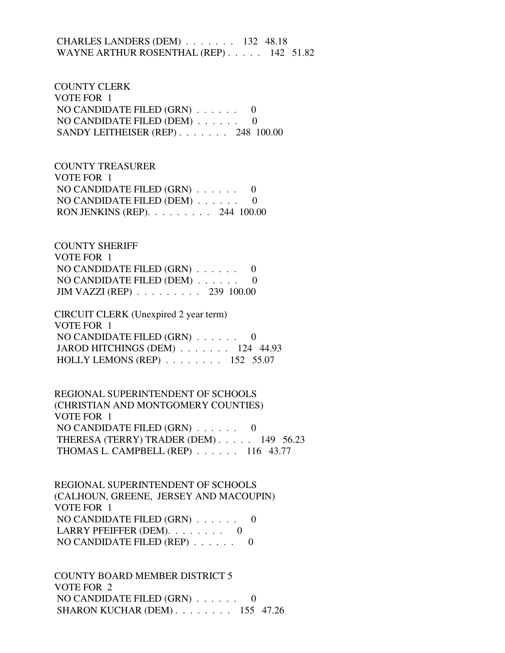# CHARLES LANDERS (DEM) . . . . . . . 132 48.18 WAYNE ARTHUR ROSENTHAL (REP) . . . . . 142 51.82

 COUNTY CLERK VOTE FOR 1 NO CANDIDATE FILED (GRN) . . . . . . 0 NO CANDIDATE FILED (DEM) . . . . . . 0 SANDY LEITHEISER (REP) . . . . . . . 248 100.00

 COUNTY TREASURER VOTE FOR 1 NO CANDIDATE FILED (GRN) . . . . . . 0 NO CANDIDATE FILED (DEM) . . . . . . 0 RON JENKINS (REP). . . . . . . . . 244 100.00

 COUNTY SHERIFF VOTE FOR 1 NO CANDIDATE FILED (GRN) . . . . . . 0 NO CANDIDATE FILED (DEM) . . . . . . 0 JIM VAZZI (REP) . . . . . . . . . 239 100.00

 CIRCUIT CLERK (Unexpired 2 year term) VOTE FOR 1 NO CANDIDATE FILED (GRN) . . . . . . 0 JAROD HITCHINGS (DEM) . . . . . . . 124 44.93 HOLLY LEMONS (REP) . . . . . . . . 152 55.07

 REGIONAL SUPERINTENDENT OF SCHOOLS (CHRISTIAN AND MONTGOMERY COUNTIES) VOTE FOR 1 NO CANDIDATE FILED (GRN) . . . . . . 0 THERESA (TERRY) TRADER (DEM) . . . . . 149 56.23 THOMAS L. CAMPBELL (REP) . . . . . . 116 43.77

 REGIONAL SUPERINTENDENT OF SCHOOLS (CALHOUN, GREENE, JERSEY AND MACOUPIN) VOTE FOR 1 NO CANDIDATE FILED (GRN) . . . . . . 0 LARRY PFEIFFER (DEM).  $\ldots$  . . . . . 0 NO CANDIDATE FILED (REP) . . . . . . 0

 COUNTY BOARD MEMBER DISTRICT 5 VOTE FOR 2 NO CANDIDATE FILED (GRN) . . . . . . 0 SHARON KUCHAR (DEM) . . . . . . . . 155 47.26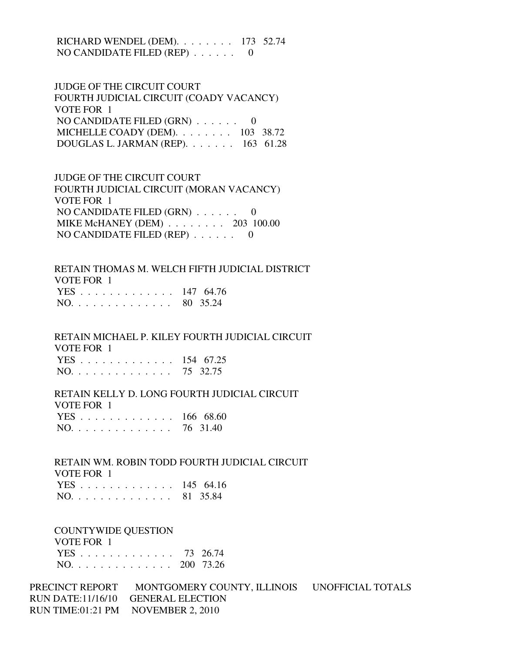RICHARD WENDEL (DEM). . . . . . . . 173 52.74 NO CANDIDATE FILED (REP) . . . . . . 0

 JUDGE OF THE CIRCUIT COURT FOURTH JUDICIAL CIRCUIT (COADY VACANCY) VOTE FOR 1 NO CANDIDATE FILED (GRN) . . . . . . 0 MICHELLE COADY (DEM). . . . . . . . 103 38.72 DOUGLAS L. JARMAN (REP). . . . . . . 163 61.28

 JUDGE OF THE CIRCUIT COURT FOURTH JUDICIAL CIRCUIT (MORAN VACANCY) VOTE FOR 1 NO CANDIDATE FILED (GRN) . . . . . . 0 MIKE McHANEY (DEM) . . . . . . . . 203 100.00 NO CANDIDATE FILED (REP) . . . . . . 0

 RETAIN THOMAS M. WELCH FIFTH JUDICIAL DISTRICT VOTE FOR 1 YES . . . . . . . . . . . . . 147 64.76 NO. . . . . . . . . . . . . . 80 35.24

 RETAIN MICHAEL P. KILEY FOURTH JUDICIAL CIRCUIT VOTE FOR 1 YES . . . . . . . . . . . . . 154 67.25 NO. . . . . . . . . . . . . . 75 32.75

 RETAIN KELLY D. LONG FOURTH JUDICIAL CIRCUIT VOTE FOR 1 YES . . . . . . . . . . . . . 166 68.60

NO. . . . . . . . . . . . . . 76 31.40

 RETAIN WM. ROBIN TODD FOURTH JUDICIAL CIRCUIT VOTE FOR 1 YES . . . . . . . . . . . . . 145 64.16 NO. . . . . . . . . . . . . . 81 35.84

COUNTYWIDE QUESTION

VOTE FOR 1

|  |  |  |  |  |  |  | YES 73 26.74  |
|--|--|--|--|--|--|--|---------------|
|  |  |  |  |  |  |  | NO. 200 73.26 |

PRECINCT REPORT MONTGOMERY COUNTY, ILLINOIS UNOFFICIAL TOTALS RUN DATE:11/16/10 GENERAL ELECTION RUN TIME:01:21 PM NOVEMBER 2, 2010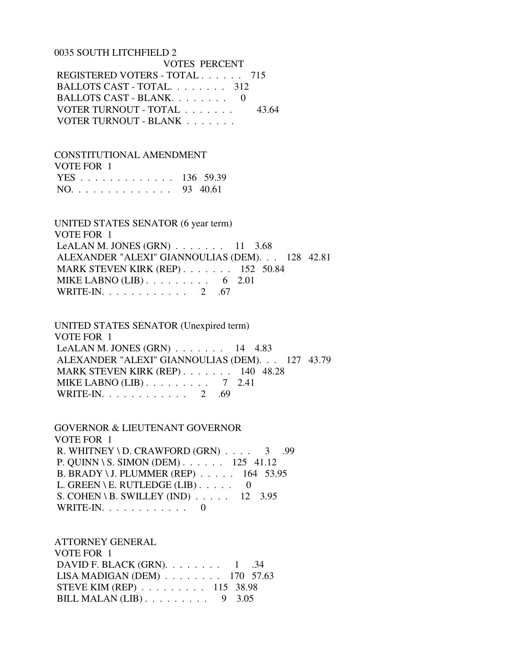#### 0035 SOUTH LITCHFIELD 2

 VOTES PERCENT REGISTERED VOTERS - TOTAL . . . . . . 715 BALLOTS CAST - TOTAL. . . . . . . . 312 BALLOTS CAST - BLANK. . . . . . . . 0 VOTER TURNOUT - TOTAL . . . . . . . 43.64 VOTER TURNOUT - BLANK . . . . . . .

 CONSTITUTIONAL AMENDMENT VOTE FOR 1 YES . . . . . . . . . . . . . 136 59.39 NO. . . . . . . . . . . . . . 93 40.61

 UNITED STATES SENATOR (6 year term) VOTE FOR 1 LeALAN M. JONES  $(GRN)$ ...... 11 3.68 ALEXANDER "ALEXI" GIANNOULIAS (DEM). . . 128 42.81 MARK STEVEN KIRK (REP) . . . . . . . 152 50.84 MIKE LABNO  $(LIB)$ ........ 6 2.01 WRITE-IN. . . . . . . . . . . . . 2 .67

 UNITED STATES SENATOR (Unexpired term) VOTE FOR 1 LeALAN M. JONES  $(GRN)$  . . . . . . . 14 4.83 ALEXANDER "ALEXI" GIANNOULIAS (DEM). . . 127 43.79 MARK STEVEN KIRK (REP) . . . . . . . 140 48.28 MIKE LABNO  $(LIB)$ ........ 7 2.41 WRITE-IN. . . . . . . . . . . . 2 .69

 GOVERNOR & LIEUTENANT GOVERNOR VOTE FOR 1 R. WHITNEY \ D. CRAWFORD  $(GRN)$  . . . . 3 .99 P. QUINN \ S. SIMON (DEM) . . . . . . 125 41.12 B. BRADY \ J. PLUMMER (REP) . . . . . 164 53.95 L. GREEN \ E. RUTLEDGE (LIB)  $\ldots$  . . . 0 S. COHEN \ B. SWILLEY (IND) . . . . . 12 3.95 WRITE-IN. . . . . . . . . . . . 0

 ATTORNEY GENERAL VOTE FOR 1 DAVID F. BLACK (GRN). . . . . . . . 1 .34 LISA MADIGAN (DEM) . . . . . . . . 170 57.63 STEVE KIM (REP) . . . . . . . . . 115 38.98 BILL MALAN (LIB) . . . . . . . . . 9 3.05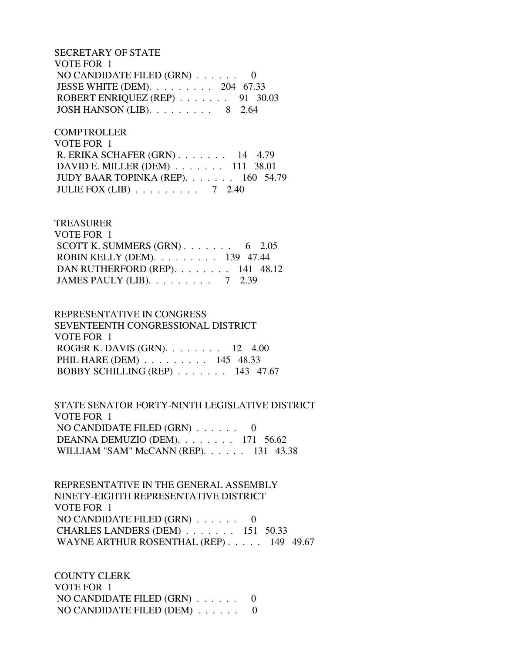SECRETARY OF STATE VOTE FOR 1 NO CANDIDATE FILED (GRN) . . . . . . 0 JESSE WHITE (DEM). . . . . . . . . 204 67.33 ROBERT ENRIQUEZ (REP) . . . . . . . 91 30.03 JOSH HANSON (LIB). . . . . . . . . 8 2.64

**COMPTROLLER**  VOTE FOR 1 R. ERIKA SCHAFER (GRN) . . . . . . . 14 4.79 DAVID E. MILLER (DEM) . . . . . . . 111 38.01 JUDY BAAR TOPINKA (REP). . . . . . . 160 54.79 JULIE FOX (LIB) . . . . . . . . . 7 2.40

## TREASURER

| VOTE FOR 1                                       |  |  |
|--------------------------------------------------|--|--|
| SCOTT K. SUMMERS $(GRN)$ 6 2.05                  |  |  |
| ROBIN KELLY (DEM). $\ldots$ 139 47.44            |  |  |
| DAN RUTHERFORD (REP). $\ldots$ 141 48.12         |  |  |
| JAMES PAULY (LIB). $\ldots \ldots \ldots$ 7 2.39 |  |  |

 REPRESENTATIVE IN CONGRESS SEVENTEENTH CONGRESSIONAL DISTRICT VOTE FOR 1 ROGER K. DAVIS (GRN). . . . . . . . 12 4.00 PHIL HARE (DEM) . . . . . . . . . 145 48.33 BOBBY SCHILLING (REP) . . . . . . . 143 47.67

 STATE SENATOR FORTY-NINTH LEGISLATIVE DISTRICT VOTE FOR 1 NO CANDIDATE FILED  $(GRN)$ ...... 0 DEANNA DEMUZIO (DEM). . . . . . . . 171 56.62 WILLIAM "SAM" McCANN (REP). . . . . . 131 43.38

 REPRESENTATIVE IN THE GENERAL ASSEMBLY NINETY-EIGHTH REPRESENTATIVE DISTRICT VOTE FOR 1 NO CANDIDATE FILED (GRN) . . . . . . 0 CHARLES LANDERS (DEM) . . . . . . . 151 50.33 WAYNE ARTHUR ROSENTHAL (REP) . . . . . 149 49.67

 COUNTY CLERK VOTE FOR 1 NO CANDIDATE FILED (GRN) . . . . . . 0 NO CANDIDATE FILED (DEM) . . . . . . 0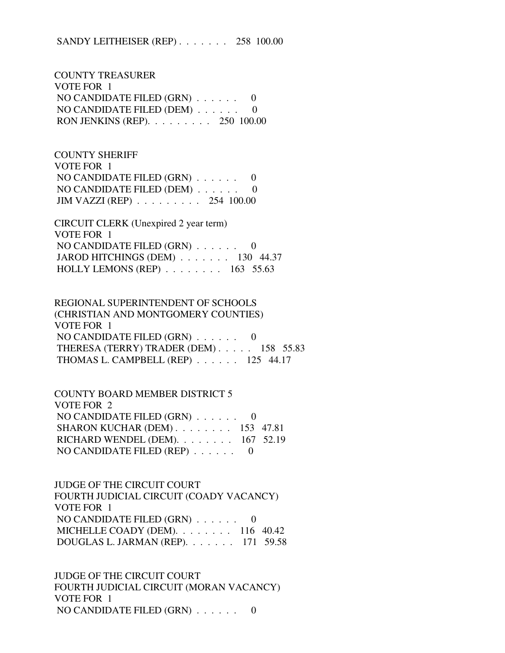SANDY LEITHEISER (REP) . . . . . . . 258 100.00

 COUNTY TREASURER VOTE FOR 1 NO CANDIDATE FILED (GRN) . . . . . . 0 NO CANDIDATE FILED (DEM) . . . . . . 0 RON JENKINS (REP). . . . . . . . . 250 100.00

 COUNTY SHERIFF VOTE FOR 1 NO CANDIDATE FILED (GRN) . . . . . . 0 NO CANDIDATE FILED (DEM) . . . . . . 0 JIM VAZZI (REP) . . . . . . . . . 254 100.00

 CIRCUIT CLERK (Unexpired 2 year term) VOTE FOR 1 NO CANDIDATE FILED (GRN) . . . . . . 0 JAROD HITCHINGS (DEM) . . . . . . . 130 44.37 HOLLY LEMONS (REP) . . . . . . . . 163 55.63

 REGIONAL SUPERINTENDENT OF SCHOOLS (CHRISTIAN AND MONTGOMERY COUNTIES) VOTE FOR 1 NO CANDIDATE FILED (GRN) . . . . . . 0 THERESA (TERRY) TRADER (DEM) . . . . . 158 55.83 THOMAS L. CAMPBELL (REP) . . . . . . 125 44.17

 COUNTY BOARD MEMBER DISTRICT 5 VOTE FOR 2 NO CANDIDATE FILED (GRN) . . . . . . 0 SHARON KUCHAR (DEM) . . . . . . . . 153 47.81 RICHARD WENDEL (DEM). . . . . . . . 167 52.19 NO CANDIDATE FILED (REP) . . . . . . 0

 JUDGE OF THE CIRCUIT COURT FOURTH JUDICIAL CIRCUIT (COADY VACANCY) VOTE FOR 1 NO CANDIDATE FILED (GRN) . . . . . . 0 MICHELLE COADY (DEM). . . . . . . . 116 40.42 DOUGLAS L. JARMAN (REP). . . . . . . 171 59.58

 JUDGE OF THE CIRCUIT COURT FOURTH JUDICIAL CIRCUIT (MORAN VACANCY) VOTE FOR 1 NO CANDIDATE FILED (GRN) . . . . . . 0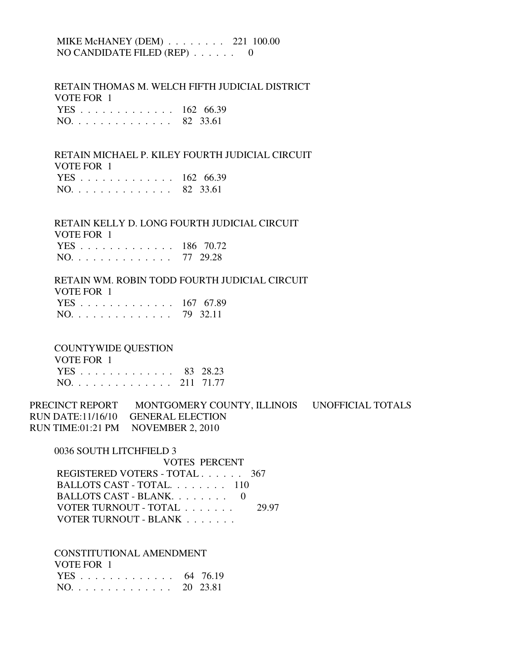# MIKE McHANEY (DEM) . . . . . . . . 221 100.00 NO CANDIDATE FILED (REP) . . . . . . 0

 RETAIN THOMAS M. WELCH FIFTH JUDICIAL DISTRICT VOTE FOR 1

|  |  |  |  |  |  |  | YES 162 66.39 |
|--|--|--|--|--|--|--|---------------|
|  |  |  |  |  |  |  | NO. 82 33.61  |

# RETAIN MICHAEL P. KILEY FOURTH JUDICIAL CIRCUIT VOTE FOR 1 YES . . . . . . . . . . . . . 162 66.39

|  | NO. |  |  |  |  |  |  |  |  |  |  |  |  |  |  | 82 33.61 |
|--|-----|--|--|--|--|--|--|--|--|--|--|--|--|--|--|----------|
|--|-----|--|--|--|--|--|--|--|--|--|--|--|--|--|--|----------|

 RETAIN KELLY D. LONG FOURTH JUDICIAL CIRCUIT VOTE FOR 1 YES . . . . . . . . . . . . . 186 70.72 NO. . . . . . . . . . . . . . 77 29.28

 RETAIN WM. ROBIN TODD FOURTH JUDICIAL CIRCUIT VOTE FOR 1 YES . . . . . . . . . . . . . 167 67.89 NO. . . . . . . . . . . . . . 79 32.11

## COUNTYWIDE QUESTION

| VOTE FOR 1    |  |
|---------------|--|
| YES 83 28.23  |  |
| NO. 211 71.77 |  |

PRECINCT REPORT MONTGOMERY COUNTY, ILLINOIS UNOFFICIAL TOTALS RUN DATE:11/16/10 GENERAL ELECTION RUN TIME:01:21 PM NOVEMBER 2, 2010

0036 SOUTH LITCHFIELD 3

 VOTES PERCENT REGISTERED VOTERS - TOTAL . . . . . . 367 BALLOTS CAST - TOTAL. . . . . . . . 110 BALLOTS CAST - BLANK. . . . . . . . . 0 VOTER TURNOUT - TOTAL . . . . . . . 29.97 VOTER TURNOUT - BLANK . . . . . . .

CONSTITUTIONAL AMENDMENT

| VOTE FOR 1   |  |
|--------------|--|
| YES 64 76.19 |  |
| NO. 20 23.81 |  |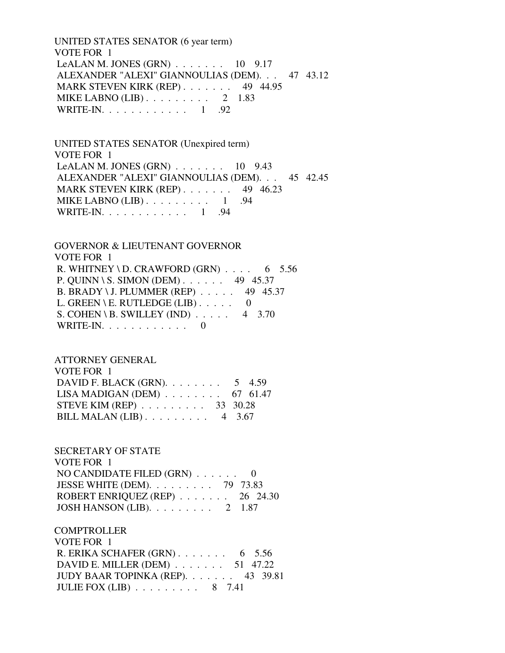UNITED STATES SENATOR (6 year term) VOTE FOR 1 LeALAN M. JONES  $(GRN)$  . . . . . . . 10 9.17 ALEXANDER "ALEXI" GIANNOULIAS (DEM). . . 47 43.12 MARK STEVEN KIRK (REP) . . . . . . . 49 44.95 MIKE LABNO  $(LIB)$ ......... 2 1.83 WRITE-IN. . . . . . . . . . . . . 1 .92

 UNITED STATES SENATOR (Unexpired term) VOTE FOR 1 LeALAN M. JONES  $(GRN)$ ...... 10 9.43 ALEXANDER "ALEXI" GIANNOULIAS (DEM). . . 45 42.45 MARK STEVEN KIRK (REP) . . . . . . . 49 46.23 MIKE LABNO  $(LIB)$ ........ 1 .94 WRITE-IN. . . . . . . . . . . . 1 .94

 GOVERNOR & LIEUTENANT GOVERNOR VOTE FOR 1 R. WHITNEY \ D. CRAWFORD  $(GRN)$  . . . . 6 5.56 P. QUINN \ S. SIMON (DEM) . . . . . . 49 45.37 B. BRADY \ J. PLUMMER (REP) . . . . . 49 45.37 L. GREEN \ E. RUTLEDGE (LIB)  $\ldots$  . . . . 0 S. COHEN \ B. SWILLEY (IND)  $\ldots$  . 4 3.70 WRITE-IN. . . . . . . . . . . . 0

 ATTORNEY GENERAL VOTE FOR 1 DAVID F. BLACK (GRN). . . . . . . . 5 4.59 LISA MADIGAN (DEM) . . . . . . . . 67 61.47 STEVE KIM (REP) . . . . . . . . . 33 30.28 BILL MALAN (LIB) . . . . . . . . . 4 3.67

 SECRETARY OF STATE VOTE FOR 1 NO CANDIDATE FILED (GRN) . . . . . . 0 JESSE WHITE (DEM). . . . . . . . . 79 73.83 ROBERT ENRIQUEZ (REP) . . . . . . . 26 24.30 JOSH HANSON (LIB). . . . . . . . . 2 1.87

**COMPTROLLER**  VOTE FOR 1 R. ERIKA SCHAFER (GRN) . . . . . . . 6 5.56 DAVID E. MILLER (DEM) . . . . . . . 51 47.22 JUDY BAAR TOPINKA (REP). . . . . . . 43 39.81 JULIE FOX (LIB) . . . . . . . . . 8 7.41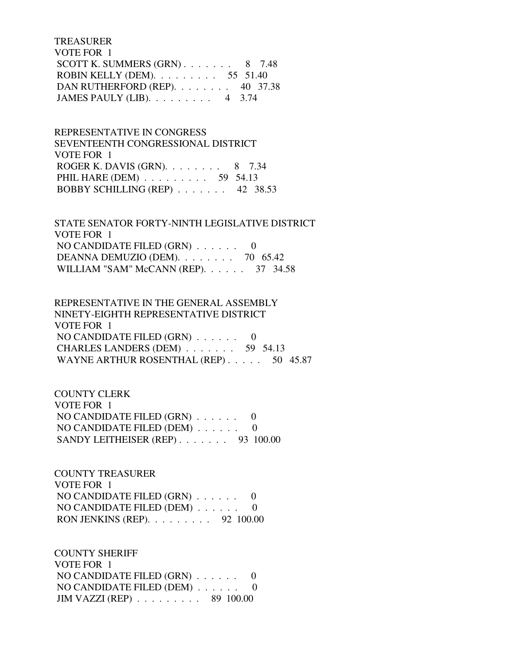# TREASURER VOTE FOR 1 SCOTT K. SUMMERS  $(GRN)$ . . . . . . . 8 7.48 ROBIN KELLY (DEM). . . . . . . . . 55 51.40 DAN RUTHERFORD (REP). . . . . . . . 40 37.38 JAMES PAULY (LIB). . . . . . . . . 4 3.74

 REPRESENTATIVE IN CONGRESS SEVENTEENTH CONGRESSIONAL DISTRICT VOTE FOR 1 ROGER K. DAVIS (GRN).  $\ldots$  . . . . . 8 7.34 PHIL HARE (DEM) . . . . . . . . . . 59 54.13 BOBBY SCHILLING (REP) . . . . . . . 42 38.53

 STATE SENATOR FORTY-NINTH LEGISLATIVE DISTRICT VOTE FOR 1 NO CANDIDATE FILED (GRN) . . . . . . 0 DEANNA DEMUZIO (DEM). . . . . . . . 70 65.42 WILLIAM "SAM" McCANN (REP). . . . . . 37 34.58

 REPRESENTATIVE IN THE GENERAL ASSEMBLY NINETY-EIGHTH REPRESENTATIVE DISTRICT VOTE FOR 1 NO CANDIDATE FILED (GRN) . . . . . . 0 CHARLES LANDERS (DEM) . . . . . . . 59 54.13 WAYNE ARTHUR ROSENTHAL (REP) . . . . . 50 45.87

 COUNTY CLERK VOTE FOR 1 NO CANDIDATE FILED (GRN) . . . . . . 0 NO CANDIDATE FILED (DEM) . . . . . . 0 SANDY LEITHEISER (REP) . . . . . . . 93 100.00

 COUNTY TREASURER VOTE FOR 1 NO CANDIDATE FILED (GRN) . . . . . . 0 NO CANDIDATE FILED (DEM) . . . . . . 0 RON JENKINS (REP). . . . . . . . . 92 100.00

 COUNTY SHERIFF VOTE FOR 1 NO CANDIDATE FILED (GRN) . . . . . . 0 NO CANDIDATE FILED (DEM) . . . . . . 0 JIM VAZZI (REP) . . . . . . . . . 89 100.00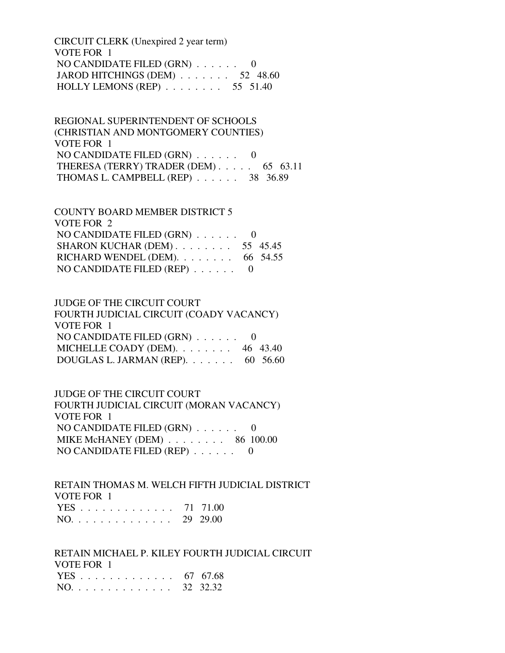CIRCUIT CLERK (Unexpired 2 year term) VOTE FOR 1 NO CANDIDATE FILED (GRN) . . . . . . 0 JAROD HITCHINGS (DEM) . . . . . . . 52 48.60 HOLLY LEMONS (REP) . . . . . . . . 55 51.40

 REGIONAL SUPERINTENDENT OF SCHOOLS (CHRISTIAN AND MONTGOMERY COUNTIES) VOTE FOR 1 NO CANDIDATE FILED  $(GRN)$ ...... 0 THERESA (TERRY) TRADER (DEM) . . . . . 65 63.11 THOMAS L. CAMPBELL (REP) . . . . . . 38 36.89

 COUNTY BOARD MEMBER DISTRICT 5 VOTE FOR 2 NO CANDIDATE FILED (GRN) . . . . . . 0 SHARON KUCHAR (DEM) . . . . . . . . 55 45.45 RICHARD WENDEL (DEM).  $\ldots$  . . . . . . 66 54.55 NO CANDIDATE FILED (REP) . . . . . . 0

 JUDGE OF THE CIRCUIT COURT FOURTH JUDICIAL CIRCUIT (COADY VACANCY) VOTE FOR 1 NO CANDIDATE FILED (GRN) . . . . . . 0 MICHELLE COADY (DEM). . . . . . . . 46 43.40 DOUGLAS L. JARMAN (REP). . . . . . . 60 56.60

 JUDGE OF THE CIRCUIT COURT FOURTH JUDICIAL CIRCUIT (MORAN VACANCY) VOTE FOR 1 NO CANDIDATE FILED (GRN) . . . . . . 0 MIKE McHANEY (DEM) . . . . . . . . 86 100.00 NO CANDIDATE FILED (REP) . . . . . . 0

 RETAIN THOMAS M. WELCH FIFTH JUDICIAL DISTRICT VOTE FOR 1 YES . . . . . . . . . . . . . 71 71.00 NO. . . . . . . . . . . . . . 29 29.00

 RETAIN MICHAEL P. KILEY FOURTH JUDICIAL CIRCUIT VOTE FOR 1 YES . . . . . . . . . . . . . 67 67.68 NO. . . . . . . . . . . . . . 32 32.32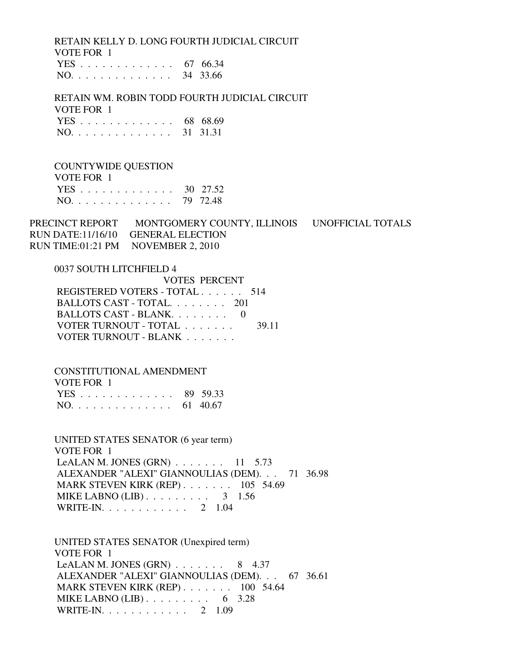RETAIN KELLY D. LONG FOURTH JUDICIAL CIRCUIT VOTE FOR 1 YES . . . . . . . . . . . . . 67 66.34

|  |  |  |  |  |  |  |  |  |  |  |  |  |  |  | NO. 34 33.66 |
|--|--|--|--|--|--|--|--|--|--|--|--|--|--|--|--------------|
|--|--|--|--|--|--|--|--|--|--|--|--|--|--|--|--------------|

 RETAIN WM. ROBIN TODD FOURTH JUDICIAL CIRCUIT VOTE FOR 1 YES . . . . . . . . . . . . . 68 68.69 NO. . . . . . . . . . . . . . 31 31.31

 COUNTYWIDE QUESTION VOTE FOR 1

|  |  |  |  |  |  |  | YES 30 27.52 |
|--|--|--|--|--|--|--|--------------|
|  |  |  |  |  |  |  | NO. 79 72.48 |

PRECINCT REPORT MONTGOMERY COUNTY, ILLINOIS UNOFFICIAL TOTALS RUN DATE:11/16/10 GENERAL ELECTION RUN TIME:01:21 PM NOVEMBER 2, 2010

 0037 SOUTH LITCHFIELD 4 VOTES PERCENT REGISTERED VOTERS - TOTAL . . . . . . 514 BALLOTS CAST - TOTAL. . . . . . . . 201 BALLOTS CAST - BLANK. . . . . . . . 0 VOTER TURNOUT - TOTAL . . . . . . . 39.11 VOTER TURNOUT - BLANK . . . . . . .

 CONSTITUTIONAL AMENDMENT VOTE FOR 1 YES . . . . . . . . . . . . . 89 59.33 NO. . . . . . . . . . . . . . 61 40.67

 UNITED STATES SENATOR (6 year term) VOTE FOR 1 LeALAN M. JONES (GRN)  $\ldots$  . . . . . 11 5.73 ALEXANDER "ALEXI" GIANNOULIAS (DEM). . . 71 36.98 MARK STEVEN KIRK (REP) . . . . . . . 105 54.69 MIKE LABNO (LIB) . . . . . . . . . . 3 1.56 WRITE-IN. . . . . . . . . . . . 2 1.04

 UNITED STATES SENATOR (Unexpired term) VOTE FOR 1 LeALAN M. JONES (GRN)  $\ldots$  . . . . . 8 4.37 ALEXANDER "ALEXI" GIANNOULIAS (DEM). . . 67 36.61 MARK STEVEN KIRK (REP) . . . . . . . 100 54.64 MIKE LABNO (LIB)  $\ldots$  . . . . . . . . 6 3.28 WRITE-IN. . . . . . . . . . . . 2 1.09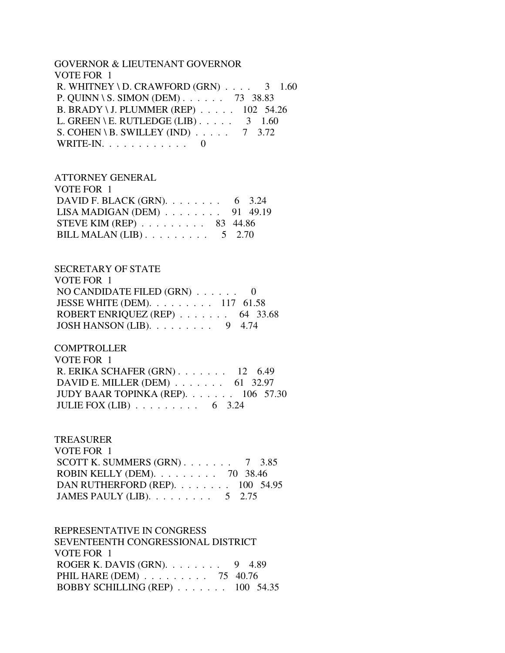#### GOVERNOR & LIEUTENANT GOVERNOR VOTE FOR 1

R. WHITNEY \ D. CRAWFORD (GRN)  $\ldots$  3 1.60 P. QUINN \ S. SIMON (DEM) . . . . . . 73 38.83 B. BRADY \ J. PLUMMER (REP) . . . . . 102 54.26 L. GREEN \ E. RUTLEDGE (LIB)  $\ldots$  . . . . 3 1.60 S. COHEN \ B. SWILLEY (IND)  $\ldots$  . . . 7 3.72 WRITE-IN. . . . . . . . . . . . 0

# ATTORNEY GENERAL

| VOTE FOR 1                                         |  |
|----------------------------------------------------|--|
| DAVID F. BLACK (GRN). $\ldots$ 6 3.24              |  |
| LISA MADIGAN (DEM) $\ldots \ldots \ldots$ 91 49.19 |  |
| STEVE KIM (REP) $\ldots \ldots \ldots$ 83 44.86    |  |
| BILL MALAN (LIB) $\ldots \ldots \ldots 5$ 2.70     |  |

# SECRETARY OF STATE

| VOTE FOR 1                                          |  |
|-----------------------------------------------------|--|
| NO CANDIDATE FILED $(GRN)$ 0                        |  |
| JESSE WHITE (DEM). $\ldots \ldots \ldots 117$ 61.58 |  |
| ROBERT ENRIQUEZ (REP) $\ldots$ 64 33.68             |  |
| JOSH HANSON (LIB). $\ldots \ldots \ldots$ 9 4.74    |  |

## **COMPTROLLER**

| VOTE FOR 1                                    |  |
|-----------------------------------------------|--|
| R. ERIKA SCHAFER $(GRN)$ 12 6.49              |  |
| DAVID E. MILLER (DEM) $\ldots$ 61 32.97       |  |
| JUDY BAAR TOPINKA (REP). $\ldots$ 106 57.30   |  |
| JULIE FOX (LIB) $\ldots \ldots \ldots$ 6 3.24 |  |

## TREASURER

| VOTE FOR 1                                         |  |
|----------------------------------------------------|--|
| SCOTT K. SUMMERS $(GRN)$ 7 3.85                    |  |
| ROBIN KELLY (DEM). $\ldots \ldots \ldots$ 70 38.46 |  |
| DAN RUTHERFORD (REP). 100 54.95                    |  |
| JAMES PAULY (LIB). $\ldots \ldots \ldots 5$ 2.75   |  |

#### REPRESENTATIVE IN CONGRESS

 SEVENTEENTH CONGRESSIONAL DISTRICT VOTE FOR 1 ROGER K. DAVIS (GRN). . . . . . . . 9 4.89 PHIL HARE (DEM) . . . . . . . . . 75 40.76 BOBBY SCHILLING (REP) . . . . . . . 100 54.35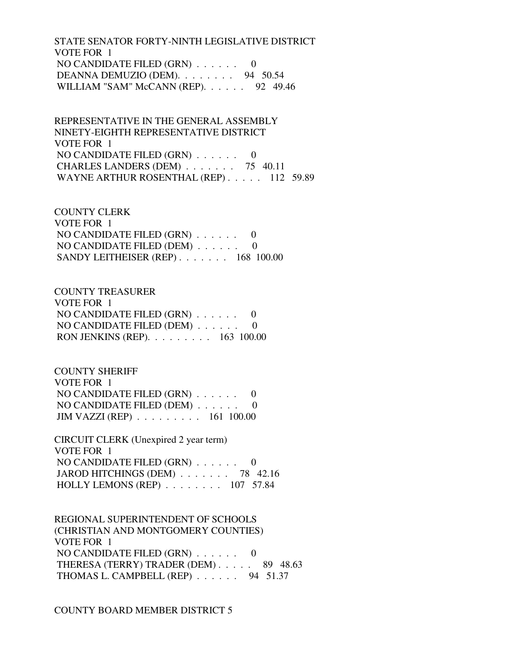STATE SENATOR FORTY-NINTH LEGISLATIVE DISTRICT VOTE FOR 1 NO CANDIDATE FILED (GRN) . . . . . . 0 DEANNA DEMUZIO (DEM). . . . . . . . 94 50.54 WILLIAM "SAM" McCANN (REP). . . . . . 92 49.46

 REPRESENTATIVE IN THE GENERAL ASSEMBLY NINETY-EIGHTH REPRESENTATIVE DISTRICT VOTE FOR 1 NO CANDIDATE FILED (GRN) . . . . . . 0 CHARLES LANDERS (DEM) . . . . . . . 75 40.11 WAYNE ARTHUR ROSENTHAL (REP) . . . . . 112 59.89

 COUNTY CLERK VOTE FOR 1 NO CANDIDATE FILED (GRN) . . . . . . 0 NO CANDIDATE FILED (DEM) . . . . . . 0 SANDY LEITHEISER (REP) . . . . . . . 168 100.00

 COUNTY TREASURER VOTE FOR 1 NO CANDIDATE FILED (GRN) . . . . . . 0 NO CANDIDATE FILED (DEM) . . . . . . 0 RON JENKINS (REP). . . . . . . . . 163 100.00

 COUNTY SHERIFF VOTE FOR 1 NO CANDIDATE FILED (GRN) . . . . . . 0 NO CANDIDATE FILED (DEM) . . . . . . 0 JIM VAZZI (REP) . . . . . . . . . 161 100.00

 CIRCUIT CLERK (Unexpired 2 year term) VOTE FOR 1 NO CANDIDATE FILED (GRN) . . . . . . 0 JAROD HITCHINGS (DEM) . . . . . . . 78 42.16 HOLLY LEMONS (REP) . . . . . . . . 107 57.84

 REGIONAL SUPERINTENDENT OF SCHOOLS (CHRISTIAN AND MONTGOMERY COUNTIES) VOTE FOR 1 NO CANDIDATE FILED (GRN) . . . . . . 0 THERESA (TERRY) TRADER (DEM) . . . . . 89 48.63 THOMAS L. CAMPBELL (REP) . . . . . . 94 51.37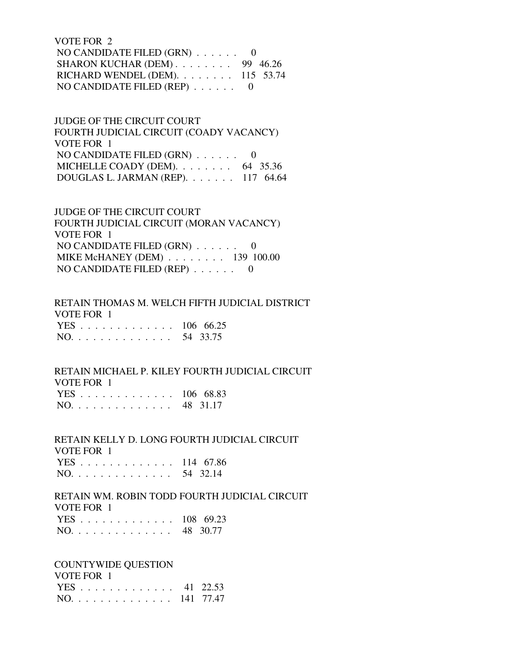VOTE FOR 2 NO CANDIDATE FILED  $(GRN)$ ...... 0 SHARON KUCHAR (DEM) . . . . . . . . 99 46.26 RICHARD WENDEL (DEM). . . . . . . . 115 53.74 NO CANDIDATE FILED (REP) . . . . . . 0

 JUDGE OF THE CIRCUIT COURT FOURTH JUDICIAL CIRCUIT (COADY VACANCY) VOTE FOR 1 NO CANDIDATE FILED (GRN) . . . . . . 0 MICHELLE COADY (DEM). . . . . . . . 64 35.36 DOUGLAS L. JARMAN (REP). . . . . . . 117 64.64

 JUDGE OF THE CIRCUIT COURT FOURTH JUDICIAL CIRCUIT (MORAN VACANCY) VOTE FOR 1 NO CANDIDATE FILED (GRN) . . . . . . 0 MIKE McHANEY (DEM) . . . . . . . . 139 100.00 NO CANDIDATE FILED (REP) . . . . . . 0

 RETAIN THOMAS M. WELCH FIFTH JUDICIAL DISTRICT VOTE FOR 1 YES . . . . . . . . . . . . . 106 66.25 NO. . . . . . . . . . . . . . 54 33.75

#### RETAIN MICHAEL P. KILEY FOURTH JUDICIAL CIRCUIT VOTE FOR 1

| 1 VILI VILI   |  |
|---------------|--|
| YES 106 68.83 |  |
| NO. 48 31.17  |  |

 RETAIN KELLY D. LONG FOURTH JUDICIAL CIRCUIT VOTE FOR 1 YES . . . . . . . . . . . . . 114 67.86 NO. . . . . . . . . . . . . . 54 32.14

 RETAIN WM. ROBIN TODD FOURTH JUDICIAL CIRCUIT VOTE FOR 1 YES . . . . . . . . . . . . . 108 69.23 NO. . . . . . . . . . . . . . 48 30.77

COUNTYWIDE QUESTION

| VOTE FOR 1    |  |
|---------------|--|
| YES 41 22.53  |  |
| NO. 141 77.47 |  |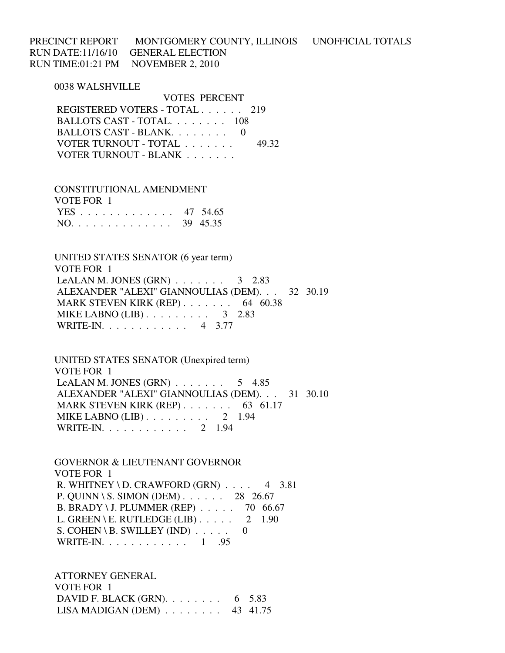PRECINCT REPORT MONTGOMERY COUNTY, ILLINOIS UNOFFICIAL TOTALS RUN DATE:11/16/10 GENERAL ELECTION RUN TIME:01:21 PM NOVEMBER 2, 2010

0038 WALSHVILLE

 VOTES PERCENT REGISTERED VOTERS - TOTAL . . . . . . 219 BALLOTS CAST - TOTAL. . . . . . . . 108 BALLOTS CAST - BLANK. . . . . . . . 0 VOTER TURNOUT - TOTAL . . . . . . . 49.32 VOTER TURNOUT - BLANK . . . . . . .

 CONSTITUTIONAL AMENDMENT VOTE FOR 1 YES . . . . . . . . . . . . . 47 54.65 NO. . . . . . . . . . . . . . 39 45.35

 UNITED STATES SENATOR (6 year term) VOTE FOR 1 LeALAN M. JONES  $(GRN)$ ...... 3 2.83 ALEXANDER "ALEXI" GIANNOULIAS (DEM). . . 32 30.19 MARK STEVEN KIRK (REP) . . . . . . . . 64 60.38 MIKE LABNO  $(LIB)$ ........ 3 2.83 WRITE-IN. . . . . . . . . . . . 4 3.77

 UNITED STATES SENATOR (Unexpired term) VOTE FOR 1 LeALAN M. JONES  $(GRN)$ ...... 5 4.85 ALEXANDER "ALEXI" GIANNOULIAS (DEM). . . 31 30.10 MARK STEVEN KIRK (REP) . . . . . . . 63 61.17 MIKE LABNO (LIB) . . . . . . . . . 2 1.94 WRITE-IN. . . . . . . . . . . . 2 1.94

 GOVERNOR & LIEUTENANT GOVERNOR VOTE FOR 1 R. WHITNEY \ D. CRAWFORD  $(GRN)$  . . . . 4 3.81 P. QUINN \ S. SIMON (DEM) . . . . . . 28 26.67 B. BRADY \ J. PLUMMER (REP) . . . . . 70 66.67 L. GREEN \ E. RUTLEDGE (LIB)  $\ldots$  . . . . 2 1.90 S. COHEN \ B. SWILLEY (IND)  $\ldots$  . . . . 0 WRITE-IN. . . . . . . . . . . . 1 .95

 ATTORNEY GENERAL VOTE FOR 1 DAVID F. BLACK (GRN). . . . . . . . 6 5.83 LISA MADIGAN (DEM) . . . . . . . . 43 41.75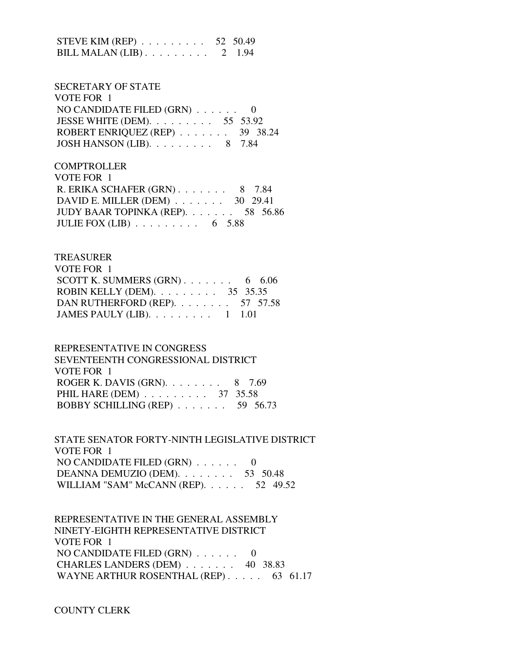| STEVE KIM (REP) $\ldots \ldots \ldots 52$ 50.49 |  |
|-------------------------------------------------|--|
| BILL MALAN $(LIB)$ 2 1.94                       |  |

# SECRETARY OF STATE VOTE FOR 1 NO CANDIDATE FILED (GRN) . . . . . . 0 JESSE WHITE (DEM). . . . . . . . . 55 53.92 ROBERT ENRIQUEZ (REP) . . . . . . . 39 38.24 JOSH HANSON (LIB). . . . . . . . . 8 7.84

**COMPTROLLER**  VOTE FOR 1 R. ERIKA SCHAFER (GRN) . . . . . . . 8 7.84 DAVID E. MILLER (DEM) . . . . . . . 30 29.41 JUDY BAAR TOPINKA (REP). . . . . . . 58 56.86 JULIE FOX  $(LIB)$  . . . . . . . . . 6 5.88

#### TREASURER

| VOTE FOR 1                                       |  |
|--------------------------------------------------|--|
| SCOTT K. SUMMERS $(GRN)$ 6 6.06                  |  |
| ROBIN KELLY (DEM). $\ldots$ 35 35.35             |  |
| DAN RUTHERFORD (REP). $\ldots$ 57 57.58          |  |
| JAMES PAULY (LIB). $\ldots \ldots \ldots 1$ 1.01 |  |

#### REPRESENTATIVE IN CONGRESS

 SEVENTEENTH CONGRESSIONAL DISTRICT VOTE FOR 1 ROGER K. DAVIS (GRN). . . . . . . . 8 7.69 PHIL HARE (DEM) . . . . . . . . . 37 35.58 BOBBY SCHILLING (REP) . . . . . . . 59 56.73

 STATE SENATOR FORTY-NINTH LEGISLATIVE DISTRICT VOTE FOR 1 NO CANDIDATE FILED (GRN) . . . . . . 0 DEANNA DEMUZIO (DEM). . . . . . . . 53 50.48 WILLIAM "SAM" McCANN (REP). . . . . . 52 49.52

 REPRESENTATIVE IN THE GENERAL ASSEMBLY NINETY-EIGHTH REPRESENTATIVE DISTRICT VOTE FOR 1 NO CANDIDATE FILED (GRN) . . . . . . 0 CHARLES LANDERS (DEM) . . . . . . . 40 38.83 WAYNE ARTHUR ROSENTHAL (REP) . . . . . 63 61.17

## COUNTY CLERK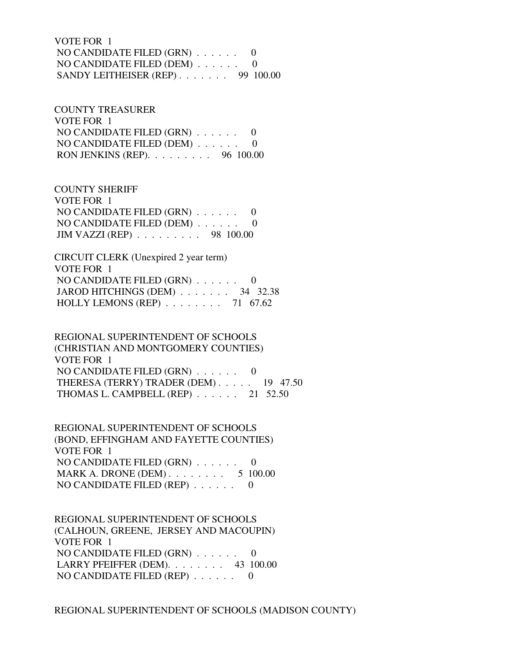VOTE FOR 1 NO CANDIDATE FILED (GRN) . . . . . . 0 NO CANDIDATE FILED (DEM) . . . . . . 0 SANDY LEITHEISER (REP) . . . . . . . 99 100.00

 COUNTY TREASURER VOTE FOR 1 NO CANDIDATE FILED (GRN) . . . . . . 0 NO CANDIDATE FILED (DEM) . . . . . . 0 RON JENKINS (REP). . . . . . . . . 96 100.00

 COUNTY SHERIFF VOTE FOR 1 NO CANDIDATE FILED (GRN) . . . . . . 0 NO CANDIDATE FILED (DEM) . . . . . . 0 JIM VAZZI (REP) . . . . . . . . . 98 100.00

 CIRCUIT CLERK (Unexpired 2 year term) VOTE FOR 1 NO CANDIDATE FILED (GRN) . . . . . . 0 JAROD HITCHINGS (DEM) . . . . . . . 34 32.38 HOLLY LEMONS (REP) . . . . . . . . 71 67.62

 REGIONAL SUPERINTENDENT OF SCHOOLS (CHRISTIAN AND MONTGOMERY COUNTIES) VOTE FOR 1 NO CANDIDATE FILED (GRN) . . . . . . 0 THERESA (TERRY) TRADER (DEM) . . . . . 19 47.50 THOMAS L. CAMPBELL (REP) . . . . . . 21 52.50

 REGIONAL SUPERINTENDENT OF SCHOOLS (BOND, EFFINGHAM AND FAYETTE COUNTIES) VOTE FOR 1 NO CANDIDATE FILED (GRN) . . . . . . 0 MARK A. DRONE (DEM) . . . . . . . . . 5 100.00 NO CANDIDATE FILED (REP) . . . . . . 0

 REGIONAL SUPERINTENDENT OF SCHOOLS (CALHOUN, GREENE, JERSEY AND MACOUPIN) VOTE FOR 1 NO CANDIDATE FILED (GRN) . . . . . . 0 LARRY PFEIFFER (DEM). . . . . . . . 43 100.00 NO CANDIDATE FILED (REP) . . . . . . 0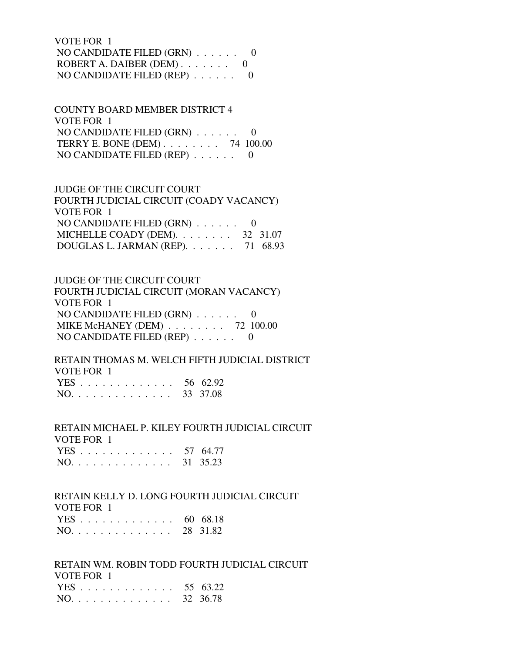VOTE FOR 1 NO CANDIDATE FILED (GRN) . . . . . . 0 ROBERT A. DAIBER (DEM) . . . . . . . 0 NO CANDIDATE FILED (REP) . . . . . . 0

 COUNTY BOARD MEMBER DISTRICT 4 VOTE FOR 1 NO CANDIDATE FILED (GRN) . . . . . . 0 TERRY E. BONE (DEM) . . . . . . . . 74 100.00 NO CANDIDATE FILED (REP) . . . . . . 0

 JUDGE OF THE CIRCUIT COURT FOURTH JUDICIAL CIRCUIT (COADY VACANCY) VOTE FOR 1 NO CANDIDATE FILED  $(GRN)$ ...... 0 MICHELLE COADY (DEM). . . . . . . . 32 31.07 DOUGLAS L. JARMAN (REP). . . . . . . 71 68.93

 JUDGE OF THE CIRCUIT COURT FOURTH JUDICIAL CIRCUIT (MORAN VACANCY) VOTE FOR 1 NO CANDIDATE FILED (GRN) . . . . . . 0 MIKE McHANEY (DEM) . . . . . . . . 72 100.00 NO CANDIDATE FILED (REP) . . . . . . 0

 RETAIN THOMAS M. WELCH FIFTH JUDICIAL DISTRICT VOTE FOR 1  $56, 62.92$ 

|  |  |  |  |  |  |  | $YES$ 30 62.92 |
|--|--|--|--|--|--|--|----------------|
|  |  |  |  |  |  |  | NO. 33 37.08   |

 RETAIN MICHAEL P. KILEY FOURTH JUDICIAL CIRCUIT VOTE FOR 1 YES . . . . . . . . . . . . . 57 64.77

| NO. 31 35.23 |  |  |
|--------------|--|--|
|--------------|--|--|

### RETAIN KELLY D. LONG FOURTH JUDICIAL CIRCUIT VOTE FOR 1

| YES 60 68.18 |  |
|--------------|--|
| NO. 28 31.82 |  |

 RETAIN WM. ROBIN TODD FOURTH JUDICIAL CIRCUIT VOTE FOR 1 YES . . . . . . . . . . . . . 55 63.22 NO. . . . . . . . . . . . . . 32 36.78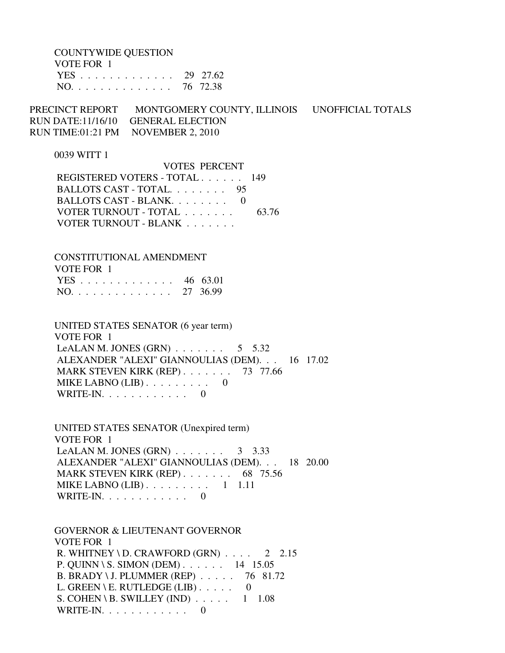COUNTYWIDE QUESTION

| VOTE FOR 1   |  |
|--------------|--|
| YES 29 27.62 |  |
| NO. 76 72.38 |  |

PRECINCT REPORT MONTGOMERY COUNTY, ILLINOIS UNOFFICIAL TOTALS RUN DATE:11/16/10 GENERAL ELECTION RUN TIME:01:21 PM NOVEMBER 2, 2010

#### 0039 WITT 1

| <b>VOTES PERCENT</b>          |       |
|-------------------------------|-------|
| REGISTERED VOTERS - TOTAL 149 |       |
| BALLOTS CAST - TOTAL. 95      |       |
| BALLOTS CAST - BLANK. 0       |       |
| VOTER TURNOUT - TOTAL         | 63.76 |
| VOTER TURNOUT - BLANK         |       |

# CONSTITUTIONAL AMENDMENT VOTE FOR 1 YES . . . . . . . . . . . . . 46 63.01

| $NO.$ |  |  |  |  |  |  |  | 27 36.99 |
|-------|--|--|--|--|--|--|--|----------|
|       |  |  |  |  |  |  |  |          |

 UNITED STATES SENATOR (6 year term) VOTE FOR 1 LeALAN M. JONES  $(GRN)$  . . . . . . . . 5 5.32 ALEXANDER "ALEXI" GIANNOULIAS (DEM). . . 16 17.02 MARK STEVEN KIRK (REP) . . . . . . . 73 77.66 MIKE LABNO (LIB) . . . . . . . . . 0 WRITE-IN. . . . . . . . . . . . 0

 UNITED STATES SENATOR (Unexpired term) VOTE FOR 1 LeALAN M. JONES (GRN)  $\ldots$  . . . . . 3 3.33 ALEXANDER "ALEXI" GIANNOULIAS (DEM). . . 18 20.00 MARK STEVEN KIRK (REP) . . . . . . . 68 75.56 MIKE LABNO  $(LIB)$ ........ 1 1.11 WRITE-IN. . . . . . . . . . . . 0

 GOVERNOR & LIEUTENANT GOVERNOR VOTE FOR 1 R. WHITNEY \ D. CRAWFORD  $(GRN)$  . . . . 2 2.15 P. QUINN \ S. SIMON (DEM) . . . . . . 14 15.05 B. BRADY \ J. PLUMMER (REP) . . . . . 76 81.72 L. GREEN \ E. RUTLEDGE (LIB)  $\ldots$  . . . 0 S. COHEN \ B. SWILLEY (IND)  $\ldots$  . . . . 1 1.08 WRITE-IN. . . . . . . . . . . . 0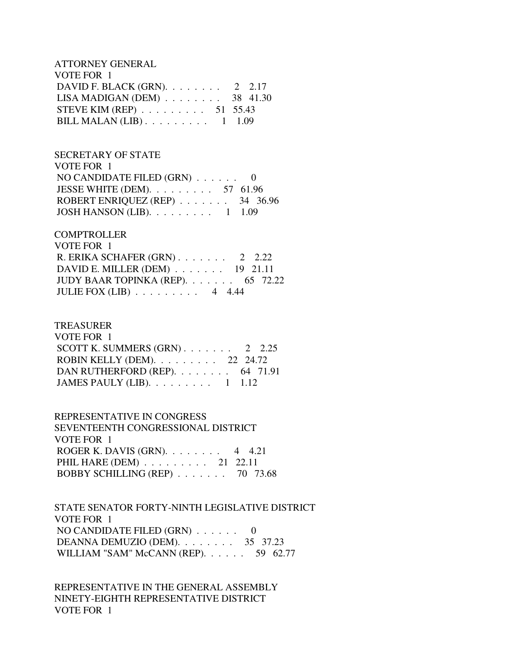ATTORNEY GENERAL VOTE FOR 1 DAVID F. BLACK (GRN). . . . . . . . 2 2.17 LISA MADIGAN (DEM) . . . . . . . . 38 41.30 STEVE KIM (REP) . . . . . . . . . 51 55.43 BILL MALAN (LIB) . . . . . . . . . 1 1.09

## SECRETARY OF STATE VOTE FOR 1 NO CANDIDATE FILED (GRN) . . . . . . 0 JESSE WHITE (DEM). . . . . . . . . 57 61.96 ROBERT ENRIQUEZ (REP) . . . . . . . 34 36.96 JOSH HANSON (LIB). . . . . . . . . 1 1.09

# **COMPTROLLER**  VOTE FOR 1 R. ERIKA SCHAFER (GRN) . . . . . . . 2 2.22 DAVID E. MILLER (DEM) . . . . . . . 19 21.11 JUDY BAAR TOPINKA (REP). . . . . . . 65 72.22 JULIE FOX (LIB) . . . . . . . . . 4 4.44

### TREASURER

| VOTE FOR 1                                       |  |
|--------------------------------------------------|--|
| SCOTT K. SUMMERS $(GRN)$ 2 2.25                  |  |
| ROBIN KELLY (DEM). $\ldots$ 22 24.72             |  |
| DAN RUTHERFORD (REP). 64 71.91                   |  |
| JAMES PAULY (LIB). $\ldots \ldots \ldots 1$ 1.12 |  |

# REPRESENTATIVE IN CONGRESS SEVENTEENTH CONGRESSIONAL DISTRICT VOTE FOR 1 ROGER K. DAVIS (GRN). . . . . . . . 4 4.21 PHIL HARE (DEM) . . . . . . . . . 21 22.11 BOBBY SCHILLING (REP) . . . . . . . 70 73.68

## STATE SENATOR FORTY-NINTH LEGISLATIVE DISTRICT VOTE FOR 1 NO CANDIDATE FILED (GRN) . . . . . . 0 DEANNA DEMUZIO (DEM). . . . . . . . 35 37.23 WILLIAM "SAM" McCANN (REP). . . . . . 59 62.77

 REPRESENTATIVE IN THE GENERAL ASSEMBLY NINETY-EIGHTH REPRESENTATIVE DISTRICT VOTE FOR 1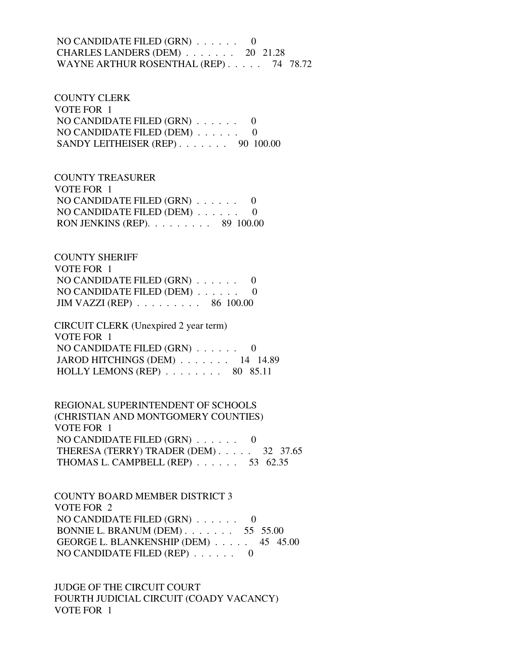## NO CANDIDATE FILED (GRN) . . . . . . 0 CHARLES LANDERS (DEM) . . . . . . . 20 21.28 WAYNE ARTHUR ROSENTHAL (REP) . . . . . 74 78.72

 COUNTY CLERK VOTE FOR 1 NO CANDIDATE FILED (GRN) . . . . . . 0 NO CANDIDATE FILED (DEM) . . . . . . 0 SANDY LEITHEISER (REP) . . . . . . . 90 100.00

 COUNTY TREASURER VOTE FOR 1 NO CANDIDATE FILED (GRN) . . . . . . 0 NO CANDIDATE FILED (DEM) . . . . . . 0 RON JENKINS (REP). . . . . . . . . 89 100.00

 COUNTY SHERIFF VOTE FOR 1 NO CANDIDATE FILED (GRN) . . . . . . 0 NO CANDIDATE FILED (DEM) . . . . . . 0 JIM VAZZI (REP) . . . . . . . . . 86 100.00

 CIRCUIT CLERK (Unexpired 2 year term) VOTE FOR 1 NO CANDIDATE FILED (GRN) . . . . . . 0 JAROD HITCHINGS (DEM) . . . . . . . 14 14.89 HOLLY LEMONS (REP)  $\ldots$  . . . . . . 80 85.11

 REGIONAL SUPERINTENDENT OF SCHOOLS (CHRISTIAN AND MONTGOMERY COUNTIES) VOTE FOR 1 NO CANDIDATE FILED (GRN) . . . . . . 0 THERESA (TERRY) TRADER (DEM) . . . . . 32 37.65 THOMAS L. CAMPBELL (REP) . . . . . . 53 62.35

 COUNTY BOARD MEMBER DISTRICT 3 VOTE FOR 2 NO CANDIDATE FILED (GRN) . . . . . . 0 BONNIE L. BRANUM (DEM) . . . . . . . 55 55.00 GEORGE L. BLANKENSHIP (DEM) . . . . . 45 45.00 NO CANDIDATE FILED (REP) . . . . . . 0

 JUDGE OF THE CIRCUIT COURT FOURTH JUDICIAL CIRCUIT (COADY VACANCY) VOTE FOR 1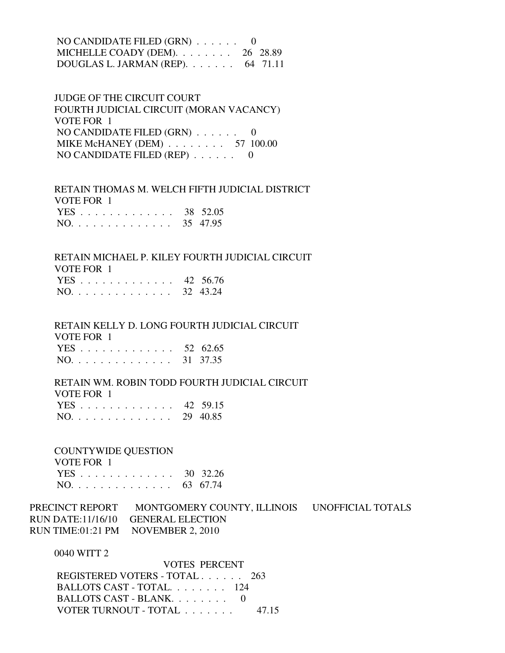| NO CANDIDATE FILED $(GRN)$ 0               |  |
|--------------------------------------------|--|
| MICHELLE COADY (DEM). $\ldots$ 26 28.89    |  |
| DOUGLAS L. JARMAN (REP). $\ldots$ 64 71.11 |  |

 JUDGE OF THE CIRCUIT COURT FOURTH JUDICIAL CIRCUIT (MORAN VACANCY) VOTE FOR 1 NO CANDIDATE FILED (GRN) . . . . . . 0 MIKE McHANEY (DEM) . . . . . . . . 57 100.00 NO CANDIDATE FILED (REP) . . . . . . 0

 RETAIN THOMAS M. WELCH FIFTH JUDICIAL DISTRICT VOTE FOR 1 YES . . . . . . . . . . . . . 38 52.05 NO. . . . . . . . . . . . . . 35 47.95

 RETAIN MICHAEL P. KILEY FOURTH JUDICIAL CIRCUIT VOTE FOR 1 YES . . . . . . . . . . . . . 42 56.76

|  |  |  |  |  |  |  | NO. 32 43.24 |
|--|--|--|--|--|--|--|--------------|
|  |  |  |  |  |  |  |              |

 RETAIN KELLY D. LONG FOURTH JUDICIAL CIRCUIT VOTE FOR 1

|  |  |  |  |  |  |  |  | YES 52 62.65 |
|--|--|--|--|--|--|--|--|--------------|
|  |  |  |  |  |  |  |  | NO. 31 37.35 |

 RETAIN WM. ROBIN TODD FOURTH JUDICIAL CIRCUIT VOTE FOR 1

|  |  |  |  |  |  |  | YES 42 59.15 |
|--|--|--|--|--|--|--|--------------|
|  |  |  |  |  |  |  | NO. 29 40.85 |

COUNTYWIDE QUESTION

| VOTE FOR 1   |  |
|--------------|--|
| YES 30 32.26 |  |
| NO. 63 67.74 |  |

PRECINCT REPORT MONTGOMERY COUNTY, ILLINOIS UNOFFICIAL TOTALS RUN DATE:11/16/10 GENERAL ELECTION RUN TIME:01:21 PM NOVEMBER 2, 2010

0040 WITT 2

| <b>VOTES PERCENT</b>          |       |
|-------------------------------|-------|
| REGISTERED VOTERS - TOTAL 263 |       |
| BALLOTS CAST - TOTAL 124      |       |
| BALLOTS CAST - BLANK. 0       |       |
| VOTER TURNOUT - TOTAL         | 47 15 |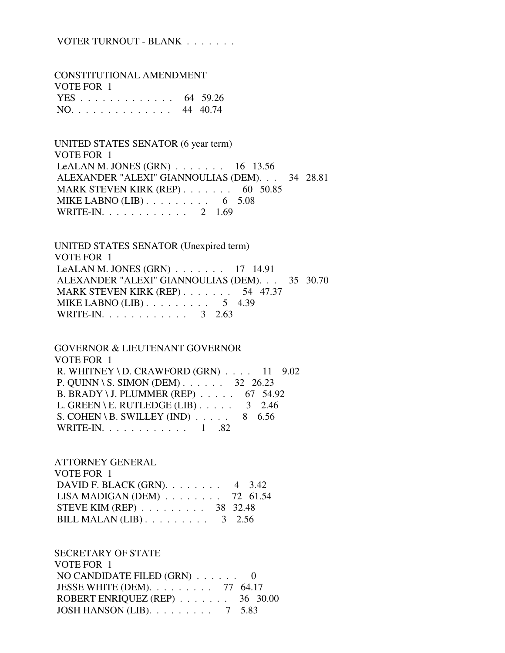## VOTER TURNOUT - BLANK . . . . . . .

 CONSTITUTIONAL AMENDMENT VOTE FOR 1 YES . . . . . . . . . . . . . 64 59.26 NO. . . . . . . . . . . . . . 44 40.74

 UNITED STATES SENATOR (6 year term) VOTE FOR 1 LeALAN M. JONES (GRN) . . . . . . . 16 13.56 ALEXANDER "ALEXI" GIANNOULIAS (DEM). . . 34 28.81 MARK STEVEN KIRK (REP) . . . . . . . 60 50.85 MIKE LABNO (LIB)  $\ldots$  . . . . . . . . 6 5.08 WRITE-IN. . . . . . . . . . . . 2 1.69

 UNITED STATES SENATOR (Unexpired term) VOTE FOR 1 LeALAN M. JONES (GRN) . . . . . . . 17 14.91 ALEXANDER "ALEXI" GIANNOULIAS (DEM). . . 35 30.70 MARK STEVEN KIRK (REP) . . . . . . . 54 47.37 MIKE LABNO (LIB) . . . . . . . . . . 5 4.39 WRITE-IN. . . . . . . . . . . . . 3 2.63

 GOVERNOR & LIEUTENANT GOVERNOR VOTE FOR 1 R. WHITNEY \ D. CRAWFORD  $(GRN)$  . . . . 11 9.02 P. QUINN \ S. SIMON (DEM) . . . . . . 32 26.23 B. BRADY \ J. PLUMMER (REP) . . . . . 67 54.92 L. GREEN \ E. RUTLEDGE (LIB)  $\ldots$  . . . . 3 2.46 S. COHEN \ B. SWILLEY (IND)  $\ldots$  . . . . 8 6.56 WRITE-IN. . . . . . . . . . . . 1 .82

 ATTORNEY GENERAL VOTE FOR 1 DAVID F. BLACK (GRN). . . . . . . . 4 3.42 LISA MADIGAN (DEM) . . . . . . . . 72 61.54 STEVE KIM (REP) . . . . . . . . . 38 32.48 BILL MALAN (LIB)  $\ldots$  . . . . . . . . 3 2.56

 SECRETARY OF STATE VOTE FOR 1 NO CANDIDATE FILED (GRN) . . . . . . 0 JESSE WHITE (DEM). . . . . . . . . 77 64.17 ROBERT ENRIQUEZ (REP) . . . . . . . 36 30.00 JOSH HANSON (LIB). . . . . . . . . 7 5.83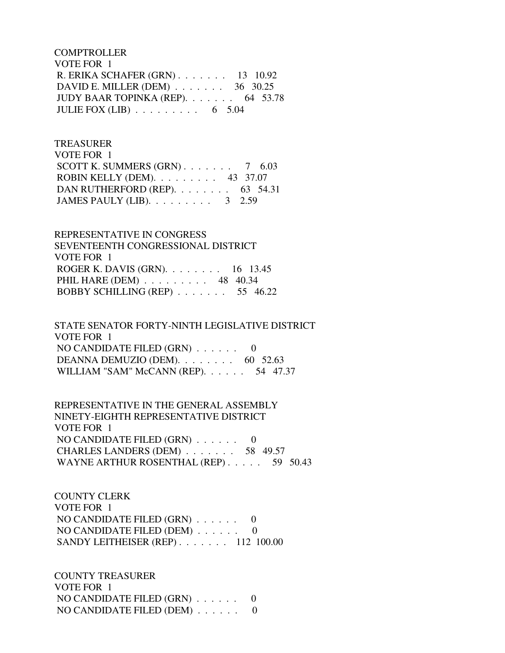**COMPTROLLER**  VOTE FOR 1 R. ERIKA SCHAFER (GRN) . . . . . . . 13 10.92 DAVID E. MILLER (DEM) . . . . . . . 36 30.25 JUDY BAAR TOPINKA (REP). . . . . . . 64 53.78 JULIE FOX  $(LIB)$  . . . . . . . . . . 6 5.04

 TREASURER VOTE FOR 1 SCOTT K. SUMMERS  $(GRN)$ . . . . . . . 7 6.03 ROBIN KELLY (DEM). . . . . . . . . 43 37.07 DAN RUTHERFORD (REP). . . . . . . . 63 54.31 JAMES PAULY (LIB). . . . . . . . . 3 2.59

 REPRESENTATIVE IN CONGRESS SEVENTEENTH CONGRESSIONAL DISTRICT VOTE FOR 1 ROGER K. DAVIS (GRN). . . . . . . . 16 13.45 PHIL HARE (DEM) . . . . . . . . . 48 40.34 BOBBY SCHILLING (REP) . . . . . . . 55 46.22

 STATE SENATOR FORTY-NINTH LEGISLATIVE DISTRICT VOTE FOR 1 NO CANDIDATE FILED (GRN) . . . . . . 0 DEANNA DEMUZIO (DEM). . . . . . . . 60 52.63 WILLIAM "SAM" McCANN (REP). . . . . . 54 47.37

 REPRESENTATIVE IN THE GENERAL ASSEMBLY NINETY-EIGHTH REPRESENTATIVE DISTRICT VOTE FOR 1 NO CANDIDATE FILED (GRN) . . . . . . 0 CHARLES LANDERS (DEM) . . . . . . . 58 49.57 WAYNE ARTHUR ROSENTHAL (REP) . . . . . 59 50.43

 COUNTY CLERK VOTE FOR 1 NO CANDIDATE FILED (GRN) . . . . . . 0 NO CANDIDATE FILED (DEM) . . . . . . 0 SANDY LEITHEISER (REP) . . . . . . . 112 100.00

 COUNTY TREASURER VOTE FOR 1 NO CANDIDATE FILED (GRN) . . . . . . 0 NO CANDIDATE FILED (DEM) . . . . . . 0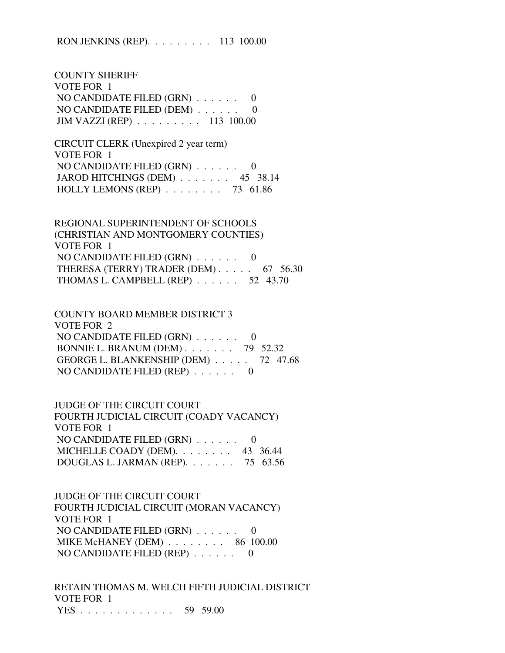COUNTY SHERIFF VOTE FOR 1 NO CANDIDATE FILED (GRN) . . . . . . 0 NO CANDIDATE FILED (DEM) . . . . . . 0 JIM VAZZI (REP) . . . . . . . . . 113 100.00

 CIRCUIT CLERK (Unexpired 2 year term) VOTE FOR 1 NO CANDIDATE FILED (GRN) . . . . . . 0 JAROD HITCHINGS (DEM) . . . . . . . 45 38.14 HOLLY LEMONS (REP) . . . . . . . . 73 61.86

 REGIONAL SUPERINTENDENT OF SCHOOLS (CHRISTIAN AND MONTGOMERY COUNTIES) VOTE FOR 1 NO CANDIDATE FILED (GRN) . . . . . . 0 THERESA (TERRY) TRADER (DEM) . . . . . 67 56.30 THOMAS L. CAMPBELL (REP) . . . . . . 52 43.70

 COUNTY BOARD MEMBER DISTRICT 3 VOTE FOR 2 NO CANDIDATE FILED (GRN) . . . . . . 0 BONNIE L. BRANUM (DEM) . . . . . . . 79 52.32 GEORGE L. BLANKENSHIP (DEM) . . . . . 72 47.68 NO CANDIDATE FILED (REP) . . . . . . 0

 JUDGE OF THE CIRCUIT COURT FOURTH JUDICIAL CIRCUIT (COADY VACANCY) VOTE FOR 1 NO CANDIDATE FILED (GRN) . . . . . . 0 MICHELLE COADY (DEM). . . . . . . 43 36.44 DOUGLAS L. JARMAN (REP). . . . . . . 75 63.56

 JUDGE OF THE CIRCUIT COURT FOURTH JUDICIAL CIRCUIT (MORAN VACANCY) VOTE FOR 1 NO CANDIDATE FILED (GRN) . . . . . . 0 MIKE McHANEY (DEM) . . . . . . . . 86 100.00 NO CANDIDATE FILED (REP) . . . . . . 0

 RETAIN THOMAS M. WELCH FIFTH JUDICIAL DISTRICT VOTE FOR 1 YES . . . . . . . . . . . . . 59 59.00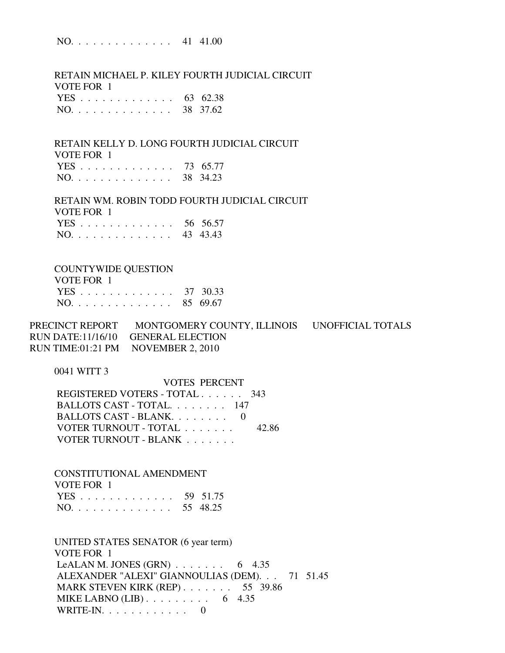NO. . . . . . . . . . . . . . 41 41.00

 RETAIN MICHAEL P. KILEY FOURTH JUDICIAL CIRCUIT VOTE FOR 1 YES . . . . . . . . . . . . . 63 62.38 NO. . . . . . . . . . . . . . 38 37.62

 RETAIN KELLY D. LONG FOURTH JUDICIAL CIRCUIT VOTE FOR 1 YES . . . . . . . . . . . . . 73 65.77

|  |  |  |  |  |  |  | NO. 38 34.23 |
|--|--|--|--|--|--|--|--------------|
|  |  |  |  |  |  |  |              |

 RETAIN WM. ROBIN TODD FOURTH JUDICIAL CIRCUIT VOTE FOR 1 YES . . . . . . . . . . . . . 56 56.57

|  | NO. |  |  |  |  |  |  |  |  |  |  |  |  |  |  | 43 43.43 |
|--|-----|--|--|--|--|--|--|--|--|--|--|--|--|--|--|----------|
|--|-----|--|--|--|--|--|--|--|--|--|--|--|--|--|--|----------|

#### COUNTYWIDE QUESTION

| VOTE FOR 1   |  |
|--------------|--|
| YES 37 30.33 |  |
| NO. 85 69.67 |  |

PRECINCT REPORT MONTGOMERY COUNTY, ILLINOIS UNOFFICIAL TOTALS RUN DATE:11/16/10 GENERAL ELECTION RUN TIME:01:21 PM NOVEMBER 2, 2010

0041 WITT 3

 VOTES PERCENT REGISTERED VOTERS - TOTAL . . . . . . 343 BALLOTS CAST - TOTAL. . . . . . . . 147 BALLOTS CAST - BLANK. . . . . . . . 0 VOTER TURNOUT - TOTAL . . . . . . . 42.86 VOTER TURNOUT - BLANK . . . . . . .

 CONSTITUTIONAL AMENDMENT VOTE FOR 1 YES . . . . . . . . . . . . . 59 51.75 NO. . . . . . . . . . . . . . 55 48.25

 UNITED STATES SENATOR (6 year term) VOTE FOR 1 LeALAN M. JONES (GRN)  $\ldots$  . . . . . . 6 4.35 ALEXANDER "ALEXI" GIANNOULIAS (DEM). . . 71 51.45 MARK STEVEN KIRK (REP) . . . . . . . 55 39.86 MIKE LABNO (LIB)  $\ldots$  . . . . . . . . 6 4.35 WRITE-IN. . . . . . . . . . . . 0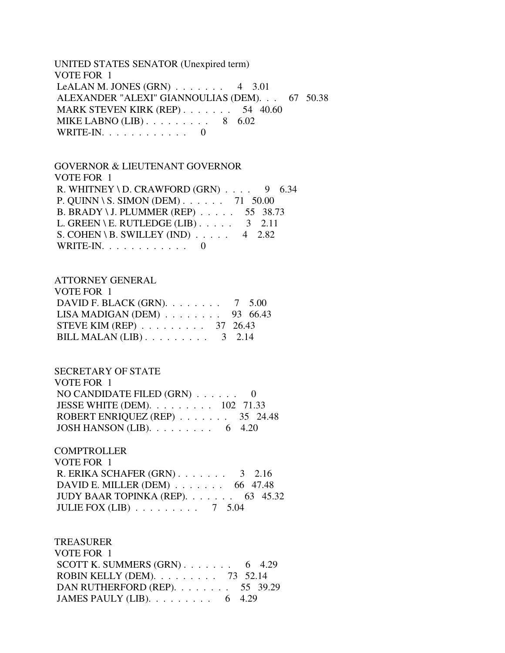UNITED STATES SENATOR (Unexpired term) VOTE FOR 1 LeALAN M. JONES (GRN)  $\ldots$  . . . . . 4 3.01 ALEXANDER "ALEXI" GIANNOULIAS (DEM). . . 67 50.38 MARK STEVEN KIRK (REP) . . . . . . . 54 40.60 MIKE LABNO  $(LIB)$ ........ 8 6.02 WRITE-IN. . . . . . . . . . . . 0

# GOVERNOR & LIEUTENANT GOVERNOR VOTE FOR 1 R. WHITNEY \ D. CRAWFORD  $(GRN)$  . . . . 9 6.34 P. QUINN \ S. SIMON (DEM) . . . . . . 71 50.00 B. BRADY \ J. PLUMMER (REP) . . . . . 55 38.73 L. GREEN \ E. RUTLEDGE (LIB)  $\ldots$  . 3 2.11 S. COHEN \ B. SWILLEY (IND)  $\ldots$  . 4 2.82 WRITE-IN.  $\ldots$  . . . . . . . . . 0

#### ATTORNEY GENERAL

| VOTE FOR 1                                      |  |
|-------------------------------------------------|--|
| DAVID F. BLACK (GRN). $\ldots$ 7 5.00           |  |
| LISA MADIGAN (DEM) $\ldots$ 93 66.43            |  |
| STEVE KIM (REP) $\ldots \ldots \ldots$ 37 26.43 |  |
| BILL MALAN $(LIB)$ 3 2.14                       |  |

### SECRETARY OF STATE

| VOTE FOR 1                                                 |  |
|------------------------------------------------------------|--|
| NO CANDIDATE FILED $(GRN)$ 0                               |  |
| JESSE WHITE (DEM). $\ldots \ldots \ldots \ldots 102$ 71.33 |  |
| ROBERT ENRIQUEZ (REP) $\ldots$ 35 24.48                    |  |
| JOSH HANSON (LIB). $\ldots \ldots \ldots$ 6 4.20           |  |

### **COMPTROLLER**

| VOTE FOR 1                                    |  |
|-----------------------------------------------|--|
| R. ERIKA SCHAFER $(GRN)$ . 3 2.16             |  |
| DAVID E. MILLER (DEM) $\ldots$ 66 47.48       |  |
| JUDY BAAR TOPINKA (REP). $\ldots$ 63 45.32    |  |
| JULIE FOX (LIB) $\ldots \ldots \ldots 7$ 5.04 |  |

| <b>TREASURER</b>                                 |  |  |
|--------------------------------------------------|--|--|
| VOTE FOR 1                                       |  |  |
| SCOTT K. SUMMERS $(GRN)$ 6 4.29                  |  |  |
| ROBIN KELLY (DEM). $\ldots$ 73 52.14             |  |  |
| DAN RUTHERFORD (REP). 55 39.29                   |  |  |
| JAMES PAULY (LIB). $\ldots \ldots \ldots$ 6 4.29 |  |  |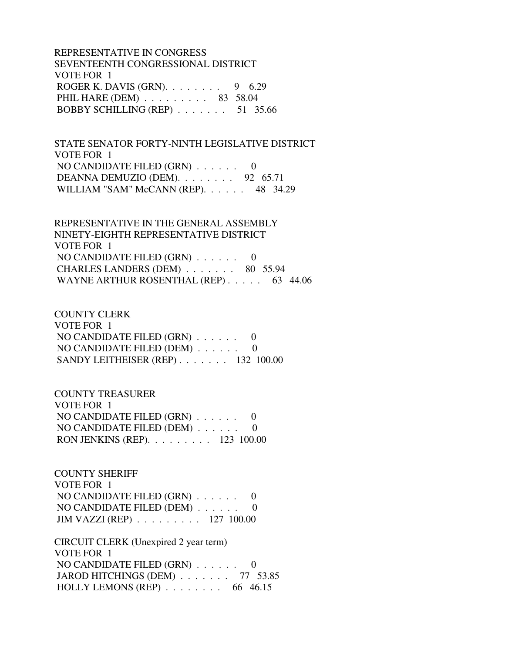REPRESENTATIVE IN CONGRESS SEVENTEENTH CONGRESSIONAL DISTRICT VOTE FOR 1 ROGER K. DAVIS (GRN).  $\ldots$  . . . . . 9 6.29 PHIL HARE (DEM) . . . . . . . . . 83 58.04 BOBBY SCHILLING (REP) . . . . . . . 51 35.66

 STATE SENATOR FORTY-NINTH LEGISLATIVE DISTRICT VOTE FOR 1 NO CANDIDATE FILED (GRN) . . . . . . 0 DEANNA DEMUZIO (DEM). . . . . . . . 92 65.71 WILLIAM "SAM" McCANN (REP). . . . . . 48 34.29

 REPRESENTATIVE IN THE GENERAL ASSEMBLY NINETY-EIGHTH REPRESENTATIVE DISTRICT VOTE FOR 1 NO CANDIDATE FILED (GRN) . . . . . . 0 CHARLES LANDERS (DEM) . . . . . . . 80 55.94 WAYNE ARTHUR ROSENTHAL (REP) . . . . . 63 44.06

 COUNTY CLERK VOTE FOR 1 NO CANDIDATE FILED (GRN) . . . . . . 0 NO CANDIDATE FILED (DEM) . . . . . . 0 SANDY LEITHEISER (REP) . . . . . . . 132 100.00

 COUNTY TREASURER VOTE FOR 1 NO CANDIDATE FILED (GRN) . . . . . . 0 NO CANDIDATE FILED (DEM) . . . . . . 0 RON JENKINS (REP). . . . . . . . . 123 100.00

 COUNTY SHERIFF VOTE FOR 1 NO CANDIDATE FILED (GRN) . . . . . . 0 NO CANDIDATE FILED (DEM) . . . . . . 0 JIM VAZZI (REP) . . . . . . . . . 127 100.00

 CIRCUIT CLERK (Unexpired 2 year term) VOTE FOR 1 NO CANDIDATE FILED (GRN) . . . . . . 0 JAROD HITCHINGS (DEM) . . . . . . . 77 53.85 HOLLY LEMONS (REP) . . . . . . . . 66 46.15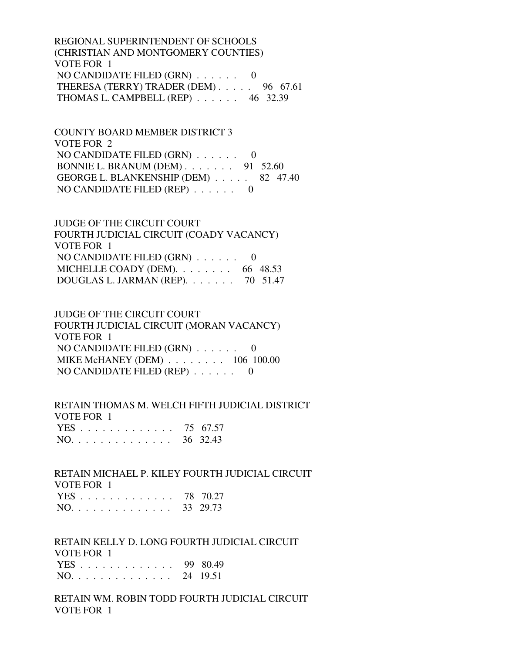REGIONAL SUPERINTENDENT OF SCHOOLS (CHRISTIAN AND MONTGOMERY COUNTIES) VOTE FOR 1 NO CANDIDATE FILED (GRN) . . . . . . 0 THERESA (TERRY) TRADER (DEM) . . . . . 96 67.61 THOMAS L. CAMPBELL (REP) . . . . . . 46 32.39

 COUNTY BOARD MEMBER DISTRICT 3 VOTE FOR 2 NO CANDIDATE FILED (GRN) . . . . . . 0 BONNIE L. BRANUM (DEM) . . . . . . . 91 52.60 GEORGE L. BLANKENSHIP (DEM) . . . . . 82 47.40 NO CANDIDATE FILED (REP) . . . . . . 0

 JUDGE OF THE CIRCUIT COURT FOURTH JUDICIAL CIRCUIT (COADY VACANCY) VOTE FOR 1 NO CANDIDATE FILED (GRN) . . . . . . 0 MICHELLE COADY (DEM).  $\ldots$  . . . . . . 66 48.53 DOUGLAS L. JARMAN (REP). . . . . . . 70 51.47

 JUDGE OF THE CIRCUIT COURT FOURTH JUDICIAL CIRCUIT (MORAN VACANCY) VOTE FOR 1 NO CANDIDATE FILED (GRN) . . . . . . 0 MIKE McHANEY (DEM) . . . . . . . . 106 100.00 NO CANDIDATE FILED (REP) . . . . . . 0

 RETAIN THOMAS M. WELCH FIFTH JUDICIAL DISTRICT VOTE FOR 1 YES . . . . . . . . . . . . . 75 67.57 NO. . . . . . . . . . . . . . 36 32.43

 RETAIN MICHAEL P. KILEY FOURTH JUDICIAL CIRCUIT VOTE FOR 1 YES . . . . . . . . . . . . . 78 70.27 NO. . . . . . . . . . . . . . 33 29.73

 RETAIN KELLY D. LONG FOURTH JUDICIAL CIRCUIT VOTE FOR 1 YES . . . . . . . . . . . . . 99 80.49 NO. . . . . . . . . . . . . . 24 19.51

 RETAIN WM. ROBIN TODD FOURTH JUDICIAL CIRCUIT VOTE FOR 1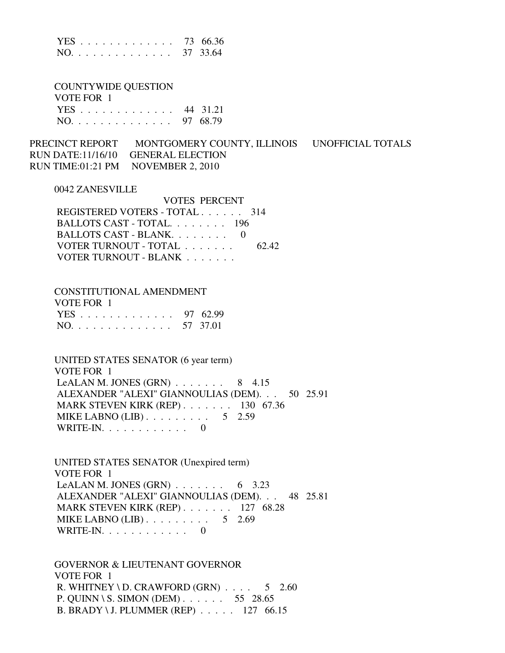|  |  |  |  |  |  |  |  | YES 73 66.36 |
|--|--|--|--|--|--|--|--|--------------|
|  |  |  |  |  |  |  |  | NO. 37 33.64 |

 COUNTYWIDE QUESTION VOTE FOR 1 YES . . . . . . . . . . . . . 44 31.21 NO. . . . . . . . . . . . . . 97 68.79

PRECINCT REPORT MONTGOMERY COUNTY, ILLINOIS UNOFFICIAL TOTALS RUN DATE:11/16/10 GENERAL ELECTION RUN TIME:01:21 PM NOVEMBER 2, 2010

#### 0042 ZANESVILLE

| <b>VOTES PERCENT</b>          |       |
|-------------------------------|-------|
| REGISTERED VOTERS - TOTAL 314 |       |
| BALLOTS CAST - TOTAL 196      |       |
| BALLOTS CAST - BLANK          |       |
| VOTER TURNOUT - TOTAL         | 62.42 |
| VOTER TURNOUT - BLANK         |       |

#### CONSTITUTIONAL AMENDMENT

| VOTE FOR 1   |  |
|--------------|--|
| YES 97 62.99 |  |
| NO. 57 37.01 |  |

 UNITED STATES SENATOR (6 year term) VOTE FOR 1 LeALAN M. JONES  $(GRN)$ ...... 8 4.15 ALEXANDER "ALEXI" GIANNOULIAS (DEM). . . 50 25.91 MARK STEVEN KIRK (REP) . . . . . . . 130 67.36 MIKE LABNO (LIB) . . . . . . . . . . 5 2.59 WRITE-IN.  $\ldots$  . . . . . . . . 0

 UNITED STATES SENATOR (Unexpired term) VOTE FOR 1 LeALAN M. JONES  $(GRN)$  . . . . . . . . 6 3.23 ALEXANDER "ALEXI" GIANNOULIAS (DEM). . . 48 25.81 MARK STEVEN KIRK (REP) . . . . . . . 127 68.28 MIKE LABNO  $(LIB)$ ........ 5 2.69 WRITE-IN. . . . . . . . . . . . 0

 GOVERNOR & LIEUTENANT GOVERNOR VOTE FOR 1 R. WHITNEY \ D. CRAWFORD  $(GRN)$  . . . . 5 2.60 P. QUINN \ S. SIMON (DEM) . . . . . . 55 28.65 B. BRADY \ J. PLUMMER (REP) . . . . . 127 66.15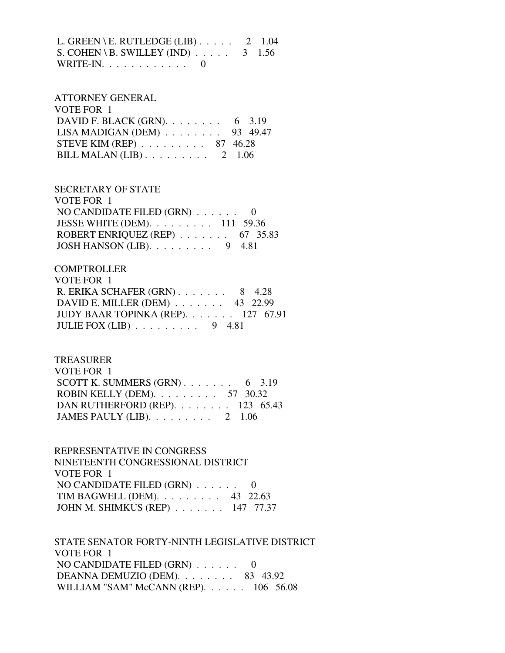L. GREEN \ E. RUTLEDGE (LIB)  $\ldots$  . . . 2 1.04 S. COHEN \ B. SWILLEY (IND)  $\ldots$  . . . . 3 1.56 WRITE-IN. . . . . . . . . . . . 0

# ATTORNEY GENERAL VOTE FOR 1 DAVID F. BLACK (GRN). . . . . . . . . 6 3.19 LISA MADIGAN (DEM) . . . . . . . . 93 49.47 STEVE KIM (REP) . . . . . . . . . 87 46.28 BILL MALAN  $(LIB)$ ......... 2 1.06

 SECRETARY OF STATE VOTE FOR 1 NO CANDIDATE FILED (GRN) . . . . . . 0 JESSE WHITE (DEM). . . . . . . . . 111 59.36 ROBERT ENRIQUEZ (REP) . . . . . . . 67 35.83 JOSH HANSON (LIB). . . . . . . . . 9 4.81

## **COMPTROLLER**

| VOTE FOR 1                                    |  |
|-----------------------------------------------|--|
| R. ERIKA SCHAFER $(GRN)$ 8 4.28               |  |
| DAVID E. MILLER (DEM) $\ldots$ 43 22.99       |  |
| JUDY BAAR TOPINKA (REP). 127 67.91            |  |
| JULIE FOX (LIB) $\ldots \ldots \ldots$ 9 4.81 |  |

### TREASURER

| VOTE FOR 1                                         |  |
|----------------------------------------------------|--|
| SCOTT K. SUMMERS $(GRN)$ 6 3.19                    |  |
| ROBIN KELLY (DEM). $\ldots \ldots \ldots 57$ 30.32 |  |
| DAN RUTHERFORD (REP). $\ldots$ 123 65.43           |  |
| JAMES PAULY (LIB). $\ldots \ldots \ldots 2$ 1.06   |  |

 REPRESENTATIVE IN CONGRESS NINETEENTH CONGRESSIONAL DISTRICT VOTE FOR 1 NO CANDIDATE FILED (GRN) . . . . . . 0 TIM BAGWELL (DEM). . . . . . . . . 43 22.63 JOHN M. SHIMKUS (REP) . . . . . . . 147 77.37

 STATE SENATOR FORTY-NINTH LEGISLATIVE DISTRICT VOTE FOR 1 NO CANDIDATE FILED (GRN) . . . . . . 0 DEANNA DEMUZIO (DEM). . . . . . . . 83 43.92 WILLIAM "SAM" McCANN (REP). . . . . . 106 56.08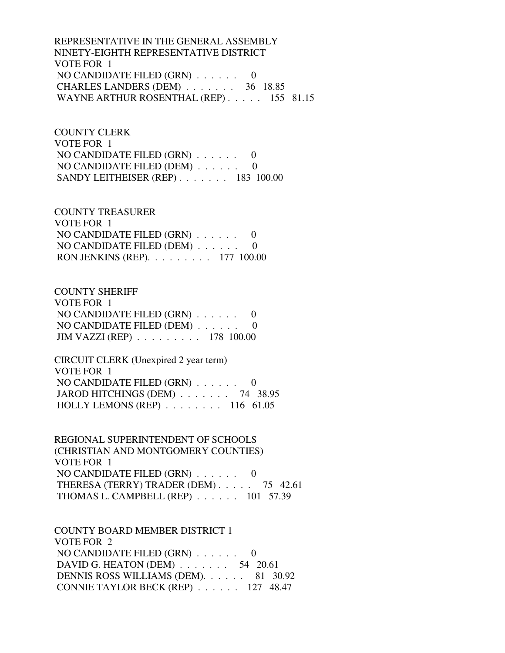REPRESENTATIVE IN THE GENERAL ASSEMBLY NINETY-EIGHTH REPRESENTATIVE DISTRICT VOTE FOR 1 NO CANDIDATE FILED (GRN) . . . . . . 0 CHARLES LANDERS (DEM) . . . . . . . 36 18.85 WAYNE ARTHUR ROSENTHAL (REP) . . . . . 155 81.15

 COUNTY CLERK VOTE FOR 1 NO CANDIDATE FILED (GRN) . . . . . . 0 NO CANDIDATE FILED (DEM) . . . . . . 0 SANDY LEITHEISER (REP) . . . . . . . 183 100.00

 COUNTY TREASURER VOTE FOR 1 NO CANDIDATE FILED (GRN) . . . . . . 0 NO CANDIDATE FILED (DEM) . . . . . . 0 RON JENKINS (REP). . . . . . . . . 177 100.00

 COUNTY SHERIFF VOTE FOR 1 NO CANDIDATE FILED (GRN) . . . . . . 0 NO CANDIDATE FILED (DEM) . . . . . . 0 JIM VAZZI (REP) . . . . . . . . . 178 100.00

 CIRCUIT CLERK (Unexpired 2 year term) VOTE FOR 1 NO CANDIDATE FILED (GRN) . . . . . . 0 JAROD HITCHINGS (DEM) . . . . . . . 74 38.95 HOLLY LEMONS (REP) . . . . . . . . 116 61.05

 REGIONAL SUPERINTENDENT OF SCHOOLS (CHRISTIAN AND MONTGOMERY COUNTIES) VOTE FOR 1 NO CANDIDATE FILED (GRN) . . . . . . 0 THERESA (TERRY) TRADER (DEM) . . . . . 75 42.61 THOMAS L. CAMPBELL (REP) . . . . . . 101 57.39

 COUNTY BOARD MEMBER DISTRICT 1 VOTE FOR 2 NO CANDIDATE FILED (GRN) . . . . . . 0 DAVID G. HEATON (DEM) . . . . . . . 54 20.61 DENNIS ROSS WILLIAMS (DEM). . . . . . 81 30.92 CONNIE TAYLOR BECK (REP) . . . . . . 127 48.47